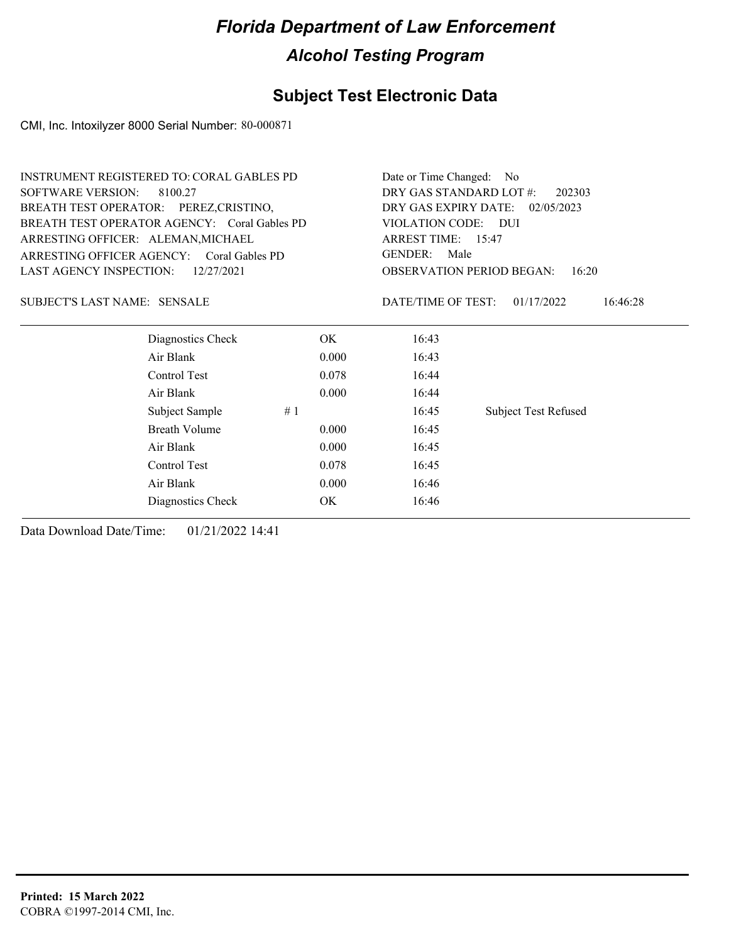### **Subject Test Electronic Data**

CMI, Inc. Intoxilyzer 8000 Serial Number: 80-000871

|       | Date or Time Changed: No                  |                             |  |  |
|-------|-------------------------------------------|-----------------------------|--|--|
|       | DRY GAS STANDARD LOT #:<br>202303         |                             |  |  |
|       | DRY GAS EXPIRY DATE:<br>02/05/2023        |                             |  |  |
|       | VIOLATION CODE: DUI                       |                             |  |  |
|       | ARREST TIME: 15:47                        |                             |  |  |
|       | <b>GENDER:</b><br>Male                    |                             |  |  |
|       | <b>OBSERVATION PERIOD BEGAN:</b><br>16:20 |                             |  |  |
|       | DATE/TIME OF TEST:                        | 01/17/2022<br>16:46:28      |  |  |
| OK.   | 16:43                                     |                             |  |  |
| 0.000 | 16:43                                     |                             |  |  |
| 0.078 | 16:44                                     |                             |  |  |
| 0.000 | 16:44                                     |                             |  |  |
|       | 16:45                                     | <b>Subject Test Refused</b> |  |  |
| 0.000 | 16:45                                     |                             |  |  |
| 0.000 | 16:45                                     |                             |  |  |
| 0.078 | 16:45                                     |                             |  |  |
| 0.000 | 16:46                                     |                             |  |  |
| OK    | 16:46                                     |                             |  |  |
|       |                                           |                             |  |  |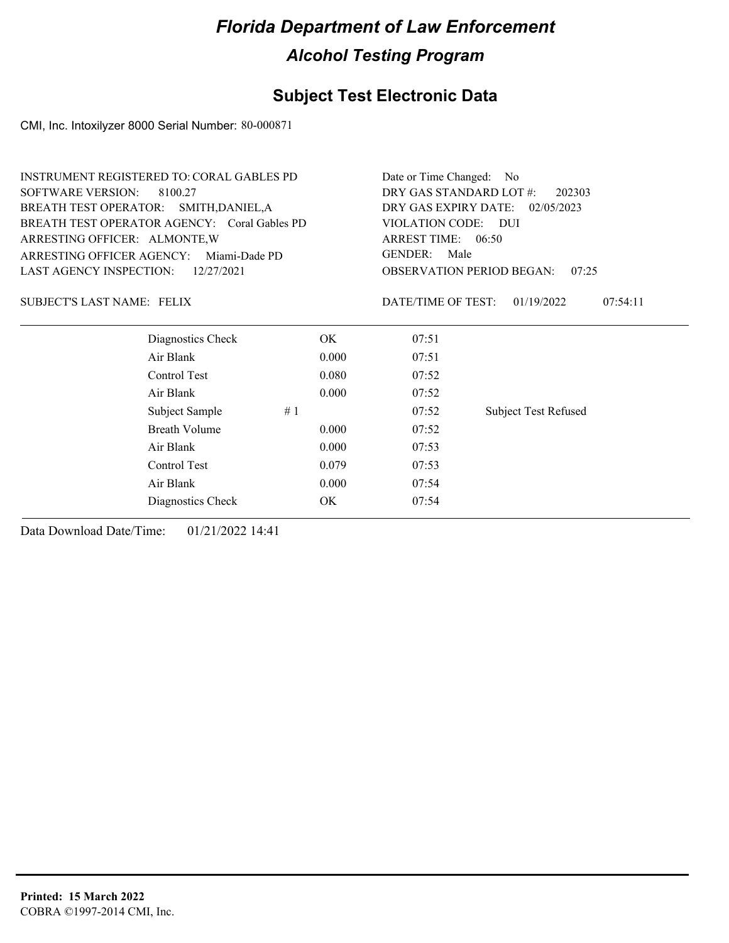### **Subject Test Electronic Data**

CMI, Inc. Intoxilyzer 8000 Serial Number: 80-000871

| <b>SOFTWARE VERSION:</b><br>DRY GAS STANDARD LOT #:<br>8100.27<br>202303<br>BREATH TEST OPERATOR: SMITH, DANIEL, A<br>DRY GAS EXPIRY DATE:<br>02/05/2023<br>BREATH TEST OPERATOR AGENCY: Coral Gables PD<br>VIOLATION CODE: DUI<br>ARREST TIME: 06:50<br>ARRESTING OFFICER: ALMONTE, W<br><b>GENDER:</b><br>Male<br>ARRESTING OFFICER AGENCY:<br>Miami-Dade PD<br><b>LAST AGENCY INSPECTION:</b><br><b>OBSERVATION PERIOD BEGAN:</b><br>12/27/2021<br>07:25<br>DATE/TIME OF TEST:<br><b>SUBJECT'S LAST NAME: FELIX</b><br>01/19/2022<br>07:54:11<br>Diagnostics Check<br>OK<br>07:51<br>Air Blank<br>0.000<br>07:51<br>Control Test<br>0.080<br>07:52<br>Air Blank<br>0.000<br>07:52<br><b>Subject Test Refused</b><br>Subject Sample<br>#1<br>07:52<br><b>Breath Volume</b><br>0.000<br>07:52<br>Air Blank<br>0.000<br>07:53<br>Control Test<br>0.079<br>07:53<br>Air Blank<br>0.000<br>07:54<br>OK<br>07:54<br>Diagnostics Check | <b>INSTRUMENT REGISTERED TO: CORAL GABLES PD</b> | Date or Time Changed: No |  |  |  |  |
|------------------------------------------------------------------------------------------------------------------------------------------------------------------------------------------------------------------------------------------------------------------------------------------------------------------------------------------------------------------------------------------------------------------------------------------------------------------------------------------------------------------------------------------------------------------------------------------------------------------------------------------------------------------------------------------------------------------------------------------------------------------------------------------------------------------------------------------------------------------------------------------------------------------------------------|--------------------------------------------------|--------------------------|--|--|--|--|
|                                                                                                                                                                                                                                                                                                                                                                                                                                                                                                                                                                                                                                                                                                                                                                                                                                                                                                                                    |                                                  |                          |  |  |  |  |
|                                                                                                                                                                                                                                                                                                                                                                                                                                                                                                                                                                                                                                                                                                                                                                                                                                                                                                                                    |                                                  |                          |  |  |  |  |
|                                                                                                                                                                                                                                                                                                                                                                                                                                                                                                                                                                                                                                                                                                                                                                                                                                                                                                                                    |                                                  |                          |  |  |  |  |
|                                                                                                                                                                                                                                                                                                                                                                                                                                                                                                                                                                                                                                                                                                                                                                                                                                                                                                                                    |                                                  |                          |  |  |  |  |
|                                                                                                                                                                                                                                                                                                                                                                                                                                                                                                                                                                                                                                                                                                                                                                                                                                                                                                                                    |                                                  |                          |  |  |  |  |
|                                                                                                                                                                                                                                                                                                                                                                                                                                                                                                                                                                                                                                                                                                                                                                                                                                                                                                                                    |                                                  |                          |  |  |  |  |
|                                                                                                                                                                                                                                                                                                                                                                                                                                                                                                                                                                                                                                                                                                                                                                                                                                                                                                                                    |                                                  |                          |  |  |  |  |
|                                                                                                                                                                                                                                                                                                                                                                                                                                                                                                                                                                                                                                                                                                                                                                                                                                                                                                                                    |                                                  |                          |  |  |  |  |
|                                                                                                                                                                                                                                                                                                                                                                                                                                                                                                                                                                                                                                                                                                                                                                                                                                                                                                                                    |                                                  |                          |  |  |  |  |
|                                                                                                                                                                                                                                                                                                                                                                                                                                                                                                                                                                                                                                                                                                                                                                                                                                                                                                                                    |                                                  |                          |  |  |  |  |
|                                                                                                                                                                                                                                                                                                                                                                                                                                                                                                                                                                                                                                                                                                                                                                                                                                                                                                                                    |                                                  |                          |  |  |  |  |
|                                                                                                                                                                                                                                                                                                                                                                                                                                                                                                                                                                                                                                                                                                                                                                                                                                                                                                                                    |                                                  |                          |  |  |  |  |
|                                                                                                                                                                                                                                                                                                                                                                                                                                                                                                                                                                                                                                                                                                                                                                                                                                                                                                                                    |                                                  |                          |  |  |  |  |
|                                                                                                                                                                                                                                                                                                                                                                                                                                                                                                                                                                                                                                                                                                                                                                                                                                                                                                                                    |                                                  |                          |  |  |  |  |
|                                                                                                                                                                                                                                                                                                                                                                                                                                                                                                                                                                                                                                                                                                                                                                                                                                                                                                                                    |                                                  |                          |  |  |  |  |
|                                                                                                                                                                                                                                                                                                                                                                                                                                                                                                                                                                                                                                                                                                                                                                                                                                                                                                                                    |                                                  |                          |  |  |  |  |
|                                                                                                                                                                                                                                                                                                                                                                                                                                                                                                                                                                                                                                                                                                                                                                                                                                                                                                                                    |                                                  |                          |  |  |  |  |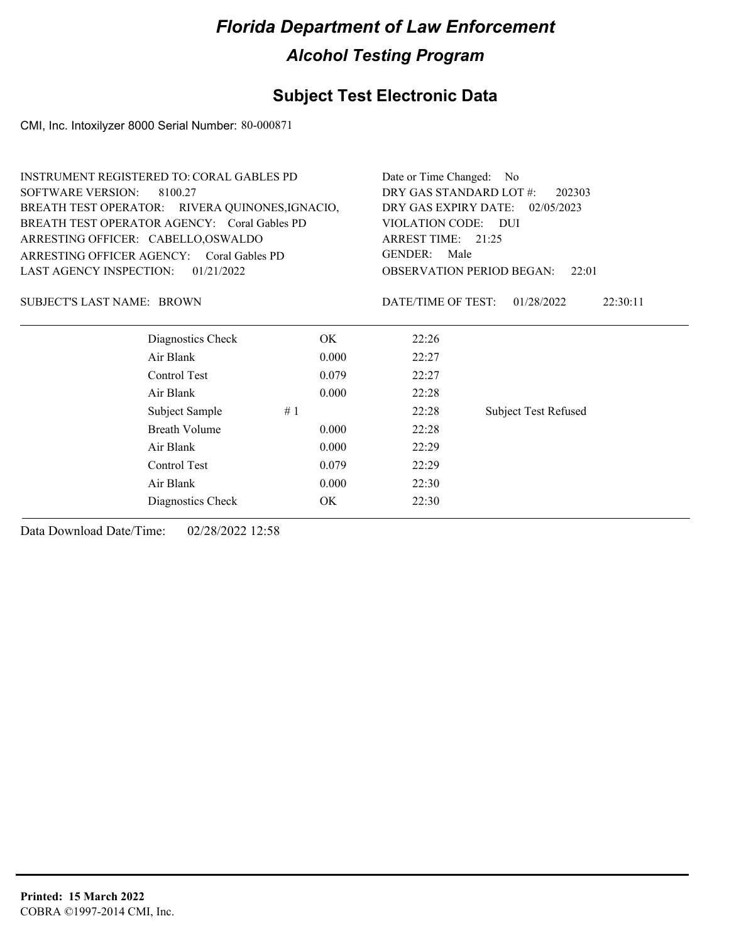### **Subject Test Electronic Data**

CMI, Inc. Intoxilyzer 8000 Serial Number: 80-000871

| <b>INSTRUMENT REGISTERED TO: CORAL GABLES PD</b> |       | Date or Time Changed: No                  |                             |  |
|--------------------------------------------------|-------|-------------------------------------------|-----------------------------|--|
| <b>SOFTWARE VERSION:</b><br>8100.27              |       | DRY GAS STANDARD LOT #:<br>202303         |                             |  |
| BREATH TEST OPERATOR: RIVERA QUINONES, IGNACIO,  |       | DRY GAS EXPIRY DATE:<br>02/05/2023        |                             |  |
| BREATH TEST OPERATOR AGENCY: Coral Gables PD     |       | <b>VIOLATION CODE:</b>                    | <b>DUI</b>                  |  |
| ARRESTING OFFICER: CABELLO, OSWALDO              |       | ARREST TIME: 21:25                        |                             |  |
| ARRESTING OFFICER AGENCY: Coral Gables PD        |       | <b>GENDER:</b><br>Male                    |                             |  |
| LAST AGENCY INSPECTION:<br>01/21/2022            |       | <b>OBSERVATION PERIOD BEGAN:</b><br>22:01 |                             |  |
| SUBJECT'S LAST NAME: BROWN                       |       | DATE/TIME OF TEST:                        | 01/28/2022<br>22:30:11      |  |
| Diagnostics Check                                | OK.   | 22:26                                     |                             |  |
| Air Blank                                        | 0.000 | 22:27                                     |                             |  |
| Control Test                                     | 0.079 | 22:27                                     |                             |  |
| Air Blank                                        | 0.000 | 22:28                                     |                             |  |
| Subject Sample                                   | #1    | 22:28                                     | <b>Subject Test Refused</b> |  |
| <b>Breath Volume</b>                             | 0.000 | 22:28                                     |                             |  |
| Air Blank                                        | 0.000 | 22:29                                     |                             |  |
| Control Test                                     | 0.079 | 22:29                                     |                             |  |
| Air Blank                                        | 0.000 | 22:30                                     |                             |  |
| Diagnostics Check                                | OK.   | 22:30                                     |                             |  |
|                                                  |       |                                           |                             |  |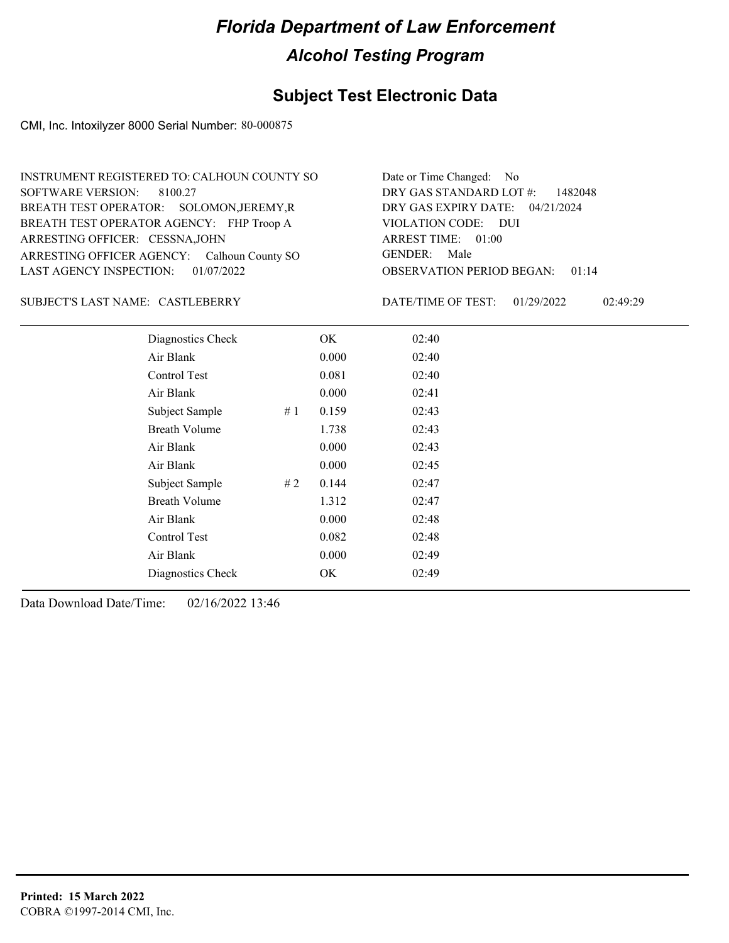### **Subject Test Electronic Data**

CMI, Inc. Intoxilyzer 8000 Serial Number: 80-000875

| INSTRUMENT REGISTERED TO: CALHOUN COUNTY SO | Date or Time Changed: No               |
|---------------------------------------------|----------------------------------------|
| SOFTWARE VERSION: 8100.27                   | DRY GAS STANDARD LOT $\#$ : 1482048    |
| BREATH TEST OPERATOR: SOLOMON, JEREMY, R    | DRY GAS EXPIRY DATE: 04/21/2024        |
| BREATH TEST OPERATOR AGENCY: FHP Troop A    | VIOLATION CODE: DUI                    |
| ARRESTING OFFICER: CESSNA, JOHN             | ARREST TIME: 01:00                     |
| ARRESTING OFFICER AGENCY: Calhoun County SO | GENDER: Male                           |
| LAST AGENCY INSPECTION: $01/07/2022$        | <b>OBSERVATION PERIOD BEGAN: 01:14</b> |

#### CASTLEBERRY SUBJECT'S LAST NAME: DATE/TIME OF TEST:

DATE/TIME OF TEST: 01/29/2022 02:49:29

| Diagnostics Check    |    | OK    | 02:40 |  |
|----------------------|----|-------|-------|--|
| Air Blank            |    | 0.000 | 02:40 |  |
| Control Test         |    | 0.081 | 02:40 |  |
| Air Blank            |    | 0.000 | 02:41 |  |
| Subject Sample       | #1 | 0.159 | 02:43 |  |
| <b>Breath Volume</b> |    | 1.738 | 02:43 |  |
| Air Blank            |    | 0.000 | 02:43 |  |
| Air Blank            |    | 0.000 | 02:45 |  |
| Subject Sample       | #2 | 0.144 | 02:47 |  |
| <b>Breath Volume</b> |    | 1.312 | 02:47 |  |
| Air Blank            |    | 0.000 | 02:48 |  |
| Control Test         |    | 0.082 | 02:48 |  |
| Air Blank            |    | 0.000 | 02:49 |  |
| Diagnostics Check    |    | OK    | 02:49 |  |
|                      |    |       |       |  |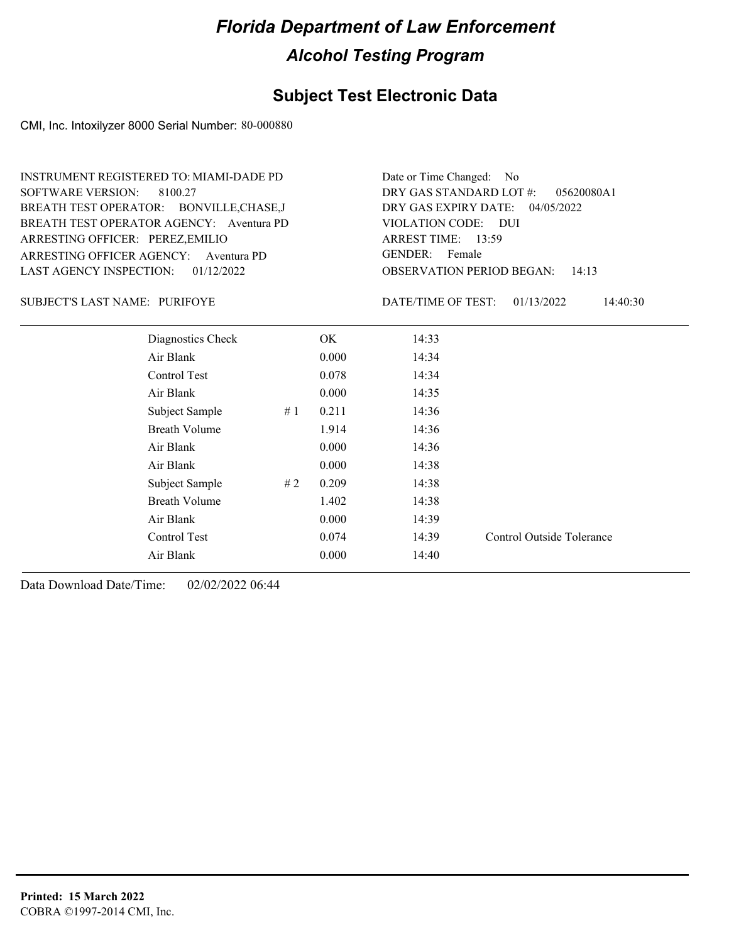#### **Subject Test Electronic Data**

CMI, Inc. Intoxilyzer 8000 Serial Number: 80-000880

ARRESTING OFFICER AGENCY: Aventura PD GENDER: BREATH TEST OPERATOR AGENCY: Aventura PD VIOLATION CODE: SOFTWARE VERSION: 8100.27 ARRESTING OFFICER: PEREZ,EMILIO BREATH TEST OPERATOR: BONVILLE,CHASE,J LAST AGENCY INSPECTION: 01/12/2022 INSTRUMENT REGISTERED TO: MIAMI-DADE PD

OBSERVATION PERIOD BEGAN: 14:13 VIOLATION CODE: DUI ARREST TIME: 13:59 04/05/2022 DRY GAS EXPIRY DATE: 05620080A1 DRY GAS STANDARD LOT #: Date or Time Changed: No GENDER: Female

PURIFOYE SUBJECT'S LAST NAME: DATE/TIME OF TEST:

DATE/TIME OF TEST: 01/13/2022 14:40:30

| Diagnostics Check    |    | OK.   | 14:33 |                           |
|----------------------|----|-------|-------|---------------------------|
| Air Blank            |    | 0.000 | 14:34 |                           |
| Control Test         |    | 0.078 | 14:34 |                           |
| Air Blank            |    | 0.000 | 14:35 |                           |
| Subject Sample       | #1 | 0.211 | 14:36 |                           |
| <b>Breath Volume</b> |    | 1.914 | 14:36 |                           |
| Air Blank            |    | 0.000 | 14:36 |                           |
| Air Blank            |    | 0.000 | 14:38 |                           |
| Subject Sample       | #2 | 0.209 | 14:38 |                           |
| <b>Breath Volume</b> |    | 1.402 | 14:38 |                           |
| Air Blank            |    | 0.000 | 14:39 |                           |
| Control Test         |    | 0.074 | 14:39 | Control Outside Tolerance |
| Air Blank            |    | 0.000 | 14:40 |                           |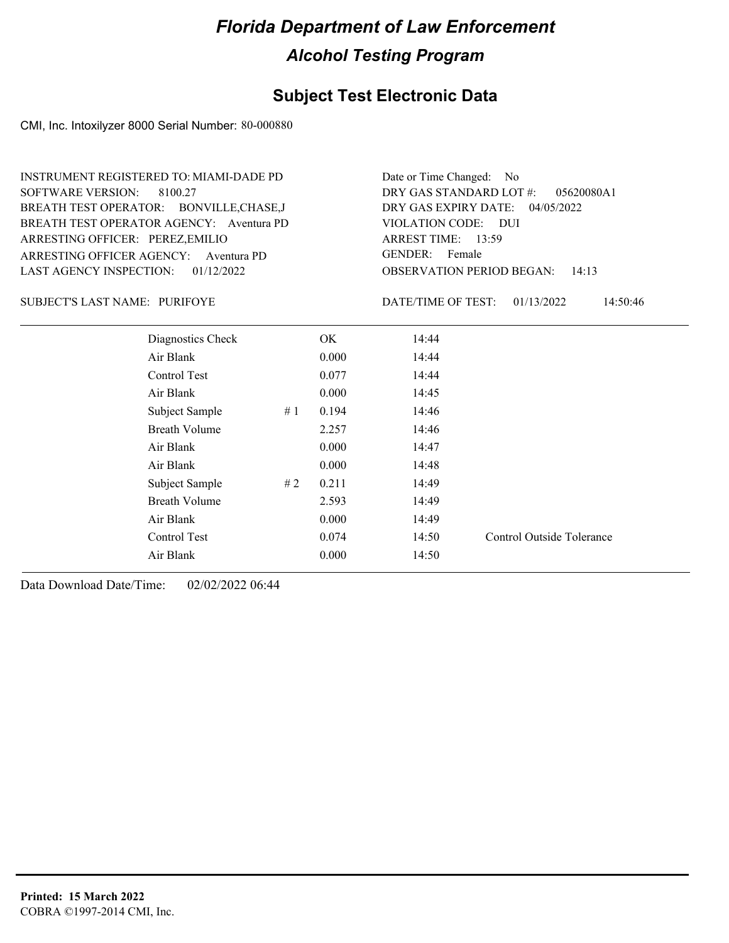#### **Subject Test Electronic Data**

CMI, Inc. Intoxilyzer 8000 Serial Number: 80-000880

ARRESTING OFFICER AGENCY: Aventura PD GENDER: BREATH TEST OPERATOR AGENCY: Aventura PD VIOLATION CODE: SOFTWARE VERSION: 8100.27 ARRESTING OFFICER: PEREZ,EMILIO BREATH TEST OPERATOR: BONVILLE,CHASE,J LAST AGENCY INSPECTION: 01/12/2022 INSTRUMENT REGISTERED TO: MIAMI-DADE PD

OBSERVATION PERIOD BEGAN: 14:13 VIOLATION CODE: DUI ARREST TIME: 13:59 04/05/2022 DRY GAS EXPIRY DATE: 05620080A1 DRY GAS STANDARD LOT #: Date or Time Changed: No GENDER: Female

#### PURIFOYE SUBJECT'S LAST NAME: DATE/TIME OF TEST:

DATE/TIME OF TEST: 01/13/2022 14:50:46

| Diagnostics Check    |    | OK    | 14:44 |                           |
|----------------------|----|-------|-------|---------------------------|
| Air Blank            |    | 0.000 | 14:44 |                           |
| Control Test         |    | 0.077 | 14:44 |                           |
| Air Blank            |    | 0.000 | 14:45 |                           |
| Subject Sample       | #1 | 0.194 | 14:46 |                           |
| <b>Breath Volume</b> |    | 2.257 | 14:46 |                           |
| Air Blank            |    | 0.000 | 14:47 |                           |
| Air Blank            |    | 0.000 | 14:48 |                           |
| Subject Sample       | #2 | 0.211 | 14:49 |                           |
| <b>Breath Volume</b> |    | 2.593 | 14:49 |                           |
| Air Blank            |    | 0.000 | 14:49 |                           |
| Control Test         |    | 0.074 | 14:50 | Control Outside Tolerance |
| Air Blank            |    | 0.000 | 14:50 |                           |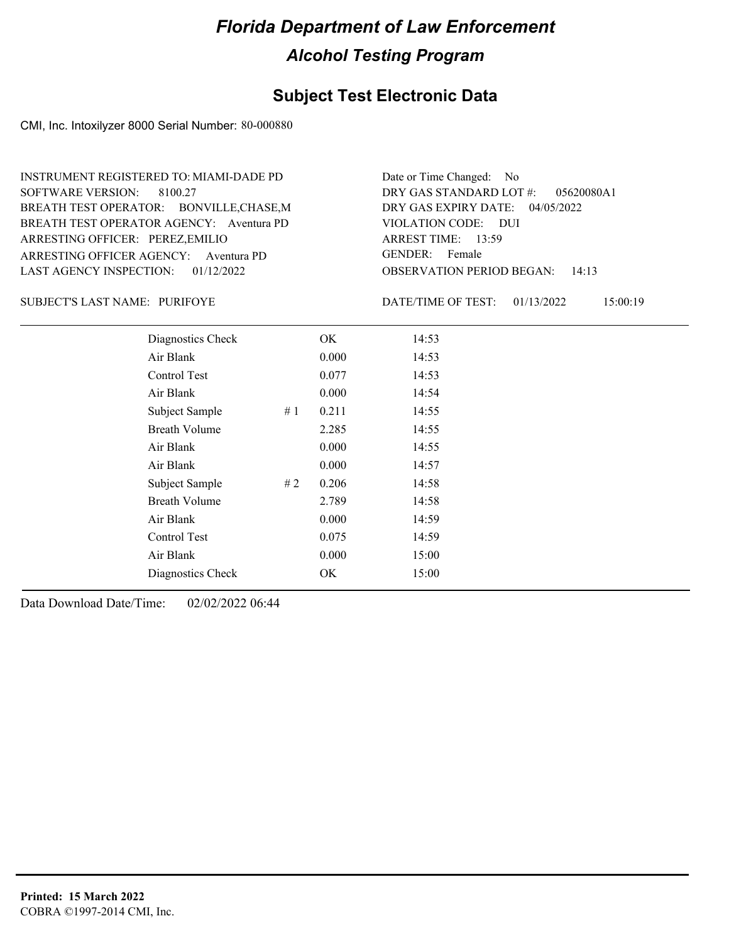#### **Subject Test Electronic Data**

CMI, Inc. Intoxilyzer 8000 Serial Number: 80-000880

ARRESTING OFFICER AGENCY: Aventura PD GENDER: BREATH TEST OPERATOR AGENCY: Aventura PD VIOLATION CODE: SOFTWARE VERSION: 8100.27 ARRESTING OFFICER: PEREZ,EMILIO BREATH TEST OPERATOR: BONVILLE,CHASE,M LAST AGENCY INSPECTION: 01/12/2022 INSTRUMENT REGISTERED TO: MIAMI-DADE PD

OBSERVATION PERIOD BEGAN: 14:13 VIOLATION CODE: DUI ARREST TIME: 13:59 04/05/2022 DRY GAS EXPIRY DATE: 05620080A1 DRY GAS STANDARD LOT #: Date or Time Changed: No GENDER: Female

PURIFOYE SUBJECT'S LAST NAME: DATE/TIME OF TEST:

DATE/TIME OF TEST: 01/13/2022 15:00:19

| Diagnostics Check    |    | OK    | 14:53 |
|----------------------|----|-------|-------|
| Air Blank            |    | 0.000 | 14:53 |
| Control Test         |    | 0.077 | 14:53 |
| Air Blank            |    | 0.000 | 14:54 |
| Subject Sample       | #1 | 0.211 | 14:55 |
| <b>Breath Volume</b> |    | 2.285 | 14:55 |
| Air Blank            |    | 0.000 | 14:55 |
| Air Blank            |    | 0.000 | 14:57 |
| Subject Sample       | #2 | 0.206 | 14:58 |
| <b>Breath Volume</b> |    | 2.789 | 14:58 |
| Air Blank            |    | 0.000 | 14:59 |
| <b>Control Test</b>  |    | 0.075 | 14:59 |
| Air Blank            |    | 0.000 | 15:00 |
| Diagnostics Check    |    | OK    | 15:00 |
|                      |    |       |       |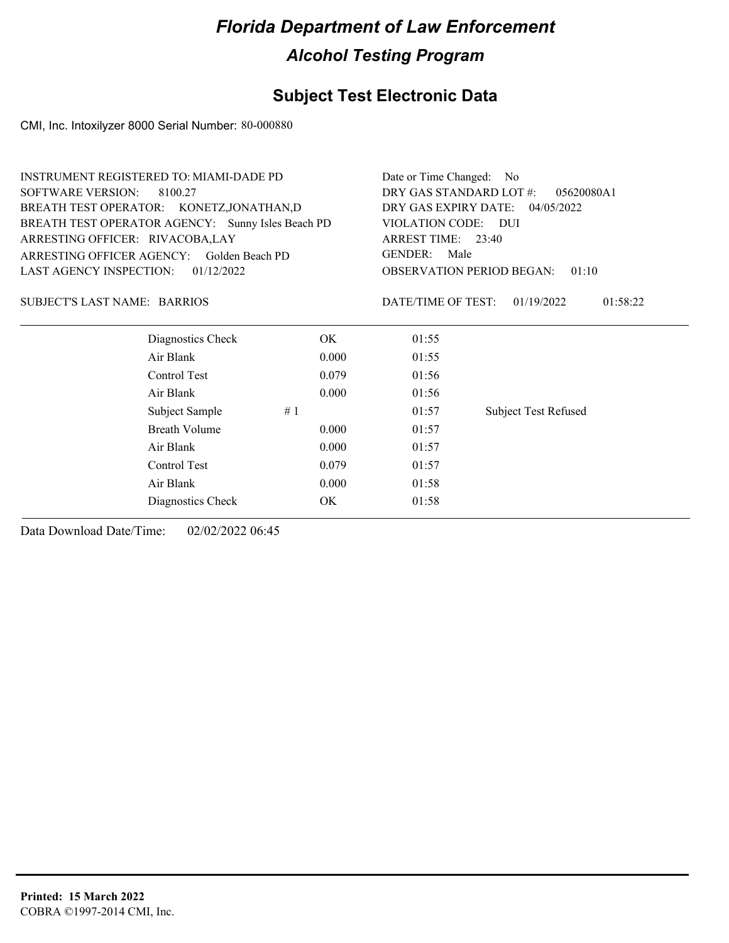### **Subject Test Electronic Data**

CMI, Inc. Intoxilyzer 8000 Serial Number: 80-000880

| <b>INSTRUMENT REGISTERED TO: MIAMI-DADE PD</b>    |       | Date or Time Changed: No                  |                             |  |  |
|---------------------------------------------------|-------|-------------------------------------------|-----------------------------|--|--|
| <b>SOFTWARE VERSION:</b><br>8100.27               |       | DRY GAS STANDARD LOT #:<br>05620080A1     |                             |  |  |
| BREATH TEST OPERATOR: KONETZ, JONATHAN, D         |       | DRY GAS EXPIRY DATE: 04/05/2022           |                             |  |  |
| BREATH TEST OPERATOR AGENCY: Sunny Isles Beach PD |       | VIOLATION CODE: DUI<br>ARREST TIME: 23:40 |                             |  |  |
| ARRESTING OFFICER: RIVACOBA,LAY                   |       |                                           |                             |  |  |
| ARRESTING OFFICER AGENCY: Golden Beach PD         |       | <b>GENDER:</b><br>Male                    |                             |  |  |
| LAST AGENCY INSPECTION:<br>01/12/2022             |       | <b>OBSERVATION PERIOD BEGAN:</b><br>01:10 |                             |  |  |
| SUBJECT'S LAST NAME: BARRIOS                      |       | DATE/TIME OF TEST:                        | 01:58:22<br>01/19/2022      |  |  |
| Diagnostics Check                                 | OK.   | 01:55                                     |                             |  |  |
| Air Blank                                         | 0.000 | 01:55                                     |                             |  |  |
| Control Test                                      | 0.079 | 01:56                                     |                             |  |  |
| Air Blank                                         | 0.000 | 01:56                                     |                             |  |  |
| Subject Sample                                    | #1    | 01:57                                     | <b>Subject Test Refused</b> |  |  |
| <b>Breath Volume</b>                              | 0.000 | 01:57                                     |                             |  |  |
| Air Blank                                         | 0.000 | 01:57                                     |                             |  |  |
| Control Test                                      | 0.079 | 01:57                                     |                             |  |  |
| Air Blank                                         | 0.000 | 01:58                                     |                             |  |  |
| Diagnostics Check                                 | OK    | 01:58                                     |                             |  |  |
|                                                   |       |                                           |                             |  |  |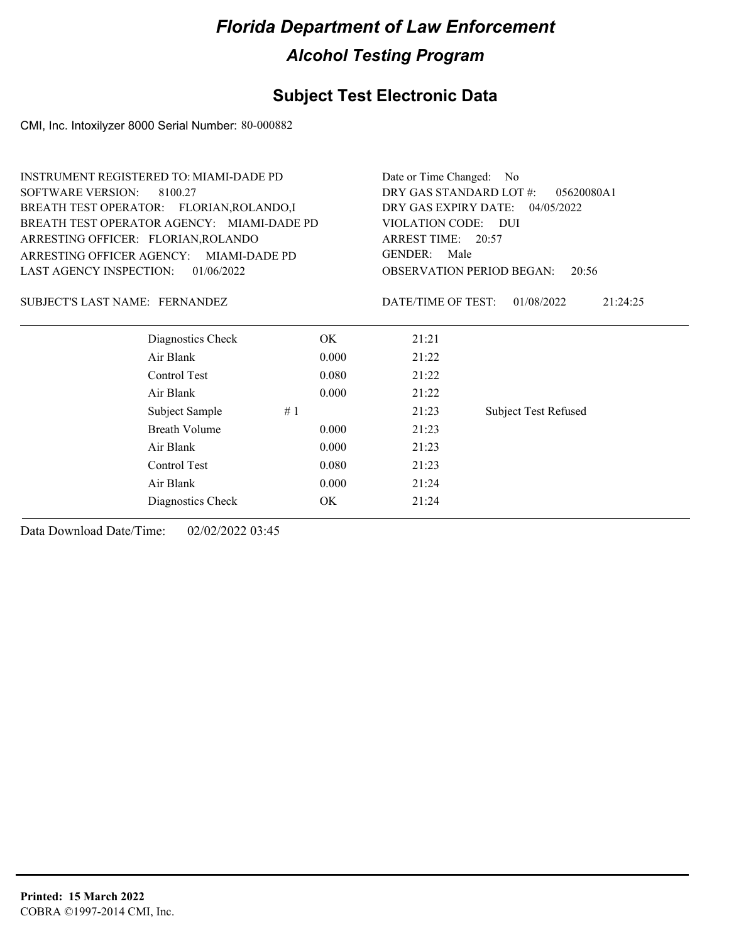### **Subject Test Electronic Data**

CMI, Inc. Intoxilyzer 8000 Serial Number: 80-000882

| <b>INSTRUMENT REGISTERED TO: MIAMI-DADE PD</b> |               | Date or Time Changed: No                               |                             |  |  |
|------------------------------------------------|---------------|--------------------------------------------------------|-----------------------------|--|--|
| <b>SOFTWARE VERSION:</b><br>8100.27            |               | DRY GAS STANDARD LOT #:                                | 05620080A1                  |  |  |
| BREATH TEST OPERATOR: FLORIAN, ROLANDO, I      |               | DRY GAS EXPIRY DATE: 04/05/2022<br>VIOLATION CODE: DUI |                             |  |  |
| BREATH TEST OPERATOR AGENCY: MIAMI-DADE PD     |               |                                                        |                             |  |  |
| ARRESTING OFFICER: FLORIAN, ROLANDO            |               | ARREST TIME: 20:57                                     |                             |  |  |
| ARRESTING OFFICER AGENCY:                      | MIAMI-DADE PD | <b>GENDER:</b><br>Male                                 |                             |  |  |
| <b>LAST AGENCY INSPECTION:</b><br>01/06/2022   |               | <b>OBSERVATION PERIOD BEGAN:</b><br>20:56              |                             |  |  |
| SUBJECT'S LAST NAME: FERNANDEZ                 |               | DATE/TIME OF TEST:                                     | 01/08/2022<br>21:24:25      |  |  |
| Diagnostics Check                              | OK.           | 21:21                                                  |                             |  |  |
| Air Blank                                      | 0.000         | 21:22                                                  |                             |  |  |
| Control Test                                   | 0.080         | 21:22                                                  |                             |  |  |
| Air Blank                                      | 0.000         | 21:22                                                  |                             |  |  |
| Subject Sample                                 | #1            | 21:23                                                  | <b>Subject Test Refused</b> |  |  |
| <b>Breath Volume</b>                           | 0.000         | 21:23                                                  |                             |  |  |
| Air Blank                                      | 0.000         | 21:23                                                  |                             |  |  |
| Control Test                                   | 0.080         | 21:23                                                  |                             |  |  |
| Air Blank                                      | 0.000         | 21:24                                                  |                             |  |  |
| Diagnostics Check                              | OK            | 21:24                                                  |                             |  |  |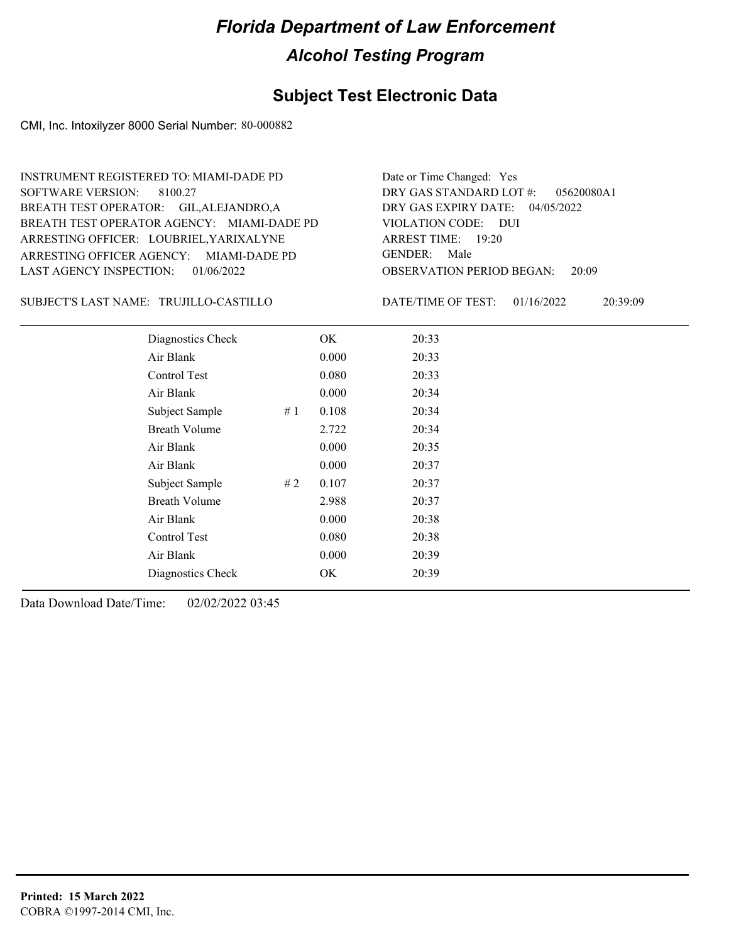#### **Subject Test Electronic Data**

CMI, Inc. Intoxilyzer 8000 Serial Number: 80-000882

ARRESTING OFFICER AGENCY: GENDER: MIAMI-DADE PD BREATH TEST OPERATOR AGENCY: MIAMI-DADE PD VIOLATION CODE: SOFTWARE VERSION: ARRESTING OFFICER: LOUBRIEL,YARIXALYNE BREATH TEST OPERATOR: GIL,ALEJANDRO,A LAST AGENCY INSPECTION: 01/06/2022 8100.27 INSTRUMENT REGISTERED TO: MIAMI-DADE PD

OBSERVATION PERIOD BEGAN: 20:09 VIOLATION CODE: DUI ARREST TIME: 19:20 04/05/2022 DRY GAS EXPIRY DATE: 05620080A1 DRY GAS STANDARD LOT #: Date or Time Changed: Yes GENDER: Male

TRUJILLO-CASTILLO SUBJECT'S LAST NAME: DATE/TIME OF TEST:

DATE/TIME OF TEST: 01/16/2022 20:39:09

| Diagnostics Check    |    | OK    | 20:33 |  |
|----------------------|----|-------|-------|--|
| Air Blank            |    | 0.000 | 20:33 |  |
| Control Test         |    | 0.080 | 20:33 |  |
| Air Blank            |    | 0.000 | 20:34 |  |
| Subject Sample       | #1 | 0.108 | 20:34 |  |
| <b>Breath Volume</b> |    | 2.722 | 20:34 |  |
| Air Blank            |    | 0.000 | 20:35 |  |
| Air Blank            |    | 0.000 | 20:37 |  |
| Subject Sample       | #2 | 0.107 | 20:37 |  |
| <b>Breath Volume</b> |    | 2.988 | 20:37 |  |
| Air Blank            |    | 0.000 | 20:38 |  |
| Control Test         |    | 0.080 | 20:38 |  |
| Air Blank            |    | 0.000 | 20:39 |  |
| Diagnostics Check    |    | OK    | 20:39 |  |
|                      |    |       |       |  |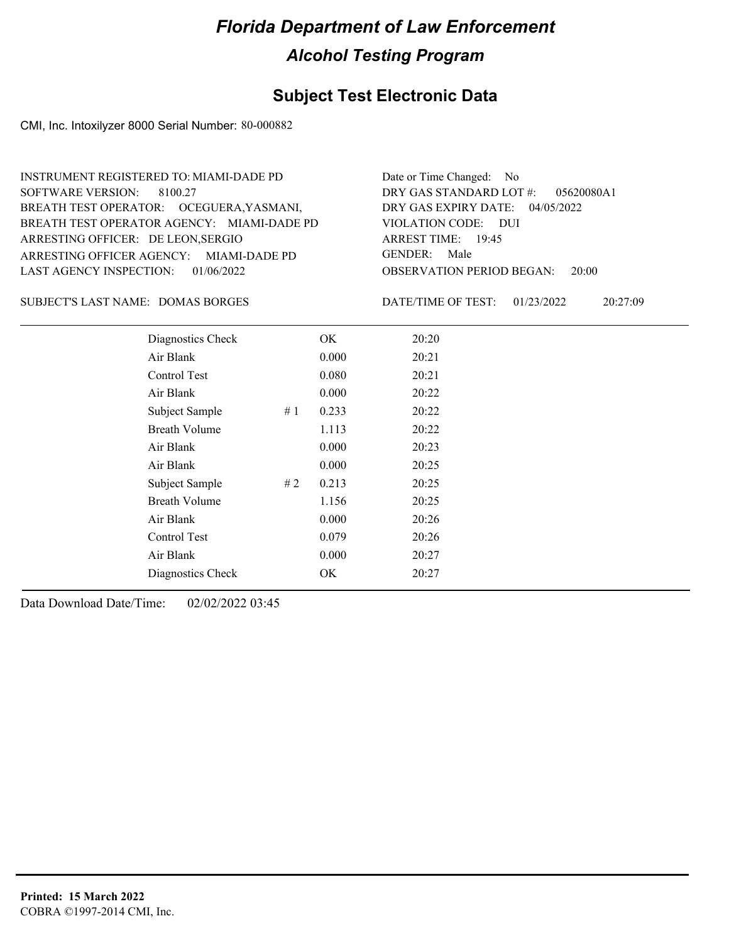#### **Subject Test Electronic Data**

CMI, Inc. Intoxilyzer 8000 Serial Number: 80-000882

ARRESTING OFFICER AGENCY: GENDER: MIAMI-DADE PD BREATH TEST OPERATOR AGENCY: MIAMI-DADE PD VIOLATION CODE: SOFTWARE VERSION: 8100.27 ARRESTING OFFICER: DE LEON, SERGIO BREATH TEST OPERATOR: OCEGUERA,YASMANI, LAST AGENCY INSPECTION: 01/06/2022 INSTRUMENT REGISTERED TO: MIAMI-DADE PD

OBSERVATION PERIOD BEGAN: 20:00 VIOLATION CODE: DUI ARREST TIME: 19:45 04/05/2022 DRY GAS EXPIRY DATE: 05620080A1 DRY GAS STANDARD LOT #: Date or Time Changed: No GENDER: Male

SUBJECT'S LAST NAME: DOMAS BORGES DATE/TIME OF TEST:

DATE/TIME OF TEST: 01/23/2022 20:27:09

| Diagnostics Check    |    | OK    | 20:20 |
|----------------------|----|-------|-------|
| Air Blank            |    | 0.000 | 20:21 |
| Control Test         |    | 0.080 | 20:21 |
| Air Blank            |    | 0.000 | 20:22 |
| Subject Sample       | #1 | 0.233 | 20:22 |
| <b>Breath Volume</b> |    | 1.113 | 20:22 |
| Air Blank            |    | 0.000 | 20:23 |
| Air Blank            |    | 0.000 | 20:25 |
| Subject Sample       | #2 | 0.213 | 20:25 |
| <b>Breath Volume</b> |    | 1.156 | 20:25 |
| Air Blank            |    | 0.000 | 20:26 |
| Control Test         |    | 0.079 | 20:26 |
| Air Blank            |    | 0.000 | 20:27 |
| Diagnostics Check    |    | OK    | 20:27 |
|                      |    |       |       |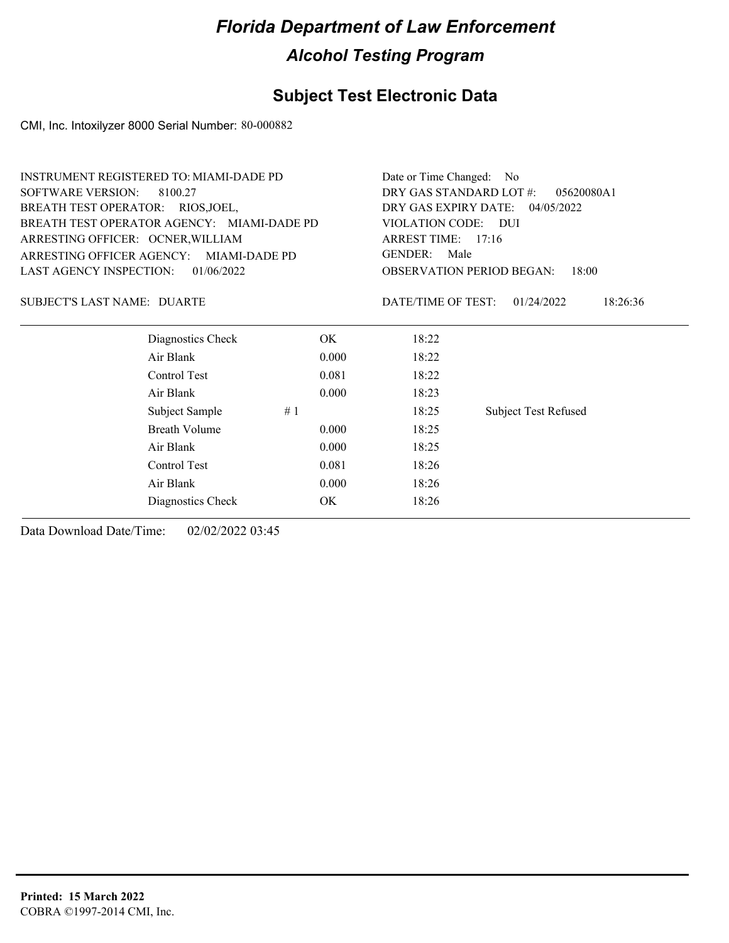### **Subject Test Electronic Data**

CMI, Inc. Intoxilyzer 8000 Serial Number: 80-000882

|                                    | INSTRUMENT REGISTERED TO: MIAMI-DADE PD    |       | Date or Time Changed: No<br>DRY GAS STANDARD LOT #:<br>05620080A1<br>DRY GAS EXPIRY DATE:<br>04/05/2022<br>VIOLATION CODE: DUI<br>ARREST TIME: 17:16<br><b>GENDER:</b><br>Male<br><b>OBSERVATION PERIOD BEGAN:</b><br>18:00 |                             |  |
|------------------------------------|--------------------------------------------|-------|-----------------------------------------------------------------------------------------------------------------------------------------------------------------------------------------------------------------------------|-----------------------------|--|
| <b>SOFTWARE VERSION:</b>           | 8100.27                                    |       |                                                                                                                                                                                                                             |                             |  |
| BREATH TEST OPERATOR: RIOS, JOEL,  |                                            |       |                                                                                                                                                                                                                             |                             |  |
|                                    | BREATH TEST OPERATOR AGENCY: MIAMI-DADE PD |       |                                                                                                                                                                                                                             |                             |  |
| ARRESTING OFFICER: OCNER, WILLIAM  |                                            |       |                                                                                                                                                                                                                             |                             |  |
| ARRESTING OFFICER AGENCY:          | MIAMI-DADE PD                              |       |                                                                                                                                                                                                                             |                             |  |
| LAST AGENCY INSPECTION:            | 01/06/2022                                 |       |                                                                                                                                                                                                                             |                             |  |
| <b>SUBJECT'S LAST NAME: DUARTE</b> |                                            |       | DATE/TIME OF TEST:                                                                                                                                                                                                          | 18:26:36<br>01/24/2022      |  |
|                                    | Diagnostics Check                          | OK.   | 18:22                                                                                                                                                                                                                       |                             |  |
|                                    | Air Blank                                  | 0.000 | 18:22                                                                                                                                                                                                                       |                             |  |
|                                    | Control Test                               | 0.081 | 18:22                                                                                                                                                                                                                       |                             |  |
|                                    | Air Blank                                  | 0.000 | 18:23                                                                                                                                                                                                                       |                             |  |
|                                    | Subject Sample                             | #1    | 18:25                                                                                                                                                                                                                       | <b>Subject Test Refused</b> |  |
|                                    | <b>Breath Volume</b>                       | 0.000 | 18:25                                                                                                                                                                                                                       |                             |  |
|                                    | Air Blank                                  | 0.000 | 18:25                                                                                                                                                                                                                       |                             |  |
|                                    | Control Test                               | 0.081 | 18:26                                                                                                                                                                                                                       |                             |  |
|                                    | Air Blank                                  | 0.000 | 18:26                                                                                                                                                                                                                       |                             |  |
|                                    | Diagnostics Check                          | OK    | 18:26                                                                                                                                                                                                                       |                             |  |
|                                    |                                            |       |                                                                                                                                                                                                                             |                             |  |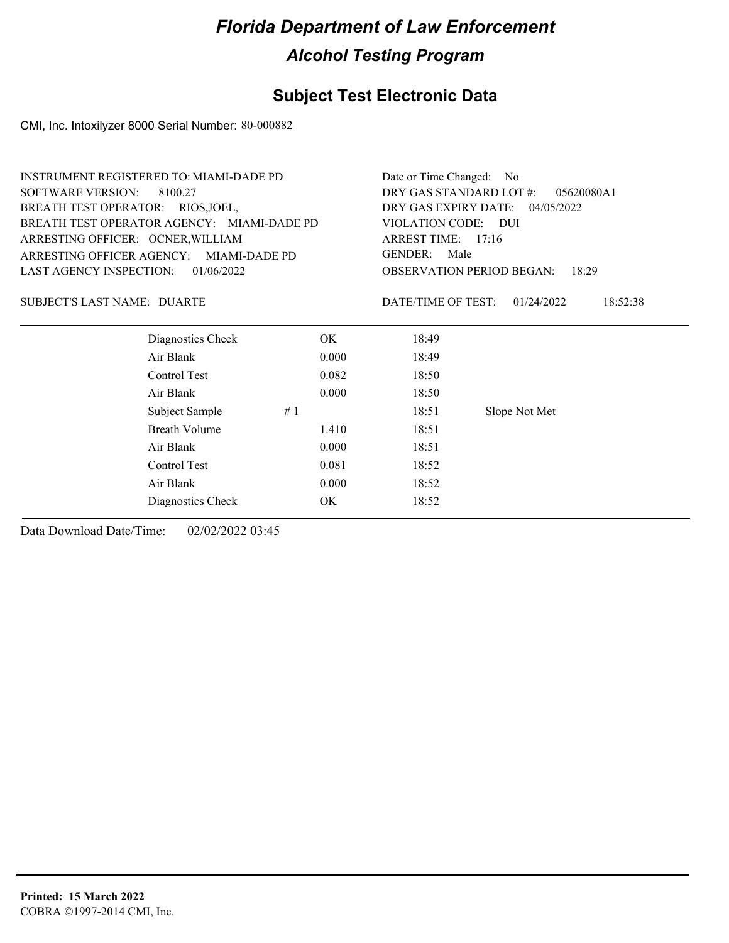#### **Subject Test Electronic Data**

CMI, Inc. Intoxilyzer 8000 Serial Number: 80-000882

| <b>INSTRUMENT REGISTERED TO: MIAMI-DADE PD</b> | Date or Time Changed: No               |
|------------------------------------------------|----------------------------------------|
| SOFTWARE VERSION: 8100.27                      | DRY GAS STANDARD LOT $\#$ : 05620080A1 |
| BREATH TEST OPERATOR: RIOS, JOEL,              | DRY GAS EXPIRY DATE: $04/05/2022$      |
| BREATH TEST OPERATOR AGENCY: MIAMI-DADE PD     | VIOLATION CODE: DUI                    |
| ARRESTING OFFICER: OCNER, WILLIAM              | ARREST TIME: $17:16$                   |
| ARRESTING OFFICER AGENCY: MIAMI-DADE PD        | GENDER: Male                           |
| LAST AGENCY INSPECTION: $01/06/2022$           | <b>OBSERVATION PERIOD BEGAN: 18:29</b> |
|                                                |                                        |

#### SUBJECT'S LAST NAME: DUARTE **Example 2018** DATE/TIME OF TEST:

DATE/TIME OF TEST: 01/24/2022 18:52:38

| Diagnostics Check    | OK    | 18:49 |               |
|----------------------|-------|-------|---------------|
| Air Blank            | 0.000 | 18:49 |               |
| Control Test         | 0.082 | 18:50 |               |
| Air Blank            | 0.000 | 18:50 |               |
| Subject Sample       | #1    | 18:51 | Slope Not Met |
| <b>Breath Volume</b> | 1.410 | 18:51 |               |
| Air Blank            | 0.000 | 18:51 |               |
| Control Test         | 0.081 | 18:52 |               |
| Air Blank            | 0.000 | 18:52 |               |
| Diagnostics Check    | OK    | 18:52 |               |
|                      |       |       |               |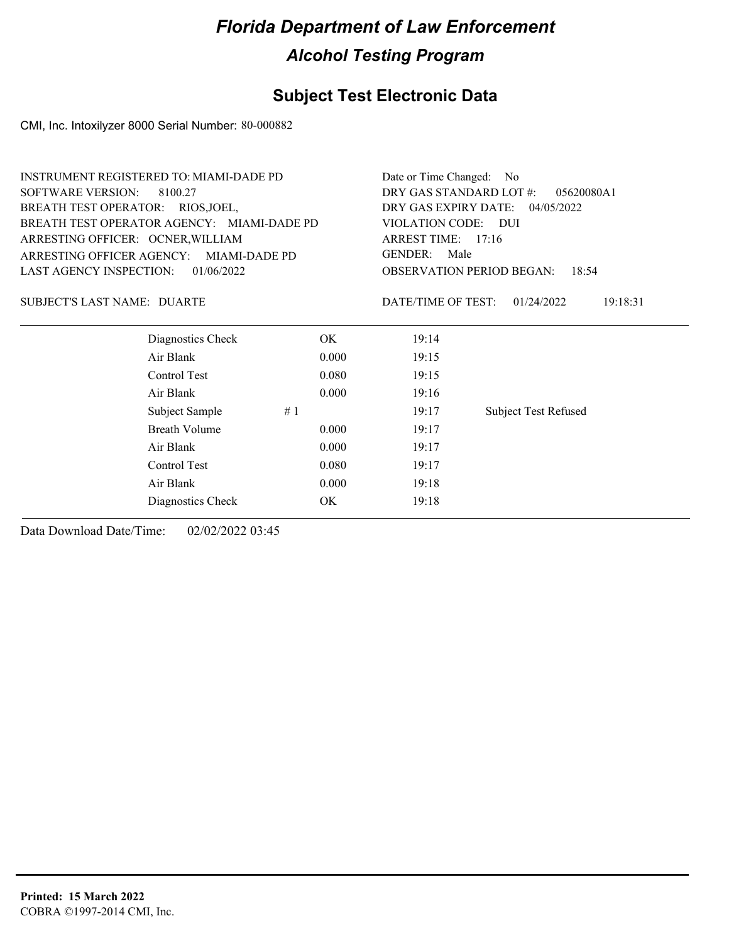### **Subject Test Electronic Data**

CMI, Inc. Intoxilyzer 8000 Serial Number: 80-000882

|                                   | INSTRUMENT REGISTERED TO: MIAMI-DADE PD    |       | Date or Time Changed: No                                                                                  |                             |  |
|-----------------------------------|--------------------------------------------|-------|-----------------------------------------------------------------------------------------------------------|-----------------------------|--|
| <b>SOFTWARE VERSION:</b>          | 8100.27                                    |       | DRY GAS STANDARD LOT #:<br>05620080A1                                                                     |                             |  |
| BREATH TEST OPERATOR: RIOS, JOEL, |                                            |       | DRY GAS EXPIRY DATE:<br>04/05/2022<br>VIOLATION CODE: DUI<br>ARREST TIME: 17:16<br><b>GENDER:</b><br>Male |                             |  |
|                                   | BREATH TEST OPERATOR AGENCY: MIAMI-DADE PD |       |                                                                                                           |                             |  |
| ARRESTING OFFICER: OCNER, WILLIAM |                                            |       |                                                                                                           |                             |  |
| ARRESTING OFFICER AGENCY:         | MIAMI-DADE PD                              |       |                                                                                                           |                             |  |
| <b>LAST AGENCY INSPECTION:</b>    | 01/06/2022                                 |       | <b>OBSERVATION PERIOD BEGAN:</b><br>18:54                                                                 |                             |  |
| SUBJECT'S LAST NAME: DUARTE       |                                            |       | DATE/TIME OF TEST:                                                                                        | 01/24/2022<br>19:18:31      |  |
|                                   | Diagnostics Check                          | OK.   | 19:14                                                                                                     |                             |  |
|                                   | Air Blank                                  | 0.000 | 19:15                                                                                                     |                             |  |
|                                   | Control Test                               | 0.080 | 19:15                                                                                                     |                             |  |
|                                   | Air Blank                                  | 0.000 | 19:16                                                                                                     |                             |  |
|                                   | Subject Sample                             | #1    | 19:17                                                                                                     | <b>Subject Test Refused</b> |  |
|                                   | Breath Volume                              | 0.000 | 19:17                                                                                                     |                             |  |
|                                   | Air Blank                                  | 0.000 | 19:17                                                                                                     |                             |  |
|                                   | Control Test                               | 0.080 | 19:17                                                                                                     |                             |  |
|                                   | Air Blank                                  | 0.000 | 19:18                                                                                                     |                             |  |
|                                   | Diagnostics Check                          | OK.   | 19:18                                                                                                     |                             |  |
|                                   |                                            |       |                                                                                                           |                             |  |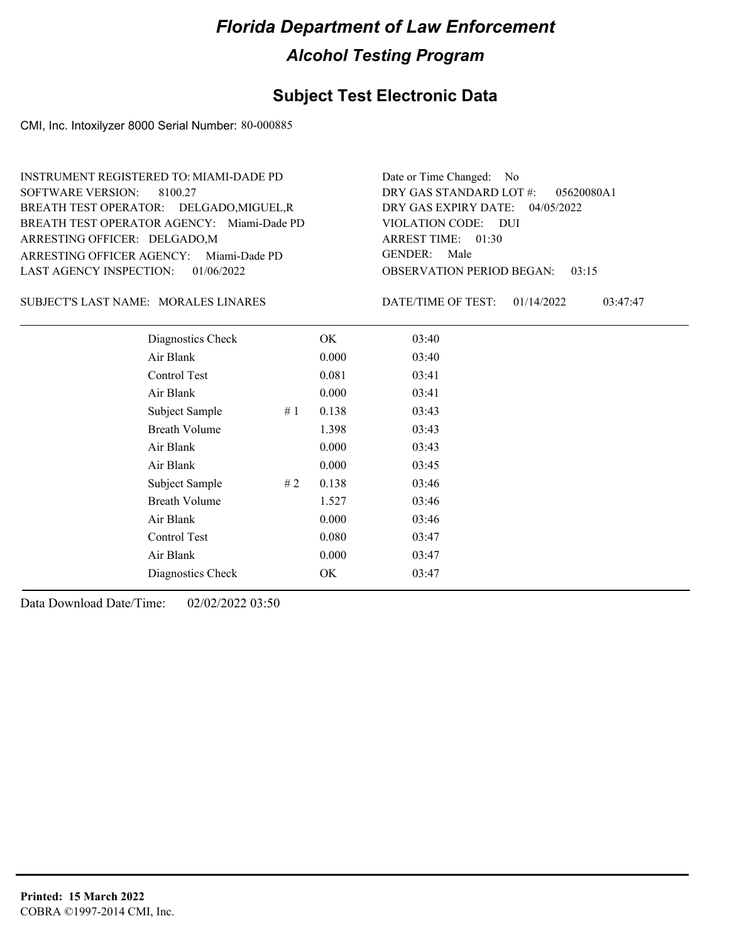#### **Subject Test Electronic Data**

CMI, Inc. Intoxilyzer 8000 Serial Number: 80-000885

ARRESTING OFFICER AGENCY: Miami-Dade PD GENDER: BREATH TEST OPERATOR AGENCY: Miami-Dade PD VIOLATION CODE: SOFTWARE VERSION: 8100.27 ARRESTING OFFICER: DELGADO,M BREATH TEST OPERATOR: DELGADO,MIGUEL,R LAST AGENCY INSPECTION: 01/06/2022 INSTRUMENT REGISTERED TO: MIAMI-DADE PD

OBSERVATION PERIOD BEGAN: 03:15 VIOLATION CODE: DUI ARREST TIME: 01:30 04/05/2022 DRY GAS EXPIRY DATE: 05620080A1 DRY GAS STANDARD LOT #: Date or Time Changed: No GENDER: Male

SUBJECT'S LAST NAME: MORALES LINARES DATE/TIME OF TEST:

DATE/TIME OF TEST: 01/14/2022 03:47:47

| Diagnostics Check    |    | OK    | 03:40 |
|----------------------|----|-------|-------|
| Air Blank            |    | 0.000 | 03:40 |
| Control Test         |    | 0.081 | 03:41 |
| Air Blank            |    | 0.000 | 03:41 |
| Subject Sample       | #1 | 0.138 | 03:43 |
| <b>Breath Volume</b> |    | 1.398 | 03:43 |
| Air Blank            |    | 0.000 | 03:43 |
| Air Blank            |    | 0.000 | 03:45 |
| Subject Sample       | #2 | 0.138 | 03:46 |
| <b>Breath Volume</b> |    | 1.527 | 03:46 |
| Air Blank            |    | 0.000 | 03:46 |
| Control Test         |    | 0.080 | 03:47 |
| Air Blank            |    | 0.000 | 03:47 |
| Diagnostics Check    |    | OK    | 03:47 |
|                      |    |       |       |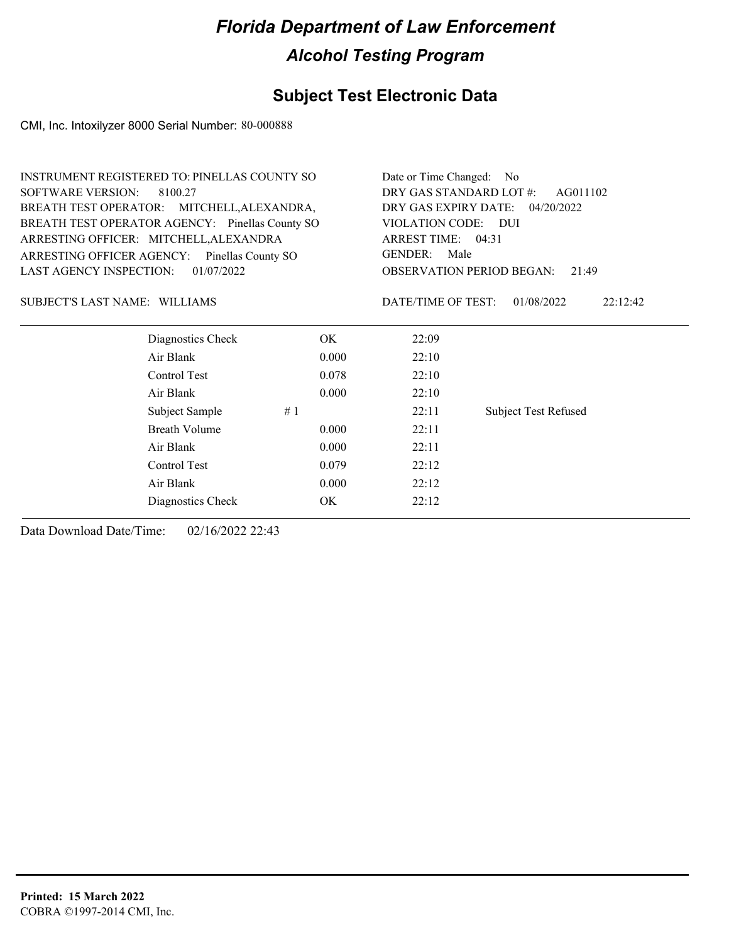### **Subject Test Electronic Data**

CMI, Inc. Intoxilyzer 8000 Serial Number: 80-000888

|                                              |                                                 | INSTRUMENT REGISTERED TO: PINELLAS COUNTY SO |                                           |                             |  |
|----------------------------------------------|-------------------------------------------------|----------------------------------------------|-------------------------------------------|-----------------------------|--|
| <b>SOFTWARE VERSION:</b>                     | 8100.27                                         | DRY GAS STANDARD LOT #:<br>AG011102          |                                           |                             |  |
|                                              | BREATH TEST OPERATOR: MITCHELL, ALEXANDRA,      | DRY GAS EXPIRY DATE:<br>04/20/2022           |                                           |                             |  |
|                                              | BREATH TEST OPERATOR AGENCY: Pinellas County SO | VIOLATION CODE: DUI                          |                                           |                             |  |
|                                              | ARRESTING OFFICER: MITCHELL, ALEXANDRA          |                                              | ARREST TIME: 04:31                        |                             |  |
| ARRESTING OFFICER AGENCY:                    | Pinellas County SO                              |                                              | <b>GENDER:</b><br>Male                    |                             |  |
| <b>LAST AGENCY INSPECTION:</b><br>01/07/2022 |                                                 |                                              | <b>OBSERVATION PERIOD BEGAN:</b><br>21:49 |                             |  |
| SUBJECT'S LAST NAME: WILLIAMS                |                                                 |                                              | DATE/TIME OF TEST:                        | 01/08/2022<br>22:12:42      |  |
|                                              | Diagnostics Check                               | OK.                                          | 22:09                                     |                             |  |
|                                              | Air Blank                                       | 0.000                                        | 22:10                                     |                             |  |
|                                              | Control Test                                    | 0.078                                        | 22:10                                     |                             |  |
|                                              | Air Blank                                       | 0.000                                        | 22:10                                     |                             |  |
|                                              | Subject Sample                                  | #1                                           | 22:11                                     | <b>Subject Test Refused</b> |  |
|                                              | Breath Volume                                   | 0.000                                        | 22:11                                     |                             |  |
|                                              | Air Blank                                       | 0.000                                        | 22:11                                     |                             |  |
|                                              | Control Test                                    | 0.079                                        | 22:12                                     |                             |  |

Air Blank 0.000 22:12 Diagnostics Check OK 22:12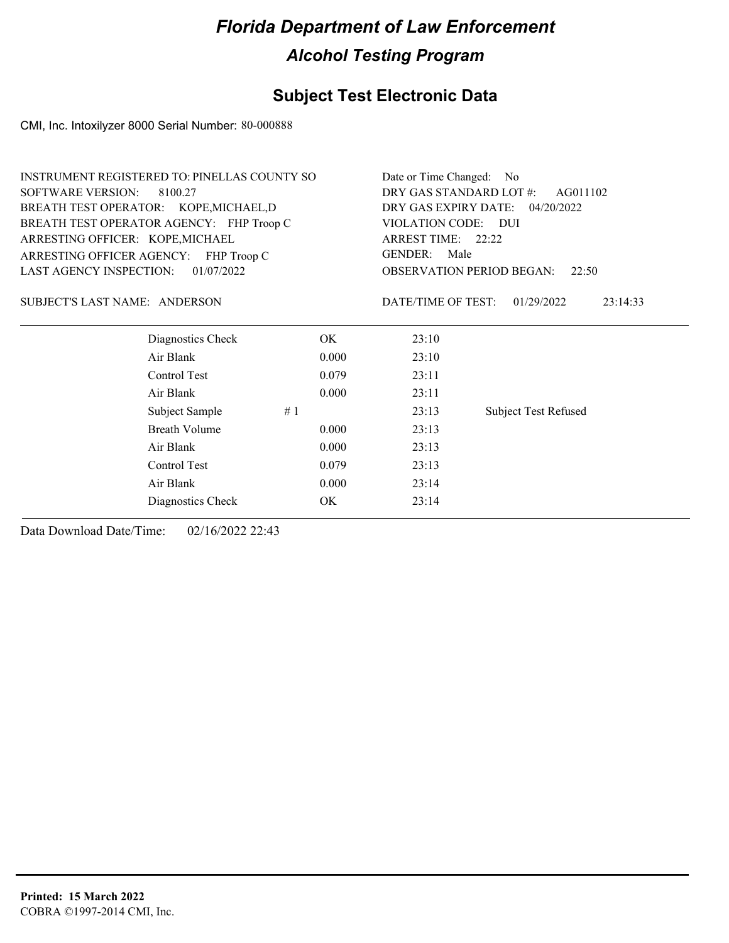### **Subject Test Electronic Data**

CMI, Inc. Intoxilyzer 8000 Serial Number: 80-000888

| <b>INSTRUMENT REGISTERED TO: PINELLAS COUNTY SO</b> |                                     | Date or Time Changed: No                  |                             |  |
|-----------------------------------------------------|-------------------------------------|-------------------------------------------|-----------------------------|--|
| <b>SOFTWARE VERSION:</b><br>8100.27                 | DRY GAS STANDARD LOT #:<br>AG011102 |                                           |                             |  |
| BREATH TEST OPERATOR: KOPE, MICHAEL, D              | DRY GAS EXPIRY DATE: 04/20/2022     |                                           |                             |  |
| BREATH TEST OPERATOR AGENCY: FHP Troop C            |                                     | VIOLATION CODE: DUI<br>ARREST TIME: 22:22 |                             |  |
| ARRESTING OFFICER: KOPE, MICHAEL                    |                                     |                                           |                             |  |
| ARRESTING OFFICER AGENCY: FHP Troop C               |                                     | GENDER: Male                              |                             |  |
| LAST AGENCY INSPECTION:<br>01/07/2022               |                                     | <b>OBSERVATION PERIOD BEGAN:</b><br>22:50 |                             |  |
| SUBJECT'S LAST NAME: ANDERSON                       |                                     | DATE/TIME OF TEST:                        | 01/29/2022<br>23:14:33      |  |
| Diagnostics Check                                   | OK                                  | 23:10                                     |                             |  |
| Air Blank                                           | 0.000                               | 23:10                                     |                             |  |
| Control Test                                        | 0.079                               | 23:11                                     |                             |  |
| Air Blank                                           | 0.000                               | 23:11                                     |                             |  |
| Subject Sample                                      | #1                                  | 23:13                                     | <b>Subject Test Refused</b> |  |
| <b>Breath Volume</b>                                | 0.000                               | 23:13                                     |                             |  |
| Air Blank                                           | 0.000                               | 23:13                                     |                             |  |
| Control Test                                        | 0.079                               | 23:13                                     |                             |  |
| Air Blank                                           | 0.000                               | 23:14                                     |                             |  |
| Diagnostics Check                                   | ОK                                  | 23:14                                     |                             |  |
|                                                     |                                     |                                           |                             |  |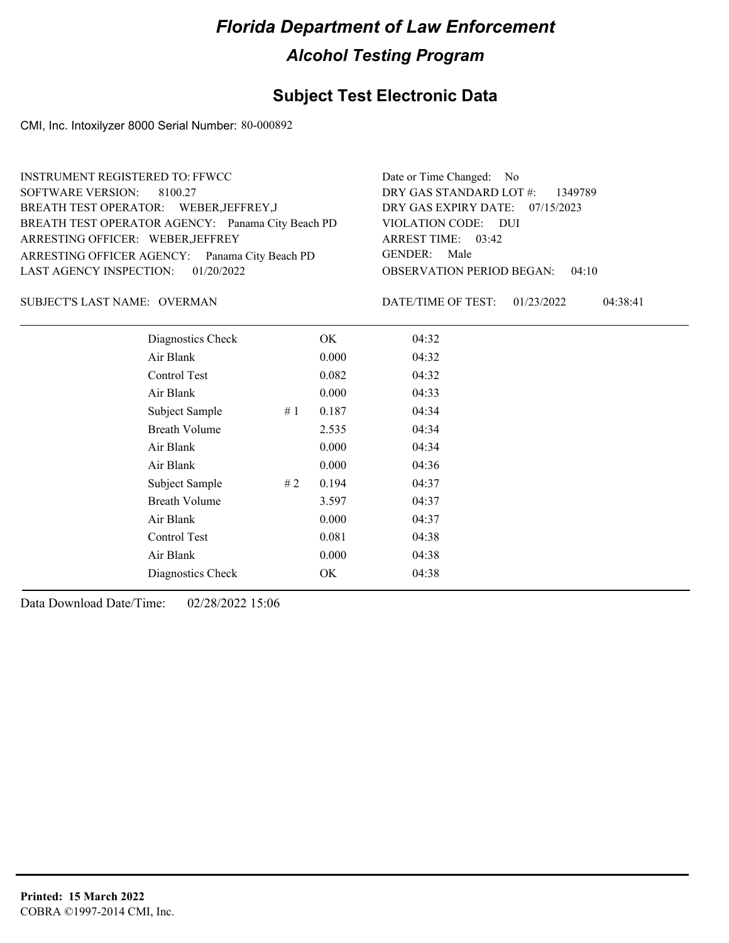#### **Subject Test Electronic Data**

CMI, Inc. Intoxilyzer 8000 Serial Number: 80-000892

| <b>INSTRUMENT REGISTERED TO: FFWCC</b>            | Date or Time Changed: No               |
|---------------------------------------------------|----------------------------------------|
| SOFTWARE VERSION: 8100.27                         | DRY GAS STANDARD LOT $\#$ : 1349789    |
| BREATH TEST OPERATOR: WEBER, JEFFREY, J           | DRY GAS EXPIRY DATE: 07/15/2023        |
| BREATH TEST OPERATOR AGENCY: Panama City Beach PD | VIOLATION CODE: DUI                    |
| ARRESTING OFFICER: WEBER, JEFFREY                 | ARREST TIME: 03:42                     |
| ARRESTING OFFICER AGENCY: Panama City Beach PD    | GENDER: Male                           |
| LAST AGENCY INSPECTION: 01/20/2022                | <b>OBSERVATION PERIOD BEGAN: 04:10</b> |
|                                                   |                                        |

#### OVERMAN SUBJECT'S LAST NAME: DATE/TIME OF TEST:

DATE/TIME OF TEST: 01/23/2022 04:38:41

| Diagnostics Check    |    | OK    | 04:32 |
|----------------------|----|-------|-------|
| Air Blank            |    | 0.000 | 04:32 |
| Control Test         |    | 0.082 | 04:32 |
| Air Blank            |    | 0.000 | 04:33 |
| Subject Sample       | #1 | 0.187 | 04:34 |
| <b>Breath Volume</b> |    | 2.535 | 04:34 |
| Air Blank            |    | 0.000 | 04:34 |
| Air Blank            |    | 0.000 | 04:36 |
| Subject Sample       | #2 | 0.194 | 04:37 |
| <b>Breath Volume</b> |    | 3.597 | 04:37 |
| Air Blank            |    | 0.000 | 04:37 |
| Control Test         |    | 0.081 | 04:38 |
| Air Blank            |    | 0.000 | 04:38 |
| Diagnostics Check    |    | OK    | 04:38 |
|                      |    |       |       |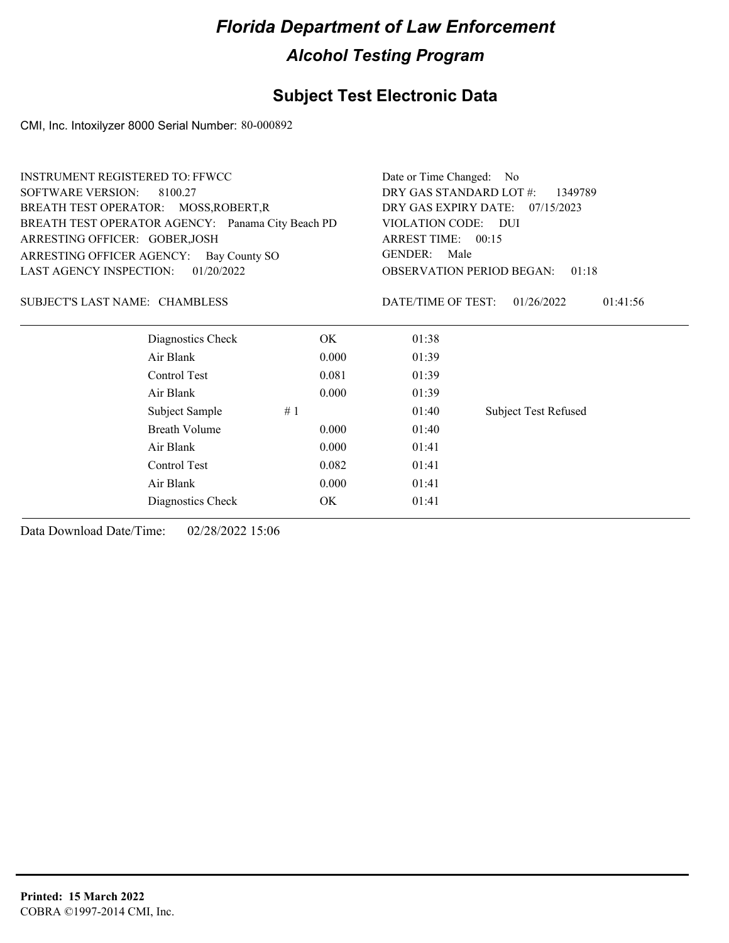### **Subject Test Electronic Data**

CMI, Inc. Intoxilyzer 8000 Serial Number: 80-000892

| INSTRUMENT REGISTERED TO: FFWCC                   |                   | Date or Time Changed: No           |                                           |                             |  |
|---------------------------------------------------|-------------------|------------------------------------|-------------------------------------------|-----------------------------|--|
| <b>SOFTWARE VERSION:</b><br>8100.27               |                   | DRY GAS STANDARD LOT #:<br>1349789 |                                           |                             |  |
| BREATH TEST OPERATOR: MOSS, ROBERT, R             |                   |                                    | DRY GAS EXPIRY DATE:<br>07/15/2023        |                             |  |
| BREATH TEST OPERATOR AGENCY: Panama City Beach PD |                   |                                    | VIOLATION CODE:                           | <b>DUI</b>                  |  |
| ARRESTING OFFICER: GOBER, JOSH                    |                   |                                    | ARREST TIME: 00:15                        |                             |  |
| ARRESTING OFFICER AGENCY: Bay County SO           |                   |                                    | <b>GENDER:</b><br>Male                    |                             |  |
| <b>LAST AGENCY INSPECTION:</b>                    | 01/20/2022        |                                    | <b>OBSERVATION PERIOD BEGAN:</b><br>01:18 |                             |  |
| SUBJECT'S LAST NAME: CHAMBLESS                    |                   |                                    | DATE/TIME OF TEST:                        | 01/26/2022<br>01:41:56      |  |
|                                                   | Diagnostics Check | OK.                                | 01:38                                     |                             |  |
| Air Blank                                         |                   | 0.000                              | 01:39                                     |                             |  |
| Control Test                                      |                   | 0.081                              | 01:39                                     |                             |  |
| Air Blank                                         |                   | 0.000                              | 01:39                                     |                             |  |
| Subject Sample                                    | #1                |                                    | 01:40                                     | <b>Subject Test Refused</b> |  |
| Breath Volume                                     |                   | 0.000                              | 01:40                                     |                             |  |
| Air Blank                                         |                   | 0.000                              | 01:41                                     |                             |  |
| Control Test                                      |                   | 0.082                              | 01:41                                     |                             |  |
| Air Blank                                         |                   | 0.000                              | 01:41                                     |                             |  |
|                                                   | Diagnostics Check | OK                                 | 01:41                                     |                             |  |
|                                                   |                   |                                    |                                           |                             |  |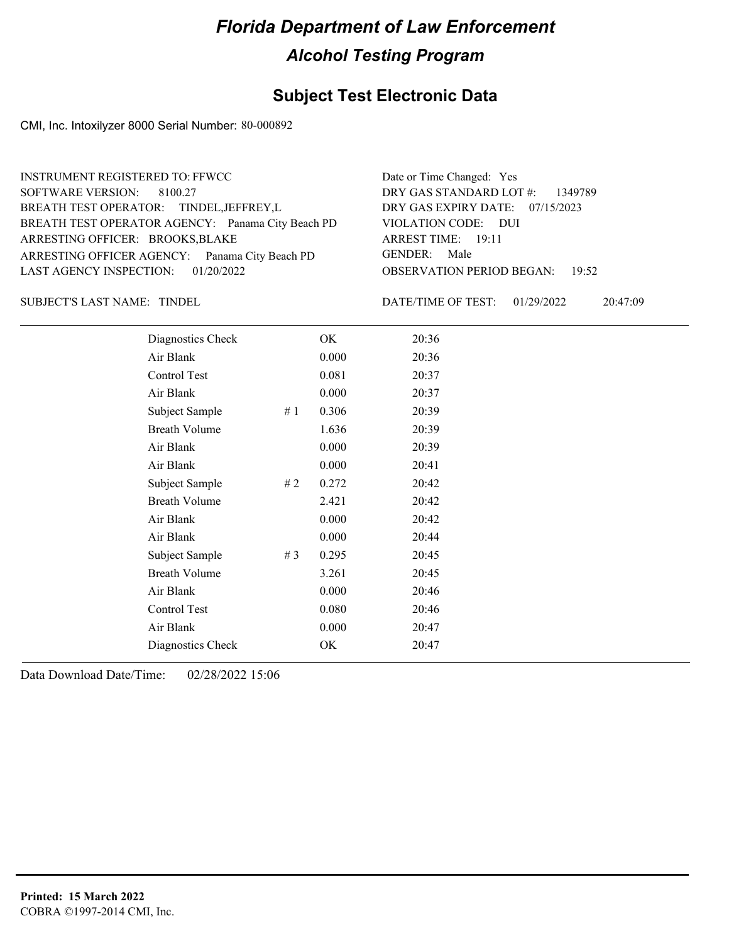#### **Subject Test Electronic Data**

CMI, Inc. Intoxilyzer 8000 Serial Number: 80-000892

| <b>INSTRUMENT REGISTERED TO: FFWCC</b>            | Date or Time Changed: Yes              |
|---------------------------------------------------|----------------------------------------|
| SOFTWARE VERSION: 8100.27                         | DRY GAS STANDARD LOT #: 1349789        |
| BREATH TEST OPERATOR: TINDEL, JEFFREY, L          | DRY GAS EXPIRY DATE: 07/15/2023        |
| BREATH TEST OPERATOR AGENCY: Panama City Beach PD | VIOLATION CODE: DUI                    |
| ARRESTING OFFICER: BROOKS, BLAKE                  | ARREST TIME: 19:11                     |
| ARRESTING OFFICER AGENCY: Panama City Beach PD    | GENDER: Male                           |
| LAST AGENCY INSPECTION: 01/20/2022                | <b>OBSERVATION PERIOD BEGAN:</b> 19:52 |
|                                                   |                                        |

SUBJECT'S LAST NAME: TINDEL **Example 20 SUBJECT'S LAST NAME:** TINDEL

DATE/TIME OF TEST: 01/29/2022 20:47:09

| Diagnostics Check    |    | OK    | 20:36 |
|----------------------|----|-------|-------|
| Air Blank            |    | 0.000 | 20:36 |
| Control Test         |    | 0.081 | 20:37 |
| Air Blank            |    | 0.000 | 20:37 |
| Subject Sample       | #1 | 0.306 | 20:39 |
| <b>Breath Volume</b> |    | 1.636 | 20:39 |
| Air Blank            |    | 0.000 | 20:39 |
| Air Blank            |    | 0.000 | 20:41 |
| Subject Sample       | #2 | 0.272 | 20:42 |
| <b>Breath Volume</b> |    | 2.421 | 20:42 |
| Air Blank            |    | 0.000 | 20:42 |
| Air Blank            |    | 0.000 | 20:44 |
| Subject Sample       | #3 | 0.295 | 20:45 |
| <b>Breath Volume</b> |    | 3.261 | 20:45 |
| Air Blank            |    | 0.000 | 20:46 |
| Control Test         |    | 0.080 | 20:46 |
| Air Blank            |    | 0.000 | 20:47 |
| Diagnostics Check    |    | OK    | 20:47 |
|                      |    |       |       |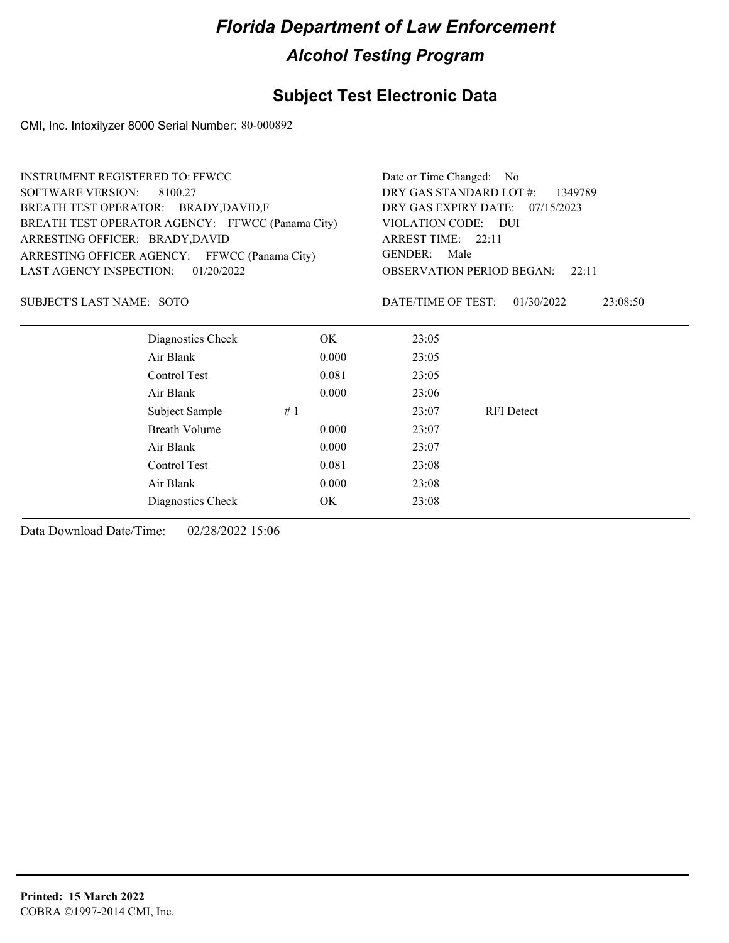### **Subject Test Electronic Data**

CMI, Inc. Intoxilyzer 8000 Serial Number: 80-000892

| <b>INSTRUMENT REGISTERED TO: FFWCC</b>           | Date or Time Changed:<br>- No             |                        |                   |          |
|--------------------------------------------------|-------------------------------------------|------------------------|-------------------|----------|
| <b>SOFTWARE VERSION:</b><br>8100.27              | DRY GAS STANDARD LOT #:<br>1349789        |                        |                   |          |
| BREATH TEST OPERATOR: BRADY, DAVID, F            | DRY GAS EXPIRY DATE:<br>07/15/2023        |                        |                   |          |
| BREATH TEST OPERATOR AGENCY: FFWCC (Panama City) |                                           | VIOLATION CODE: DUI    |                   |          |
| ARRESTING OFFICER: BRADY, DAVID                  |                                           | ARREST TIME: 22:11     |                   |          |
| ARRESTING OFFICER AGENCY: FFWCC (Panama City)    |                                           | <b>GENDER:</b><br>Male |                   |          |
| <b>LAST AGENCY INSPECTION:</b><br>01/20/2022     | <b>OBSERVATION PERIOD BEGAN:</b><br>22:11 |                        |                   |          |
| <b>SUBJECT'S LAST NAME: SOTO</b>                 |                                           | DATE/TIME OF TEST:     | 01/30/2022        | 23:08:50 |
| Diagnostics Check                                | OK.                                       | 23:05                  |                   |          |
| Air Blank                                        | 0.000                                     | 23:05                  |                   |          |
| Control Test                                     | 0.081                                     | 23:05                  |                   |          |
| Air Blank                                        | 0.000                                     | 23:06                  |                   |          |
| Subject Sample                                   | #1                                        | 23:07                  | <b>RFI</b> Detect |          |
| <b>Breath Volume</b>                             | 0.000                                     | 23:07                  |                   |          |
| Air Blank                                        | 0.000                                     | 23:07                  |                   |          |
| Control Test                                     | 0.081                                     | 23:08                  |                   |          |
| Air Blank                                        | 0.000                                     | 23:08                  |                   |          |
| Diagnostics Check                                | OK.                                       | 23:08                  |                   |          |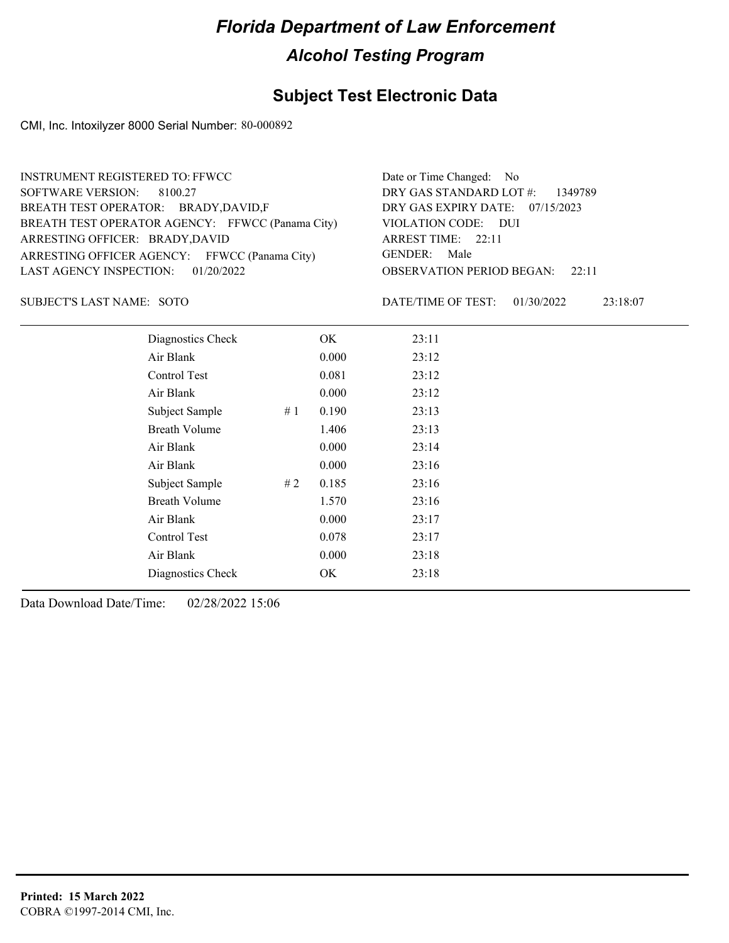#### **Subject Test Electronic Data**

CMI, Inc. Intoxilyzer 8000 Serial Number: 80-000892

| <b>INSTRUMENT REGISTERED TO: FFWCC</b>           | Date or Time Changed: No               |
|--------------------------------------------------|----------------------------------------|
| SOFTWARE VERSION: 8100.27                        | DRY GAS STANDARD LOT #: 1349789        |
| BREATH TEST OPERATOR: BRADY, DAVID, F            | DRY GAS EXPIRY DATE: 07/15/2023        |
| BREATH TEST OPERATOR AGENCY: FFWCC (Panama City) | VIOLATION CODE: DUI                    |
| ARRESTING OFFICER: BRADY, DAVID                  | ARREST TIME: $22:11$                   |
| ARRESTING OFFICER AGENCY: FFWCC (Panama City)    | GENDER: Male                           |
| LAST AGENCY INSPECTION: 01/20/2022               | <b>OBSERVATION PERIOD BEGAN:</b> 22:11 |

SUBJECT'S LAST NAME: SOTO **Example 20** DATE/TIME OF TEST:

DATE/TIME OF TEST: 01/30/2022 23:18:07

| Diagnostics Check    | OK    | 23:11 |
|----------------------|-------|-------|
| Air Blank            | 0.000 | 23:12 |
| Control Test         | 0.081 | 23:12 |
| Air Blank            | 0.000 | 23:12 |
| Subject Sample<br>#1 | 0.190 | 23:13 |
| <b>Breath Volume</b> | 1.406 | 23:13 |
| Air Blank            | 0.000 | 23:14 |
| Air Blank            | 0.000 | 23:16 |
| Subject Sample<br>#2 | 0.185 | 23:16 |
| <b>Breath Volume</b> | 1.570 | 23:16 |
| Air Blank            | 0.000 | 23:17 |
| Control Test         | 0.078 | 23:17 |
| Air Blank            | 0.000 | 23:18 |
| Diagnostics Check    | OK    | 23:18 |
|                      |       |       |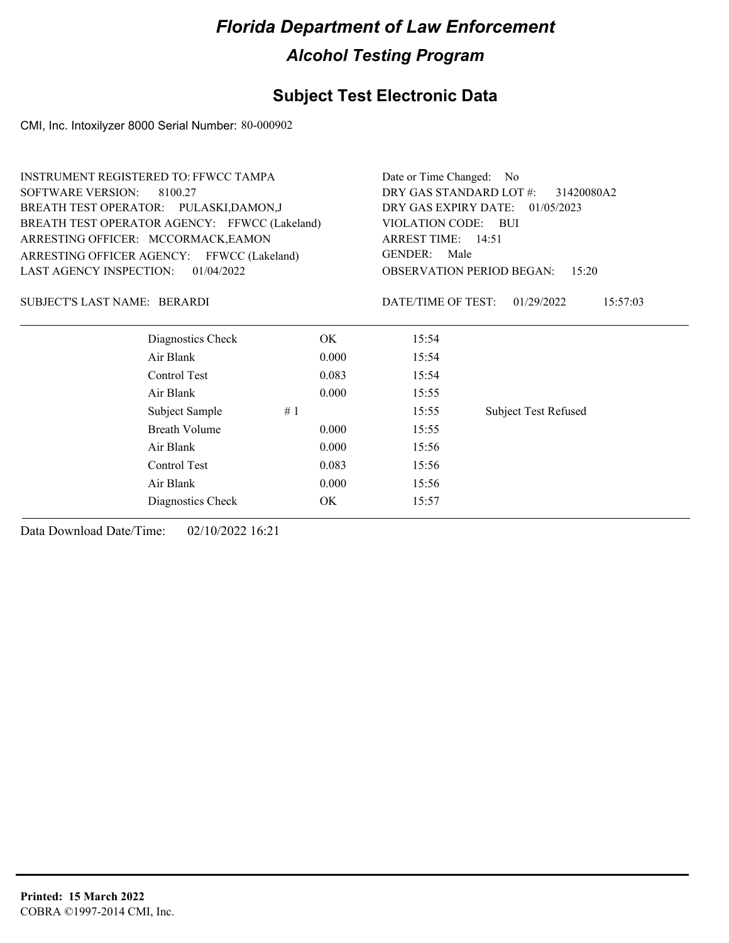### **Subject Test Electronic Data**

CMI, Inc. Intoxilyzer 8000 Serial Number: 80-000902

|                                     | INSTRUMENT REGISTERED TO: FFWCC TAMPA         |       |                                       | Date or Time Changed: No                  |  |  |
|-------------------------------------|-----------------------------------------------|-------|---------------------------------------|-------------------------------------------|--|--|
| <b>SOFTWARE VERSION:</b><br>8100.27 |                                               |       | DRY GAS STANDARD LOT #:<br>31420080A2 |                                           |  |  |
|                                     | BREATH TEST OPERATOR: PULASKI,DAMON,J         |       | DRY GAS EXPIRY DATE:                  | 01/05/2023                                |  |  |
|                                     | BREATH TEST OPERATOR AGENCY: FFWCC (Lakeland) |       | VIOLATION CODE:                       | – BUI                                     |  |  |
| ARRESTING OFFICER: MCCORMACK, EAMON |                                               |       | ARREST TIME: 14:51                    |                                           |  |  |
|                                     | ARRESTING OFFICER AGENCY: FFWCC (Lakeland)    |       | <b>GENDER:</b><br>Male                |                                           |  |  |
| <b>LAST AGENCY INSPECTION:</b>      | 01/04/2022                                    |       |                                       | <b>OBSERVATION PERIOD BEGAN:</b><br>15:20 |  |  |
| SUBJECT'S LAST NAME: BERARDI        |                                               |       | DATE/TIME OF TEST:                    | 01/29/2022<br>15:57:03                    |  |  |
|                                     | Diagnostics Check                             | OK.   | 15:54                                 |                                           |  |  |
|                                     | Air Blank                                     | 0.000 | 15:54                                 |                                           |  |  |
|                                     | Control Test                                  | 0.083 | 15:54                                 |                                           |  |  |
|                                     | Air Blank                                     | 0.000 | 15:55                                 |                                           |  |  |
|                                     | Subject Sample                                | #1    | 15:55                                 | <b>Subject Test Refused</b>               |  |  |
|                                     | <b>Breath Volume</b>                          | 0.000 | 15:55                                 |                                           |  |  |
|                                     | Air Blank                                     | 0.000 | 15:56                                 |                                           |  |  |
|                                     | Control Test                                  | 0.083 | 15:56                                 |                                           |  |  |
|                                     | Air Blank                                     | 0.000 | 15:56                                 |                                           |  |  |
|                                     | Diagnostics Check                             | OK    | 15:57                                 |                                           |  |  |
|                                     |                                               |       |                                       |                                           |  |  |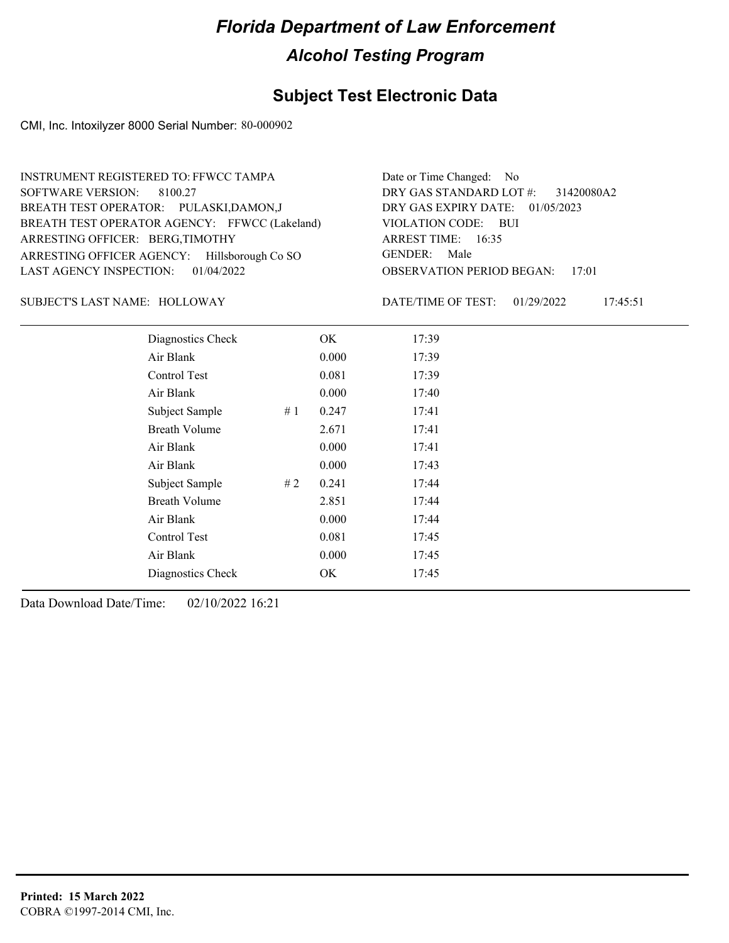#### **Subject Test Electronic Data**

CMI, Inc. Intoxilyzer 8000 Serial Number: 80-000902

OBSERVATION PERIOD BEGAN: 17:01 ARRESTING OFFICER AGENCY: Hillsborough Co SO GENDER: BREATH TEST OPERATOR AGENCY: FFWCC (Lakeland) VIOLATION CODE: SOFTWARE VERSION: 8100.27 VIOLATION CODE: BUI ARREST TIME: 16:35 ARRESTING OFFICER: BERG,TIMOTHY DRY GAS EXPIRY DATE: 01/05/2023 31420080A2 BREATH TEST OPERATOR: PULASKI,DAMON,J LAST AGENCY INSPECTION: 01/04/2022 INSTRUMENT REGISTERED TO: FFWCC TAMPA DRY GAS STANDARD LOT #: Date or Time Changed: No GENDER: Male

#### SUBJECT'S LAST NAME: HOLLOWAY DATE/TIME OF TEST:

DATE/TIME OF TEST: 01/29/2022 17:45:51

| Diagnostics Check    |    | OK    | 17:39 |
|----------------------|----|-------|-------|
| Air Blank            |    | 0.000 | 17:39 |
| Control Test         |    | 0.081 | 17:39 |
| Air Blank            |    | 0.000 | 17:40 |
| Subject Sample       | #1 | 0.247 | 17:41 |
| <b>Breath Volume</b> |    | 2.671 | 17:41 |
| Air Blank            |    | 0.000 | 17:41 |
| Air Blank            |    | 0.000 | 17:43 |
| Subject Sample       | #2 | 0.241 | 17:44 |
| <b>Breath Volume</b> |    | 2.851 | 17:44 |
| Air Blank            |    | 0.000 | 17:44 |
| <b>Control Test</b>  |    | 0.081 | 17:45 |
| Air Blank            |    | 0.000 | 17:45 |
| Diagnostics Check    |    | OK    | 17:45 |
|                      |    |       |       |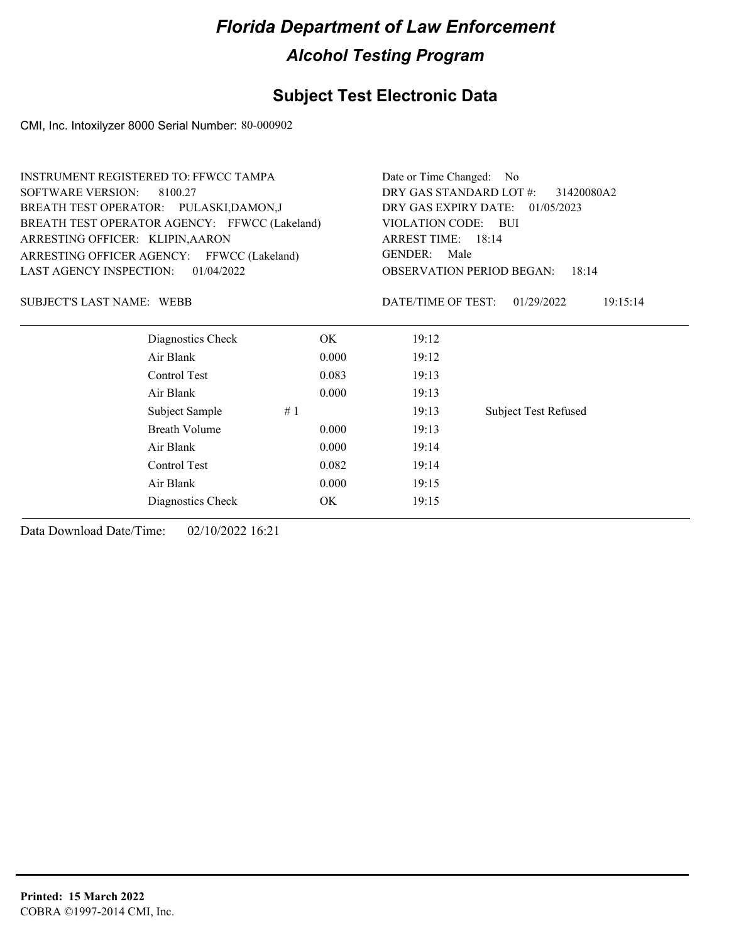### **Subject Test Electronic Data**

CMI, Inc. Intoxilyzer 8000 Serial Number: 80-000902

| <b>INSTRUMENT REGISTERED TO: FFWCC TAMPA</b>  |                      | Date or Time Changed: No |                                           |                             |  |
|-----------------------------------------------|----------------------|--------------------------|-------------------------------------------|-----------------------------|--|
| <b>SOFTWARE VERSION:</b><br>8100.27           |                      |                          | DRY GAS STANDARD LOT #:<br>31420080A2     |                             |  |
| BREATH TEST OPERATOR: PULASKI,DAMON,J         |                      |                          | DRY GAS EXPIRY DATE: 01/05/2023           |                             |  |
| BREATH TEST OPERATOR AGENCY: FFWCC (Lakeland) |                      |                          | VIOLATION CODE: BUI                       |                             |  |
| ARRESTING OFFICER: KLIPIN, AARON              |                      |                          | ARREST TIME: 18:14                        |                             |  |
| ARRESTING OFFICER AGENCY: FFWCC (Lakeland)    |                      |                          | <b>GENDER:</b><br>Male                    |                             |  |
| 01/04/2022<br><b>LAST AGENCY INSPECTION:</b>  |                      |                          | <b>OBSERVATION PERIOD BEGAN:</b><br>18:14 |                             |  |
| <b>SUBJECT'S LAST NAME: WEBB</b>              |                      |                          | DATE/TIME OF TEST:                        | 01/29/2022<br>19:15:14      |  |
|                                               | Diagnostics Check    | OK                       | 19:12                                     |                             |  |
|                                               | Air Blank            | 0.000                    | 19:12                                     |                             |  |
|                                               | Control Test         | 0.083                    | 19:13                                     |                             |  |
|                                               | Air Blank            | 0.000                    | 19:13                                     |                             |  |
|                                               | Subject Sample       | #1                       | 19:13                                     | <b>Subject Test Refused</b> |  |
|                                               | <b>Breath Volume</b> | 0.000                    | 19:13                                     |                             |  |
|                                               | Air Blank            | 0.000                    | 19:14                                     |                             |  |
|                                               | Control Test         | 0.082                    | 19:14                                     |                             |  |
|                                               | Air Blank            | 0.000                    | 19:15                                     |                             |  |
|                                               | Diagnostics Check    | OK                       | 19:15                                     |                             |  |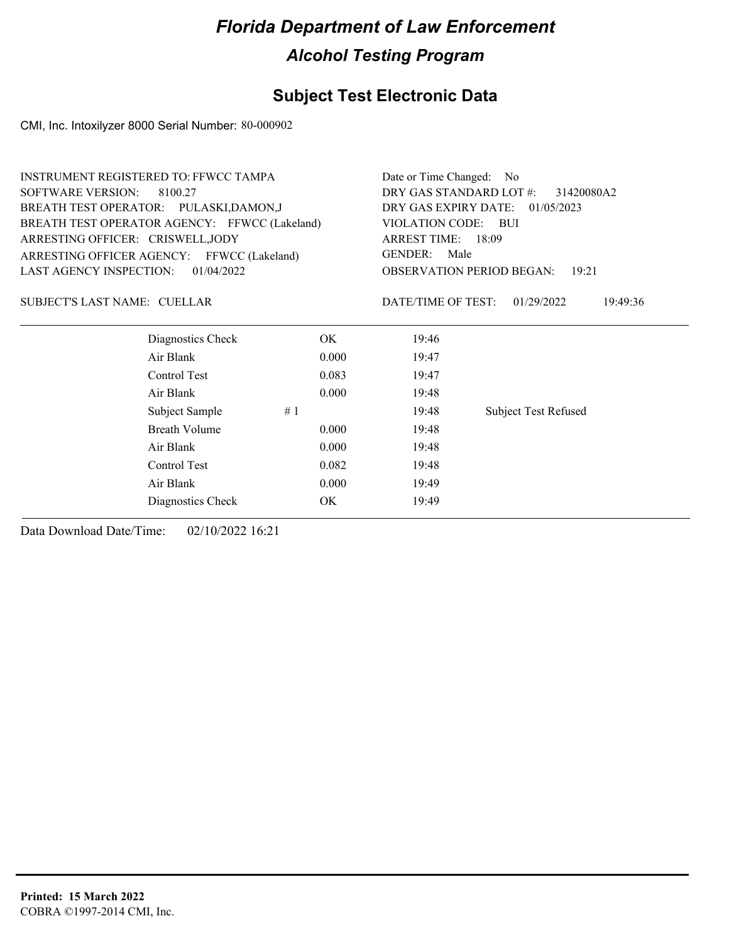### **Subject Test Electronic Data**

CMI, Inc. Intoxilyzer 8000 Serial Number: 80-000902

| <b>INSTRUMENT REGISTERED TO: FFWCC TAMPA</b>                                 |                   |       | Date or Time Changed: No                                                 |                             |  |
|------------------------------------------------------------------------------|-------------------|-------|--------------------------------------------------------------------------|-----------------------------|--|
| <b>SOFTWARE VERSION:</b><br>8100.27<br>BREATH TEST OPERATOR: PULASKI,DAMON,J |                   |       | DRY GAS STANDARD LOT #:<br>31420080A2<br>DRY GAS EXPIRY DATE: 01/05/2023 |                             |  |
|                                                                              |                   |       |                                                                          |                             |  |
| ARRESTING OFFICER: CRISWELL, JODY                                            |                   |       | ARREST TIME: 18:09                                                       |                             |  |
| ARRESTING OFFICER AGENCY: FFWCC (Lakeland)                                   |                   |       | <b>GENDER:</b><br>Male                                                   |                             |  |
| <b>LAST AGENCY INSPECTION:</b>                                               | 01/04/2022        |       | <b>OBSERVATION PERIOD BEGAN:</b><br>19:21                                |                             |  |
| SUBJECT'S LAST NAME: CUELLAR                                                 |                   |       | DATE/TIME OF TEST:                                                       | 01/29/2022<br>19:49:36      |  |
|                                                                              | Diagnostics Check | OK.   | 19:46                                                                    |                             |  |
|                                                                              | Air Blank         | 0.000 | 19:47                                                                    |                             |  |
|                                                                              | Control Test      | 0.083 | 19:47                                                                    |                             |  |
|                                                                              | Air Blank         | 0.000 | 19:48                                                                    |                             |  |
|                                                                              | Subject Sample    | #1    | 19:48                                                                    | <b>Subject Test Refused</b> |  |
|                                                                              | Breath Volume     | 0.000 | 19:48                                                                    |                             |  |
|                                                                              | Air Blank         | 0.000 | 19:48                                                                    |                             |  |
|                                                                              | Control Test      | 0.082 | 19:48                                                                    |                             |  |
|                                                                              | Air Blank         | 0.000 | 19:49                                                                    |                             |  |
|                                                                              | Diagnostics Check | OK.   | 19:49                                                                    |                             |  |
|                                                                              |                   |       |                                                                          |                             |  |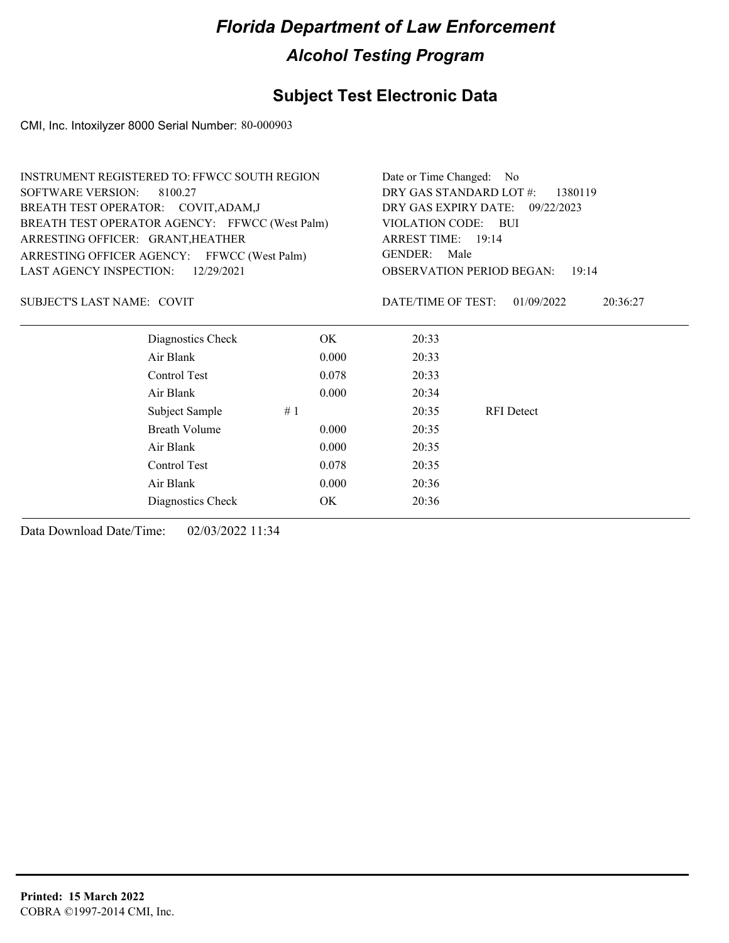### **Subject Test Electronic Data**

CMI, Inc. Intoxilyzer 8000 Serial Number: 80-000903

| <b>INSTRUMENT REGISTERED TO: FFWCC SOUTH REGION</b> | Date or Time Changed: No           |                                           |                        |  |
|-----------------------------------------------------|------------------------------------|-------------------------------------------|------------------------|--|
| <b>SOFTWARE VERSION:</b><br>8100.27                 | DRY GAS STANDARD LOT #:<br>1380119 |                                           |                        |  |
| BREATH TEST OPERATOR: COVIT, ADAM, J                | DRY GAS EXPIRY DATE: 09/22/2023    |                                           |                        |  |
| BREATH TEST OPERATOR AGENCY: FFWCC (West Palm)      |                                    | VIOLATION CODE: BUI<br>ARREST TIME: 19:14 |                        |  |
| ARRESTING OFFICER: GRANT, HEATHER                   |                                    |                                           |                        |  |
| ARRESTING OFFICER AGENCY: FFWCC (West Palm)         |                                    | GENDER:<br>Male                           |                        |  |
| LAST AGENCY INSPECTION:<br>12/29/2021               |                                    | <b>OBSERVATION PERIOD BEGAN:</b><br>19:14 |                        |  |
| SUBJECT'S LAST NAME: COVIT                          |                                    | DATE/TIME OF TEST:                        | 01/09/2022<br>20:36:27 |  |
| Diagnostics Check                                   | OK.                                | 20:33                                     |                        |  |
| Air Blank                                           | 0.000                              | 20:33                                     |                        |  |
| Control Test                                        | 0.078                              | 20:33                                     |                        |  |
| Air Blank                                           | 0.000                              | 20:34                                     |                        |  |
| Subject Sample                                      | #1                                 | 20:35                                     | <b>RFI</b> Detect      |  |
| <b>Breath Volume</b>                                | 0.000                              | 20:35                                     |                        |  |
| Air Blank                                           | 0.000                              | 20:35                                     |                        |  |
| Control Test                                        | 0.078                              | 20:35                                     |                        |  |
| Air Blank                                           | 0.000                              | 20:36                                     |                        |  |
| Diagnostics Check                                   | OK.                                | 20:36                                     |                        |  |
|                                                     |                                    |                                           |                        |  |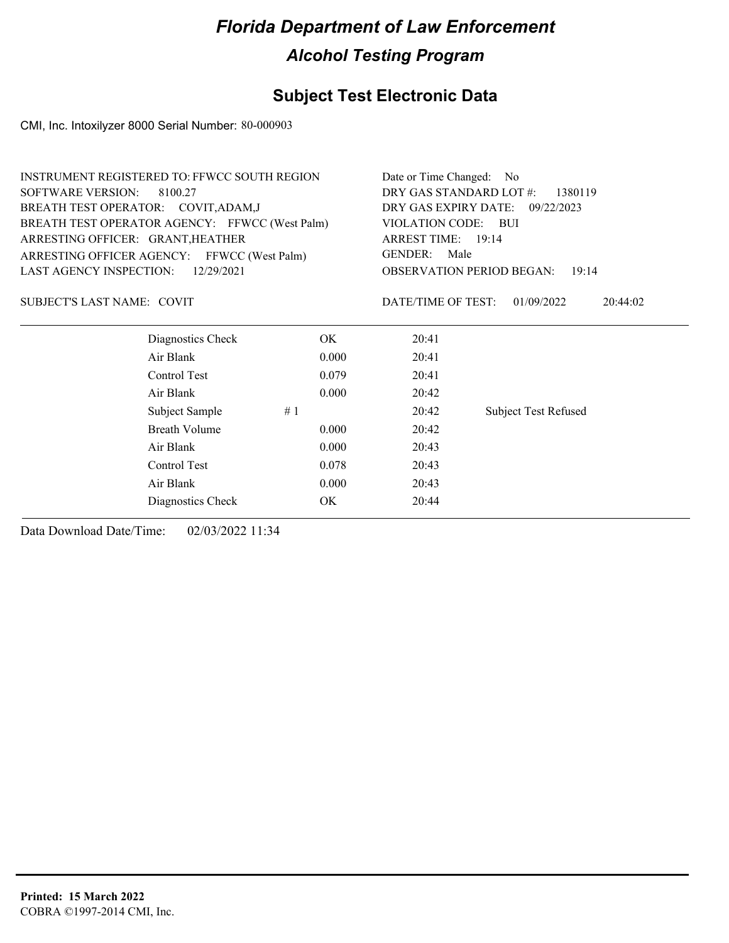### **Subject Test Electronic Data**

CMI, Inc. Intoxilyzer 8000 Serial Number: 80-000903

| <b>INSTRUMENT REGISTERED TO: FFWCC SOUTH REGION</b> |                                                |       | Date or Time Changed: No                       |                             |  |
|-----------------------------------------------------|------------------------------------------------|-------|------------------------------------------------|-----------------------------|--|
| <b>SOFTWARE VERSION:</b><br>8100.27                 |                                                |       | DRY GAS STANDARD LOT #:<br>1380119             |                             |  |
| BREATH TEST OPERATOR: COVIT, ADAM, J                |                                                |       | DRY GAS EXPIRY DATE: 09/22/2023                |                             |  |
|                                                     | BREATH TEST OPERATOR AGENCY: FFWCC (West Palm) |       | VIOLATION CODE:<br>– BUI<br>ARREST TIME: 19:14 |                             |  |
|                                                     | ARRESTING OFFICER: GRANT, HEATHER              |       |                                                |                             |  |
|                                                     | ARRESTING OFFICER AGENCY: FFWCC (West Palm)    |       | GENDER:<br>Male                                |                             |  |
| LAST AGENCY INSPECTION:                             | 12/29/2021                                     |       | <b>OBSERVATION PERIOD BEGAN:</b><br>19:14      |                             |  |
| SUBJECT'S LAST NAME: COVIT                          |                                                |       | DATE/TIME OF TEST:                             | 01/09/2022<br>20:44:02      |  |
|                                                     | Diagnostics Check                              | OK.   | 20:41                                          |                             |  |
|                                                     | Air Blank                                      | 0.000 | 20:41                                          |                             |  |
|                                                     | Control Test                                   | 0.079 | 20:41                                          |                             |  |
|                                                     | Air Blank                                      | 0.000 | 20:42                                          |                             |  |
|                                                     | Subject Sample                                 | #1    | 20:42                                          | <b>Subject Test Refused</b> |  |
|                                                     | <b>Breath Volume</b>                           | 0.000 | 20:42                                          |                             |  |
|                                                     | Air Blank                                      | 0.000 | 20:43                                          |                             |  |
|                                                     | Control Test                                   | 0.078 | 20:43                                          |                             |  |
|                                                     | Air Blank                                      | 0.000 | 20:43                                          |                             |  |
|                                                     | Diagnostics Check                              | OK    | 20:44                                          |                             |  |
|                                                     |                                                |       |                                                |                             |  |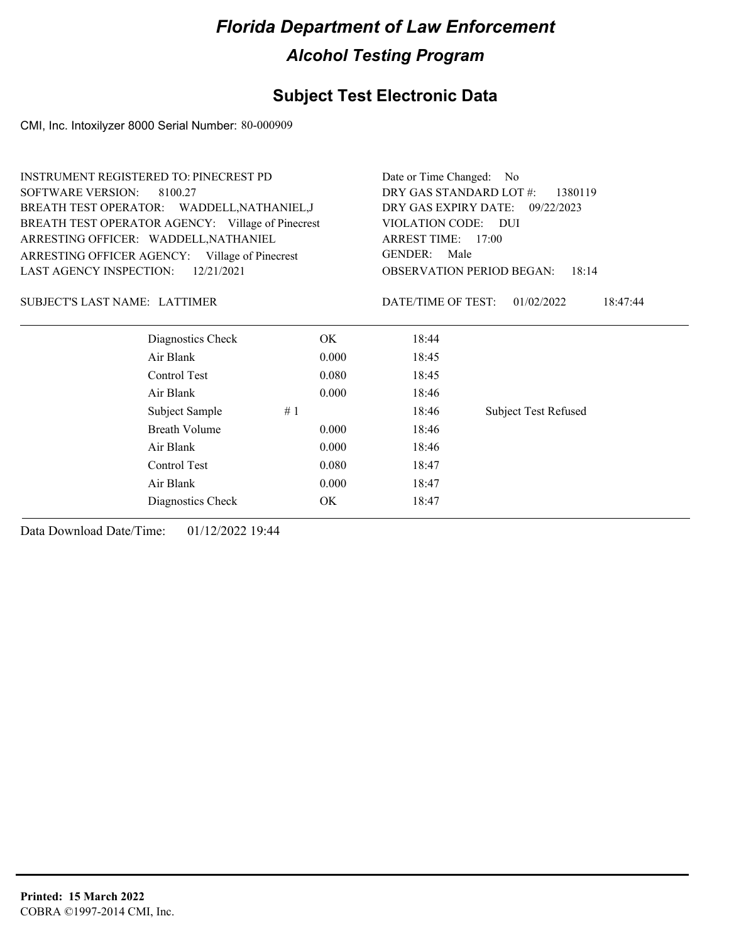### **Subject Test Electronic Data**

CMI, Inc. Intoxilyzer 8000 Serial Number: 80-000909

| <b>INSTRUMENT REGISTERED TO: PINECREST PD</b>     |       | Date or Time Changed:<br>N <sub>o</sub>        |                             |  |
|---------------------------------------------------|-------|------------------------------------------------|-----------------------------|--|
| SOFTWARE VERSION:<br>8100.27                      |       | DRY GAS STANDARD LOT #:<br>1380119             |                             |  |
| BREATH TEST OPERATOR: WADDELL, NATHANIEL, J       |       | DRY GAS EXPIRY DATE:<br>09/22/2023             |                             |  |
| BREATH TEST OPERATOR AGENCY: Village of Pinecrest |       | VIOLATION CODE:<br>– DUI<br>ARREST TIME: 17:00 |                             |  |
| ARRESTING OFFICER: WADDELL, NATHANIEL             |       |                                                |                             |  |
| ARRESTING OFFICER AGENCY: Village of Pinecrest    |       | <b>GENDER:</b><br>Male                         |                             |  |
| LAST AGENCY INSPECTION:<br>12/21/2021             |       | OBSERVATION PERIOD BEGAN:<br>18:14             |                             |  |
| SUBJECT'S LAST NAME: LATTIMER                     |       | DATE/TIME OF TEST:                             | 01/02/2022<br>18:47:44      |  |
| Diagnostics Check                                 | OK.   | 18:44                                          |                             |  |
| Air Blank                                         | 0.000 | 18:45                                          |                             |  |
| Control Test                                      | 0.080 | 18:45                                          |                             |  |
| Air Blank                                         | 0.000 | 18:46                                          |                             |  |
| Subject Sample                                    | #1    | 18:46                                          | <b>Subject Test Refused</b> |  |
| Breath Volume                                     | 0.000 | 18:46                                          |                             |  |
| Air Blank                                         | 0.000 | 18:46                                          |                             |  |
| Control Test                                      | 0.080 | 18:47                                          |                             |  |
| Air Blank                                         | 0.000 | 18:47                                          |                             |  |
| Diagnostics Check                                 | OK.   | 18:47                                          |                             |  |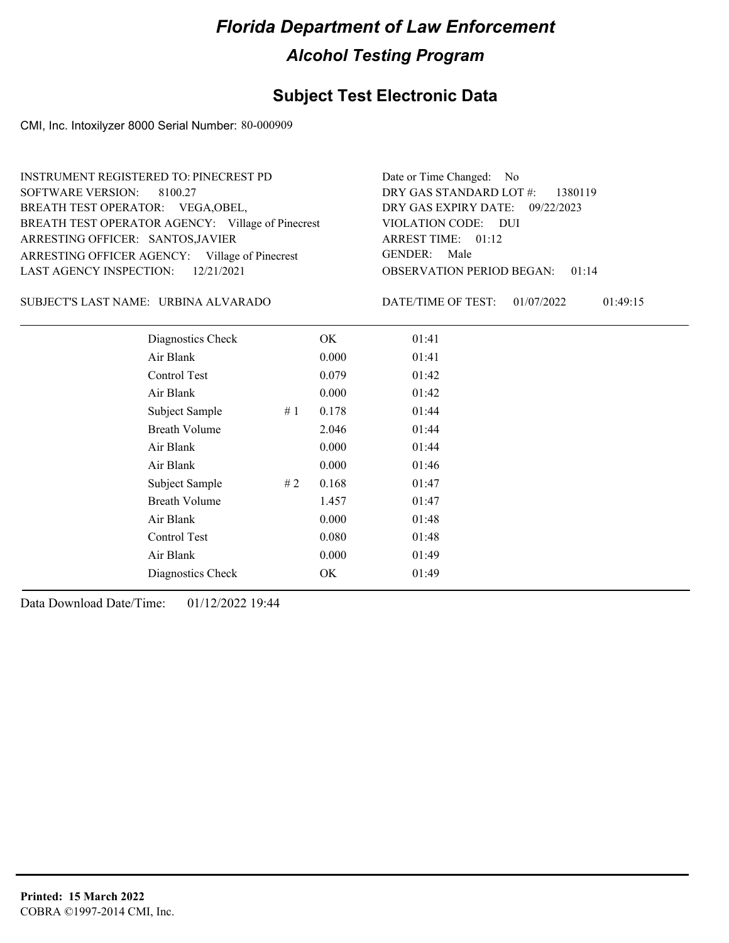### **Subject Test Electronic Data**

CMI, Inc. Intoxilyzer 8000 Serial Number: 80-000909

| INSTRUMENT REGISTERED TO: PINECREST PD            | Date or Time Changed: No               |
|---------------------------------------------------|----------------------------------------|
| SOFTWARE VERSION: 8100.27                         | DRY GAS STANDARD LOT $\#$ : 1380119    |
| BREATH TEST OPERATOR: VEGA, OBEL,                 | DRY GAS EXPIRY DATE: 09/22/2023        |
| BREATH TEST OPERATOR AGENCY: Village of Pinecrest | VIOLATION CODE: DUI                    |
| ARRESTING OFFICER: SANTOS, JAVIER                 | ARREST TIME: 01:12                     |
| ARRESTING OFFICER AGENCY: Village of Pinecrest    | GENDER: Male                           |
| LAST AGENCY INSPECTION: $12/21/2021$              | <b>OBSERVATION PERIOD BEGAN: 01:14</b> |

URBINA ALVARADO SUBJECT'S LAST NAME: DATE/TIME OF TEST:

DATE/TIME OF TEST: 01/07/2022 01:49:15

| Diagnostics Check    | OK    | 01:41 |
|----------------------|-------|-------|
| Air Blank            | 0.000 | 01:41 |
| Control Test         | 0.079 | 01:42 |
| Air Blank            | 0.000 | 01:42 |
| Subject Sample<br>#1 | 0.178 | 01:44 |
| <b>Breath Volume</b> | 2.046 | 01:44 |
| Air Blank            | 0.000 | 01:44 |
| Air Blank            | 0.000 | 01:46 |
| Subject Sample<br>#2 | 0.168 | 01:47 |
| <b>Breath Volume</b> | 1.457 | 01:47 |
| Air Blank            | 0.000 | 01:48 |
| <b>Control Test</b>  | 0.080 | 01:48 |
| Air Blank            | 0.000 | 01:49 |
| Diagnostics Check    | OK    | 01:49 |
|                      |       |       |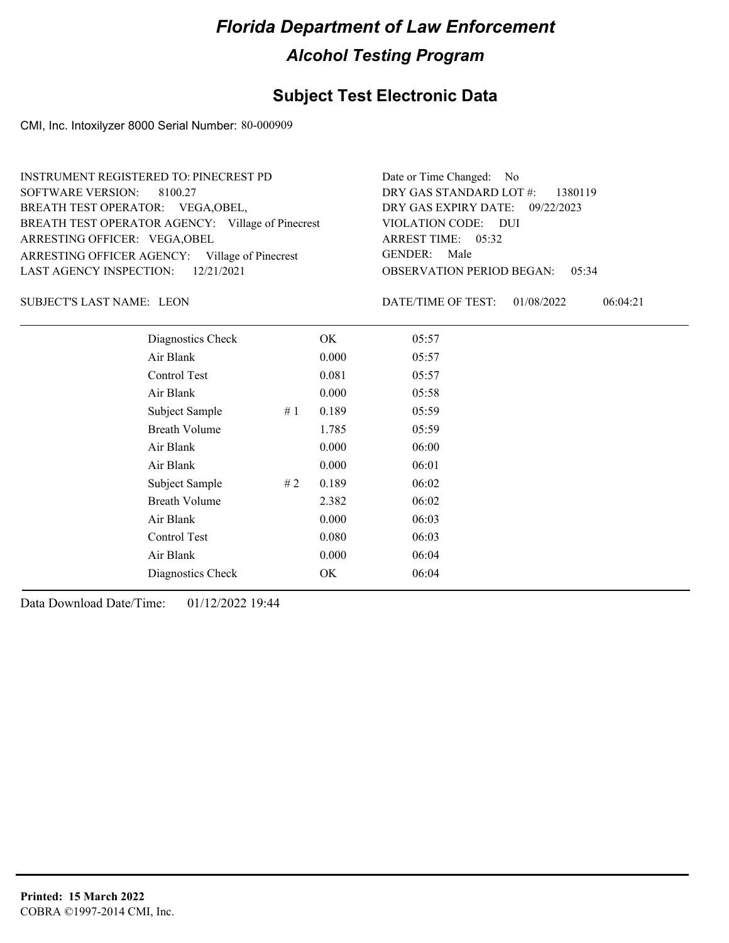### **Subject Test Electronic Data**

CMI, Inc. Intoxilyzer 8000 Serial Number: 80-000909

| <b>INSTRUMENT REGISTERED TO: PINECREST PD</b>     | Date or Time Changed: No               |
|---------------------------------------------------|----------------------------------------|
| SOFTWARE VERSION: 8100.27                         | DRY GAS STANDARD LOT $\#$ : 1380119    |
| BREATH TEST OPERATOR: VEGA, OBEL,                 | DRY GAS EXPIRY DATE: 09/22/2023        |
| BREATH TEST OPERATOR AGENCY: Village of Pinecrest | VIOLATION CODE: DUI                    |
| ARRESTING OFFICER: VEGA, OBEL                     | ARREST TIME: 05:32                     |
| ARRESTING OFFICER AGENCY: Village of Pinecrest    | GENDER: Male                           |
| LAST AGENCY INSPECTION: $12/21/2021$              | <b>OBSERVATION PERIOD BEGAN: 05:34</b> |

SUBJECT'S LAST NAME: LEON DATE/TIME OF TEST:

DATE/TIME OF TEST: 01/08/2022 06:04:21

| Diagnostics Check    |    | OK    | 05:57 |  |  |
|----------------------|----|-------|-------|--|--|
| Air Blank            |    | 0.000 | 05:57 |  |  |
| Control Test         |    | 0.081 | 05:57 |  |  |
| Air Blank            |    | 0.000 | 05:58 |  |  |
| Subject Sample       | #1 | 0.189 | 05:59 |  |  |
| <b>Breath Volume</b> |    | 1.785 | 05:59 |  |  |
| Air Blank            |    | 0.000 | 06:00 |  |  |
| Air Blank            |    | 0.000 | 06:01 |  |  |
| Subject Sample       | #2 | 0.189 | 06:02 |  |  |
| <b>Breath Volume</b> |    | 2.382 | 06:02 |  |  |
| Air Blank            |    | 0.000 | 06:03 |  |  |
| Control Test         |    | 0.080 | 06:03 |  |  |
| Air Blank            |    | 0.000 | 06:04 |  |  |
| Diagnostics Check    |    | OK    | 06:04 |  |  |
|                      |    |       |       |  |  |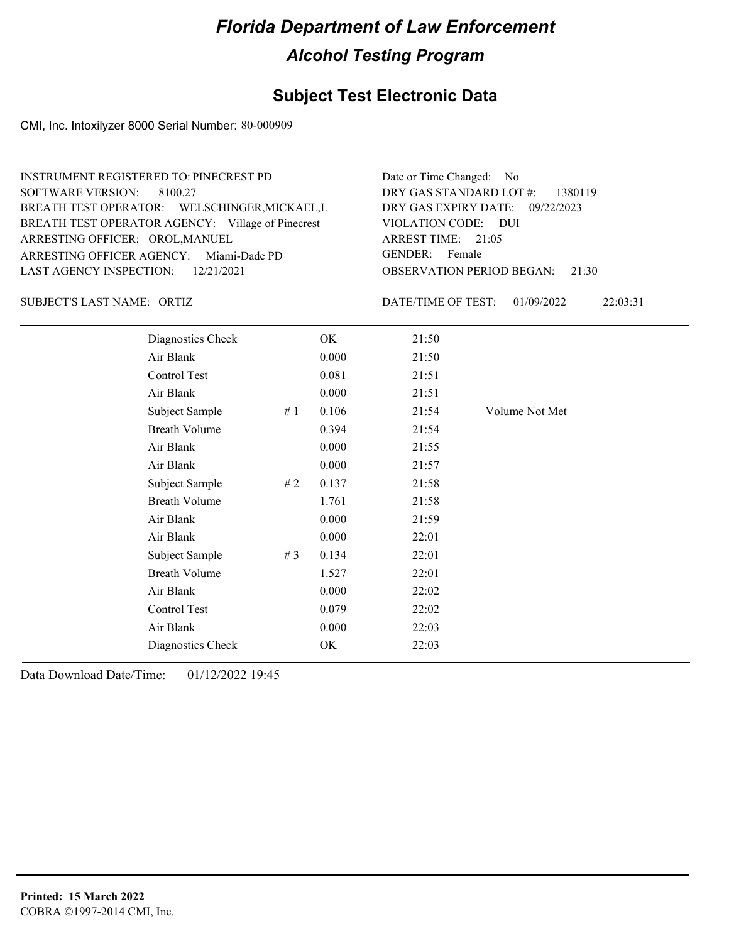### **Subject Test Electronic Data**

CMI, Inc. Intoxilyzer 8000 Serial Number: 80-000909

| <b>INSTRUMENT REGISTERED TO: PINECREST PD</b>     | Date or Time Changed: No               |
|---------------------------------------------------|----------------------------------------|
| SOFTWARE VERSION: 8100.27                         | DRY GAS STANDARD LOT $\#$ : 1380119    |
| BREATH TEST OPERATOR: WELSCHINGER, MICKAEL, L     | DRY GAS EXPIRY DATE: 09/22/2023        |
| BREATH TEST OPERATOR AGENCY: Village of Pinecrest | VIOLATION CODE: DUI                    |
| ARRESTING OFFICER: OROL, MANUEL                   | ARREST TIME: $21:05$                   |
| ARRESTING OFFICER AGENCY: Miami-Dade PD           | GENDER: Female                         |
| LAST AGENCY INSPECTION: $12/21/2021$              | <b>OBSERVATION PERIOD BEGAN: 21:30</b> |

SUBJECT'S LAST NAME: ORTIZ **Example 20** ORTEXTIME OF TEST:

DATE/TIME OF TEST: 01/09/2022 22:03:31

| Diagnostics Check    |    | OK    | 21:50 |                |
|----------------------|----|-------|-------|----------------|
| Air Blank            |    | 0.000 | 21:50 |                |
| Control Test         |    | 0.081 | 21:51 |                |
| Air Blank            |    | 0.000 | 21:51 |                |
| Subject Sample       | #1 | 0.106 | 21:54 | Volume Not Met |
| <b>Breath Volume</b> |    | 0.394 | 21:54 |                |
| Air Blank            |    | 0.000 | 21:55 |                |
| Air Blank            |    | 0.000 | 21:57 |                |
| Subject Sample       | #2 | 0.137 | 21:58 |                |
| <b>Breath Volume</b> |    | 1.761 | 21:58 |                |
| Air Blank            |    | 0.000 | 21:59 |                |
| Air Blank            |    | 0.000 | 22:01 |                |
| Subject Sample       | #3 | 0.134 | 22:01 |                |
| <b>Breath Volume</b> |    | 1.527 | 22:01 |                |
| Air Blank            |    | 0.000 | 22:02 |                |
| Control Test         |    | 0.079 | 22:02 |                |
| Air Blank            |    | 0.000 | 22:03 |                |
| Diagnostics Check    |    | OK    | 22:03 |                |
|                      |    |       |       |                |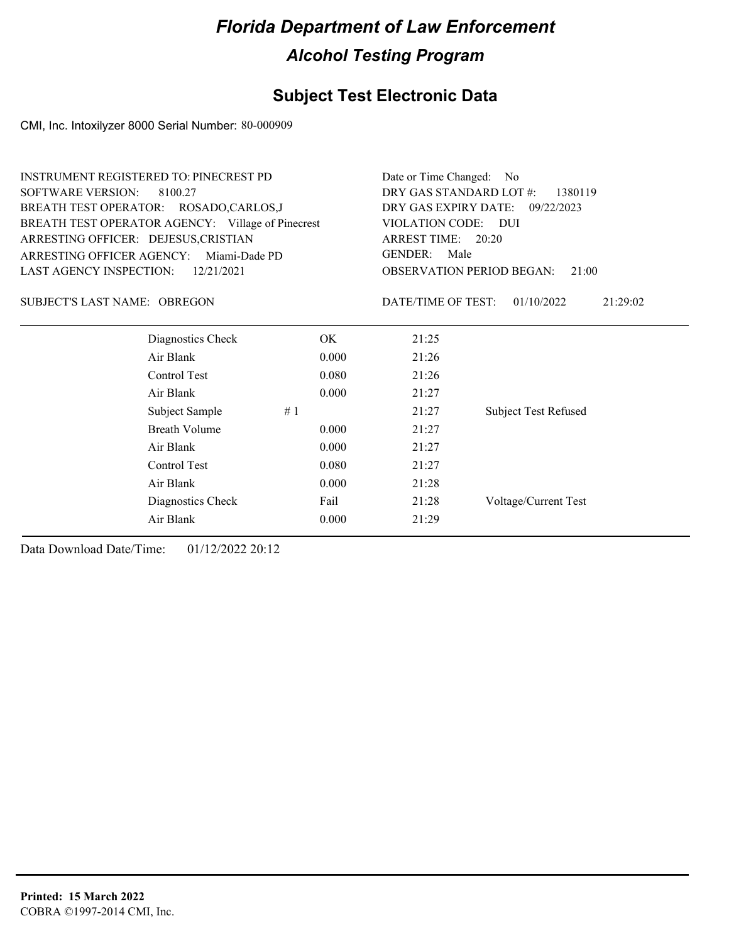### **Subject Test Electronic Data**

CMI, Inc. Intoxilyzer 8000 Serial Number: 80-000909

| <b>INSTRUMENT REGISTERED TO: PINECREST PD</b>     |       | Date or Time Changed:   | - No                                      |
|---------------------------------------------------|-------|-------------------------|-------------------------------------------|
| <b>SOFTWARE VERSION:</b><br>8100.27               |       | DRY GAS STANDARD LOT #: | 1380119                                   |
| BREATH TEST OPERATOR: ROSADO,CARLOS,J             |       | DRY GAS EXPIRY DATE:    | 09/22/2023                                |
| BREATH TEST OPERATOR AGENCY: Village of Pinecrest |       | VIOLATION CODE: DUI     |                                           |
| ARRESTING OFFICER: DEJESUS, CRISTIAN              |       | ARREST TIME: 20:20      |                                           |
| ARRESTING OFFICER AGENCY: Miami-Dade PD           |       | <b>GENDER:</b><br>Male  |                                           |
| LAST AGENCY INSPECTION:<br>12/21/2021             |       |                         | <b>OBSERVATION PERIOD BEGAN:</b><br>21:00 |
| SUBJECT'S LAST NAME: OBREGON                      |       | DATE/TIME OF TEST:      | 01/10/2022<br>21:29:02                    |
| Diagnostics Check                                 | OK.   | 21:25                   |                                           |
| Air Blank                                         | 0.000 | 21:26                   |                                           |
| Control Test                                      | 0.080 | 21:26                   |                                           |
| Air Blank                                         | 0.000 | 21:27                   |                                           |
| Subject Sample                                    | #1    | 21:27                   | <b>Subject Test Refused</b>               |
| <b>Breath Volume</b>                              | 0.000 | 21:27                   |                                           |
| Air Blank                                         | 0.000 | 21:27                   |                                           |
| Control Test                                      | 0.080 | 21:27                   |                                           |
| Air Blank                                         | 0.000 | 21:28                   |                                           |
| Diagnostics Check                                 | Fail  | 21:28                   | Voltage/Current Test                      |
| Air Blank                                         | 0.000 | 21:29                   |                                           |
|                                                   |       |                         |                                           |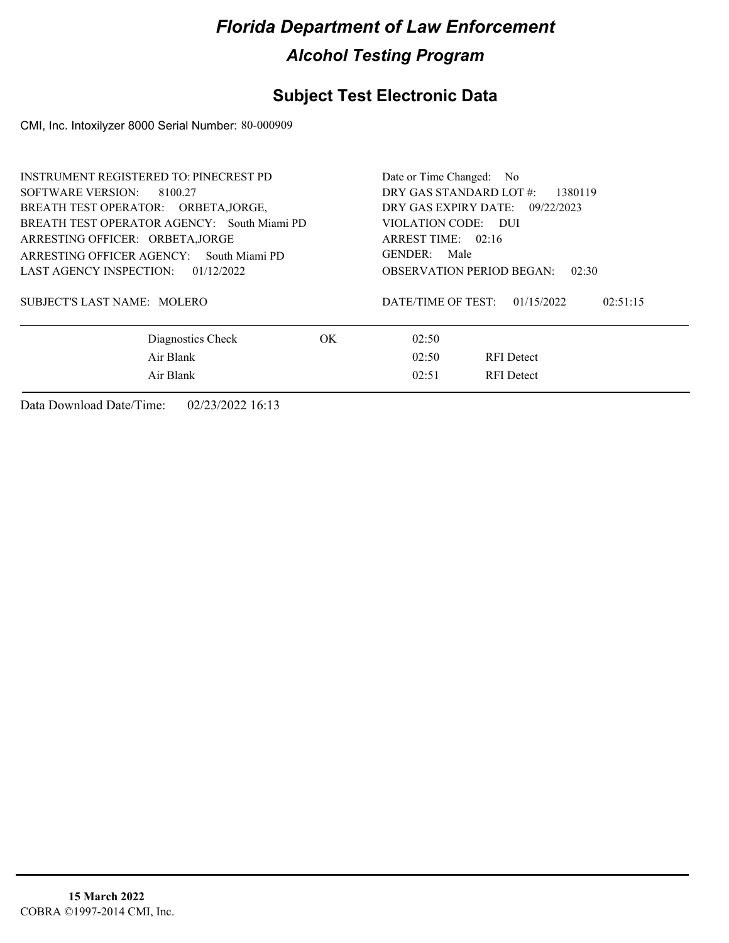#### **Subject Test Electronic Data**

CMI, Inc. Intoxilyzer 8000 Serial Number: 80-000909

| <b>INSTRUMENT REGISTERED TO: PINECREST PD</b> |     | Date or Time Changed: No                     |
|-----------------------------------------------|-----|----------------------------------------------|
| SOFTWARE VERSION: 8100.27                     |     | DRY GAS STANDARD LOT #:<br>1380119           |
| BREATH TEST OPERATOR: ORBETA, JORGE,          |     | DRY GAS EXPIRY DATE: $09/22/2023$            |
| BREATH TEST OPERATOR AGENCY: South Miami PD   |     | VIOLATION CODE: DUI                          |
| ARRESTING OFFICER: ORBETA, JORGE              |     | ARREST TIME: 02:16                           |
| ARRESTING OFFICER AGENCY: South Miami PD      |     | GENDER: Male                                 |
| LAST AGENCY INSPECTION: 01/12/2022            |     | <b>OBSERVATION PERIOD BEGAN:</b><br>02:30    |
| SUBJECT'S LAST NAME: MOLERO                   |     | DATE/TIME OF TEST:<br>01/15/2022<br>02:51:15 |
| Diagnostics Check                             | OK. | 02:50                                        |
| Air Blank                                     |     | 02:50<br><b>RFI</b> Detect                   |
| Air Blank                                     |     | 02:51<br><b>RFI</b> Detect                   |
|                                               |     |                                              |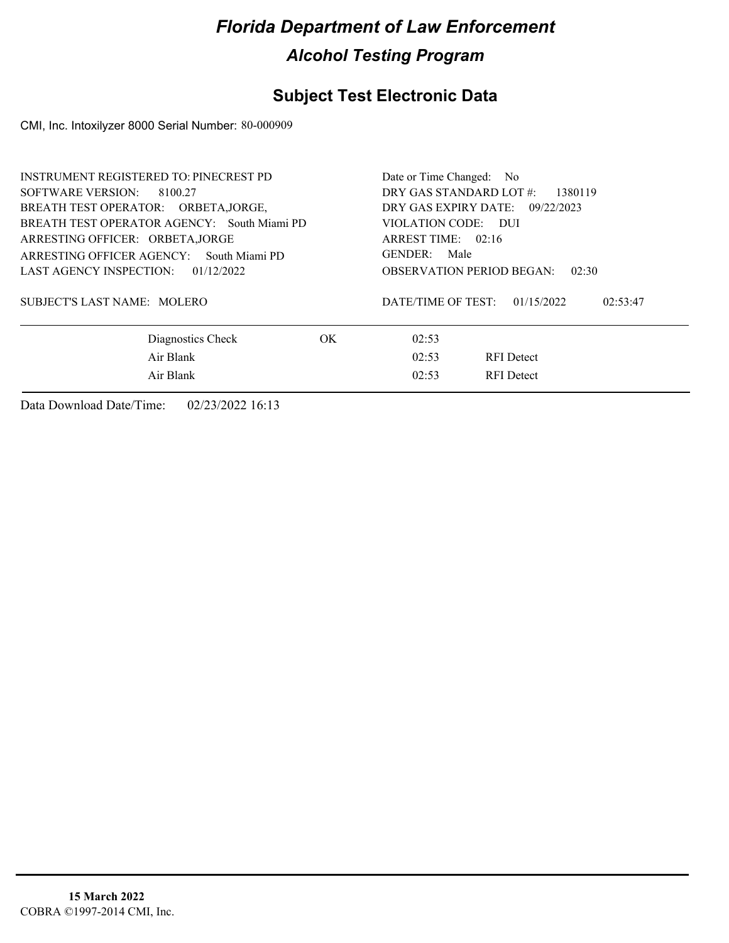#### **Subject Test Electronic Data**

CMI, Inc. Intoxilyzer 8000 Serial Number: 80-000909

| <b>INSTRUMENT REGISTERED TO: PINECREST PD</b> |     | Date or Time Changed: No                     |
|-----------------------------------------------|-----|----------------------------------------------|
| SOFTWARE VERSION: 8100.27                     |     | DRY GAS STANDARD LOT $\#$ :<br>1380119       |
| BREATH TEST OPERATOR: ORBETA, JORGE,          |     | DRY GAS EXPIRY DATE: 09/22/2023              |
| BREATH TEST OPERATOR AGENCY: South Miami PD   |     | VIOLATION CODE: DUI                          |
| ARRESTING OFFICER: ORBETA, JORGE              |     | ARREST TIME: $02:16$                         |
| ARRESTING OFFICER AGENCY: South Miami PD      |     | GENDER: Male                                 |
| LAST AGENCY INSPECTION: 01/12/2022            |     | <b>OBSERVATION PERIOD BEGAN:</b><br>02:30    |
| SUBJECT'S LAST NAME: MOLERO                   |     | DATE/TIME OF TEST:<br>01/15/2022<br>02:53:47 |
| Diagnostics Check                             | OK. | 02:53                                        |
| Air Blank                                     |     | 02:53<br><b>RFI</b> Detect                   |
| Air Blank                                     |     | 02:53<br><b>RFI</b> Detect                   |
|                                               |     |                                              |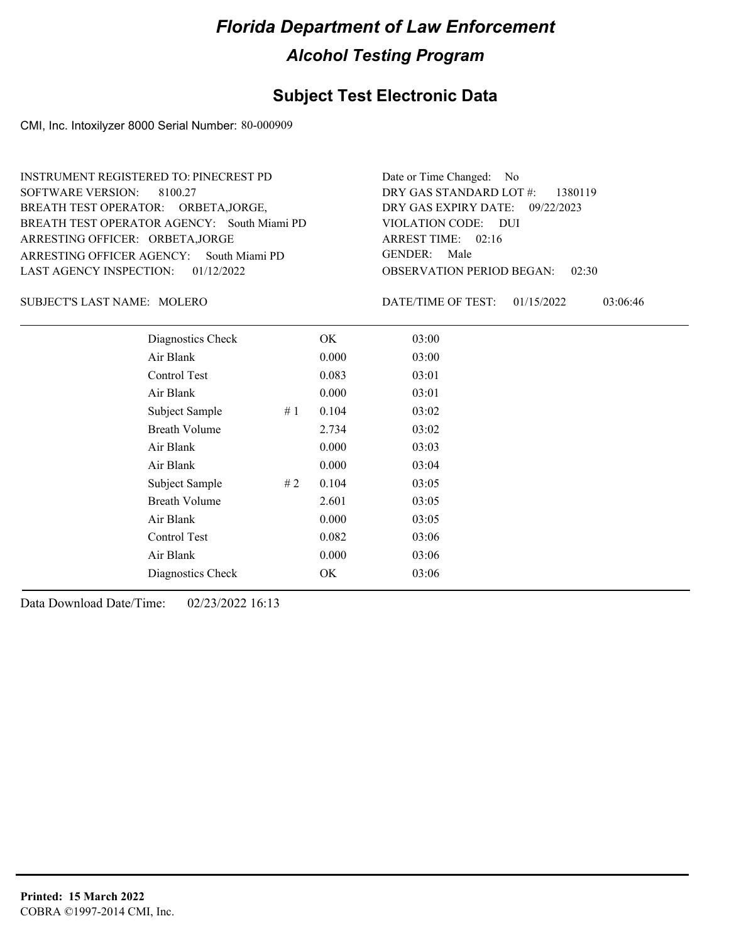#### **Subject Test Electronic Data**

CMI, Inc. Intoxilyzer 8000 Serial Number: 80-000909

ARRESTING OFFICER AGENCY: GENDER: South Miami PD BREATH TEST OPERATOR AGENCY: South Miami PD VIOLATION CODE: SOFTWARE VERSION: 8100.27 ARRESTING OFFICER: ORBETA,JORGE BREATH TEST OPERATOR: ORBETA,JORGE, LAST AGENCY INSPECTION: 01/12/2022 INSTRUMENT REGISTERED TO: PINECREST PD

OBSERVATION PERIOD BEGAN: 02:30 VIOLATION CODE: DUI ARREST TIME: 02:16 09/22/2023 DRY GAS EXPIRY DATE: DRY GAS STANDARD LOT #: 1380119 Date or Time Changed: No GENDER: Male

MOLERO SUBJECT'S LAST NAME: DATE/TIME OF TEST:

DATE/TIME OF TEST: 01/15/2022 03:06:46

| Diagnostics Check    | OK    | 03:00 |
|----------------------|-------|-------|
| Air Blank            | 0.000 | 03:00 |
| Control Test         | 0.083 | 03:01 |
| Air Blank            | 0.000 | 03:01 |
| Subject Sample<br>#1 | 0.104 | 03:02 |
| <b>Breath Volume</b> | 2.734 | 03:02 |
| Air Blank            | 0.000 | 03:03 |
| Air Blank            | 0.000 | 03:04 |
| #2<br>Subject Sample | 0.104 | 03:05 |
| <b>Breath Volume</b> | 2.601 | 03:05 |
| Air Blank            | 0.000 | 03:05 |
| <b>Control Test</b>  | 0.082 | 03:06 |
| Air Blank            | 0.000 | 03:06 |
| Diagnostics Check    | OK    | 03:06 |
|                      |       |       |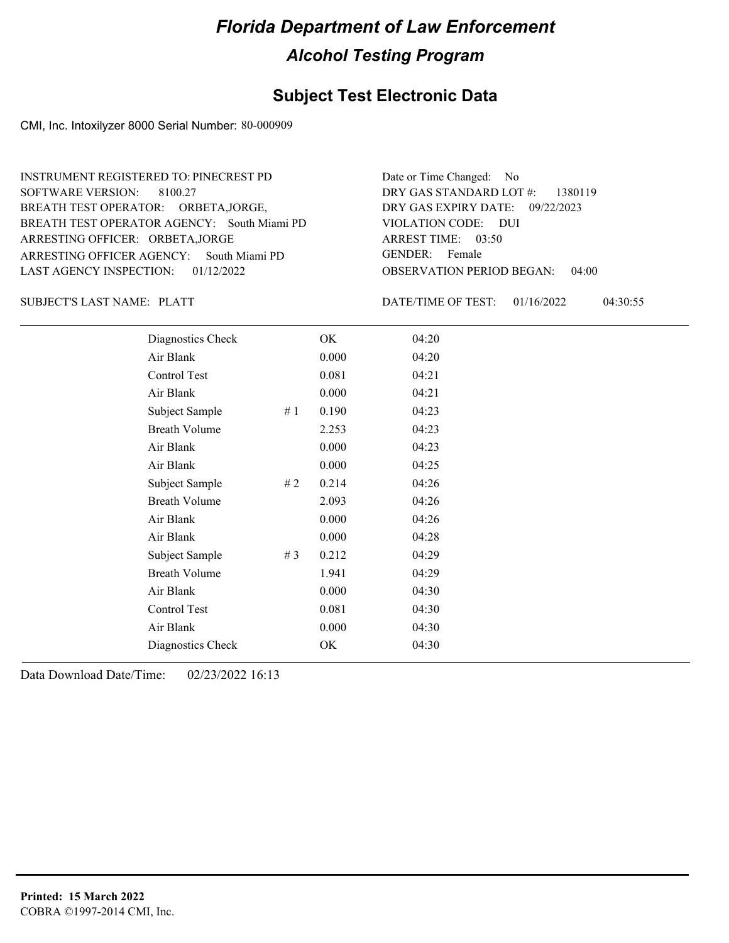### **Subject Test Electronic Data**

CMI, Inc. Intoxilyzer 8000 Serial Number: 80-000909

ARRESTING OFFICER AGENCY: GENDER: South Miami PD BREATH TEST OPERATOR AGENCY: South Miami PD VIOLATION CODE: SOFTWARE VERSION: 8100.27 ARRESTING OFFICER: ORBETA,JORGE BREATH TEST OPERATOR: ORBETA,JORGE, LAST AGENCY INSPECTION: 01/12/2022 INSTRUMENT REGISTERED TO: PINECREST PD

OBSERVATION PERIOD BEGAN: 04:00 VIOLATION CODE: DUI 03:50 ARREST TIME: 09/22/2023 DRY GAS EXPIRY DATE: DRY GAS STANDARD LOT #: 1380119 Date or Time Changed: No GENDER: Female

SUBJECT'S LAST NAME: PLATT SUBJECTS ASSEMBLING THE MATE/TIME OF TEST:

DATE/TIME OF TEST: 01/16/2022 04:30:55

| Diagnostics Check    |    | OK    | 04:20 |
|----------------------|----|-------|-------|
| Air Blank            |    | 0.000 | 04:20 |
| Control Test         |    | 0.081 | 04:21 |
| Air Blank            |    | 0.000 | 04:21 |
| Subject Sample       | #1 | 0.190 | 04:23 |
| <b>Breath Volume</b> |    | 2.253 | 04:23 |
| Air Blank            |    | 0.000 | 04:23 |
| Air Blank            |    | 0.000 | 04:25 |
| Subject Sample       | #2 | 0.214 | 04:26 |
| <b>Breath Volume</b> |    | 2.093 | 04:26 |
| Air Blank            |    | 0.000 | 04:26 |
| Air Blank            |    | 0.000 | 04:28 |
| Subject Sample       | #3 | 0.212 | 04:29 |
| <b>Breath Volume</b> |    | 1.941 | 04:29 |
| Air Blank            |    | 0.000 | 04:30 |
| Control Test         |    | 0.081 | 04:30 |
| Air Blank            |    | 0.000 | 04:30 |
| Diagnostics Check    |    | OK    | 04:30 |
|                      |    |       |       |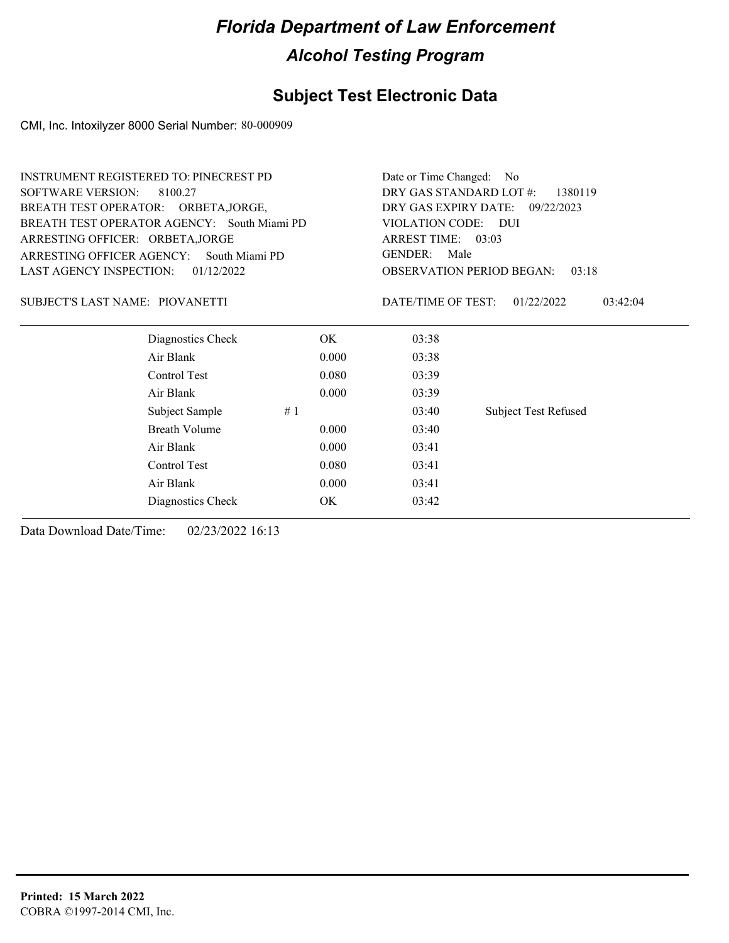### **Subject Test Electronic Data**

CMI, Inc. Intoxilyzer 8000 Serial Number: 80-000909

| <b>SOFTWARE VERSION:</b><br>DRY GAS STANDARD LOT #:<br>8100.27<br>1380119<br>DRY GAS EXPIRY DATE:<br>BREATH TEST OPERATOR: ORBETA, JORGE,<br>09/22/2023<br>BREATH TEST OPERATOR AGENCY: South Miami PD<br>VIOLATION CODE:<br>– DUI<br>ARREST TIME: 03:03<br>ARRESTING OFFICER: ORBETA, JORGE<br><b>GENDER:</b><br>Male<br>ARRESTING OFFICER AGENCY:<br>South Miami PD<br>LAST AGENCY INSPECTION:<br>01/12/2022<br><b>OBSERVATION PERIOD BEGAN:</b><br>03:18<br>DATE/TIME OF TEST: | <b>INSTRUMENT REGISTERED TO: PINECREST PD</b> |  | Date or Time Changed: | No.                    |  |
|-----------------------------------------------------------------------------------------------------------------------------------------------------------------------------------------------------------------------------------------------------------------------------------------------------------------------------------------------------------------------------------------------------------------------------------------------------------------------------------|-----------------------------------------------|--|-----------------------|------------------------|--|
|                                                                                                                                                                                                                                                                                                                                                                                                                                                                                   |                                               |  |                       |                        |  |
|                                                                                                                                                                                                                                                                                                                                                                                                                                                                                   |                                               |  |                       |                        |  |
|                                                                                                                                                                                                                                                                                                                                                                                                                                                                                   |                                               |  |                       |                        |  |
|                                                                                                                                                                                                                                                                                                                                                                                                                                                                                   |                                               |  |                       |                        |  |
|                                                                                                                                                                                                                                                                                                                                                                                                                                                                                   |                                               |  |                       |                        |  |
|                                                                                                                                                                                                                                                                                                                                                                                                                                                                                   |                                               |  |                       |                        |  |
|                                                                                                                                                                                                                                                                                                                                                                                                                                                                                   | SUBJECT'S LAST NAME: PIOVANETTI               |  |                       | 01/22/2022<br>03:42:04 |  |
| Diagnostics Check<br>03:38<br>OK.                                                                                                                                                                                                                                                                                                                                                                                                                                                 |                                               |  |                       |                        |  |
| Air Blank<br>0.000<br>03:38                                                                                                                                                                                                                                                                                                                                                                                                                                                       |                                               |  |                       |                        |  |
| Control Test<br>0.080<br>03:39                                                                                                                                                                                                                                                                                                                                                                                                                                                    |                                               |  |                       |                        |  |
| Air Blank<br>0.000<br>03:39                                                                                                                                                                                                                                                                                                                                                                                                                                                       |                                               |  |                       |                        |  |
| <b>Subject Test Refused</b><br>Subject Sample<br>#1<br>03:40                                                                                                                                                                                                                                                                                                                                                                                                                      |                                               |  |                       |                        |  |
| <b>Breath Volume</b><br>0.000<br>03:40                                                                                                                                                                                                                                                                                                                                                                                                                                            |                                               |  |                       |                        |  |
| Air Blank<br>0.000<br>03:41                                                                                                                                                                                                                                                                                                                                                                                                                                                       |                                               |  |                       |                        |  |
| Control Test<br>0.080<br>03:41                                                                                                                                                                                                                                                                                                                                                                                                                                                    |                                               |  |                       |                        |  |
| Air Blank<br>0.000<br>03:41                                                                                                                                                                                                                                                                                                                                                                                                                                                       |                                               |  |                       |                        |  |
| Diagnostics Check<br>OK<br>03:42                                                                                                                                                                                                                                                                                                                                                                                                                                                  |                                               |  |                       |                        |  |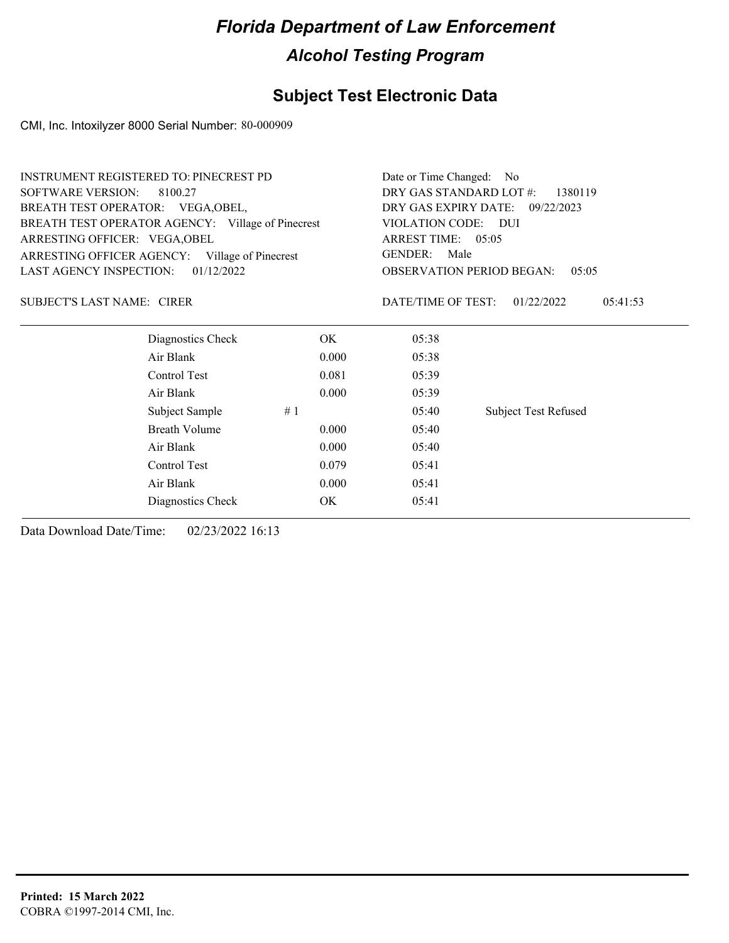### **Subject Test Electronic Data**

CMI, Inc. Intoxilyzer 8000 Serial Number: 80-000909

| <b>INSTRUMENT REGISTERED TO: PINECREST PD</b>     |                                             |                                                                            |  |  |  |
|---------------------------------------------------|---------------------------------------------|----------------------------------------------------------------------------|--|--|--|
| <b>SOFTWARE VERSION:</b><br>8100.27               |                                             |                                                                            |  |  |  |
|                                                   | DRY GAS EXPIRY DATE: 09/22/2023             |                                                                            |  |  |  |
| BREATH TEST OPERATOR AGENCY: Village of Pinecrest |                                             |                                                                            |  |  |  |
|                                                   | ARREST TIME: 05:05                          |                                                                            |  |  |  |
| ARRESTING OFFICER AGENCY: Village of Pinecrest    | <b>GENDER:</b><br>Male                      |                                                                            |  |  |  |
|                                                   | <b>OBSERVATION PERIOD BEGAN:</b><br>0.5:0.5 |                                                                            |  |  |  |
|                                                   | DATE/TIME OF TEST:                          | 01/22/2022<br>05:41:53                                                     |  |  |  |
| OK.                                               | 05:38                                       |                                                                            |  |  |  |
| 0.000                                             | 05:38                                       |                                                                            |  |  |  |
| 0.081                                             | 05:39                                       |                                                                            |  |  |  |
| 0.000                                             | 05:39                                       |                                                                            |  |  |  |
| #1                                                | 05:40                                       | <b>Subject Test Refused</b>                                                |  |  |  |
| 0.000                                             | 05:40                                       |                                                                            |  |  |  |
| 0.000                                             | 05:40                                       |                                                                            |  |  |  |
| 0.079                                             | 05:41                                       |                                                                            |  |  |  |
| 0.000                                             | 05:41                                       |                                                                            |  |  |  |
| OK.                                               | 05:41                                       |                                                                            |  |  |  |
|                                                   |                                             | Date or Time Changed: No<br>DRY GAS STANDARD LOT #:<br>VIOLATION CODE: DUI |  |  |  |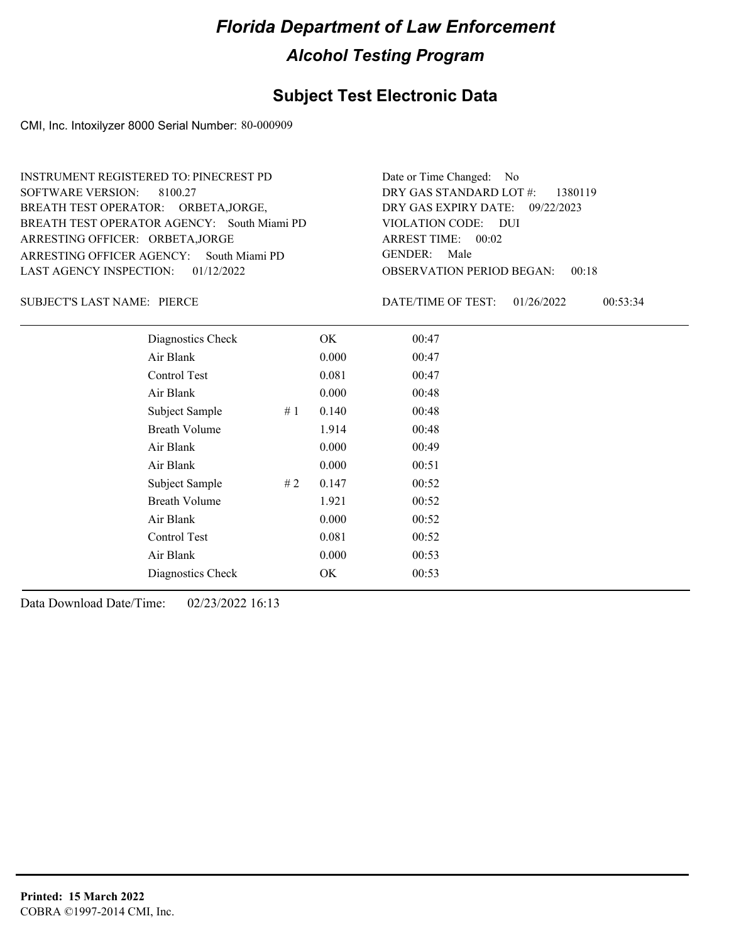### **Subject Test Electronic Data**

CMI, Inc. Intoxilyzer 8000 Serial Number: 80-000909

ARRESTING OFFICER AGENCY: GENDER: South Miami PD BREATH TEST OPERATOR AGENCY: South Miami PD VIOLATION CODE: SOFTWARE VERSION: 8100.27 ARRESTING OFFICER: ORBETA,JORGE BREATH TEST OPERATOR: ORBETA,JORGE, LAST AGENCY INSPECTION: 01/12/2022 INSTRUMENT REGISTERED TO: PINECREST PD

OBSERVATION PERIOD BEGAN: 00:18 VIOLATION CODE: DUI ARREST TIME: 00:02 09/22/2023 DRY GAS EXPIRY DATE: DRY GAS STANDARD LOT #: 1380119 Date or Time Changed: No GENDER: Male

SUBJECT'S LAST NAME: PIERCE **Example 20 SUBJECT'S LAST NAME:** PIERCE

DATE/TIME OF TEST: 01/26/2022 00:53:34

| Diagnostics Check    |    | OK    | 00:47 |
|----------------------|----|-------|-------|
| Air Blank            |    | 0.000 | 00:47 |
| Control Test         |    | 0.081 | 00:47 |
| Air Blank            |    | 0.000 | 00:48 |
| Subject Sample       | #1 | 0.140 | 00:48 |
| <b>Breath Volume</b> |    | 1.914 | 00:48 |
| Air Blank            |    | 0.000 | 00:49 |
| Air Blank            |    | 0.000 | 00:51 |
| Subject Sample       | #2 | 0.147 | 00:52 |
| <b>Breath Volume</b> |    | 1.921 | 00:52 |
| Air Blank            |    | 0.000 | 00:52 |
| Control Test         |    | 0.081 | 00:52 |
| Air Blank            |    | 0.000 | 00:53 |
| Diagnostics Check    |    | OK    | 00:53 |
|                      |    |       |       |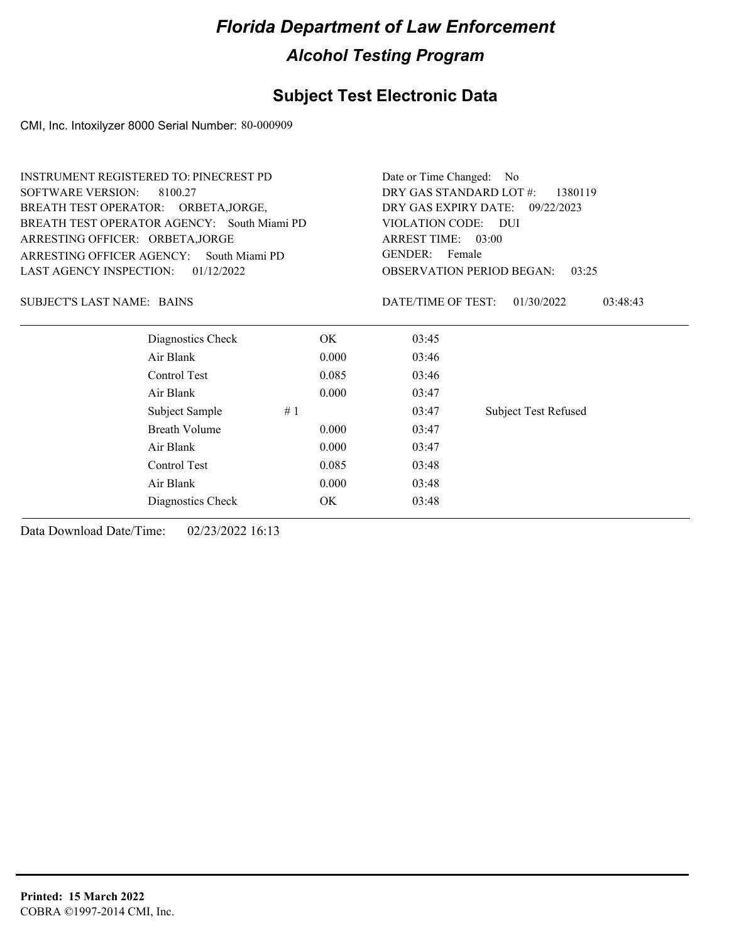### **Subject Test Electronic Data**

CMI, Inc. Intoxilyzer 8000 Serial Number: 80-000909

| <b>INSTRUMENT REGISTERED TO: PINECREST PD</b> |                                             | Date or Time Changed:                     | N <sub>0</sub>           |                             |  |
|-----------------------------------------------|---------------------------------------------|-------------------------------------------|--------------------------|-----------------------------|--|
| <b>SOFTWARE VERSION:</b>                      | 8100.27                                     | DRY GAS STANDARD LOT #:<br>1380119        |                          |                             |  |
| BREATH TEST OPERATOR: ORBETA, JORGE,          |                                             | DRY GAS EXPIRY DATE:<br>09/22/2023        |                          |                             |  |
|                                               | BREATH TEST OPERATOR AGENCY: South Miami PD | VIOLATION CODE: DUI                       |                          |                             |  |
| ARRESTING OFFICER: ORBETA, JORGE              |                                             |                                           | ARREST TIME: 03:00       |                             |  |
| ARRESTING OFFICER AGENCY:                     | South Miami PD                              |                                           | <b>GENDER:</b><br>Female |                             |  |
| LAST AGENCY INSPECTION:                       | 01/12/2022                                  | <b>OBSERVATION PERIOD BEGAN:</b><br>03:25 |                          |                             |  |
| <b>SUBJECT'S LAST NAME: BAINS</b>             |                                             |                                           | DATE/TIME OF TEST:       | 01/30/2022<br>03:48:43      |  |
|                                               | Diagnostics Check                           | OK.                                       | 03:45                    |                             |  |
|                                               | Air Blank                                   | 0.000                                     | 03:46                    |                             |  |
|                                               | Control Test                                | 0.085                                     | 03:46                    |                             |  |
|                                               | Air Blank                                   | 0.000                                     | 03:47                    |                             |  |
|                                               | Subject Sample<br>#1                        |                                           | 03:47                    | <b>Subject Test Refused</b> |  |
|                                               | <b>Breath Volume</b>                        | 0.000                                     | 03:47                    |                             |  |
|                                               | Air Blank                                   | 0.000                                     | 03:47                    |                             |  |
|                                               | Control Test                                | 0.085                                     | 03:48                    |                             |  |
|                                               | Air Blank                                   | 0.000                                     | 03:48                    |                             |  |
|                                               | Diagnostics Check                           | OK                                        | 03:48                    |                             |  |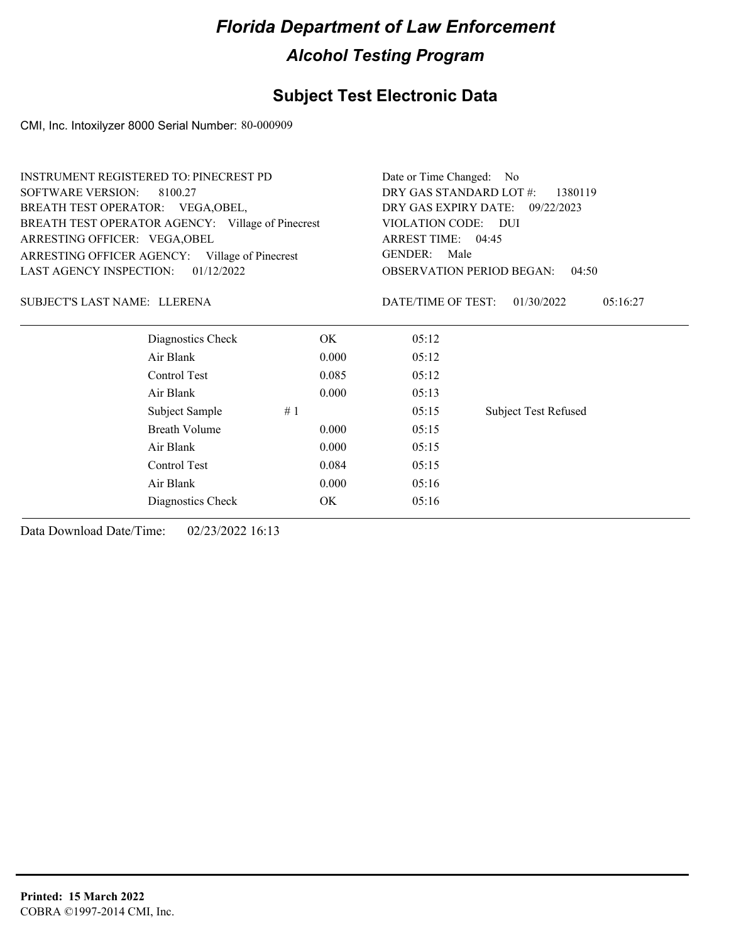### **Subject Test Electronic Data**

CMI, Inc. Intoxilyzer 8000 Serial Number: 80-000909

|                                   | <b>INSTRUMENT REGISTERED TO: PINECREST PD</b>     | Date or Time Changed: No |                                           |                             |  |  |
|-----------------------------------|---------------------------------------------------|--------------------------|-------------------------------------------|-----------------------------|--|--|
| <b>SOFTWARE VERSION:</b>          | 8100.27                                           |                          | DRY GAS STANDARD LOT #:<br>1380119        |                             |  |  |
| BREATH TEST OPERATOR: VEGA, OBEL, |                                                   |                          | DRY GAS EXPIRY DATE:<br>09/22/2023        |                             |  |  |
|                                   | BREATH TEST OPERATOR AGENCY: Village of Pinecrest |                          | VIOLATION CODE: DUI                       |                             |  |  |
| ARRESTING OFFICER: VEGA, OBEL     |                                                   |                          | ARREST TIME: 04:45                        |                             |  |  |
|                                   | ARRESTING OFFICER AGENCY: Village of Pinecrest    |                          | <b>GENDER:</b><br>Male                    |                             |  |  |
| LAST AGENCY INSPECTION:           | 01/12/2022                                        |                          | <b>OBSERVATION PERIOD BEGAN:</b><br>04:50 |                             |  |  |
| SUBJECT'S LAST NAME: LLERENA      |                                                   |                          | DATE/TIME OF TEST:                        | 01/30/2022<br>05:16:27      |  |  |
|                                   | Diagnostics Check                                 | OK.                      | 05:12                                     |                             |  |  |
|                                   | Air Blank                                         | 0.000                    | 05:12                                     |                             |  |  |
|                                   | Control Test                                      | 0.085                    | 05:12                                     |                             |  |  |
|                                   | Air Blank                                         | 0.000                    | 05:13                                     |                             |  |  |
|                                   | Subject Sample                                    | #1                       | 05:15                                     | <b>Subject Test Refused</b> |  |  |
|                                   | <b>Breath Volume</b>                              | 0.000                    | 05:15                                     |                             |  |  |
|                                   | Air Blank                                         | 0.000                    | 05:15                                     |                             |  |  |
|                                   | Control Test                                      | 0.084                    | 05:15                                     |                             |  |  |
|                                   | Air Blank                                         | 0.000                    | 05:16                                     |                             |  |  |
|                                   | Diagnostics Check                                 | OK                       | 05:16                                     |                             |  |  |
|                                   |                                                   |                          |                                           |                             |  |  |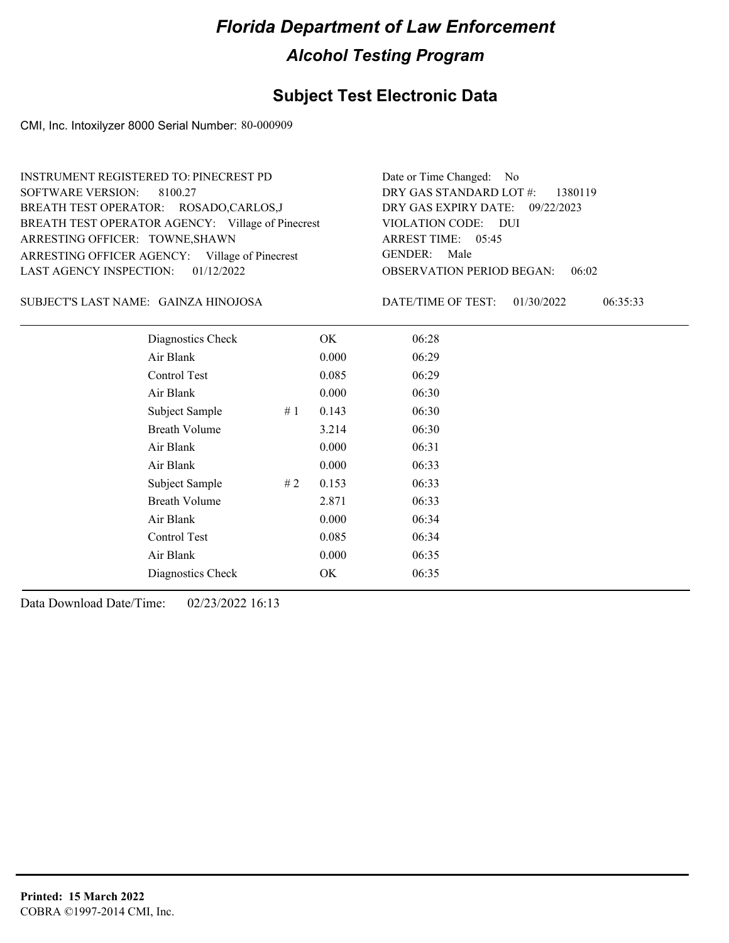### **Subject Test Electronic Data**

CMI, Inc. Intoxilyzer 8000 Serial Number: 80-000909

| INSTRUMENT REGISTERED TO: PINECREST PD            | Date or Time Changed: No               |
|---------------------------------------------------|----------------------------------------|
| SOFTWARE VERSION: 8100.27                         | DRY GAS STANDARD LOT #: 1380119        |
| BREATH TEST OPERATOR: ROSADO,CARLOS,J             | DRY GAS EXPIRY DATE: 09/22/2023        |
| BREATH TEST OPERATOR AGENCY: Village of Pinecrest | VIOLATION CODE: DUI                    |
| ARRESTING OFFICER: TOWNE, SHAWN                   | ARREST TIME: 05:45                     |
| ARRESTING OFFICER AGENCY: Village of Pinecrest    | GENDER: Male                           |
| LAST AGENCY INSPECTION: $01/12/2022$              | <b>OBSERVATION PERIOD BEGAN: 06:02</b> |
|                                                   |                                        |

GAINZA HINOJOSA SUBJECT'S LAST NAME: DATE/TIME OF TEST:

DATE/TIME OF TEST: 01/30/2022 06:35:33

| Diagnostics Check    |     | OK    | 06:28 |  |
|----------------------|-----|-------|-------|--|
| Air Blank            |     | 0.000 | 06:29 |  |
| Control Test         |     | 0.085 | 06:29 |  |
| Air Blank            |     | 0.000 | 06:30 |  |
| Subject Sample       | #1  | 0.143 | 06:30 |  |
| <b>Breath Volume</b> |     | 3.214 | 06:30 |  |
| Air Blank            |     | 0.000 | 06:31 |  |
| Air Blank            |     | 0.000 | 06:33 |  |
| Subject Sample       | # 2 | 0.153 | 06:33 |  |
| <b>Breath Volume</b> |     | 2.871 | 06:33 |  |
| Air Blank            |     | 0.000 | 06:34 |  |
| Control Test         |     | 0.085 | 06:34 |  |
| Air Blank            |     | 0.000 | 06:35 |  |
| Diagnostics Check    |     | OK    | 06:35 |  |
|                      |     |       |       |  |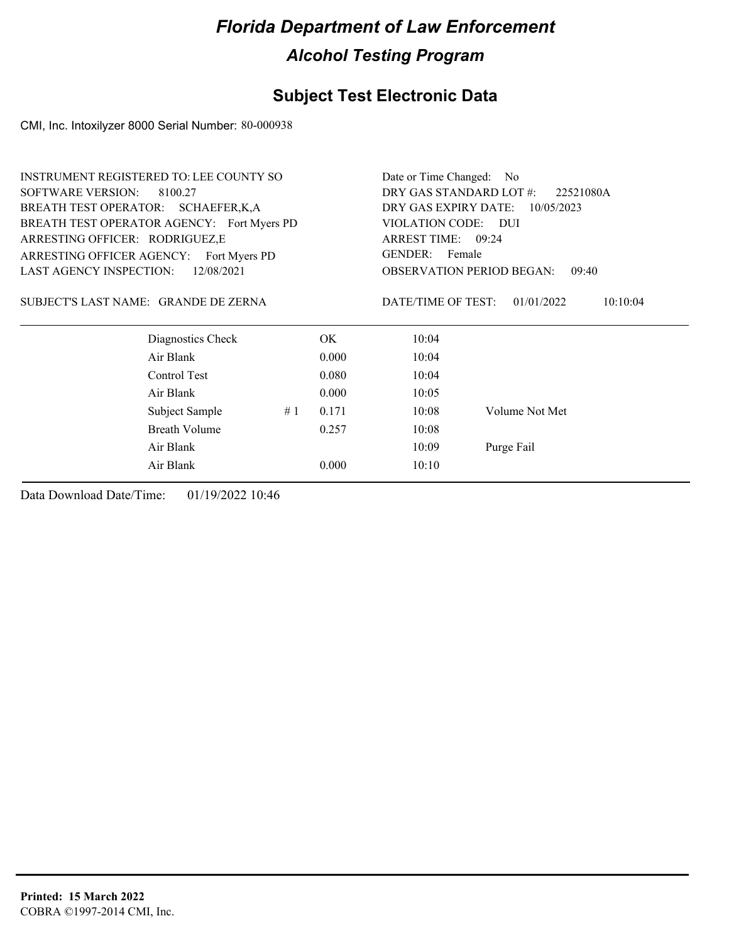### **Subject Test Electronic Data**

CMI, Inc. Intoxilyzer 8000 Serial Number: 80-000938

| <b>INSTRUMENT REGISTERED TO: LEE COUNTY SO</b> |    | Date or Time Changed: No             |                                           |                        |  |
|------------------------------------------------|----|--------------------------------------|-------------------------------------------|------------------------|--|
| <b>SOFTWARE VERSION:</b><br>8100.27            |    | DRY GAS STANDARD LOT #:<br>22521080A |                                           |                        |  |
| BREATH TEST OPERATOR: SCHAEFER, K, A           |    | DRY GAS EXPIRY DATE:                 | 10/05/2023                                |                        |  |
| BREATH TEST OPERATOR AGENCY: Fort Myers PD     |    | VIOLATION CODE:                      | <b>DUI</b>                                |                        |  |
| ARRESTING OFFICER: RODRIGUEZ,E                 |    |                                      | ARREST TIME: 09:24                        |                        |  |
| ARRESTING OFFICER AGENCY:<br>Fort Myers PD     |    |                                      | GENDER: Female                            |                        |  |
| <b>LAST AGENCY INSPECTION:</b><br>12/08/2021   |    |                                      | <b>OBSERVATION PERIOD BEGAN:</b><br>09:40 |                        |  |
| SUBJECT'S LAST NAME: GRANDE DE ZERNA           |    |                                      | DATE/TIME OF TEST:                        | 01/01/2022<br>10:10:04 |  |
| Diagnostics Check                              |    | OK.                                  | 10:04                                     |                        |  |
| Air Blank                                      |    | 0.000                                | 10:04                                     |                        |  |
| Control Test                                   |    | 0.080                                | 10:04                                     |                        |  |
| Air Blank                                      |    | 0.000                                | 10:05                                     |                        |  |
| Subject Sample                                 | #1 | 0.171                                | 10:08                                     | Volume Not Met         |  |
| <b>Breath Volume</b>                           |    | 0.257                                | 10:08                                     |                        |  |
| Air Blank                                      |    |                                      | 10:09                                     | Purge Fail             |  |
| Air Blank                                      |    | 0.000                                | 10:10                                     |                        |  |
|                                                |    |                                      |                                           |                        |  |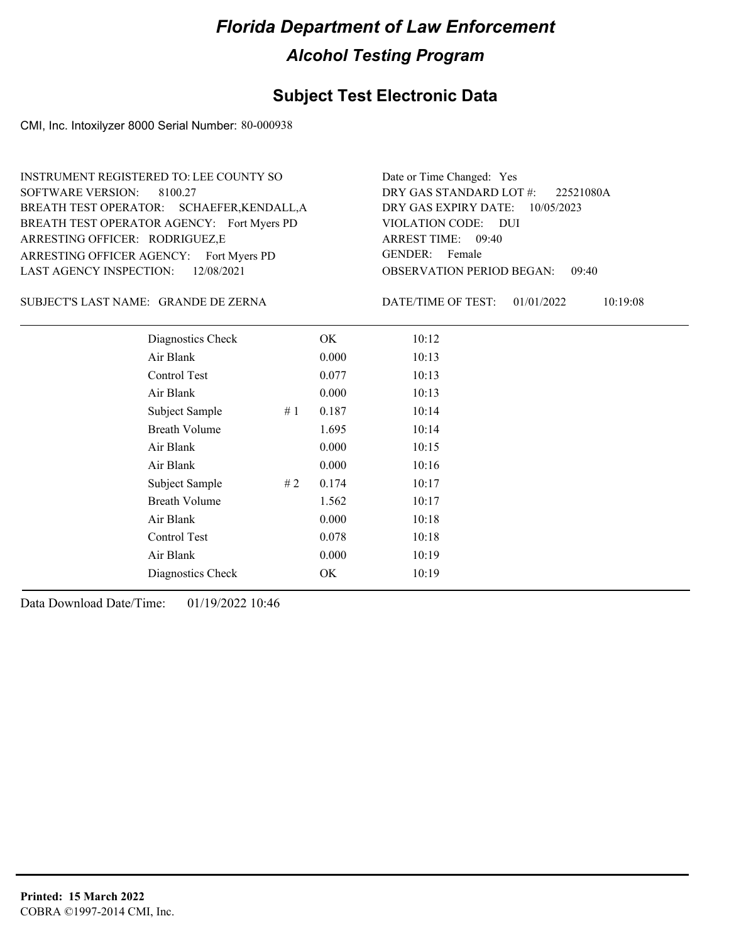### **Subject Test Electronic Data**

CMI, Inc. Intoxilyzer 8000 Serial Number: 80-000938

ARRESTING OFFICER AGENCY: Fort Myers PD GENDER: BREATH TEST OPERATOR AGENCY: Fort Myers PD VIOLATION CODE: SOFTWARE VERSION: 8100.27 ARRESTING OFFICER: RODRIGUEZ,E BREATH TEST OPERATOR: SCHAEFER,KENDALL,A LAST AGENCY INSPECTION: 12/08/2021 INSTRUMENT REGISTERED TO: LEE COUNTY SO

OBSERVATION PERIOD BEGAN: 09:40 VIOLATION CODE: DUI 09:40 ARREST TIME: DRY GAS EXPIRY DATE: 10/05/2023 22521080A DRY GAS STANDARD LOT #: Date or Time Changed: Yes GENDER: Female

GRANDE DE ZERNA SUBJECT'S LAST NAME: DATE/TIME OF TEST:

DATE/TIME OF TEST: 01/01/2022 10:19:08

| Diagnostics Check    |    | OK    | 10:12 |
|----------------------|----|-------|-------|
| Air Blank            |    | 0.000 | 10:13 |
| Control Test         |    | 0.077 | 10:13 |
| Air Blank            |    | 0.000 | 10:13 |
| Subject Sample       | #1 | 0.187 | 10:14 |
| <b>Breath Volume</b> |    | 1.695 | 10:14 |
| Air Blank            |    | 0.000 | 10:15 |
| Air Blank            |    | 0.000 | 10:16 |
| Subject Sample       | #2 | 0.174 | 10:17 |
| <b>Breath Volume</b> |    | 1.562 | 10:17 |
| Air Blank            |    | 0.000 | 10:18 |
| <b>Control Test</b>  |    | 0.078 | 10:18 |
| Air Blank            |    | 0.000 | 10:19 |
| Diagnostics Check    |    | OK    | 10:19 |
|                      |    |       |       |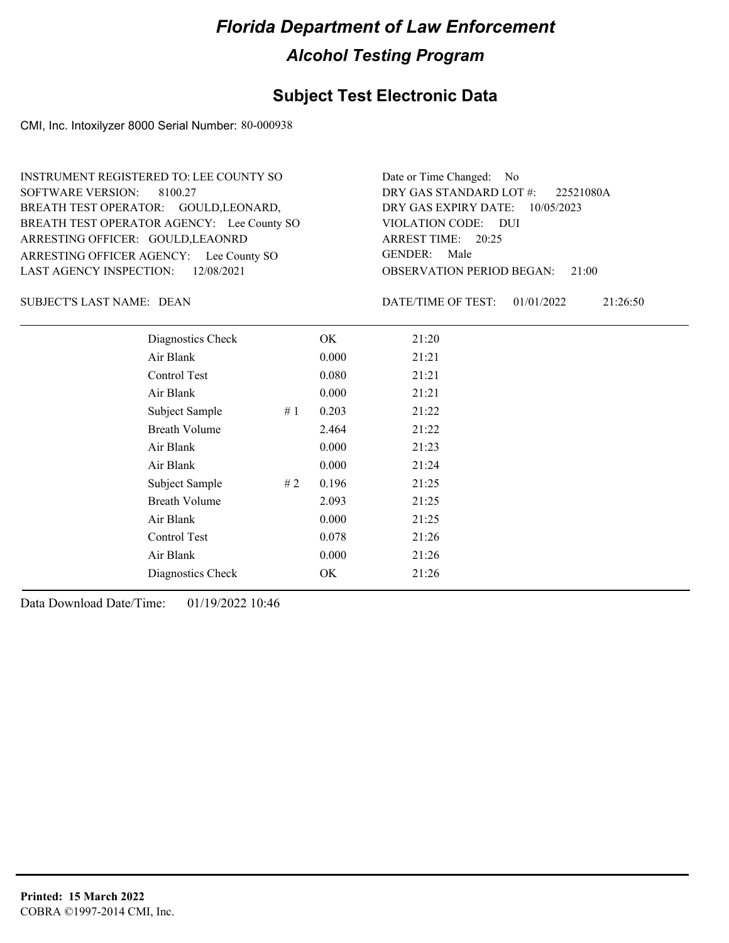### **Subject Test Electronic Data**

CMI, Inc. Intoxilyzer 8000 Serial Number: 80-000938

ARRESTING OFFICER AGENCY: Lee County SO GENDER: BREATH TEST OPERATOR AGENCY: Lee County SO VIOLATION CODE: SOFTWARE VERSION: 8100.27 ARRESTING OFFICER: GOULD, LEAONRD BREATH TEST OPERATOR: GOULD, LEONARD, LAST AGENCY INSPECTION: 12/08/2021 INSTRUMENT REGISTERED TO: LEE COUNTY SO

OBSERVATION PERIOD BEGAN: 21:00 VIOLATION CODE: DUI ARREST TIME: 20:25 DRY GAS EXPIRY DATE: 10/05/2023 22521080A DRY GAS STANDARD LOT #: Date or Time Changed: No GENDER: Male

SUBJECT'S LAST NAME: DEAN DATE/TIME OF TEST:

DATE/TIME OF TEST: 01/01/2022 21:26:50

| Diagnostics Check    |    | OK    | 21:20 |
|----------------------|----|-------|-------|
| Air Blank            |    | 0.000 | 21:21 |
| Control Test         |    | 0.080 | 21:21 |
| Air Blank            |    | 0.000 | 21:21 |
| Subject Sample       | #1 | 0.203 | 21:22 |
| <b>Breath Volume</b> |    | 2.464 | 21:22 |
| Air Blank            |    | 0.000 | 21:23 |
| Air Blank            |    | 0.000 | 21:24 |
| Subject Sample       | #2 | 0.196 | 21:25 |
| <b>Breath Volume</b> |    | 2.093 | 21:25 |
| Air Blank            |    | 0.000 | 21:25 |
| Control Test         |    | 0.078 | 21:26 |
| Air Blank            |    | 0.000 | 21:26 |
| Diagnostics Check    |    | OK.   | 21:26 |
|                      |    |       |       |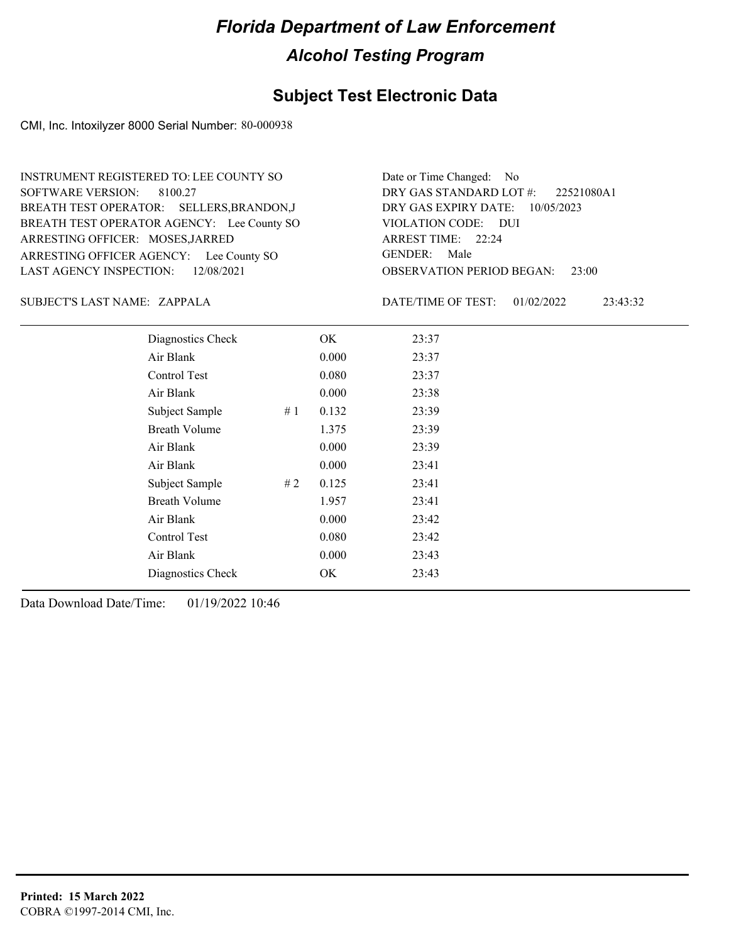### **Subject Test Electronic Data**

CMI, Inc. Intoxilyzer 8000 Serial Number: 80-000938

ARRESTING OFFICER AGENCY: Lee County SO GENDER: BREATH TEST OPERATOR AGENCY: Lee County SO VIOLATION CODE: SOFTWARE VERSION: 8100.27 ARRESTING OFFICER: MOSES, JARRED BREATH TEST OPERATOR: SELLERS,BRANDON,J LAST AGENCY INSPECTION: 12/08/2021 INSTRUMENT REGISTERED TO: LEE COUNTY SO

OBSERVATION PERIOD BEGAN: 23:00 VIOLATION CODE: DUI ARREST TIME: 22:24 DRY GAS EXPIRY DATE: 10/05/2023 22521080A1 DRY GAS STANDARD LOT #: Date or Time Changed: No GENDER: Male

ZAPPALA SUBJECT'S LAST NAME: DATE/TIME OF TEST:

DATE/TIME OF TEST: 01/02/2022 23:43:32

| Diagnostics Check    |    | OK    | 23:37 |
|----------------------|----|-------|-------|
| Air Blank            |    | 0.000 | 23:37 |
| Control Test         |    | 0.080 | 23:37 |
| Air Blank            |    | 0.000 | 23:38 |
| Subject Sample       | #1 | 0.132 | 23:39 |
| <b>Breath Volume</b> |    | 1.375 | 23:39 |
| Air Blank            |    | 0.000 | 23:39 |
| Air Blank            |    | 0.000 | 23:41 |
| Subject Sample       | #2 | 0.125 | 23:41 |
| <b>Breath Volume</b> |    | 1.957 | 23:41 |
| Air Blank            |    | 0.000 | 23:42 |
| Control Test         |    | 0.080 | 23:42 |
| Air Blank            |    | 0.000 | 23:43 |
| Diagnostics Check    |    | OK    | 23:43 |
|                      |    |       |       |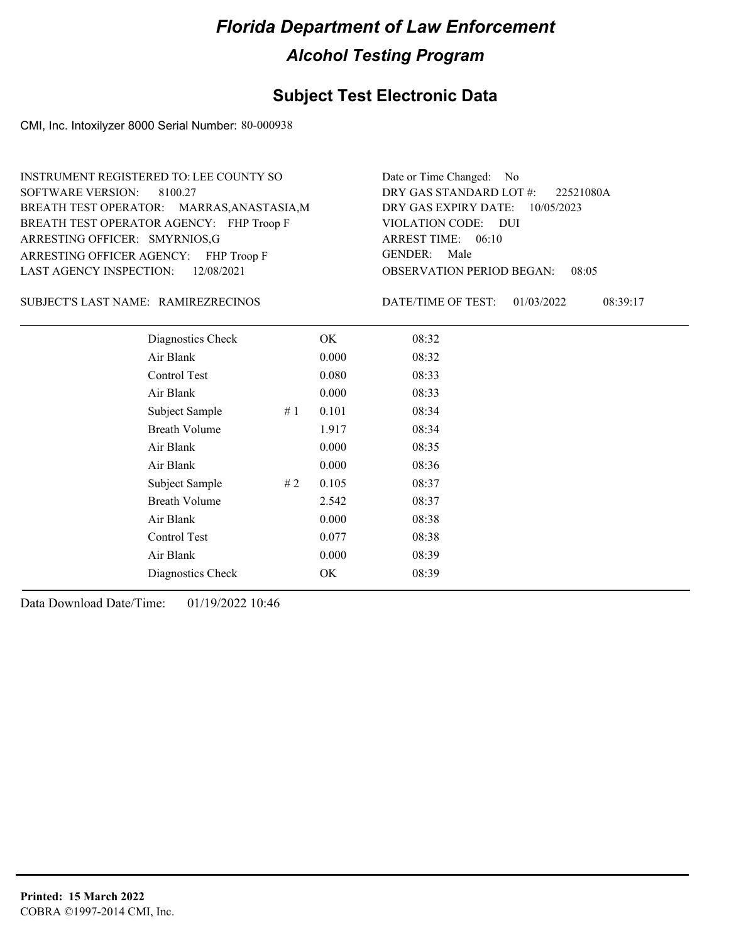### **Subject Test Electronic Data**

CMI, Inc. Intoxilyzer 8000 Serial Number: 80-000938

ARRESTING OFFICER AGENCY: FHP Troop F GENDER: BREATH TEST OPERATOR AGENCY: FHP Troop F VIOLATION CODE: SOFTWARE VERSION: 8100.27 ARRESTING OFFICER: SMYRNIOS,G BREATH TEST OPERATOR: MARRAS,ANASTASIA,M LAST AGENCY INSPECTION: 12/08/2021 INSTRUMENT REGISTERED TO: LEE COUNTY SO

OBSERVATION PERIOD BEGAN: 08:05 VIOLATION CODE: DUI ARREST TIME: 06:10 DRY GAS EXPIRY DATE: 10/05/2023 22521080A DRY GAS STANDARD LOT #: Date or Time Changed: No GENDER: Male

RAMIREZRECINOS SUBJECT'S LAST NAME: DATE/TIME OF TEST:

DATE/TIME OF TEST: 01/03/2022 08:39:17

| Diagnostics Check    |    | OK    | 08:32 |  |
|----------------------|----|-------|-------|--|
| Air Blank            |    | 0.000 | 08:32 |  |
| Control Test         |    | 0.080 | 08:33 |  |
| Air Blank            |    | 0.000 | 08:33 |  |
| Subject Sample       | #1 | 0.101 | 08:34 |  |
| <b>Breath Volume</b> |    | 1.917 | 08:34 |  |
| Air Blank            |    | 0.000 | 08:35 |  |
| Air Blank            |    | 0.000 | 08:36 |  |
| Subject Sample       | #2 | 0.105 | 08:37 |  |
| <b>Breath Volume</b> |    | 2.542 | 08:37 |  |
| Air Blank            |    | 0.000 | 08:38 |  |
| Control Test         |    | 0.077 | 08:38 |  |
| Air Blank            |    | 0.000 | 08:39 |  |
| Diagnostics Check    |    | OK    | 08:39 |  |
|                      |    |       |       |  |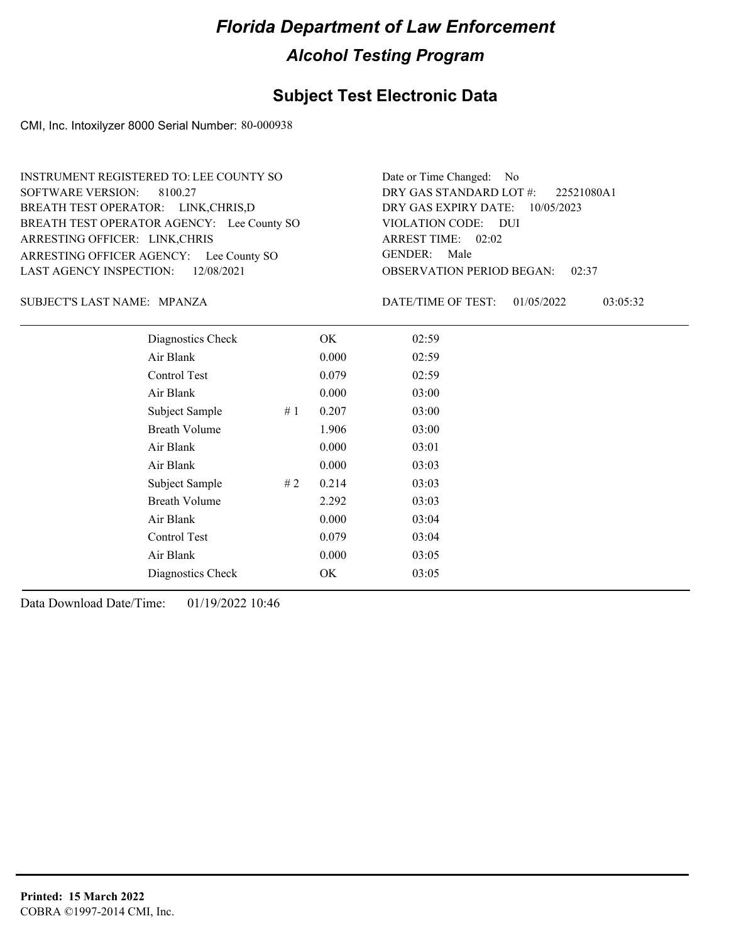### **Subject Test Electronic Data**

CMI, Inc. Intoxilyzer 8000 Serial Number: 80-000938

ARRESTING OFFICER AGENCY: Lee County SO GENDER: BREATH TEST OPERATOR AGENCY: Lee County SO VIOLATION CODE: SOFTWARE VERSION: 8100.27 ARRESTING OFFICER: LINK,CHRIS BREATH TEST OPERATOR: LINK,CHRIS,D LAST AGENCY INSPECTION: 12/08/2021 INSTRUMENT REGISTERED TO: LEE COUNTY SO

OBSERVATION PERIOD BEGAN: 02:37 VIOLATION CODE: DUI ARREST TIME: 02:02 DRY GAS EXPIRY DATE: 10/05/2023 22521080A1 DRY GAS STANDARD LOT #: Date or Time Changed: No GENDER: Male

MPANZA SUBJECT'S LAST NAME: DATE/TIME OF TEST:

DATE/TIME OF TEST: 01/05/2022 03:05:32

| Diagnostics Check    |    | OK    | 02:59 |  |
|----------------------|----|-------|-------|--|
| Air Blank            |    | 0.000 | 02:59 |  |
| Control Test         |    | 0.079 | 02:59 |  |
| Air Blank            |    | 0.000 | 03:00 |  |
| Subject Sample       | #1 | 0.207 | 03:00 |  |
| <b>Breath Volume</b> |    | 1.906 | 03:00 |  |
| Air Blank            |    | 0.000 | 03:01 |  |
| Air Blank            |    | 0.000 | 03:03 |  |
| Subject Sample       | #2 | 0.214 | 03:03 |  |
| <b>Breath Volume</b> |    | 2.292 | 03:03 |  |
| Air Blank            |    | 0.000 | 03:04 |  |
| Control Test         |    | 0.079 | 03:04 |  |
| Air Blank            |    | 0.000 | 03:05 |  |
| Diagnostics Check    |    | OK    | 03:05 |  |
|                      |    |       |       |  |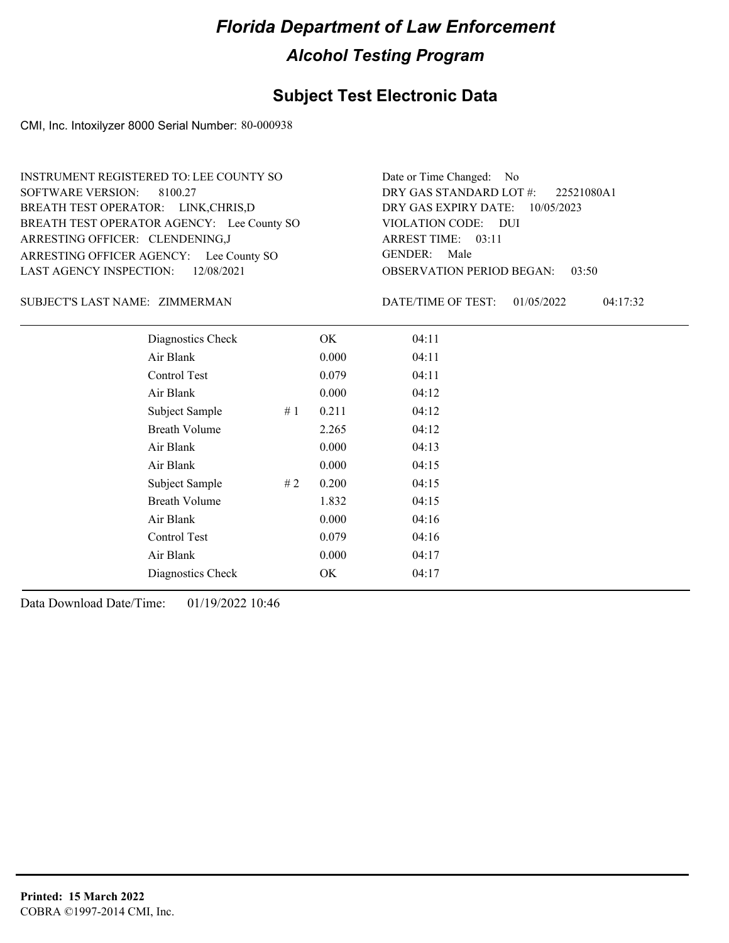### **Subject Test Electronic Data**

CMI, Inc. Intoxilyzer 8000 Serial Number: 80-000938

ARRESTING OFFICER AGENCY: Lee County SO GENDER: BREATH TEST OPERATOR AGENCY: Lee County SO VIOLATION CODE: SOFTWARE VERSION: 8100.27 ARRESTING OFFICER: CLENDENING,J BREATH TEST OPERATOR: LINK,CHRIS,D LAST AGENCY INSPECTION: 12/08/2021 INSTRUMENT REGISTERED TO: LEE COUNTY SO

OBSERVATION PERIOD BEGAN: 03:50 VIOLATION CODE: DUI ARREST TIME: 03:11 DRY GAS EXPIRY DATE: 10/05/2023 22521080A1 DRY GAS STANDARD LOT #: Date or Time Changed: No GENDER: Male

#### ZIMMERMAN SUBJECT'S LAST NAME: DATE/TIME OF TEST:

DATE/TIME OF TEST: 01/05/2022 04:17:32

| Diagnostics Check    |    | OK    | 04:11 |
|----------------------|----|-------|-------|
| Air Blank            |    | 0.000 | 04:11 |
| Control Test         |    | 0.079 | 04:11 |
| Air Blank            |    | 0.000 | 04:12 |
| Subject Sample       | #1 | 0.211 | 04:12 |
| <b>Breath Volume</b> |    | 2.265 | 04:12 |
| Air Blank            |    | 0.000 | 04:13 |
| Air Blank            |    | 0.000 | 04:15 |
| Subject Sample       | #2 | 0.200 | 04:15 |
| <b>Breath Volume</b> |    | 1.832 | 04:15 |
| Air Blank            |    | 0.000 | 04:16 |
| Control Test         |    | 0.079 | 04:16 |
| Air Blank            |    | 0.000 | 04:17 |
| Diagnostics Check    |    | OK    | 04:17 |
|                      |    |       |       |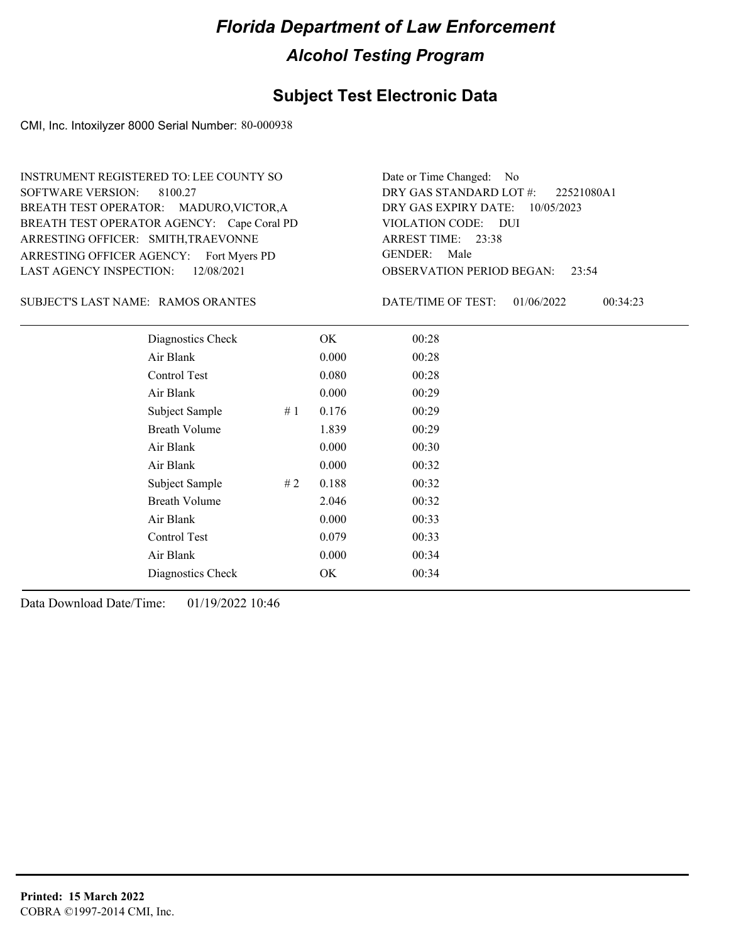### **Subject Test Electronic Data**

CMI, Inc. Intoxilyzer 8000 Serial Number: 80-000938

ARRESTING OFFICER AGENCY: Fort Myers PD GENDER: BREATH TEST OPERATOR AGENCY: Cape Coral PD VIOLATION CODE: SOFTWARE VERSION: 8100.27 ARRESTING OFFICER: SMITH,TRAEVONNE BREATH TEST OPERATOR: MADURO,VICTOR,A LAST AGENCY INSPECTION: 12/08/2021 INSTRUMENT REGISTERED TO: LEE COUNTY SO

OBSERVATION PERIOD BEGAN: 23:54 VIOLATION CODE: DUI 23:38 ARREST TIME: DRY GAS EXPIRY DATE: 10/05/2023 22521080A1 DRY GAS STANDARD LOT #: Date or Time Changed: No GENDER: Male

SUBJECT'S LAST NAME: RAMOS ORANTES DATE/TIME OF TEST:

DATE/TIME OF TEST: 01/06/2022 00:34:23

| Diagnostics Check    |    | OK    | 00:28 |  |
|----------------------|----|-------|-------|--|
| Air Blank            |    | 0.000 | 00:28 |  |
| Control Test         |    | 0.080 | 00:28 |  |
| Air Blank            |    | 0.000 | 00:29 |  |
| Subject Sample       | #1 | 0.176 | 00:29 |  |
| <b>Breath Volume</b> |    | 1.839 | 00:29 |  |
| Air Blank            |    | 0.000 | 00:30 |  |
| Air Blank            |    | 0.000 | 00:32 |  |
| Subject Sample       | #2 | 0.188 | 00:32 |  |
| <b>Breath Volume</b> |    | 2.046 | 00:32 |  |
| Air Blank            |    | 0.000 | 00:33 |  |
| Control Test         |    | 0.079 | 00:33 |  |
| Air Blank            |    | 0.000 | 00:34 |  |
| Diagnostics Check    |    | OK    | 00:34 |  |
|                      |    |       |       |  |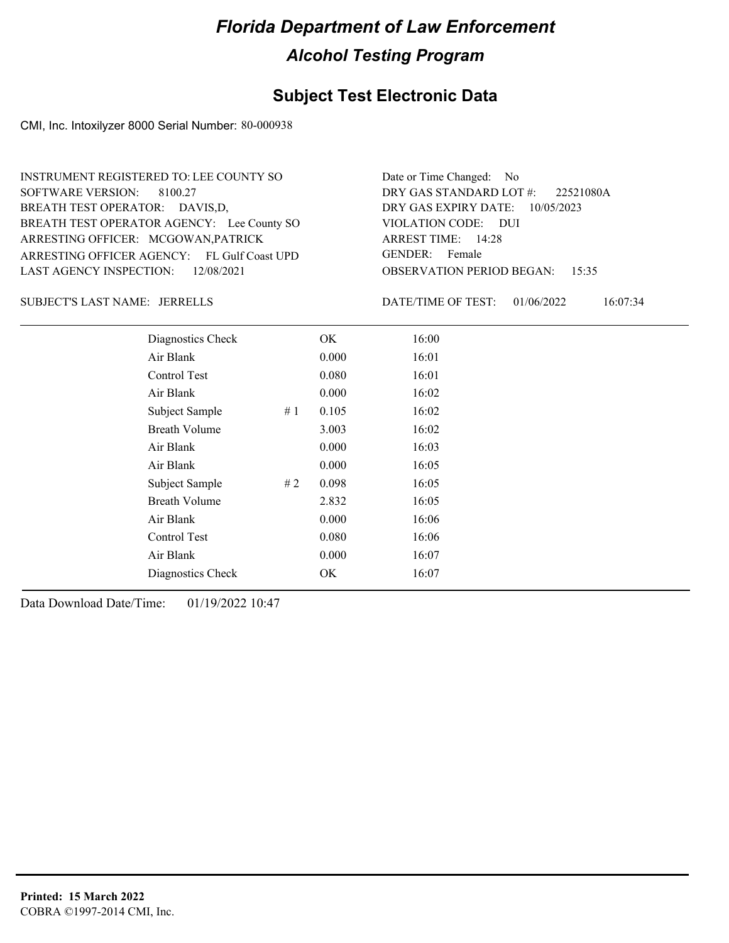### **Subject Test Electronic Data**

CMI, Inc. Intoxilyzer 8000 Serial Number: 80-000938

ARRESTING OFFICER AGENCY: FL Gulf Coast UPD GENDER: BREATH TEST OPERATOR AGENCY: Lee County SO VIOLATION CODE: SOFTWARE VERSION: ARRESTING OFFICER: MCGOWAN,PATRICK BREATH TEST OPERATOR: DAVIS,D, LAST AGENCY INSPECTION: 12/08/2021 8100.27 INSTRUMENT REGISTERED TO: LEE COUNTY SO

OBSERVATION PERIOD BEGAN: 15:35 VIOLATION CODE: DUI ARREST TIME: 14:28 DRY GAS EXPIRY DATE: 10/05/2023 22521080A DRY GAS STANDARD LOT #: Date or Time Changed: No GENDER: Female

JERRELLS SUBJECT'S LAST NAME: DATE/TIME OF TEST:

DATE/TIME OF TEST: 01/06/2022 16:07:34

| Diagnostics Check    |    | OK    | 16:00 |
|----------------------|----|-------|-------|
| Air Blank            |    | 0.000 | 16:01 |
| Control Test         |    | 0.080 | 16:01 |
| Air Blank            |    | 0.000 | 16:02 |
| Subject Sample       | #1 | 0.105 | 16:02 |
| <b>Breath Volume</b> |    | 3.003 | 16:02 |
| Air Blank            |    | 0.000 | 16:03 |
| Air Blank            |    | 0.000 | 16:05 |
| Subject Sample       | #2 | 0.098 | 16:05 |
| <b>Breath Volume</b> |    | 2.832 | 16:05 |
| Air Blank            |    | 0.000 | 16:06 |
| Control Test         |    | 0.080 | 16:06 |
| Air Blank            |    | 0.000 | 16:07 |
| Diagnostics Check    |    | OK    | 16:07 |
|                      |    |       |       |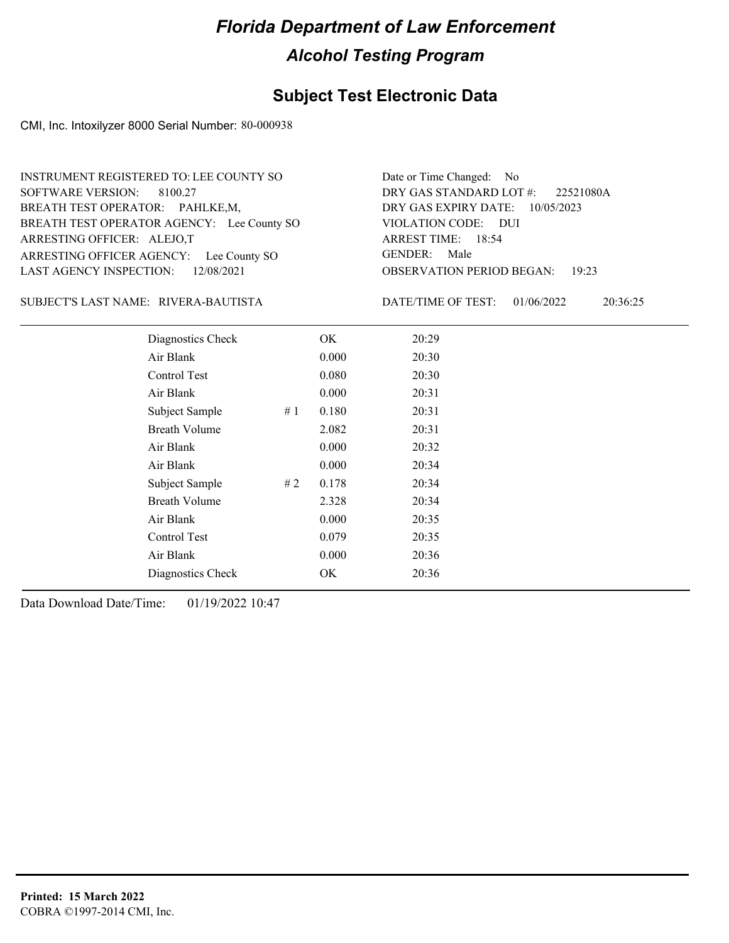### **Subject Test Electronic Data**

CMI, Inc. Intoxilyzer 8000 Serial Number: 80-000938

ARRESTING OFFICER AGENCY: Lee County SO GENDER: BREATH TEST OPERATOR AGENCY: Lee County SO VIOLATION CODE: SOFTWARE VERSION: 8100.27 ARRESTING OFFICER: ALEJO,T BREATH TEST OPERATOR: PAHLKE,M, LAST AGENCY INSPECTION: 12/08/2021 INSTRUMENT REGISTERED TO: LEE COUNTY SO

OBSERVATION PERIOD BEGAN: 19:23 VIOLATION CODE: DUI ARREST TIME: 18:54 DRY GAS EXPIRY DATE: 10/05/2023 22521080A DRY GAS STANDARD LOT #: Date or Time Changed: No GENDER: Male

RIVERA-BAUTISTA SUBJECT'S LAST NAME: DATE/TIME OF TEST:

DATE/TIME OF TEST: 01/06/2022 20:36:25

| Diagnostics Check    |    | OK    | 20:29 |
|----------------------|----|-------|-------|
| Air Blank            |    | 0.000 | 20:30 |
| Control Test         |    | 0.080 | 20:30 |
| Air Blank            |    | 0.000 | 20:31 |
| Subject Sample       | #1 | 0.180 | 20:31 |
| <b>Breath Volume</b> |    | 2.082 | 20:31 |
| Air Blank            |    | 0.000 | 20:32 |
| Air Blank            |    | 0.000 | 20:34 |
| Subject Sample       | #2 | 0.178 | 20:34 |
| <b>Breath Volume</b> |    | 2.328 | 20:34 |
| Air Blank            |    | 0.000 | 20:35 |
| Control Test         |    | 0.079 | 20:35 |
| Air Blank            |    | 0.000 | 20:36 |
| Diagnostics Check    |    | OK    | 20:36 |
|                      |    |       |       |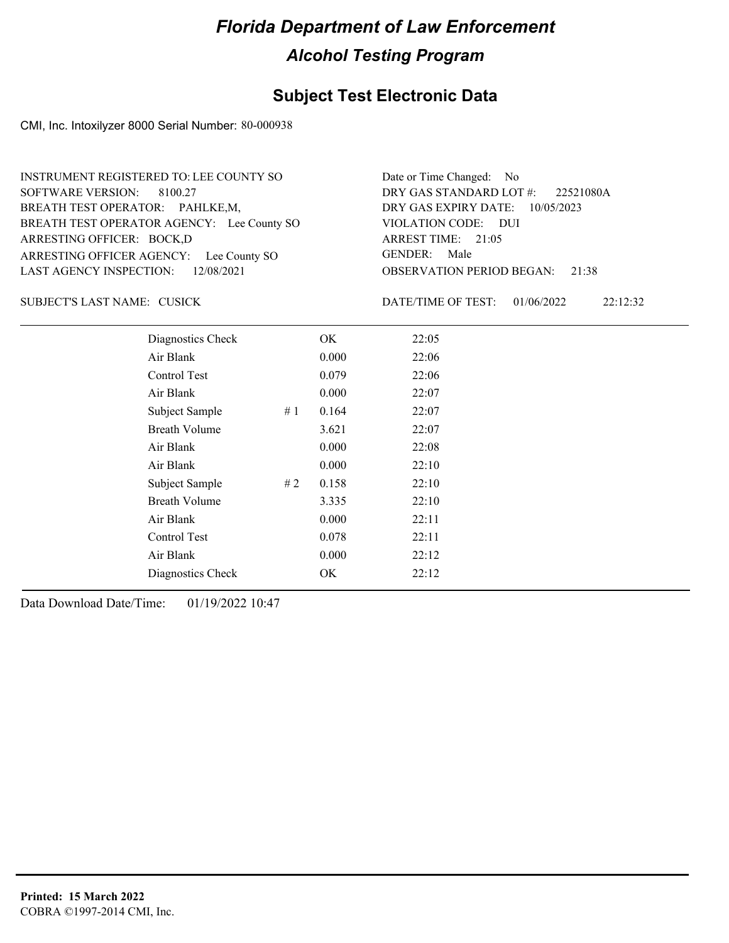### **Subject Test Electronic Data**

CMI, Inc. Intoxilyzer 8000 Serial Number: 80-000938

ARRESTING OFFICER AGENCY: Lee County SO GENDER: BREATH TEST OPERATOR AGENCY: Lee County SO VIOLATION CODE: SOFTWARE VERSION: 8100.27 ARRESTING OFFICER: BOCK,D BREATH TEST OPERATOR: PAHLKE,M, LAST AGENCY INSPECTION: 12/08/2021 INSTRUMENT REGISTERED TO: LEE COUNTY SO

OBSERVATION PERIOD BEGAN: 21:38 VIOLATION CODE: DUI ARREST TIME: 21:05 DRY GAS EXPIRY DATE: 10/05/2023 22521080A DRY GAS STANDARD LOT #: Date or Time Changed: No GENDER: Male

SUBJECT'S LAST NAME: CUSICK DATE/TIME OF TEST:

DATE/TIME OF TEST: 01/06/2022 22:12:32

| Diagnostics Check    | OK    | 22:05 |
|----------------------|-------|-------|
| Air Blank            | 0.000 | 22:06 |
| Control Test         | 0.079 | 22:06 |
| Air Blank            | 0.000 | 22:07 |
| Subject Sample<br>#1 | 0.164 | 22:07 |
| <b>Breath Volume</b> | 3.621 | 22:07 |
| Air Blank            | 0.000 | 22:08 |
| Air Blank            | 0.000 | 22:10 |
| Subject Sample<br>#2 | 0.158 | 22:10 |
| <b>Breath Volume</b> | 3.335 | 22:10 |
| Air Blank            | 0.000 | 22:11 |
| Control Test         | 0.078 | 22:11 |
| Air Blank            | 0.000 | 22:12 |
| Diagnostics Check    | OK    | 22:12 |
|                      |       |       |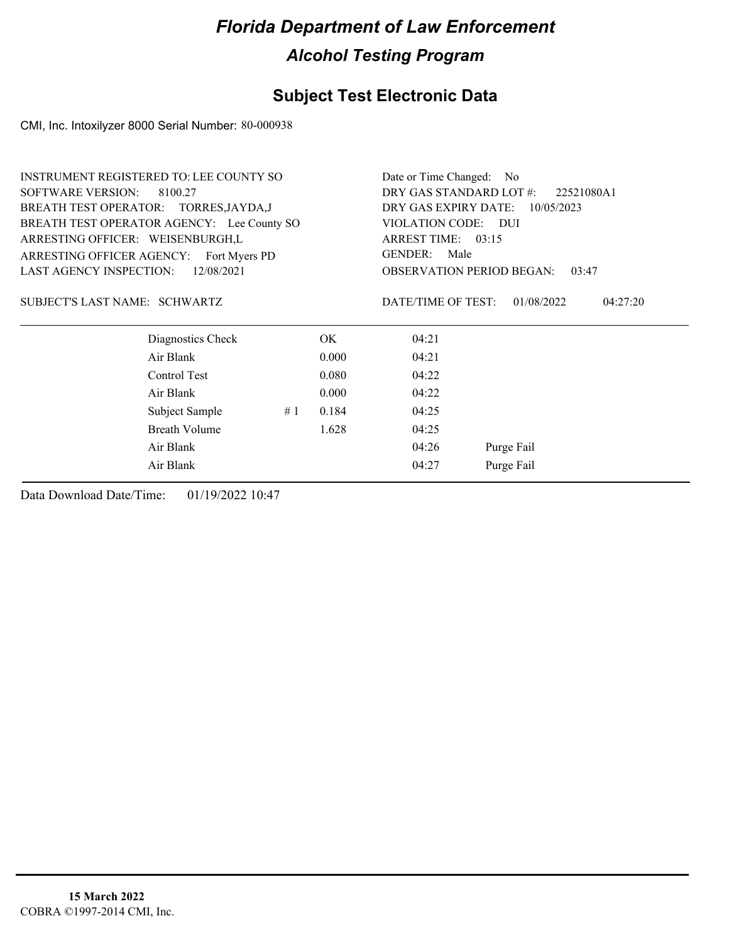### **Subject Test Electronic Data**

CMI, Inc. Intoxilyzer 8000 Serial Number: 80-000938

| <b>INSTRUMENT REGISTERED TO: LEE COUNTY SO</b>                                 |                      |    |       | Date or Time Changed: No                     |                                 |  |  |                                |
|--------------------------------------------------------------------------------|----------------------|----|-------|----------------------------------------------|---------------------------------|--|--|--------------------------------|
| <b>SOFTWARE VERSION:</b><br>8100.27                                            |                      |    |       | DRY GAS STANDARD LOT #:                      | 22521080A1                      |  |  |                                |
| BREATH TEST OPERATOR: TORRES, JAYDA, J                                         |                      |    |       |                                              | DRY GAS EXPIRY DATE: 10/05/2023 |  |  |                                |
| BREATH TEST OPERATOR AGENCY: Lee County SO                                     |                      |    |       | VIOLATION CODE: DUI                          |                                 |  |  |                                |
| ARRESTING OFFICER: WEISENBURGH,L<br>ARRESTING OFFICER AGENCY:<br>Fort Myers PD |                      |    |       | ARREST TIME: 03:15<br><b>GENDER:</b><br>Male |                                 |  |  |                                |
|                                                                                |                      |    |       |                                              |                                 |  |  | <b>LAST AGENCY INSPECTION:</b> |
| SUBJECT'S LAST NAME: SCHWARTZ                                                  |                      |    |       | DATE/TIME OF TEST:                           | 01/08/2022<br>04:27:20          |  |  |                                |
|                                                                                | Diagnostics Check    |    | OK.   | 04:21                                        |                                 |  |  |                                |
| Air Blank                                                                      |                      |    | 0.000 | 04:21                                        |                                 |  |  |                                |
| Control Test                                                                   |                      |    | 0.080 | 04:22                                        |                                 |  |  |                                |
| Air Blank                                                                      |                      |    | 0.000 | 04:22                                        |                                 |  |  |                                |
|                                                                                | Subject Sample       | #1 | 0.184 | 04:25                                        |                                 |  |  |                                |
|                                                                                | <b>Breath Volume</b> |    | 1.628 | 04:25                                        |                                 |  |  |                                |
| Air Blank                                                                      |                      |    |       | 04:26                                        | Purge Fail                      |  |  |                                |
| Air Blank                                                                      |                      |    |       | 04:27                                        | Purge Fail                      |  |  |                                |
|                                                                                |                      |    |       |                                              |                                 |  |  |                                |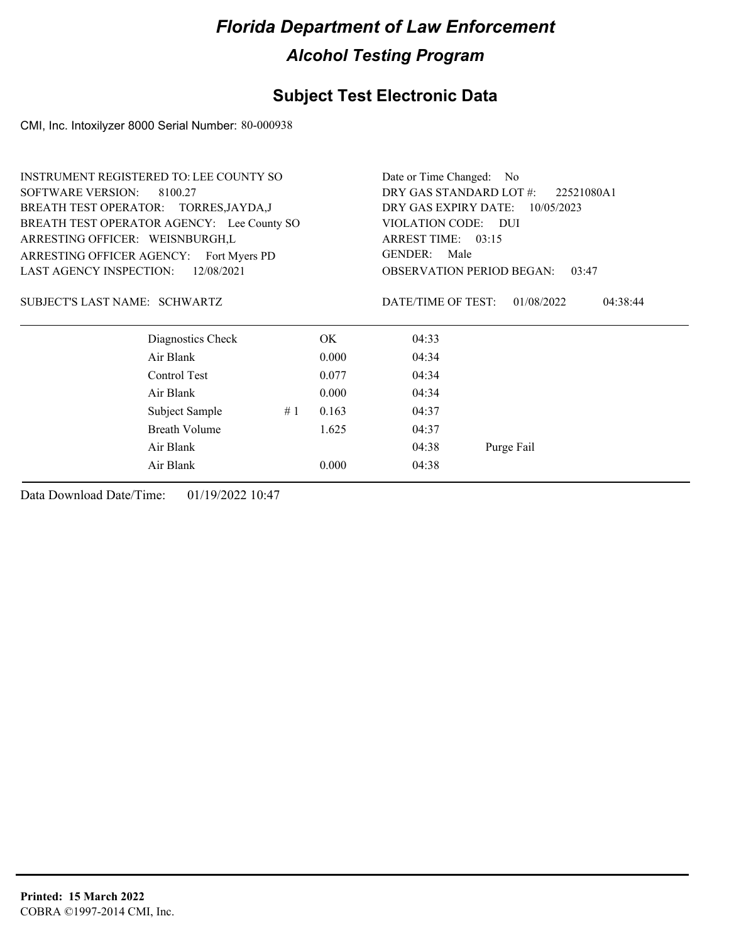### **Subject Test Electronic Data**

CMI, Inc. Intoxilyzer 8000 Serial Number: 80-000938

|                                              | <b>INSTRUMENT REGISTERED TO: LEE COUNTY SO</b> |    |       | Date or Time Changed: No                  |                        |  |  |
|----------------------------------------------|------------------------------------------------|----|-------|-------------------------------------------|------------------------|--|--|
| <b>SOFTWARE VERSION:</b>                     | 8100.27                                        |    |       | DRY GAS STANDARD LOT #:                   | 22521080A1             |  |  |
|                                              | BREATH TEST OPERATOR: TORRES, JAYDA, J         |    |       | DRY GAS EXPIRY DATE:                      | 10/05/2023             |  |  |
|                                              | BREATH TEST OPERATOR AGENCY: Lee County SO     |    |       | VIOLATION CODE:                           | - DUI                  |  |  |
| ARRESTING OFFICER: WEISNBURGH,L              |                                                |    |       | ARREST TIME: 03:15                        |                        |  |  |
|                                              | ARRESTING OFFICER AGENCY: Fort Myers PD        |    |       | <b>GENDER:</b><br>Male                    |                        |  |  |
| <b>LAST AGENCY INSPECTION:</b><br>12/08/2021 |                                                |    |       | <b>OBSERVATION PERIOD BEGAN:</b><br>03:47 |                        |  |  |
| SUBJECT'S LAST NAME: SCHWARTZ                |                                                |    |       | DATE/TIME OF TEST:                        | 01/08/2022<br>04:38:44 |  |  |
|                                              | Diagnostics Check                              |    | OK.   | 04:33                                     |                        |  |  |
|                                              | Air Blank                                      |    | 0.000 | 04:34                                     |                        |  |  |
|                                              | Control Test                                   |    | 0.077 | 04:34                                     |                        |  |  |
|                                              | Air Blank                                      |    | 0.000 | 04:34                                     |                        |  |  |
|                                              | Subject Sample                                 | #1 | 0.163 | 04:37                                     |                        |  |  |
|                                              | <b>Breath Volume</b>                           |    | 1.625 | 04:37                                     |                        |  |  |
|                                              | Air Blank                                      |    |       | 04:38                                     | Purge Fail             |  |  |
|                                              | Air Blank                                      |    | 0.000 | 04:38                                     |                        |  |  |
|                                              |                                                |    |       |                                           |                        |  |  |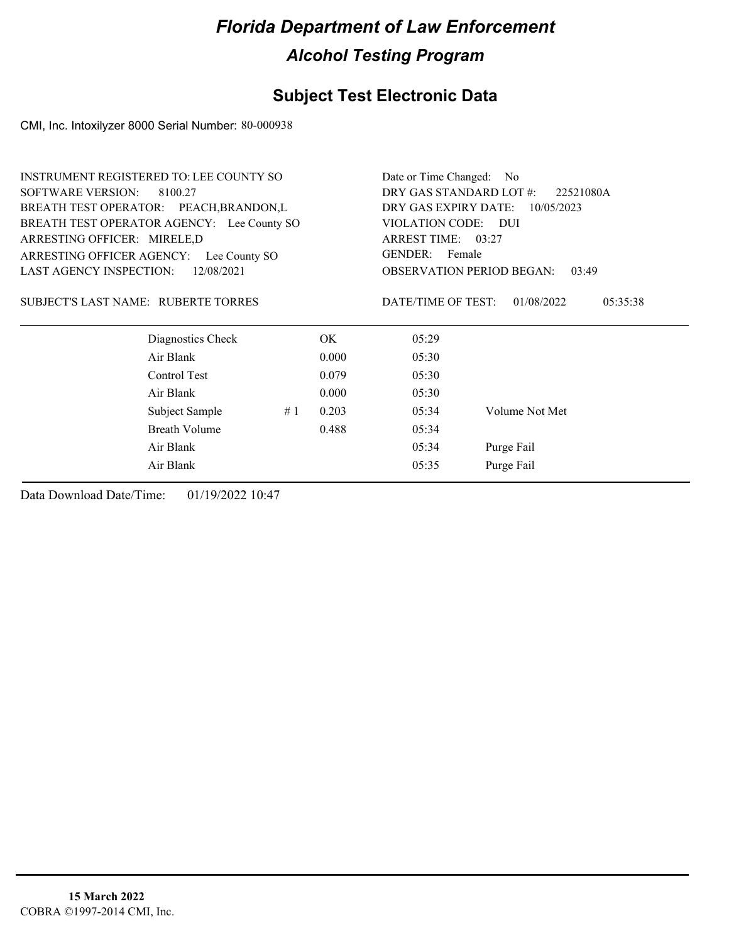### **Subject Test Electronic Data**

CMI, Inc. Intoxilyzer 8000 Serial Number: 80-000938

|                                | <b>INSTRUMENT REGISTERED TO: LEE COUNTY SO</b> |    |       | Date or Time Changed: No |                                           |
|--------------------------------|------------------------------------------------|----|-------|--------------------------|-------------------------------------------|
| <b>SOFTWARE VERSION:</b>       | 8100.27                                        |    |       | DRY GAS STANDARD LOT #:  | 22521080A                                 |
|                                | BREATH TEST OPERATOR: PEACH, BRANDON, L        |    |       | DRY GAS EXPIRY DATE:     | 10/05/2023                                |
|                                | BREATH TEST OPERATOR AGENCY: Lee County SO     |    |       | VIOLATION CODE:          | DUI                                       |
| ARRESTING OFFICER: MIRELE,D    |                                                |    |       | ARREST TIME: 03:27       |                                           |
| ARRESTING OFFICER AGENCY:      | Lee County SO                                  |    |       | GENDER: Female           |                                           |
| <b>LAST AGENCY INSPECTION:</b> | 12/08/2021                                     |    |       |                          | <b>OBSERVATION PERIOD BEGAN:</b><br>03:49 |
|                                | SUBJECT'S LAST NAME: RUBERTE TORRES            |    |       | DATE/TIME OF TEST:       | 01/08/2022<br>05:35:38                    |
|                                | Diagnostics Check                              |    | OK.   | 05:29                    |                                           |
|                                | Air Blank                                      |    | 0.000 | 05:30                    |                                           |
|                                | Control Test                                   |    | 0.079 | 05:30                    |                                           |
|                                | Air Blank                                      |    | 0.000 | 05:30                    |                                           |
|                                | Subject Sample                                 | #1 | 0.203 | 05:34                    | Volume Not Met                            |
|                                | <b>Breath Volume</b>                           |    | 0.488 | 05:34                    |                                           |
|                                | Air Blank                                      |    |       | 05:34                    | Purge Fail                                |
|                                | Air Blank                                      |    |       | 05:35                    | Purge Fail                                |
|                                |                                                |    |       |                          |                                           |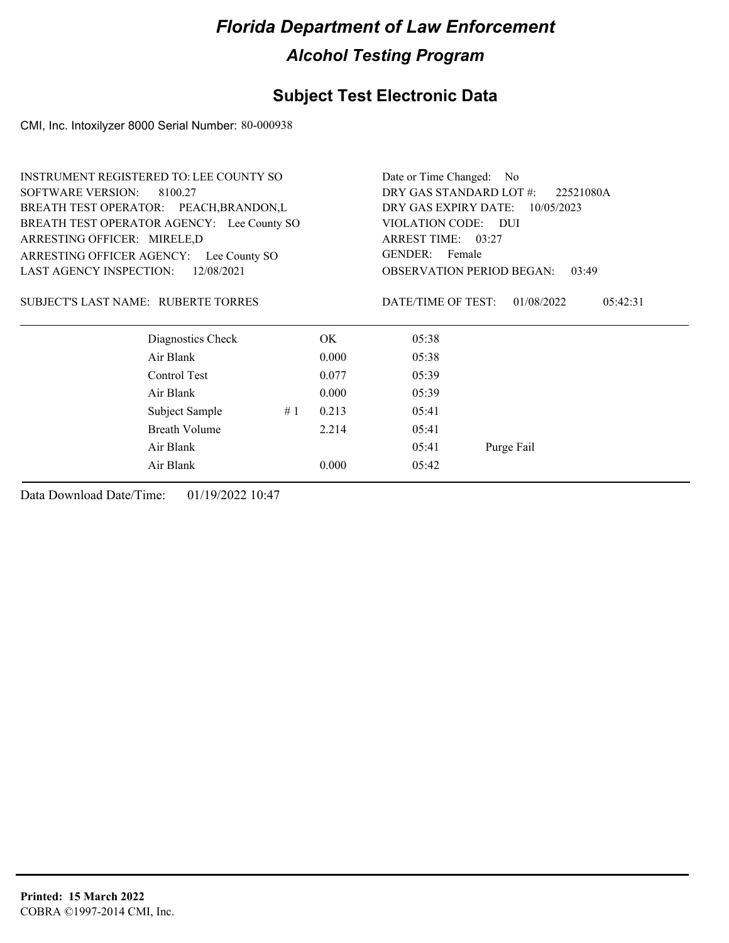### **Subject Test Electronic Data**

CMI, Inc. Intoxilyzer 8000 Serial Number: 80-000938

|                                     | <b>INSTRUMENT REGISTERED TO: LEE COUNTY SO</b> |    |       | Date or Time Changed: No    |                                           |
|-------------------------------------|------------------------------------------------|----|-------|-----------------------------|-------------------------------------------|
| <b>SOFTWARE VERSION:</b>            | 8100.27                                        |    |       | DRY GAS STANDARD LOT #:     | 22521080A                                 |
|                                     | BREATH TEST OPERATOR: PEACH, BRANDON, L        |    |       | DRY GAS EXPIRY DATE:        | 10/05/2023                                |
|                                     | BREATH TEST OPERATOR AGENCY: Lee County SO     |    |       | VIOLATION CODE:             | - DUI                                     |
| ARRESTING OFFICER: MIRELE,D         |                                                |    |       | ARREST TIME: 03:27          |                                           |
|                                     | ARRESTING OFFICER AGENCY: Lee County SO        |    |       | GENDER: Female              |                                           |
| <b>LAST AGENCY INSPECTION:</b>      | 12/08/2021                                     |    |       |                             | <b>OBSERVATION PERIOD BEGAN:</b><br>03:49 |
| SUBJECT'S LAST NAME: RUBERTE TORRES | Diagnostics Check                              |    | OK.   | DATE/TIME OF TEST:<br>05:38 | 01/08/2022<br>05:42:31                    |
|                                     | Air Blank                                      |    | 0.000 | 05:38                       |                                           |
|                                     |                                                |    |       |                             |                                           |
|                                     | Control Test                                   |    | 0.077 | 05:39                       |                                           |
|                                     | Air Blank                                      |    | 0.000 | 05:39                       |                                           |
|                                     | Subject Sample                                 | #1 | 0.213 | 05:41                       |                                           |
|                                     | <b>Breath Volume</b>                           |    | 2.214 | 05:41                       |                                           |
|                                     | Air Blank                                      |    |       | 05:41                       | Purge Fail                                |
|                                     | Air Blank                                      |    | 0.000 | 05:42                       |                                           |
|                                     |                                                |    |       |                             |                                           |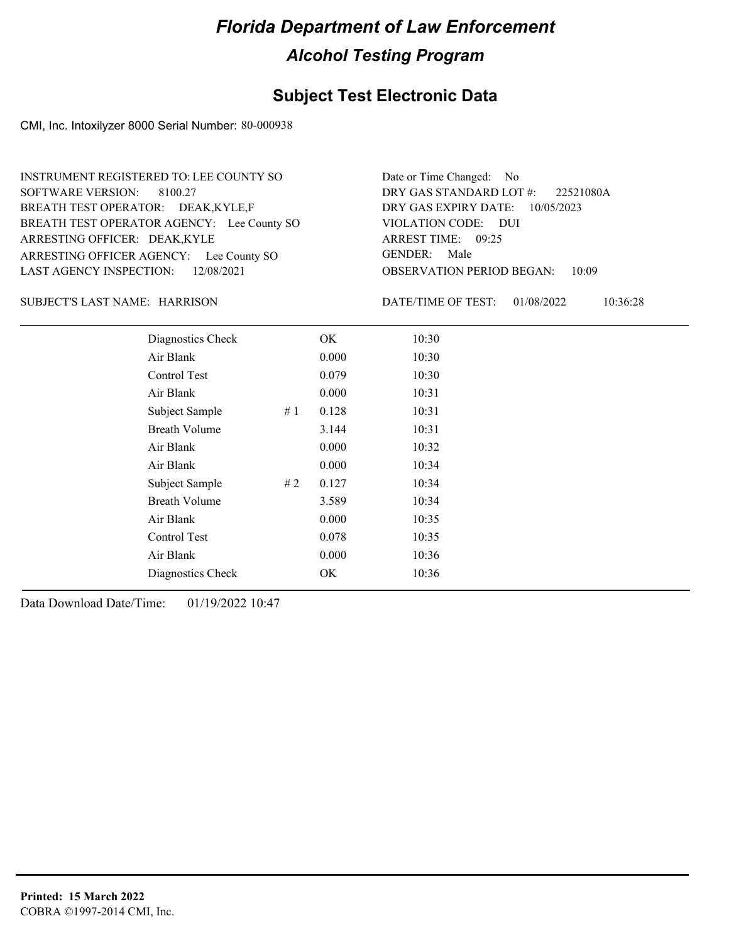### **Subject Test Electronic Data**

CMI, Inc. Intoxilyzer 8000 Serial Number: 80-000938

ARRESTING OFFICER AGENCY: Lee County SO GENDER: BREATH TEST OPERATOR AGENCY: Lee County SO VIOLATION CODE: SOFTWARE VERSION: ARRESTING OFFICER: DEAK,KYLE BREATH TEST OPERATOR: DEAK,KYLE,F LAST AGENCY INSPECTION: 12/08/2021 8100.27 INSTRUMENT REGISTERED TO: LEE COUNTY SO

OBSERVATION PERIOD BEGAN: 10:09 VIOLATION CODE: DUI ARREST TIME: 09:25 DRY GAS EXPIRY DATE: 10/05/2023 22521080A DRY GAS STANDARD LOT #: Date or Time Changed: No GENDER: Male

HARRISON SUBJECT'S LAST NAME: DATE/TIME OF TEST:

DATE/TIME OF TEST: 01/08/2022 10:36:28

| Diagnostics Check    | OK    | 10:30 |
|----------------------|-------|-------|
| Air Blank            | 0.000 | 10:30 |
| Control Test         | 0.079 | 10:30 |
| Air Blank            | 0.000 | 10:31 |
| Subject Sample<br>#1 | 0.128 | 10:31 |
| <b>Breath Volume</b> | 3.144 | 10:31 |
| Air Blank            | 0.000 | 10:32 |
| Air Blank            | 0.000 | 10:34 |
| Subject Sample<br>#2 | 0.127 | 10:34 |
| <b>Breath Volume</b> | 3.589 | 10:34 |
| Air Blank            | 0.000 | 10:35 |
| Control Test         | 0.078 | 10:35 |
| Air Blank            | 0.000 | 10:36 |
| Diagnostics Check    | OK    | 10:36 |
|                      |       |       |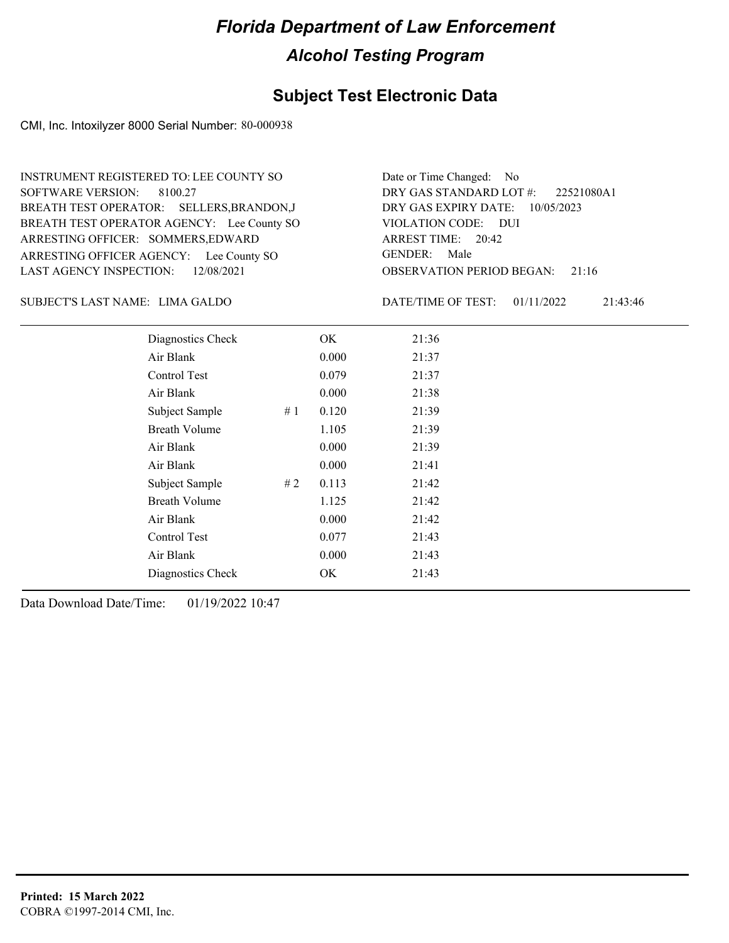### **Subject Test Electronic Data**

CMI, Inc. Intoxilyzer 8000 Serial Number: 80-000938

ARRESTING OFFICER AGENCY: Lee County SO GENDER: BREATH TEST OPERATOR AGENCY: Lee County SO VIOLATION CODE: SOFTWARE VERSION: ARRESTING OFFICER: SOMMERS, EDWARD BREATH TEST OPERATOR: SELLERS,BRANDON,J LAST AGENCY INSPECTION: 12/08/2021 8100.27 INSTRUMENT REGISTERED TO: LEE COUNTY SO

OBSERVATION PERIOD BEGAN: 21:16 VIOLATION CODE: DUI 20:42 ARREST TIME: DRY GAS EXPIRY DATE: 10/05/2023 22521080A1 DRY GAS STANDARD LOT #: Date or Time Changed: No GENDER: Male

LIMA GALDO SUBJECT'S LAST NAME: DATE/TIME OF TEST:

DATE/TIME OF TEST: 01/11/2022 21:43:46

| Diagnostics Check    |    | OK    | 21:36 |
|----------------------|----|-------|-------|
| Air Blank            |    | 0.000 | 21:37 |
| Control Test         |    | 0.079 | 21:37 |
| Air Blank            |    | 0.000 | 21:38 |
| Subject Sample       | #1 | 0.120 | 21:39 |
| <b>Breath Volume</b> |    | 1.105 | 21:39 |
| Air Blank            |    | 0.000 | 21:39 |
| Air Blank            |    | 0.000 | 21:41 |
| Subject Sample       | #2 | 0.113 | 21:42 |
| <b>Breath Volume</b> |    | 1.125 | 21:42 |
| Air Blank            |    | 0.000 | 21:42 |
| <b>Control Test</b>  |    | 0.077 | 21:43 |
| Air Blank            |    | 0.000 | 21:43 |
| Diagnostics Check    |    | OK    | 21:43 |
|                      |    |       |       |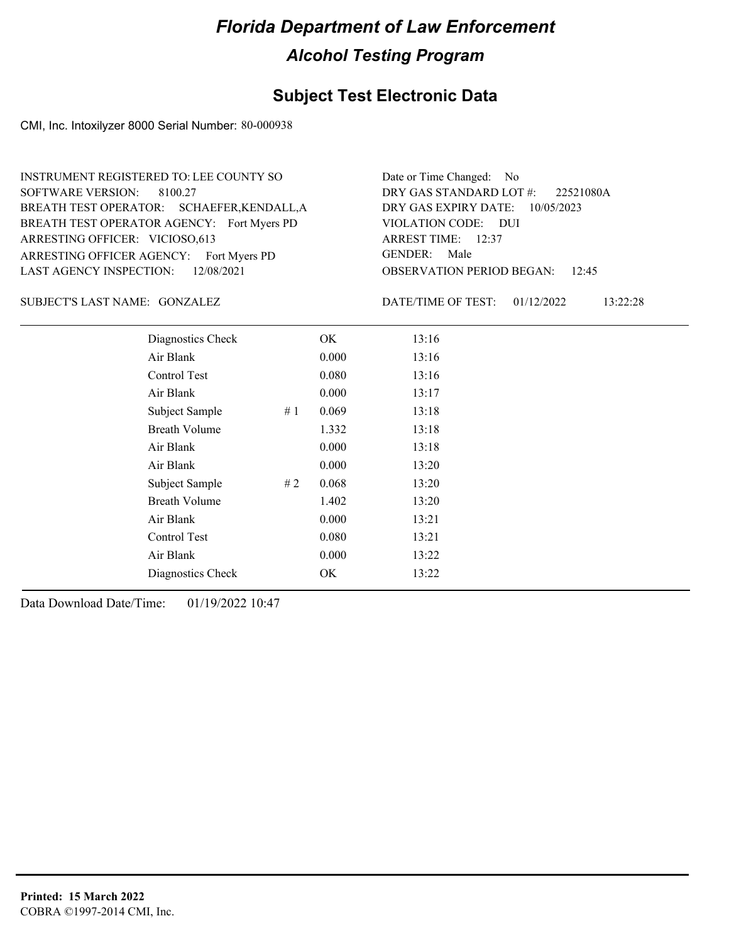### **Subject Test Electronic Data**

CMI, Inc. Intoxilyzer 8000 Serial Number: 80-000938

ARRESTING OFFICER AGENCY: Fort Myers PD GENDER: BREATH TEST OPERATOR AGENCY: Fort Myers PD VIOLATION CODE: SOFTWARE VERSION: 8100.27 ARRESTING OFFICER: VICIOSO,613 BREATH TEST OPERATOR: SCHAEFER,KENDALL,A LAST AGENCY INSPECTION: 12/08/2021 INSTRUMENT REGISTERED TO: LEE COUNTY SO

OBSERVATION PERIOD BEGAN: 12:45 VIOLATION CODE: DUI 12:37 ARREST TIME: DRY GAS EXPIRY DATE: 10/05/2023 22521080A DRY GAS STANDARD LOT #: Date or Time Changed: No GENDER: Male

GONZALEZ SUBJECT'S LAST NAME: DATE/TIME OF TEST:

DATE/TIME OF TEST: 01/12/2022 13:22:28

| Diagnostics Check    |     | OK    | 13:16 |
|----------------------|-----|-------|-------|
| Air Blank            |     | 0.000 | 13:16 |
| Control Test         |     | 0.080 | 13:16 |
| Air Blank            |     | 0.000 | 13:17 |
| Subject Sample       | #1  | 0.069 | 13:18 |
| <b>Breath Volume</b> |     | 1.332 | 13:18 |
| Air Blank            |     | 0.000 | 13:18 |
| Air Blank            |     | 0.000 | 13:20 |
| Subject Sample       | # 2 | 0.068 | 13:20 |
| <b>Breath Volume</b> |     | 1.402 | 13:20 |
| Air Blank            |     | 0.000 | 13:21 |
| Control Test         |     | 0.080 | 13:21 |
| Air Blank            |     | 0.000 | 13:22 |
| Diagnostics Check    |     | OK    | 13:22 |
|                      |     |       |       |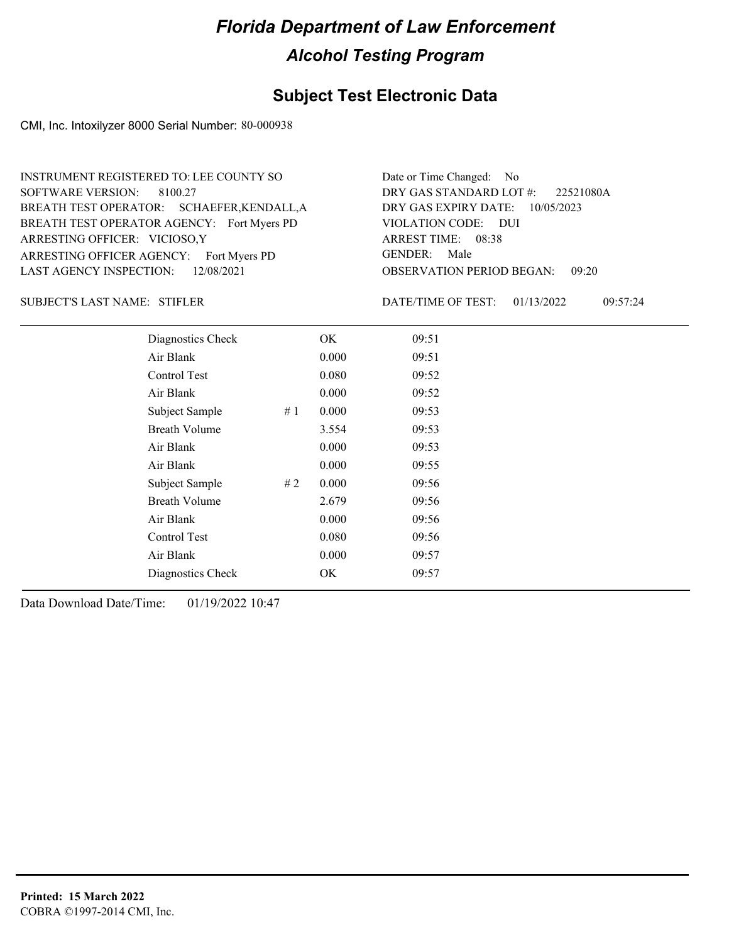### **Subject Test Electronic Data**

CMI, Inc. Intoxilyzer 8000 Serial Number: 80-000938

ARRESTING OFFICER AGENCY: Fort Myers PD GENDER: BREATH TEST OPERATOR AGENCY: Fort Myers PD VIOLATION CODE: SOFTWARE VERSION: 8100.27 ARRESTING OFFICER: VICIOSO,Y BREATH TEST OPERATOR: SCHAEFER,KENDALL,A LAST AGENCY INSPECTION: 12/08/2021 INSTRUMENT REGISTERED TO: LEE COUNTY SO

OBSERVATION PERIOD BEGAN: 09:20 VIOLATION CODE: DUI ARREST TIME: 08:38 DRY GAS EXPIRY DATE: 10/05/2023 22521080A DRY GAS STANDARD LOT #: Date or Time Changed: No GENDER: Male

SUBJECT'S LAST NAME: STIFLER DATE/TIME OF TEST:

DATE/TIME OF TEST: 01/13/2022 09:57:24

| Diagnostics Check    |    | OK    | 09:51 |
|----------------------|----|-------|-------|
| Air Blank            |    | 0.000 | 09:51 |
| Control Test         |    | 0.080 | 09:52 |
| Air Blank            |    | 0.000 | 09:52 |
| Subject Sample       | #1 | 0.000 | 09:53 |
| <b>Breath Volume</b> |    | 3.554 | 09:53 |
| Air Blank            |    | 0.000 | 09:53 |
| Air Blank            |    | 0.000 | 09:55 |
| Subject Sample       | #2 | 0.000 | 09:56 |
| <b>Breath Volume</b> |    | 2.679 | 09:56 |
| Air Blank            |    | 0.000 | 09:56 |
| Control Test         |    | 0.080 | 09:56 |
| Air Blank            |    | 0.000 | 09:57 |
| Diagnostics Check    |    | OK    | 09:57 |
|                      |    |       |       |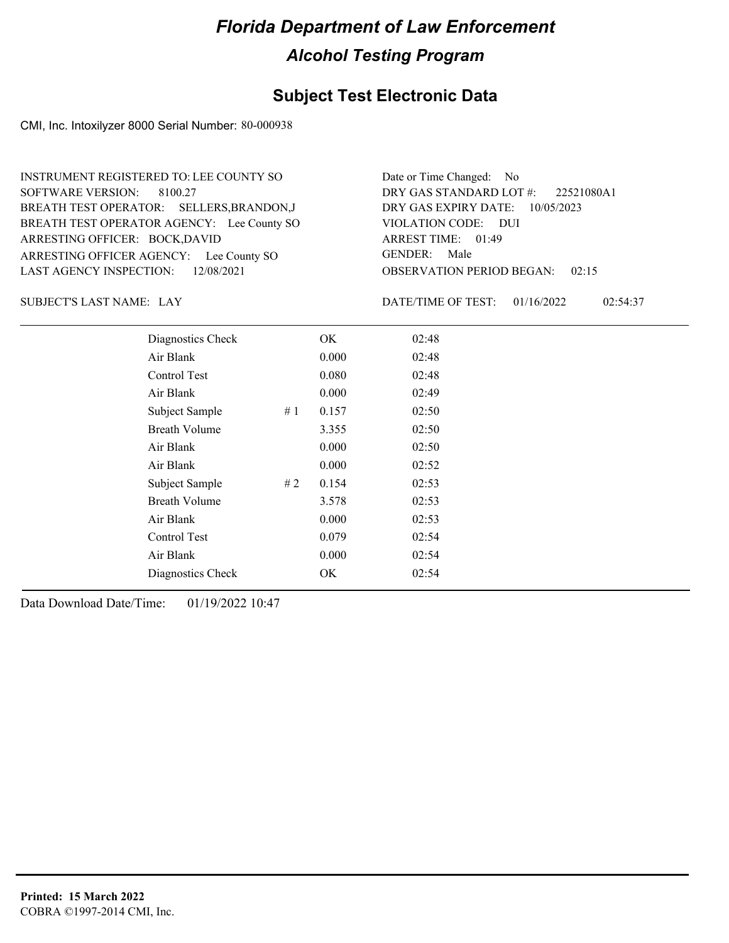### **Subject Test Electronic Data**

CMI, Inc. Intoxilyzer 8000 Serial Number: 80-000938

ARRESTING OFFICER AGENCY: Lee County SO GENDER: BREATH TEST OPERATOR AGENCY: Lee County SO VIOLATION CODE: SOFTWARE VERSION: 8100.27 ARRESTING OFFICER: BOCK,DAVID BREATH TEST OPERATOR: SELLERS,BRANDON,J LAST AGENCY INSPECTION: 12/08/2021 INSTRUMENT REGISTERED TO: LEE COUNTY SO

OBSERVATION PERIOD BEGAN: 02:15 VIOLATION CODE: DUI 01:49 ARREST TIME: DRY GAS EXPIRY DATE: 10/05/2023 22521080A1 DRY GAS STANDARD LOT #: Date or Time Changed: No GENDER: Male

SUBJECT'S LAST NAME: LAY DATE/TIME OF TEST:

DATE/TIME OF TEST: 01/16/2022 02:54:37

| Diagnostics Check    |    | OK.   | 02:48 |
|----------------------|----|-------|-------|
| Air Blank            |    | 0.000 | 02:48 |
| Control Test         |    | 0.080 | 02:48 |
| Air Blank            |    | 0.000 | 02:49 |
| Subject Sample       | #1 | 0.157 | 02:50 |
| <b>Breath Volume</b> |    | 3.355 | 02:50 |
| Air Blank            |    | 0.000 | 02:50 |
| Air Blank            |    | 0.000 | 02:52 |
| Subject Sample       | #2 | 0.154 | 02:53 |
| <b>Breath Volume</b> |    | 3.578 | 02:53 |
| Air Blank            |    | 0.000 | 02:53 |
| Control Test         |    | 0.079 | 02:54 |
| Air Blank            |    | 0.000 | 02:54 |
| Diagnostics Check    |    | OK    | 02:54 |
|                      |    |       |       |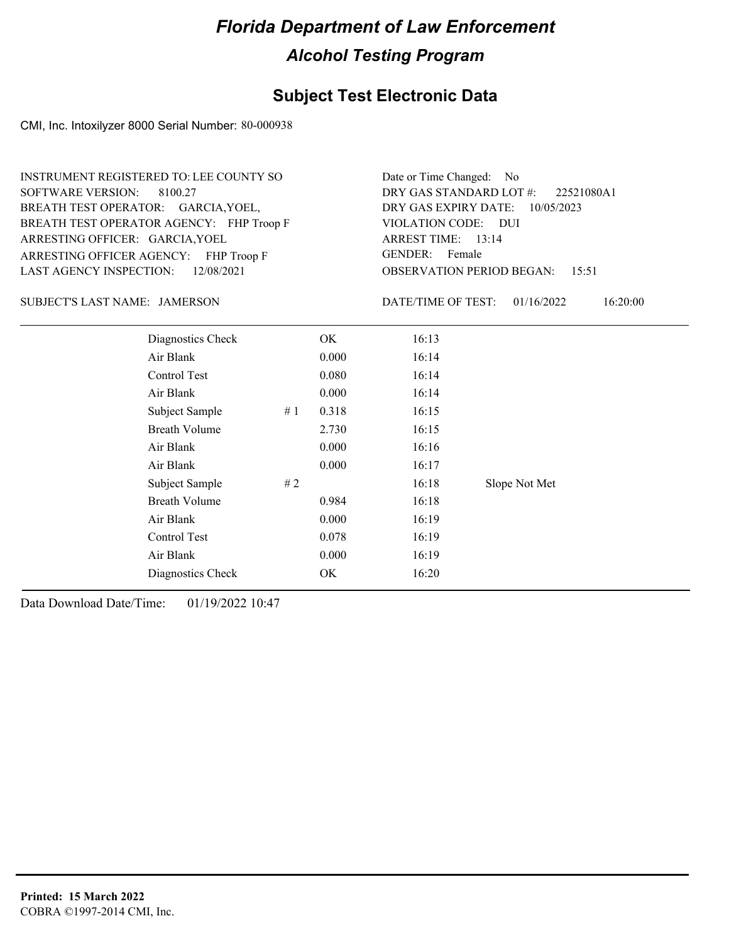### **Subject Test Electronic Data**

CMI, Inc. Intoxilyzer 8000 Serial Number: 80-000938

ARRESTING OFFICER AGENCY: FHP Troop F GENDER: BREATH TEST OPERATOR AGENCY: FHP Troop F VIOLATION CODE: SOFTWARE VERSION: 8100.27 ARRESTING OFFICER: GARCIA, YOEL BREATH TEST OPERATOR: GARCIA, YOEL, LAST AGENCY INSPECTION: 12/08/2021 INSTRUMENT REGISTERED TO: LEE COUNTY SO

OBSERVATION PERIOD BEGAN: 15:51 VIOLATION CODE: DUI 13:14 ARREST TIME: DRY GAS EXPIRY DATE: 10/05/2023 22521080A1 DRY GAS STANDARD LOT #: Date or Time Changed: No GENDER: Female

JAMERSON SUBJECT'S LAST NAME: DATE/TIME OF TEST:

DATE/TIME OF TEST: 01/16/2022 16:20:00

| Diagnostics Check    |    | OK    | 16:13 |               |
|----------------------|----|-------|-------|---------------|
| Air Blank            |    | 0.000 | 16:14 |               |
| Control Test         |    | 0.080 | 16:14 |               |
| Air Blank            |    | 0.000 | 16:14 |               |
| Subject Sample       | #1 | 0.318 | 16:15 |               |
| <b>Breath Volume</b> |    | 2.730 | 16:15 |               |
| Air Blank            |    | 0.000 | 16:16 |               |
| Air Blank            |    | 0.000 | 16:17 |               |
| Subject Sample       | #2 |       | 16:18 | Slope Not Met |
| <b>Breath Volume</b> |    | 0.984 | 16:18 |               |
| Air Blank            |    | 0.000 | 16:19 |               |
| Control Test         |    | 0.078 | 16:19 |               |
| Air Blank            |    | 0.000 | 16:19 |               |
| Diagnostics Check    |    | OK    | 16:20 |               |
|                      |    |       |       |               |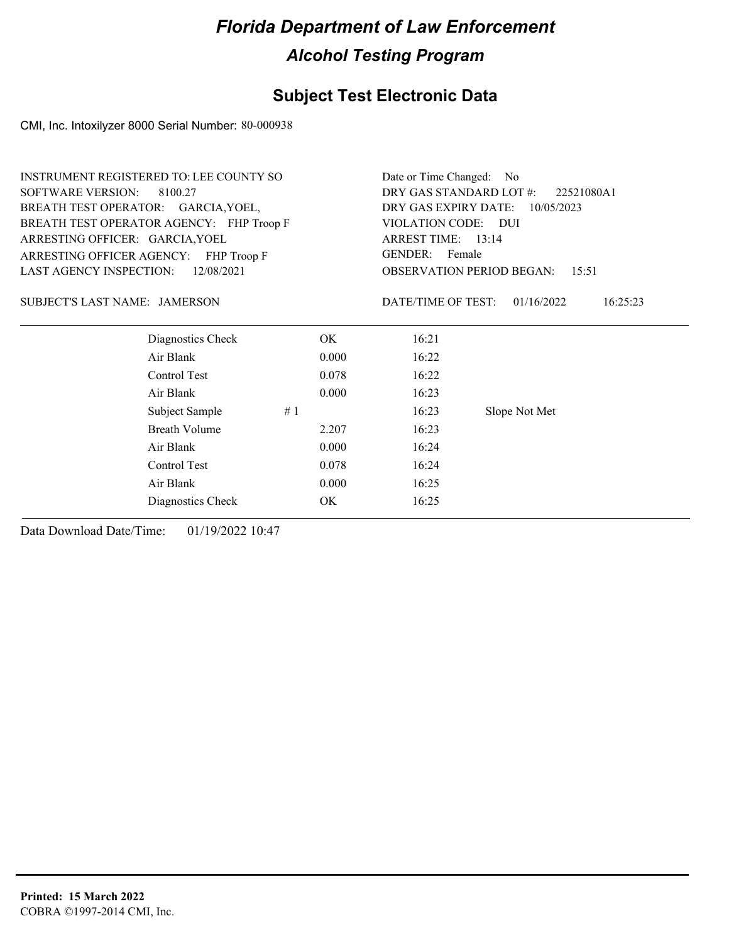### **Subject Test Electronic Data**

CMI, Inc. Intoxilyzer 8000 Serial Number: 80-000938

| INSTRUMENT REGISTERED TO: LEE COUNTY SO | Date or Time Changed: No                                                                                                               |                                       |                                                            |  |  |  |
|-----------------------------------------|----------------------------------------------------------------------------------------------------------------------------------------|---------------------------------------|------------------------------------------------------------|--|--|--|
|                                         |                                                                                                                                        | DRY GAS STANDARD LOT #:<br>22521080A1 |                                                            |  |  |  |
|                                         |                                                                                                                                        | DRY GAS EXPIRY DATE:<br>10/05/2023    |                                                            |  |  |  |
|                                         |                                                                                                                                        | VIOLATION CODE: DUI                   |                                                            |  |  |  |
|                                         |                                                                                                                                        |                                       |                                                            |  |  |  |
|                                         |                                                                                                                                        |                                       |                                                            |  |  |  |
|                                         | <b>OBSERVATION PERIOD BEGAN:</b><br>15:51                                                                                              |                                       |                                                            |  |  |  |
|                                         |                                                                                                                                        | 01/16/2022                            | 16:25:23                                                   |  |  |  |
| OK.                                     | 16:21                                                                                                                                  |                                       |                                                            |  |  |  |
| 0.000                                   | 16:22                                                                                                                                  |                                       |                                                            |  |  |  |
| 0.078                                   | 16:22                                                                                                                                  |                                       |                                                            |  |  |  |
| 0.000                                   | 16:23                                                                                                                                  |                                       |                                                            |  |  |  |
| #1                                      | 16:23                                                                                                                                  | Slope Not Met                         |                                                            |  |  |  |
| 2.207                                   | 16:23                                                                                                                                  |                                       |                                                            |  |  |  |
| 0.000                                   | 16:24                                                                                                                                  |                                       |                                                            |  |  |  |
| 0.078                                   | 16:24                                                                                                                                  |                                       |                                                            |  |  |  |
| 0.000                                   | 16:25                                                                                                                                  |                                       |                                                            |  |  |  |
| OK                                      | 16:25                                                                                                                                  |                                       |                                                            |  |  |  |
|                                         | BREATH TEST OPERATOR: GARCIA, YOEL,<br>BREATH TEST OPERATOR AGENCY: FHP Troop F<br>ARRESTING OFFICER AGENCY: FHP Troop F<br>12/08/2021 |                                       | ARREST TIME: 13:14<br>GENDER: Female<br>DATE/TIME OF TEST: |  |  |  |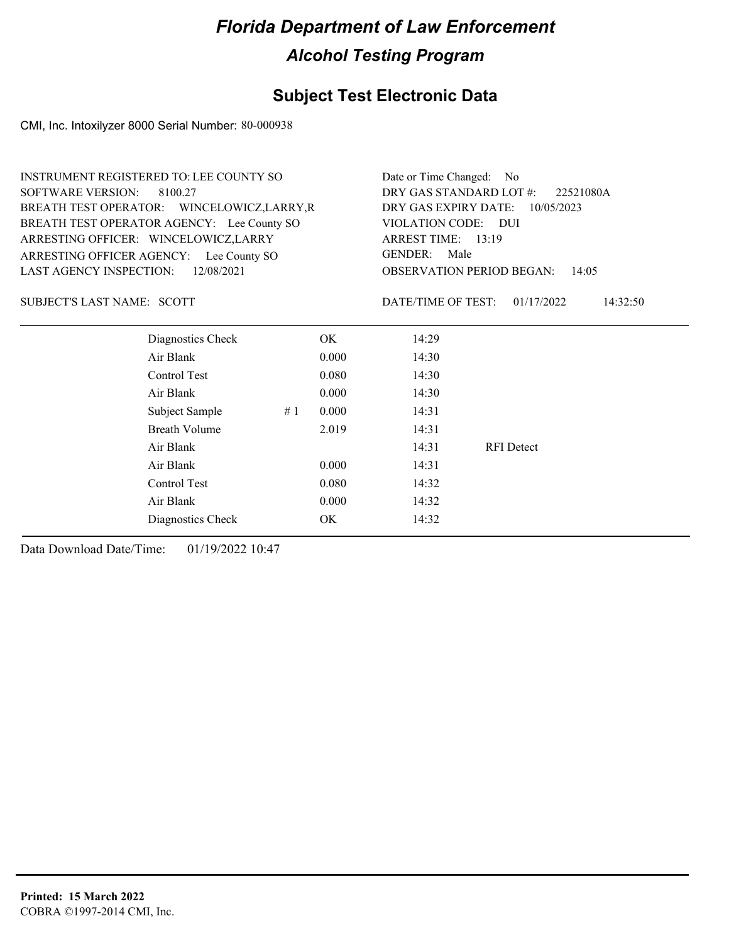### **Subject Test Electronic Data**

CMI, Inc. Intoxilyzer 8000 Serial Number: 80-000938

| <b>INSTRUMENT REGISTERED TO: LEE COUNTY SO</b><br><b>SOFTWARE VERSION:</b><br>8100.27<br>BREATH TEST OPERATOR: WINCELOWICZ, LARRY, R<br>BREATH TEST OPERATOR AGENCY: Lee County SO |    | Date or Time Changed: No<br>DRY GAS STANDARD LOT #:<br>22521080A<br>DRY GAS EXPIRY DATE:<br>10/05/2023<br>VIOLATION CODE: DUI |                    |                                           |          |
|------------------------------------------------------------------------------------------------------------------------------------------------------------------------------------|----|-------------------------------------------------------------------------------------------------------------------------------|--------------------|-------------------------------------------|----------|
| ARRESTING OFFICER: WINCELOWICZ,LARRY                                                                                                                                               |    | ARREST TIME: 13:19                                                                                                            |                    |                                           |          |
| ARRESTING OFFICER AGENCY: Lee County SO                                                                                                                                            |    | <b>GENDER:</b><br>Male                                                                                                        |                    |                                           |          |
| <b>LAST AGENCY INSPECTION:</b><br>12/08/2021                                                                                                                                       |    |                                                                                                                               |                    | <b>OBSERVATION PERIOD BEGAN:</b><br>14:05 |          |
| SUBJECT'S LAST NAME: SCOTT                                                                                                                                                         |    |                                                                                                                               | DATE/TIME OF TEST: | 01/17/2022                                | 14:32:50 |
| Diagnostics Check                                                                                                                                                                  |    | OK.                                                                                                                           | 14:29              |                                           |          |
| Air Blank                                                                                                                                                                          |    | 0.000                                                                                                                         | 14:30              |                                           |          |
| Control Test                                                                                                                                                                       |    | 0.080                                                                                                                         | 14:30              |                                           |          |
| Air Blank                                                                                                                                                                          |    | 0.000                                                                                                                         | 14:30              |                                           |          |
| Subject Sample                                                                                                                                                                     | #1 | 0.000                                                                                                                         | 14:31              |                                           |          |
| <b>Breath Volume</b>                                                                                                                                                               |    | 2.019                                                                                                                         | 14:31              |                                           |          |
| Air Blank                                                                                                                                                                          |    |                                                                                                                               | 14:31              | <b>RFI</b> Detect                         |          |
| Air Blank                                                                                                                                                                          |    | 0.000                                                                                                                         | 14:31              |                                           |          |
| Control Test                                                                                                                                                                       |    | 0.080                                                                                                                         | 14:32              |                                           |          |
| Air Blank                                                                                                                                                                          |    | 0.000                                                                                                                         | 14:32              |                                           |          |

Diagnostics Check OK 14:32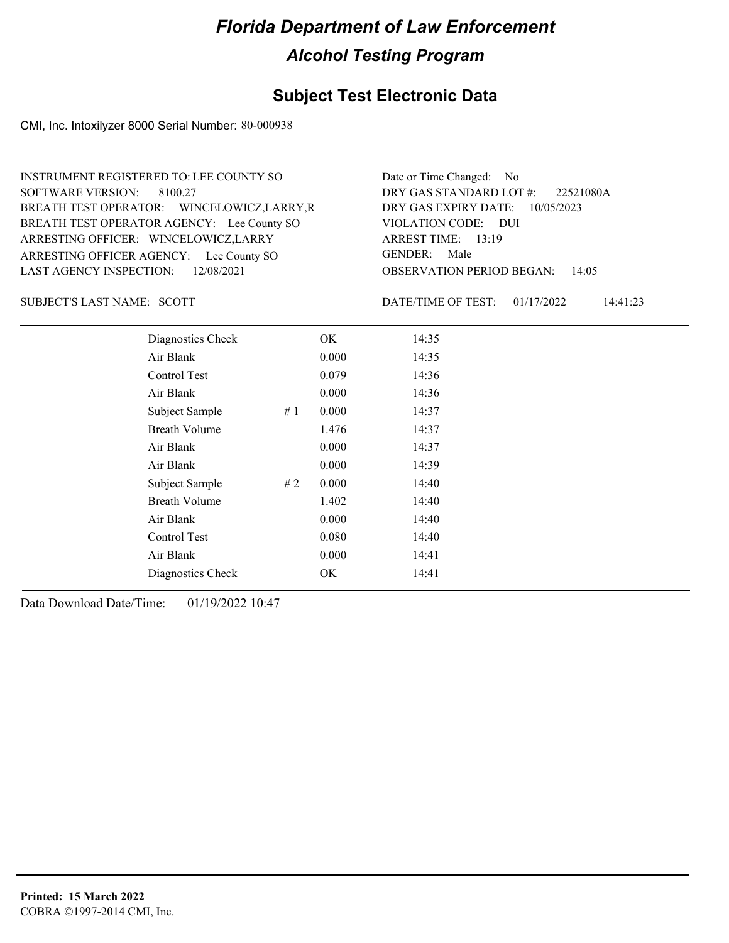### **Subject Test Electronic Data**

CMI, Inc. Intoxilyzer 8000 Serial Number: 80-000938

ARRESTING OFFICER AGENCY: Lee County SO GENDER: BREATH TEST OPERATOR AGENCY: Lee County SO VIOLATION CODE: SOFTWARE VERSION: 8100.27 ARRESTING OFFICER: WINCELOWICZ,LARRY BREATH TEST OPERATOR: WINCELOWICZ,LARRY,R LAST AGENCY INSPECTION: 12/08/2021 INSTRUMENT REGISTERED TO: LEE COUNTY SO

OBSERVATION PERIOD BEGAN: 14:05 VIOLATION CODE: DUI 13:19 ARREST TIME: DRY GAS EXPIRY DATE: 10/05/2023 22521080A DRY GAS STANDARD LOT #: Date or Time Changed: No GENDER: Male

SUBJECT'S LAST NAME: SCOTT DATE/TIME OF TEST:

DATE/TIME OF TEST: 01/17/2022 14:41:23

| Diagnostics Check    |    | OK    | 14:35 |
|----------------------|----|-------|-------|
| Air Blank            |    | 0.000 | 14:35 |
| Control Test         |    | 0.079 | 14:36 |
| Air Blank            |    | 0.000 | 14:36 |
| Subject Sample       | #1 | 0.000 | 14:37 |
| <b>Breath Volume</b> |    | 1.476 | 14:37 |
| Air Blank            |    | 0.000 | 14:37 |
| Air Blank            |    | 0.000 | 14:39 |
| Subject Sample       | #2 | 0.000 | 14:40 |
| <b>Breath Volume</b> |    | 1.402 | 14:40 |
| Air Blank            |    | 0.000 | 14:40 |
| Control Test         |    | 0.080 | 14:40 |
| Air Blank            |    | 0.000 | 14:41 |
| Diagnostics Check    |    | OK    | 14:41 |
|                      |    |       |       |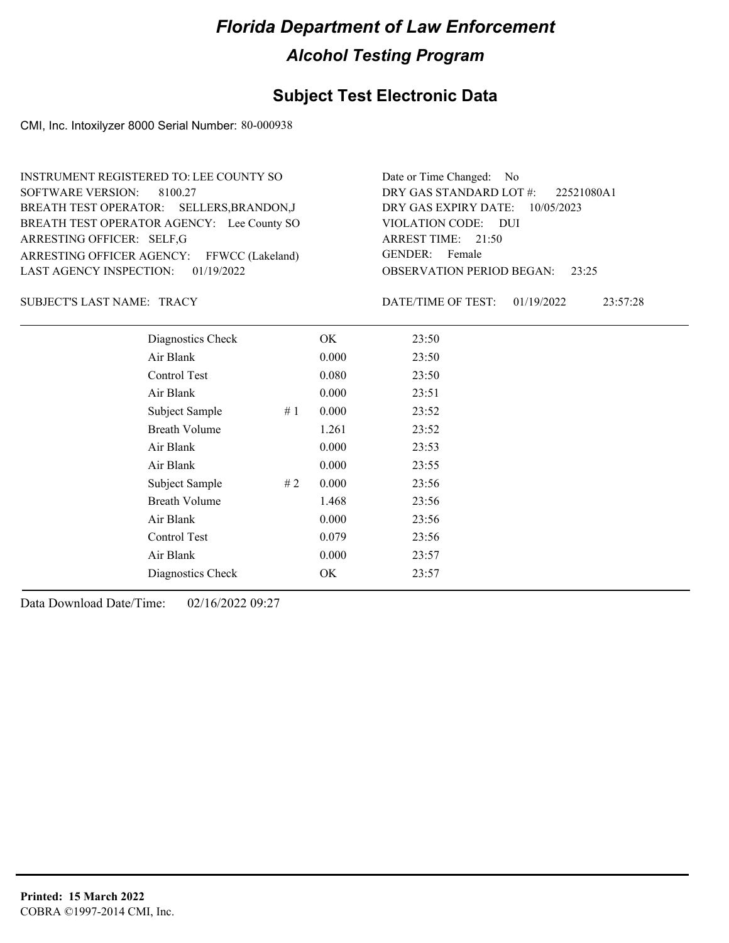### **Subject Test Electronic Data**

CMI, Inc. Intoxilyzer 8000 Serial Number: 80-000938

| INSTRUMENT REGISTERED TO: LEE COUNTY SO    | Date or Time Changed: No               |
|--------------------------------------------|----------------------------------------|
| SOFTWARE VERSION: 8100.27                  | DRY GAS STANDARD LOT #: 22521080A1     |
| BREATH TEST OPERATOR: SELLERS, BRANDON, J  | DRY GAS EXPIRY DATE: $10/05/2023$      |
| BREATH TEST OPERATOR AGENCY: Lee County SO | VIOLATION CODE: DUI                    |
| ARRESTING OFFICER: SELF, G                 | ARREST TIME: $21:50$                   |
| ARRESTING OFFICER AGENCY: FFWCC (Lakeland) | GENDER: Female                         |
| LAST AGENCY INSPECTION: 01/19/2022         | <b>OBSERVATION PERIOD BEGAN: 23:25</b> |

#### SUBJECT'S LAST NAME: TRACY DATE/TIME OF TEST:

DATE/TIME OF TEST: 01/19/2022 23:57:28

| Diagnostics Check    |    | OK    | 23:50 |  |  |
|----------------------|----|-------|-------|--|--|
| Air Blank            |    | 0.000 | 23:50 |  |  |
| Control Test         |    | 0.080 | 23:50 |  |  |
| Air Blank            |    | 0.000 | 23:51 |  |  |
| Subject Sample       | #1 | 0.000 | 23:52 |  |  |
| <b>Breath Volume</b> |    | 1.261 | 23:52 |  |  |
| Air Blank            |    | 0.000 | 23:53 |  |  |
| Air Blank            |    | 0.000 | 23:55 |  |  |
| Subject Sample       | #2 | 0.000 | 23:56 |  |  |
| <b>Breath Volume</b> |    | 1.468 | 23:56 |  |  |
| Air Blank            |    | 0.000 | 23:56 |  |  |
| Control Test         |    | 0.079 | 23:56 |  |  |
| Air Blank            |    | 0.000 | 23:57 |  |  |
| Diagnostics Check    |    | OK    | 23:57 |  |  |
|                      |    |       |       |  |  |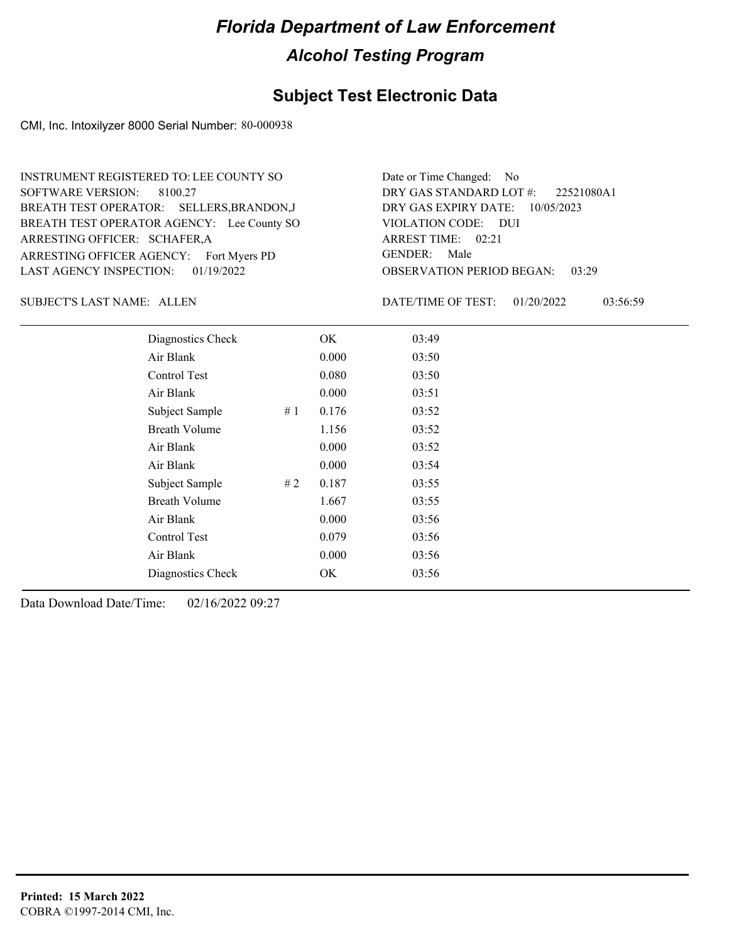### **Subject Test Electronic Data**

CMI, Inc. Intoxilyzer 8000 Serial Number: 80-000938

ARRESTING OFFICER AGENCY: Fort Myers PD GENDER: BREATH TEST OPERATOR AGENCY: Lee County SO VIOLATION CODE: SOFTWARE VERSION: 8100.27 ARRESTING OFFICER: SCHAFER, A BREATH TEST OPERATOR: SELLERS,BRANDON,J LAST AGENCY INSPECTION: 01/19/2022 INSTRUMENT REGISTERED TO: LEE COUNTY SO

OBSERVATION PERIOD BEGAN: 03:29 VIOLATION CODE: DUI ARREST TIME: 02:21 DRY GAS EXPIRY DATE: 10/05/2023 22521080A1 DRY GAS STANDARD LOT #: Date or Time Changed: No GENDER: Male

SUBJECT'S LAST NAME: ALLEN DATE/TIME OF TEST:

DATE/TIME OF TEST: 01/20/2022 03:56:59

| Diagnostics Check    | OK    | 03:49 |
|----------------------|-------|-------|
| Air Blank            | 0.000 | 03:50 |
| Control Test         | 0.080 | 03:50 |
| Air Blank            | 0.000 | 03:51 |
| Subject Sample<br>#1 | 0.176 | 03:52 |
| <b>Breath Volume</b> | 1.156 | 03:52 |
| Air Blank            | 0.000 | 03:52 |
| Air Blank            | 0.000 | 03:54 |
| Subject Sample<br>#2 | 0.187 | 03:55 |
| <b>Breath Volume</b> | 1.667 | 03:55 |
| Air Blank            | 0.000 | 03:56 |
| Control Test         | 0.079 | 03:56 |
| Air Blank            | 0.000 | 03:56 |
| Diagnostics Check    | OK.   | 03:56 |
|                      |       |       |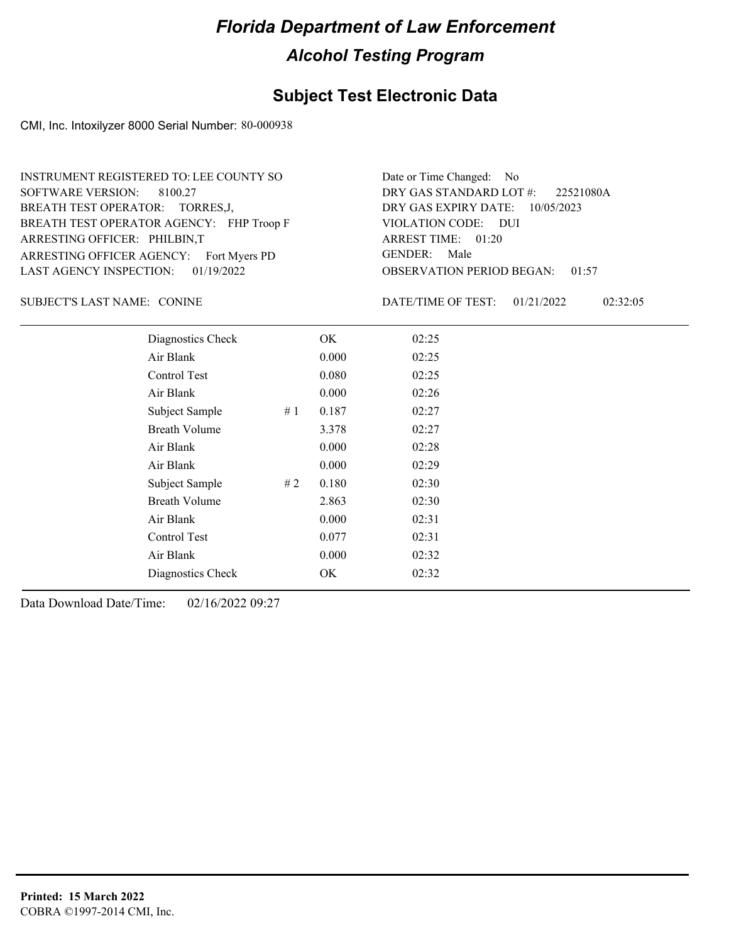### **Subject Test Electronic Data**

CMI, Inc. Intoxilyzer 8000 Serial Number: 80-000938

ARRESTING OFFICER AGENCY: Fort Myers PD GENDER: BREATH TEST OPERATOR AGENCY: FHP Troop F VIOLATION CODE: SOFTWARE VERSION: 8100.27 ARRESTING OFFICER: PHILBIN,T BREATH TEST OPERATOR: TORRES,J, LAST AGENCY INSPECTION: 01/19/2022 INSTRUMENT REGISTERED TO: LEE COUNTY SO

OBSERVATION PERIOD BEGAN: 01:57 VIOLATION CODE: DUI ARREST TIME: 01:20 DRY GAS EXPIRY DATE: 10/05/2023 22521080A DRY GAS STANDARD LOT #: Date or Time Changed: No GENDER: Male

SUBJECT'S LAST NAME: CONINE CONTRACTERS DATE/TIME OF TEST:

DATE/TIME OF TEST: 01/21/2022 02:32:05

| Diagnostics Check    |     | OK    | 02:25 |
|----------------------|-----|-------|-------|
| Air Blank            |     | 0.000 | 02:25 |
| Control Test         |     | 0.080 | 02:25 |
| Air Blank            |     | 0.000 | 02:26 |
| Subject Sample       | #1  | 0.187 | 02:27 |
| <b>Breath Volume</b> |     | 3.378 | 02:27 |
| Air Blank            |     | 0.000 | 02:28 |
| Air Blank            |     | 0.000 | 02:29 |
| Subject Sample       | # 2 | 0.180 | 02:30 |
| <b>Breath Volume</b> |     | 2.863 | 02:30 |
| Air Blank            |     | 0.000 | 02:31 |
| Control Test         |     | 0.077 | 02:31 |
| Air Blank            |     | 0.000 | 02:32 |
| Diagnostics Check    |     | OK    | 02:32 |
|                      |     |       |       |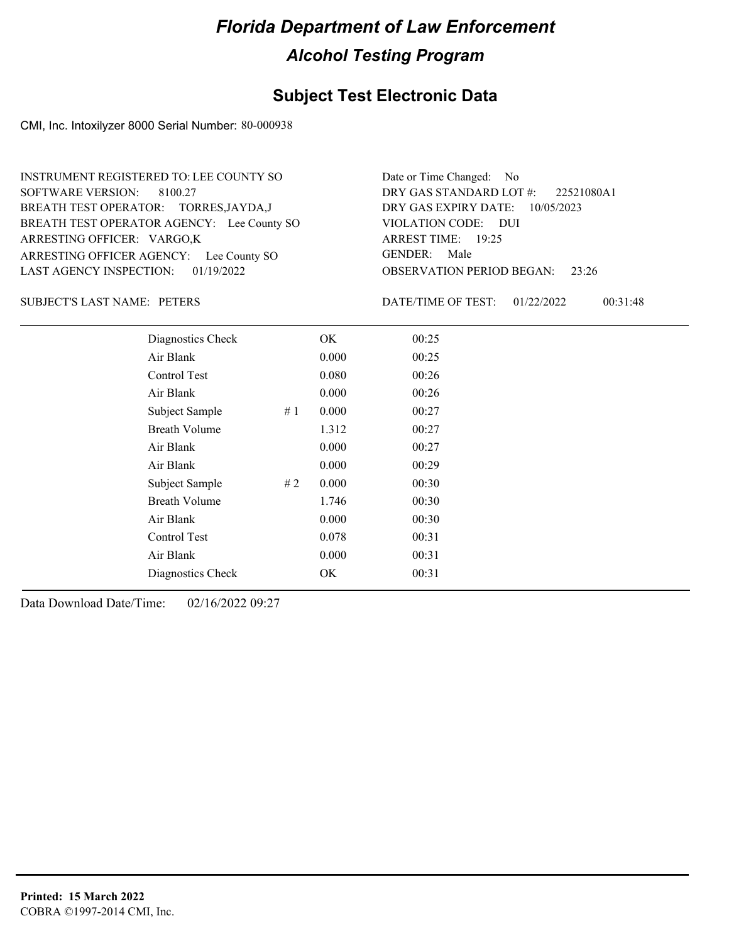### **Subject Test Electronic Data**

CMI, Inc. Intoxilyzer 8000 Serial Number: 80-000938

ARRESTING OFFICER AGENCY: Lee County SO GENDER: BREATH TEST OPERATOR AGENCY: Lee County SO VIOLATION CODE: SOFTWARE VERSION: 8100.27 ARRESTING OFFICER: VARGO,K BREATH TEST OPERATOR: TORRES,JAYDA,J LAST AGENCY INSPECTION: 01/19/2022 INSTRUMENT REGISTERED TO: LEE COUNTY SO

OBSERVATION PERIOD BEGAN: 23:26 VIOLATION CODE: DUI ARREST TIME: 19:25 DRY GAS EXPIRY DATE: 10/05/2023 22521080A1 DRY GAS STANDARD LOT #: Date or Time Changed: No GENDER: Male

SUBJECT'S LAST NAME: PETERS DATE/TIME OF TEST:

DATE/TIME OF TEST: 01/22/2022 00:31:48

| Diagnostics Check    | OK    | 00:25 |
|----------------------|-------|-------|
| Air Blank            | 0.000 | 00:25 |
| Control Test         | 0.080 | 00:26 |
| Air Blank            | 0.000 | 00:26 |
| Subject Sample<br>#1 | 0.000 | 00:27 |
| <b>Breath Volume</b> | 1.312 | 00:27 |
| Air Blank            | 0.000 | 00:27 |
| Air Blank            | 0.000 | 00:29 |
| Subject Sample<br>#2 | 0.000 | 00:30 |
| <b>Breath Volume</b> | 1.746 | 00:30 |
| Air Blank            | 0.000 | 00:30 |
| Control Test         | 0.078 | 00:31 |
| Air Blank            | 0.000 | 00:31 |
| Diagnostics Check    | OK    | 00:31 |
|                      |       |       |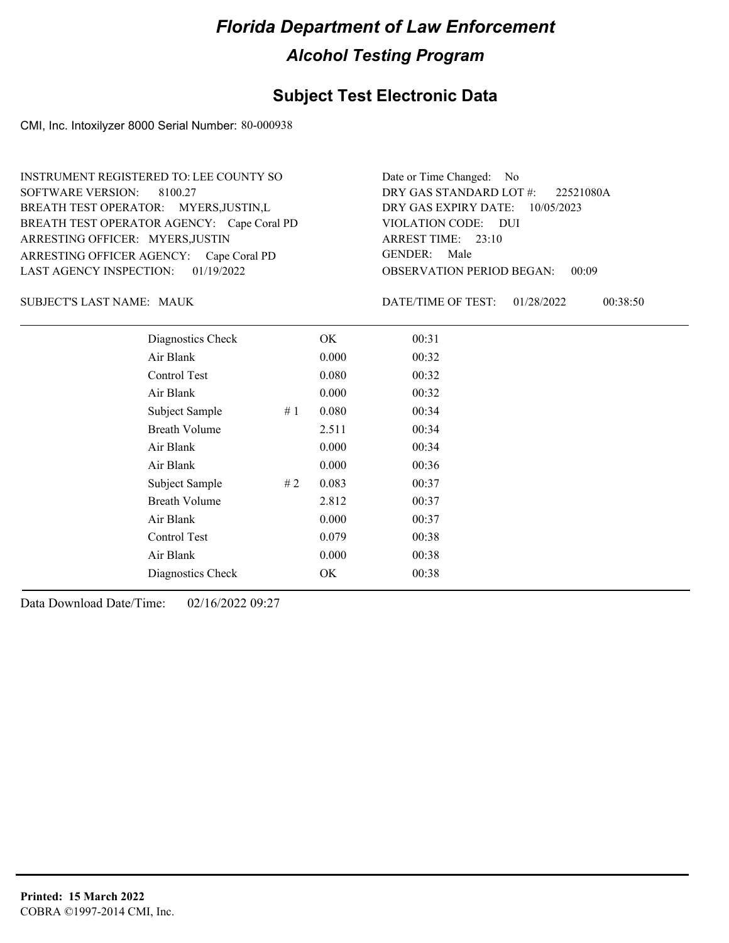### **Subject Test Electronic Data**

CMI, Inc. Intoxilyzer 8000 Serial Number: 80-000938

ARRESTING OFFICER AGENCY: Cape Coral PD GENDER: BREATH TEST OPERATOR AGENCY: Cape Coral PD VIOLATION CODE: SOFTWARE VERSION: 8100.27 ARRESTING OFFICER: MYERS,JUSTIN BREATH TEST OPERATOR: MYERS,JUSTIN,L LAST AGENCY INSPECTION: 01/19/2022 INSTRUMENT REGISTERED TO: LEE COUNTY SO

OBSERVATION PERIOD BEGAN: 00:09 VIOLATION CODE: DUI ARREST TIME: 23:10 DRY GAS EXPIRY DATE: 10/05/2023 22521080A DRY GAS STANDARD LOT #: Date or Time Changed: No GENDER: Male

MAUK SUBJECT'S LAST NAME: DATE/TIME OF TEST:

DATE/TIME OF TEST: 01/28/2022 00:38:50

| Diagnostics Check    |    | OK    | 00:31 |
|----------------------|----|-------|-------|
| Air Blank            |    | 0.000 | 00:32 |
| Control Test         |    | 0.080 | 00:32 |
| Air Blank            |    | 0.000 | 00:32 |
| Subject Sample       | #1 | 0.080 | 00:34 |
| <b>Breath Volume</b> |    | 2.511 | 00:34 |
| Air Blank            |    | 0.000 | 00:34 |
| Air Blank            |    | 0.000 | 00:36 |
| Subject Sample       | #2 | 0.083 | 00:37 |
| <b>Breath Volume</b> |    | 2.812 | 00:37 |
| Air Blank            |    | 0.000 | 00:37 |
| Control Test         |    | 0.079 | 00:38 |
| Air Blank            |    | 0.000 | 00:38 |
| Diagnostics Check    |    | OK    | 00:38 |
|                      |    |       |       |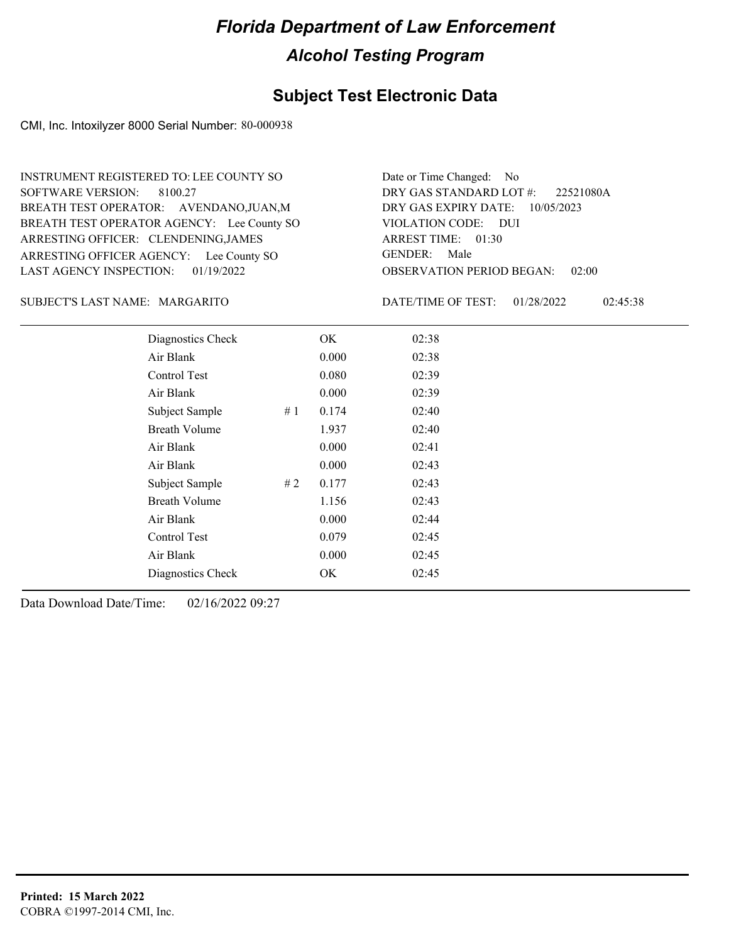#### **Subject Test Electronic Data**

CMI, Inc. Intoxilyzer 8000 Serial Number: 80-000938

ARRESTING OFFICER AGENCY: Lee County SO GENDER: BREATH TEST OPERATOR AGENCY: Lee County SO VIOLATION CODE: SOFTWARE VERSION: 8100.27 ARRESTING OFFICER: CLENDENING,JAMES BREATH TEST OPERATOR: AVENDANO,JUAN,M LAST AGENCY INSPECTION: 01/19/2022 INSTRUMENT REGISTERED TO: LEE COUNTY SO

OBSERVATION PERIOD BEGAN: 02:00 VIOLATION CODE: DUI ARREST TIME: 01:30 DRY GAS EXPIRY DATE: 10/05/2023 22521080A DRY GAS STANDARD LOT #: Date or Time Changed: No GENDER: Male

#### MARGARITO SUBJECT'S LAST NAME: DATE/TIME OF TEST:

DATE/TIME OF TEST: 01/28/2022 02:45:38

| Diagnostics Check    |    | OK    | 02:38 |
|----------------------|----|-------|-------|
| Air Blank            |    | 0.000 | 02:38 |
| Control Test         |    | 0.080 | 02:39 |
| Air Blank            |    | 0.000 | 02:39 |
| Subject Sample       | #1 | 0.174 | 02:40 |
| <b>Breath Volume</b> |    | 1.937 | 02:40 |
| Air Blank            |    | 0.000 | 02:41 |
| Air Blank            |    | 0.000 | 02:43 |
| Subject Sample       | #2 | 0.177 | 02:43 |
| <b>Breath Volume</b> |    | 1.156 | 02:43 |
| Air Blank            |    | 0.000 | 02:44 |
| <b>Control Test</b>  |    | 0.079 | 02:45 |
| Air Blank            |    | 0.000 | 02:45 |
| Diagnostics Check    |    | OK    | 02:45 |
|                      |    |       |       |

Data Download Date/Time: 02/16/2022 09:27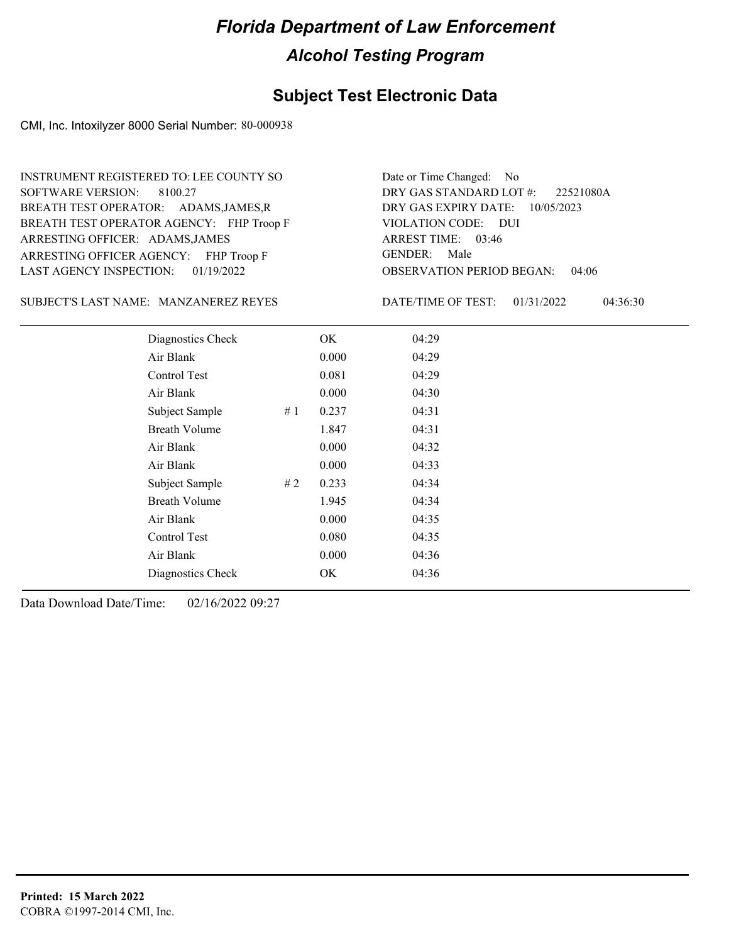#### **Subject Test Electronic Data**

CMI, Inc. Intoxilyzer 8000 Serial Number: 80-000938

ARRESTING OFFICER AGENCY: FHP Troop F GENDER: BREATH TEST OPERATOR AGENCY: FHP Troop F VIOLATION CODE: SOFTWARE VERSION: 8100.27 ARRESTING OFFICER: ADAMS, JAMES BREATH TEST OPERATOR: ADAMS,JAMES,R LAST AGENCY INSPECTION: 01/19/2022 INSTRUMENT REGISTERED TO: LEE COUNTY SO

OBSERVATION PERIOD BEGAN: 04:06 VIOLATION CODE: DUI 03:46 ARREST TIME: DRY GAS EXPIRY DATE: 10/05/2023 22521080A DRY GAS STANDARD LOT #: Date or Time Changed: No GENDER: Male

MANZANEREZ REYES SUBJECT'S LAST NAME: DATE/TIME OF TEST:

DATE/TIME OF TEST: 01/31/2022 04:36:30

| Diagnostics Check    | OK    | 04:29 |
|----------------------|-------|-------|
| Air Blank            | 0.000 | 04:29 |
| Control Test         | 0.081 | 04:29 |
| Air Blank            | 0.000 | 04:30 |
| Subject Sample<br>#1 | 0.237 | 04:31 |
| <b>Breath Volume</b> | 1.847 | 04:31 |
| Air Blank            | 0.000 | 04:32 |
| Air Blank            | 0.000 | 04:33 |
| Subject Sample<br>#2 | 0.233 | 04:34 |
| <b>Breath Volume</b> | 1.945 | 04:34 |
| Air Blank            | 0.000 | 04:35 |
| <b>Control Test</b>  | 0.080 | 04:35 |
| Air Blank            | 0.000 | 04:36 |
| Diagnostics Check    | OK    | 04:36 |
|                      |       |       |

Data Download Date/Time: 02/16/2022 09:27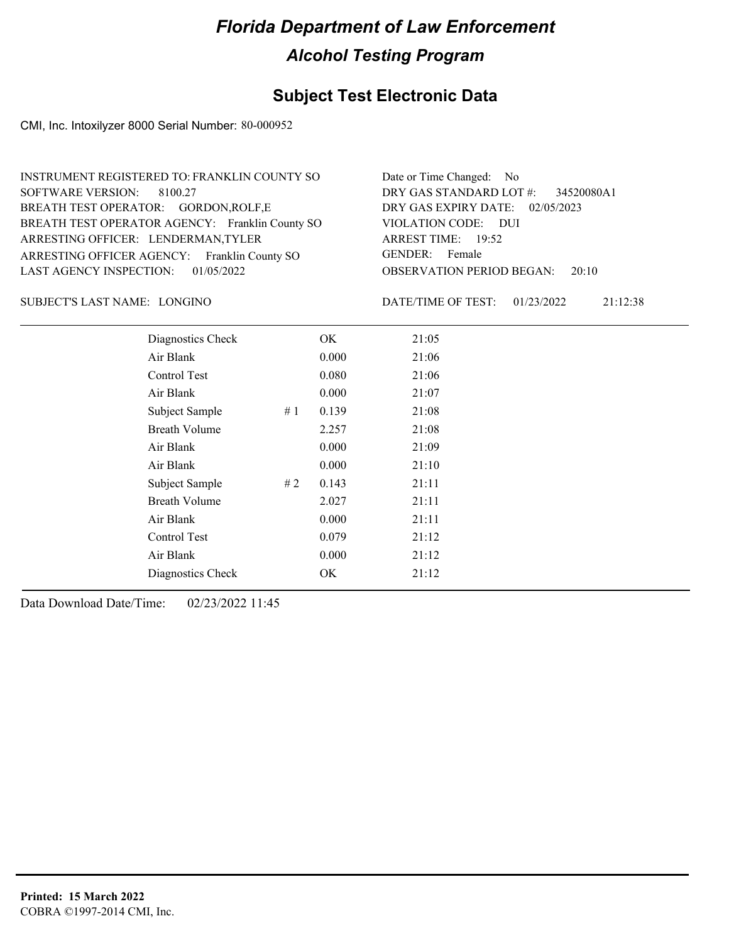### **Subject Test Electronic Data**

CMI, Inc. Intoxilyzer 8000 Serial Number: 80-000952

| INSTRUMENT REGISTERED TO: FRANKLIN COUNTY SO    | Date or Time Changed: No               |
|-------------------------------------------------|----------------------------------------|
| SOFTWARE VERSION: 8100.27                       | DRY GAS STANDARD LOT #: 34520080A1     |
| BREATH TEST OPERATOR: GORDON, ROLF, E           | DRY GAS EXPIRY DATE: 02/05/2023        |
| BREATH TEST OPERATOR AGENCY: Franklin County SO | VIOLATION CODE: DUI                    |
| ARRESTING OFFICER: LENDERMAN, TYLER             | ARREST TIME: 19:52                     |
| ARRESTING OFFICER AGENCY: Franklin County SO    | GENDER: Female                         |
| LAST AGENCY INSPECTION: $01/05/2022$            | <b>OBSERVATION PERIOD BEGAN: 20:10</b> |

LONGINO SUBJECT'S LAST NAME: DATE/TIME OF TEST:

DATE/TIME OF TEST: 01/23/2022 21:12:38

| Diagnostics Check    |    | OK    | 21:05 |
|----------------------|----|-------|-------|
| Air Blank            |    | 0.000 | 21:06 |
| Control Test         |    | 0.080 | 21:06 |
| Air Blank            |    | 0.000 | 21:07 |
| Subject Sample       | #1 | 0.139 | 21:08 |
| <b>Breath Volume</b> |    | 2.257 | 21:08 |
| Air Blank            |    | 0.000 | 21:09 |
| Air Blank            |    | 0.000 | 21:10 |
| Subject Sample       | #2 | 0.143 | 21:11 |
| <b>Breath Volume</b> |    | 2.027 | 21:11 |
| Air Blank            |    | 0.000 | 21:11 |
| Control Test         |    | 0.079 | 21:12 |
| Air Blank            |    | 0.000 | 21:12 |
| Diagnostics Check    |    | OK    | 21:12 |
|                      |    |       |       |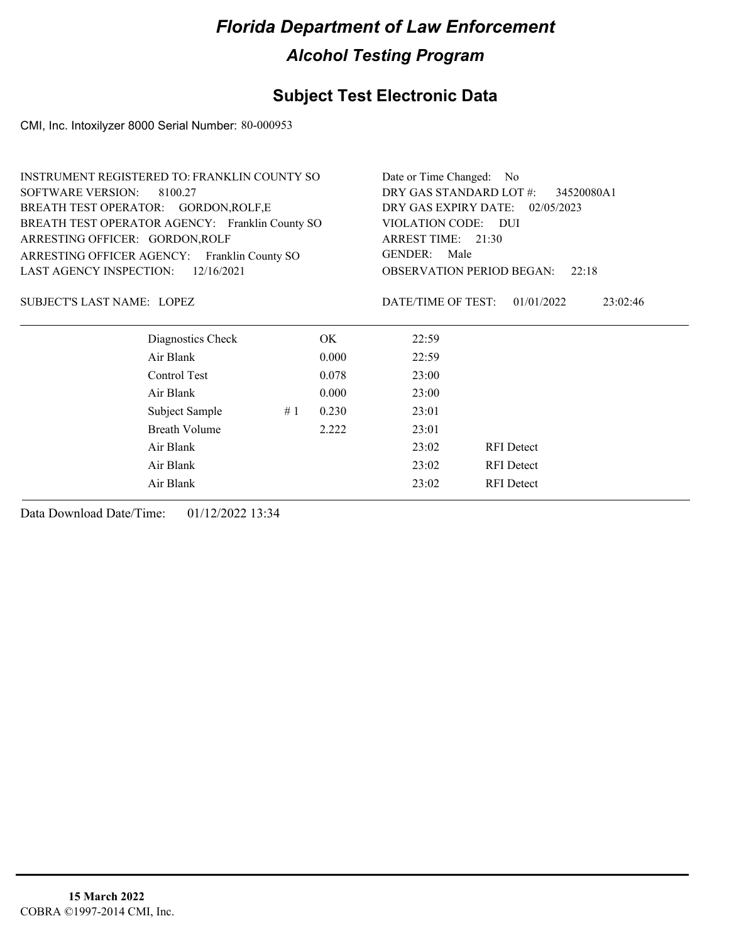### **Subject Test Electronic Data**

CMI, Inc. Intoxilyzer 8000 Serial Number: 80-000953

| INSTRUMENT REGISTERED TO: FRANKLIN COUNTY SO |                                                 |    |                                                                     | Date or Time Changed: No                  |                        |  |  |
|----------------------------------------------|-------------------------------------------------|----|---------------------------------------------------------------------|-------------------------------------------|------------------------|--|--|
| <b>SOFTWARE VERSION:</b><br>8100.27          |                                                 |    |                                                                     | DRY GAS STANDARD LOT #:<br>34520080A1     |                        |  |  |
|                                              | BREATH TEST OPERATOR: GORDON, ROLF, E           |    | DRY GAS EXPIRY DATE:<br>02/05/2023                                  |                                           |                        |  |  |
|                                              | BREATH TEST OPERATOR AGENCY: Franklin County SO |    | VIOLATION CODE: DUI<br>ARREST TIME: 21:30<br><b>GENDER:</b><br>Male |                                           |                        |  |  |
| ARRESTING OFFICER: GORDON, ROLF              |                                                 |    |                                                                     |                                           |                        |  |  |
|                                              | ARRESTING OFFICER AGENCY: Franklin County SO    |    |                                                                     |                                           |                        |  |  |
| <b>LAST AGENCY INSPECTION:</b>               | 12/16/2021                                      |    |                                                                     | <b>OBSERVATION PERIOD BEGAN:</b><br>22:18 |                        |  |  |
| SUBJECT'S LAST NAME: LOPEZ                   |                                                 |    |                                                                     | DATE/TIME OF TEST:                        | 01/01/2022<br>23:02:46 |  |  |
|                                              | Diagnostics Check                               |    | OK.                                                                 | 22:59                                     |                        |  |  |
|                                              | Air Blank                                       |    | 0.000                                                               | 22:59                                     |                        |  |  |
|                                              | Control Test                                    |    | 0.078                                                               | 23:00                                     |                        |  |  |
|                                              | Air Blank                                       |    | 0.000                                                               | 23:00                                     |                        |  |  |
|                                              | Subject Sample                                  | #1 | 0.230                                                               | 23:01                                     |                        |  |  |
|                                              | <b>Breath Volume</b>                            |    | 2.222                                                               | 23:01                                     |                        |  |  |
|                                              | Air Blank                                       |    |                                                                     | 23:02                                     | <b>RFI</b> Detect      |  |  |
|                                              | Air Blank                                       |    | 23:02                                                               | <b>RFI</b> Detect                         |                        |  |  |
|                                              | Air Blank                                       |    |                                                                     | 23:02                                     | <b>RFI</b> Detect      |  |  |
|                                              |                                                 |    |                                                                     |                                           |                        |  |  |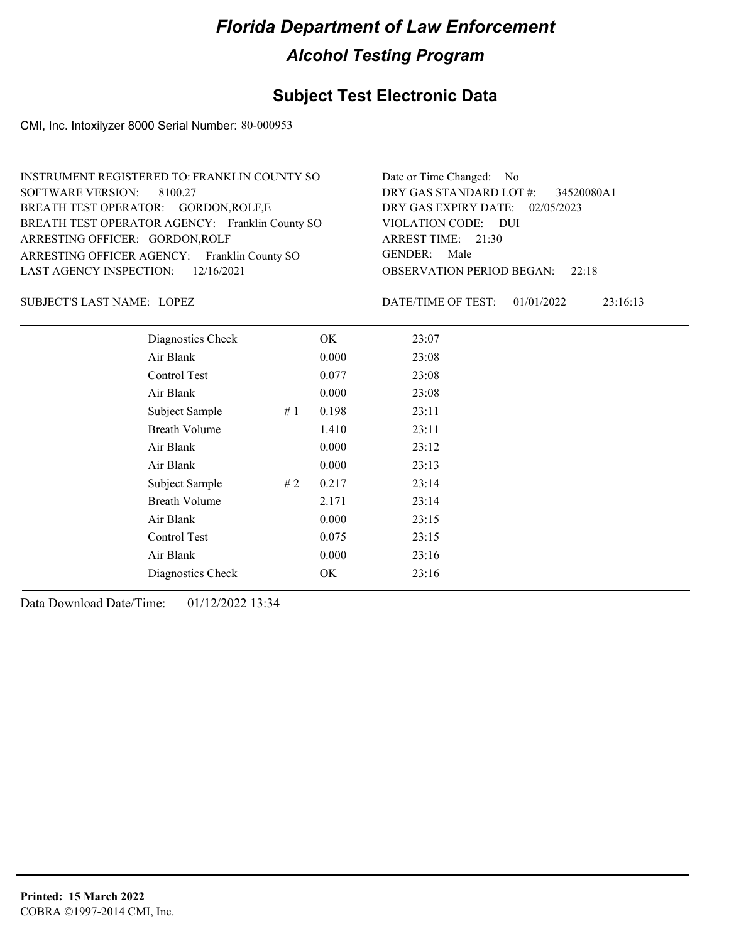### **Subject Test Electronic Data**

CMI, Inc. Intoxilyzer 8000 Serial Number: 80-000953

| INSTRUMENT REGISTERED TO: FRANKLIN COUNTY SO    | Date or Time Changed: No               |
|-------------------------------------------------|----------------------------------------|
| SOFTWARE VERSION: 8100.27                       | DRY GAS STANDARD LOT #: 34520080A1     |
| BREATH TEST OPERATOR: GORDON, ROLF, E           | DRY GAS EXPIRY DATE: 02/05/2023        |
| BREATH TEST OPERATOR AGENCY: Franklin County SO | VIOLATION CODE: DUI                    |
| ARRESTING OFFICER: GORDON, ROLF                 | ARREST TIME: 21:30                     |
| ARRESTING OFFICER AGENCY: Franklin County SO    | GENDER: Male                           |
| LAST AGENCY INSPECTION: $12/16/2021$            | <b>OBSERVATION PERIOD BEGAN:</b> 22:18 |

LOPEZ SUBJECT'S LAST NAME: DATE/TIME OF TEST:

DATE/TIME OF TEST: 01/01/2022 23:16:13

| Diagnostics Check    |    | OK    | 23:07 |
|----------------------|----|-------|-------|
| Air Blank            |    | 0.000 | 23:08 |
| Control Test         |    | 0.077 | 23:08 |
| Air Blank            |    | 0.000 | 23:08 |
| Subject Sample       | #1 | 0.198 | 23:11 |
| <b>Breath Volume</b> |    | 1.410 | 23:11 |
| Air Blank            |    | 0.000 | 23:12 |
| Air Blank            |    | 0.000 | 23:13 |
| Subject Sample       | #2 | 0.217 | 23:14 |
| <b>Breath Volume</b> |    | 2.171 | 23:14 |
| Air Blank            |    | 0.000 | 23:15 |
| Control Test         |    | 0.075 | 23:15 |
| Air Blank            |    | 0.000 | 23:16 |
| Diagnostics Check    |    | OK    | 23:16 |
|                      |    |       |       |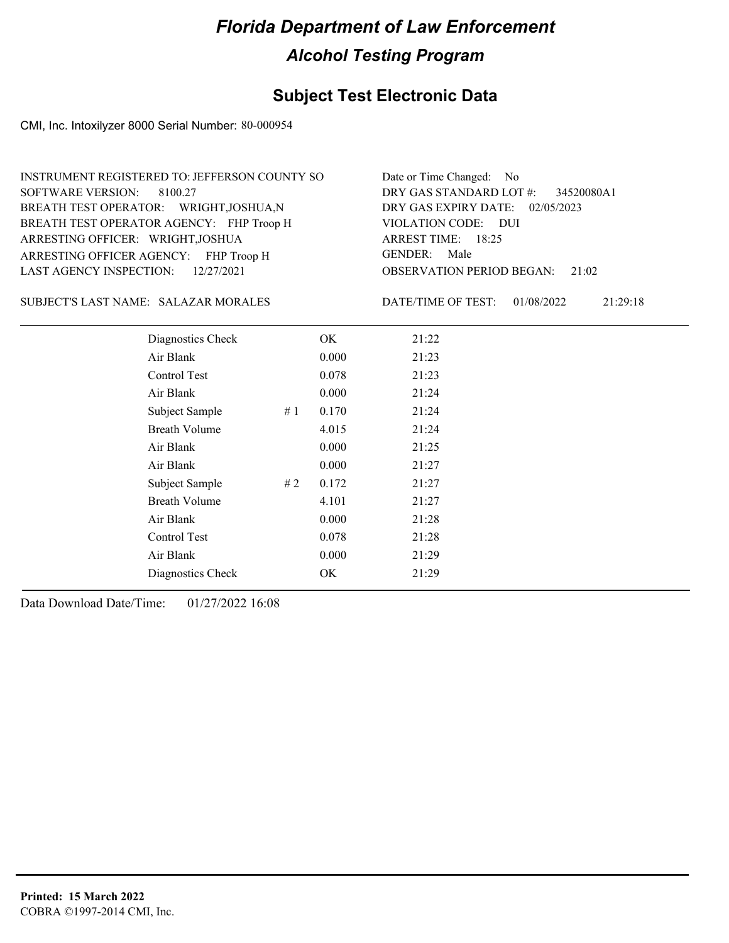### **Subject Test Electronic Data**

CMI, Inc. Intoxilyzer 8000 Serial Number: 80-000954

| INSTRUMENT REGISTERED TO: JEFFERSON COUNTY SO | Date or Time Changed: No               |
|-----------------------------------------------|----------------------------------------|
| SOFTWARE VERSION: 8100.27                     | DRY GAS STANDARD LOT #: 34520080A1     |
| BREATH TEST OPERATOR: WRIGHT, JOSHUA, N       | DRY GAS EXPIRY DATE: 02/05/2023        |
| BREATH TEST OPERATOR AGENCY: FHP Troop H      | VIOLATION CODE: DUI                    |
| ARRESTING OFFICER: WRIGHT, JOSHUA             | ARREST TIME: 18:25                     |
| ARRESTING OFFICER AGENCY: FHP Troop H         | GENDER: Male                           |
| LAST AGENCY INSPECTION: $12/27/2021$          | <b>OBSERVATION PERIOD BEGAN:</b> 21:02 |

#### SALAZAR MORALES SUBJECT'S LAST NAME: DATE/TIME OF TEST:

DATE/TIME OF TEST: 01/08/2022 21:29:18

| Diagnostics Check    |     | OK    | 21:22 |  |
|----------------------|-----|-------|-------|--|
| Air Blank            |     | 0.000 | 21:23 |  |
| Control Test         |     | 0.078 | 21:23 |  |
| Air Blank            |     | 0.000 | 21:24 |  |
| Subject Sample       | #1  | 0.170 | 21:24 |  |
| <b>Breath Volume</b> |     | 4.015 | 21:24 |  |
| Air Blank            |     | 0.000 | 21:25 |  |
| Air Blank            |     | 0.000 | 21:27 |  |
| Subject Sample       | # 2 | 0.172 | 21:27 |  |
| <b>Breath Volume</b> |     | 4.101 | 21:27 |  |
| Air Blank            |     | 0.000 | 21:28 |  |
| Control Test         |     | 0.078 | 21:28 |  |
| Air Blank            |     | 0.000 | 21:29 |  |
| Diagnostics Check    |     | OK    | 21:29 |  |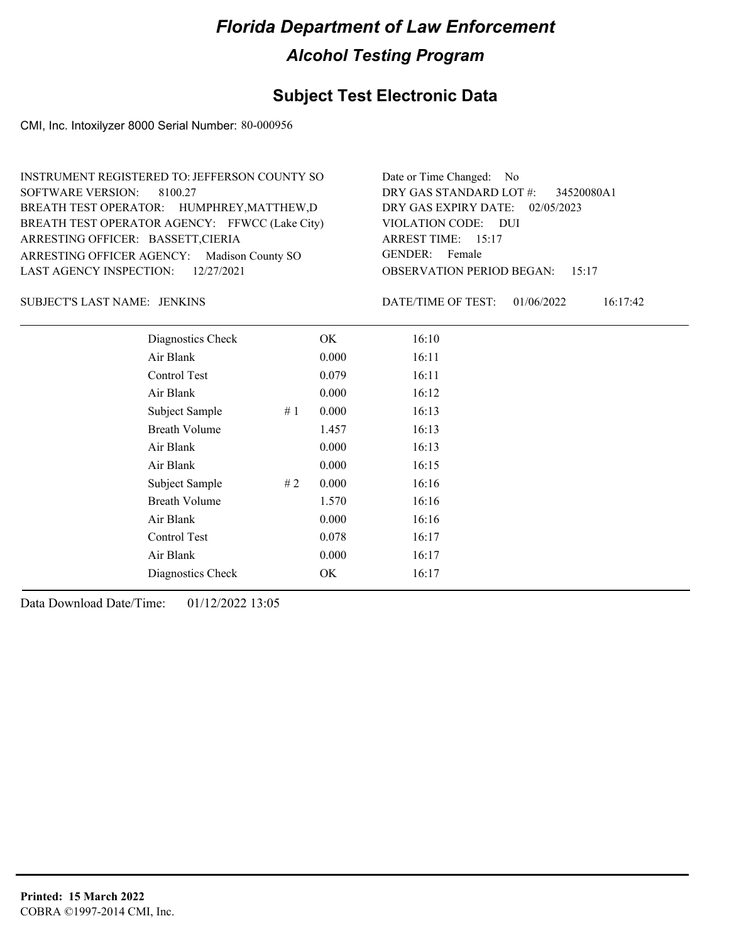### **Subject Test Electronic Data**

CMI, Inc. Intoxilyzer 8000 Serial Number: 80-000956

| Date or Time Changed: No               |
|----------------------------------------|
| DRY GAS STANDARD LOT #: 34520080A1     |
| DRY GAS EXPIRY DATE: 02/05/2023        |
| VIOLATION CODE: DUI                    |
| ARREST TIME: 15:17                     |
| GENDER: Female                         |
| <b>OBSERVATION PERIOD BEGAN: 15:17</b> |
|                                        |

JENKINS SUBJECT'S LAST NAME: DATE/TIME OF TEST:

DATE/TIME OF TEST: 01/06/2022 16:17:42

| Diagnostics Check    | OK    | 16:10 |
|----------------------|-------|-------|
| Air Blank            | 0.000 | 16:11 |
| Control Test         | 0.079 | 16:11 |
| Air Blank            | 0.000 | 16:12 |
| Subject Sample<br>#1 | 0.000 | 16:13 |
| <b>Breath Volume</b> | 1.457 | 16:13 |
| Air Blank            | 0.000 | 16:13 |
| Air Blank            | 0.000 | 16:15 |
| Subject Sample<br>#2 | 0.000 | 16:16 |
| <b>Breath Volume</b> | 1.570 | 16:16 |
| Air Blank            | 0.000 | 16:16 |
| Control Test         | 0.078 | 16:17 |
| Air Blank            | 0.000 | 16:17 |
| Diagnostics Check    | OK    | 16:17 |
|                      |       |       |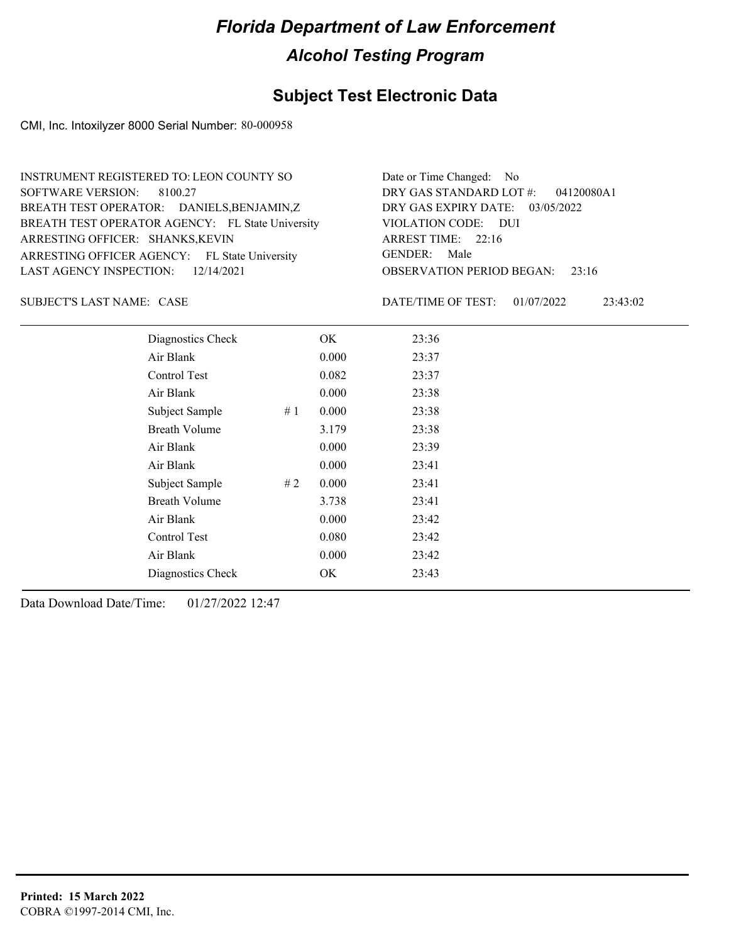### **Subject Test Electronic Data**

CMI, Inc. Intoxilyzer 8000 Serial Number: 80-000958

| INSTRUMENT REGISTERED TO: LEON COUNTY SO         | Date or Time Changed: No               |
|--------------------------------------------------|----------------------------------------|
| SOFTWARE VERSION: 8100.27                        | DRY GAS STANDARD LOT #: 04120080A1     |
| BREATH TEST OPERATOR: DANIELS, BENJAMIN, Z       | DRY GAS EXPIRY DATE: 03/05/2022        |
| BREATH TEST OPERATOR AGENCY: FL State University | VIOLATION CODE: DUI                    |
| ARRESTING OFFICER: SHANKS, KEVIN                 | ARREST TIME: 22:16                     |
| ARRESTING OFFICER AGENCY: FL State University    | GENDER: Male                           |
| LAST AGENCY INSPECTION: $12/14/2021$             | <b>OBSERVATION PERIOD BEGAN:</b> 23:16 |

SUBJECT'S LAST NAME: CASE **Example 20** DATE/TIME OF TEST:

DATE/TIME OF TEST: 01/07/2022 23:43:02

| Diagnostics Check    |    | OK    | 23:36 |
|----------------------|----|-------|-------|
| Air Blank            |    | 0.000 | 23:37 |
| Control Test         |    | 0.082 | 23:37 |
| Air Blank            |    | 0.000 | 23:38 |
| Subject Sample       | #1 | 0.000 | 23:38 |
| <b>Breath Volume</b> |    | 3.179 | 23:38 |
| Air Blank            |    | 0.000 | 23:39 |
| Air Blank            |    | 0.000 | 23:41 |
| Subject Sample       | #2 | 0.000 | 23:41 |
| <b>Breath Volume</b> |    | 3.738 | 23:41 |
| Air Blank            |    | 0.000 | 23:42 |
| Control Test         |    | 0.080 | 23:42 |
| Air Blank            |    | 0.000 | 23:42 |
| Diagnostics Check    |    | OK    | 23:43 |
|                      |    |       |       |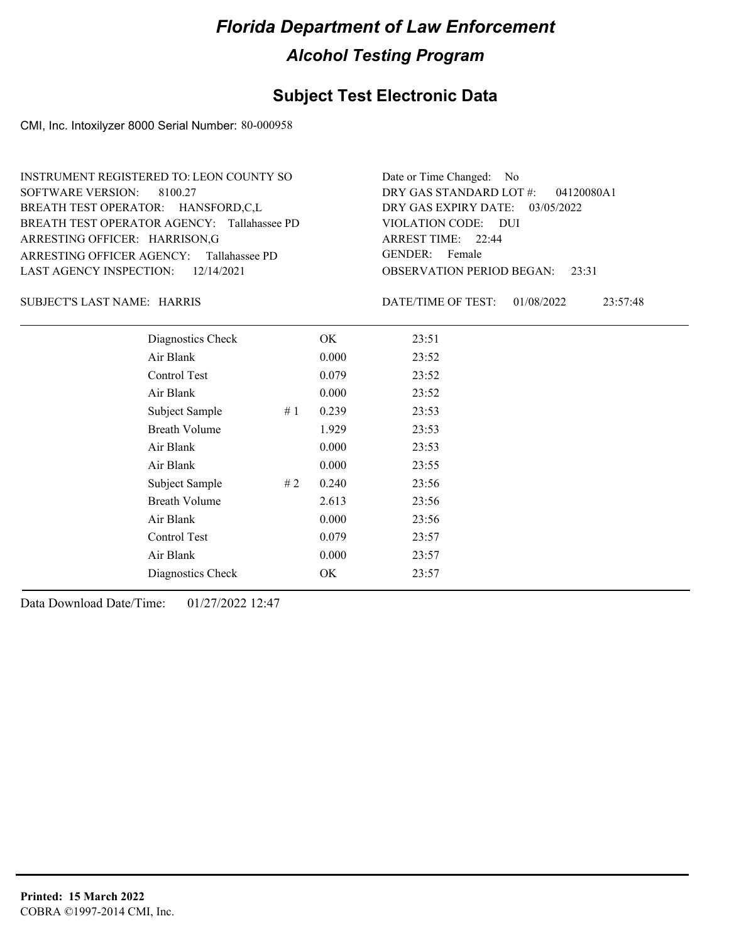### **Subject Test Electronic Data**

CMI, Inc. Intoxilyzer 8000 Serial Number: 80-000958

| INSTRUMENT REGISTERED TO: LEON COUNTY SO    | Date or Time Changed: No               |
|---------------------------------------------|----------------------------------------|
| SOFTWARE VERSION: 8100.27                   | DRY GAS STANDARD LOT $\#$ : 04120080A1 |
| BREATH TEST OPERATOR: HANSFORD,C,L          | DRY GAS EXPIRY DATE: 03/05/2022        |
| BREATH TEST OPERATOR AGENCY: Tallahassee PD | VIOLATION CODE: DUI                    |
| ARRESTING OFFICER: HARRISON, G              | ARREST TIME: 22:44                     |
| ARRESTING OFFICER AGENCY: Tallahassee PD    | GENDER: Female                         |
| LAST AGENCY INSPECTION: $12/14/2021$        | <b>OBSERVATION PERIOD BEGAN:</b> 23:31 |

#### SUBJECT'S LAST NAME: HARRIS DATE/TIME OF TEST:

DATE/TIME OF TEST: 01/08/2022 23:57:48

| Diagnostics Check    |    | OK    | 23:51 |  |
|----------------------|----|-------|-------|--|
| Air Blank            |    | 0.000 | 23:52 |  |
| Control Test         |    | 0.079 | 23:52 |  |
| Air Blank            |    | 0.000 | 23:52 |  |
| Subject Sample       | #1 | 0.239 | 23:53 |  |
| <b>Breath Volume</b> |    | 1.929 | 23:53 |  |
| Air Blank            |    | 0.000 | 23:53 |  |
| Air Blank            |    | 0.000 | 23:55 |  |
| Subject Sample       | #2 | 0.240 | 23:56 |  |
| <b>Breath Volume</b> |    | 2.613 | 23:56 |  |
| Air Blank            |    | 0.000 | 23:56 |  |
| Control Test         |    | 0.079 | 23:57 |  |
| Air Blank            |    | 0.000 | 23:57 |  |
| Diagnostics Check    |    | OK    | 23:57 |  |
|                      |    |       |       |  |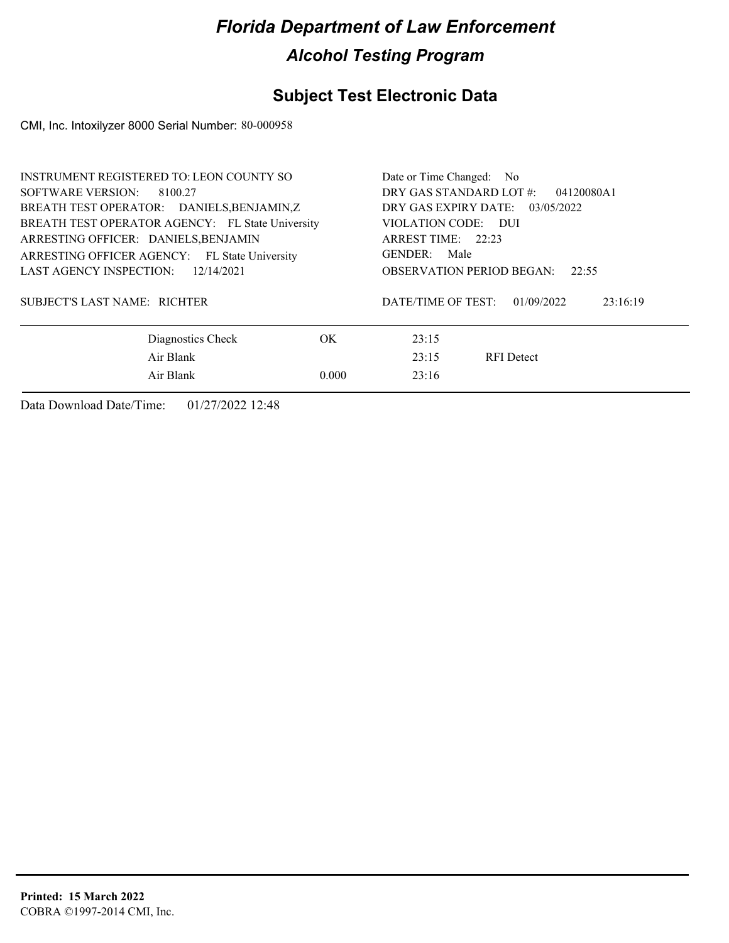### **Subject Test Electronic Data**

CMI, Inc. Intoxilyzer 8000 Serial Number: 80-000958

| <b>INSTRUMENT REGISTERED TO: LEON COUNTY SO</b>  | Date or Time Changed: No        |                                              |  |  |
|--------------------------------------------------|---------------------------------|----------------------------------------------|--|--|
| SOFTWARE VERSION: 8100.27                        |                                 | DRY GAS STANDARD LOT #:<br>04120080A1        |  |  |
| BREATH TEST OPERATOR: DANIELS, BENJAMIN, Z       | DRY GAS EXPIRY DATE: 03/05/2022 |                                              |  |  |
| BREATH TEST OPERATOR AGENCY: FL State University |                                 | VIOLATION CODE: DUI                          |  |  |
| ARRESTING OFFICER: DANIELS, BENJAMIN             |                                 | ARREST TIME: 22:23                           |  |  |
| ARRESTING OFFICER AGENCY: FL State University    |                                 | GENDER: Male                                 |  |  |
| <b>LAST AGENCY INSPECTION:</b><br>12/14/2021     |                                 | <b>OBSERVATION PERIOD BEGAN:</b><br>22:55    |  |  |
| SUBJECT'S LAST NAME: RICHTER                     |                                 | DATE/TIME OF TEST:<br>01/09/2022<br>23:16:19 |  |  |
| Diagnostics Check                                | OK.                             | 23:15                                        |  |  |
| Air Blank                                        |                                 | 23:15<br><b>RFI</b> Detect                   |  |  |
| Air Blank                                        | 0.000                           | 23:16                                        |  |  |
|                                                  |                                 |                                              |  |  |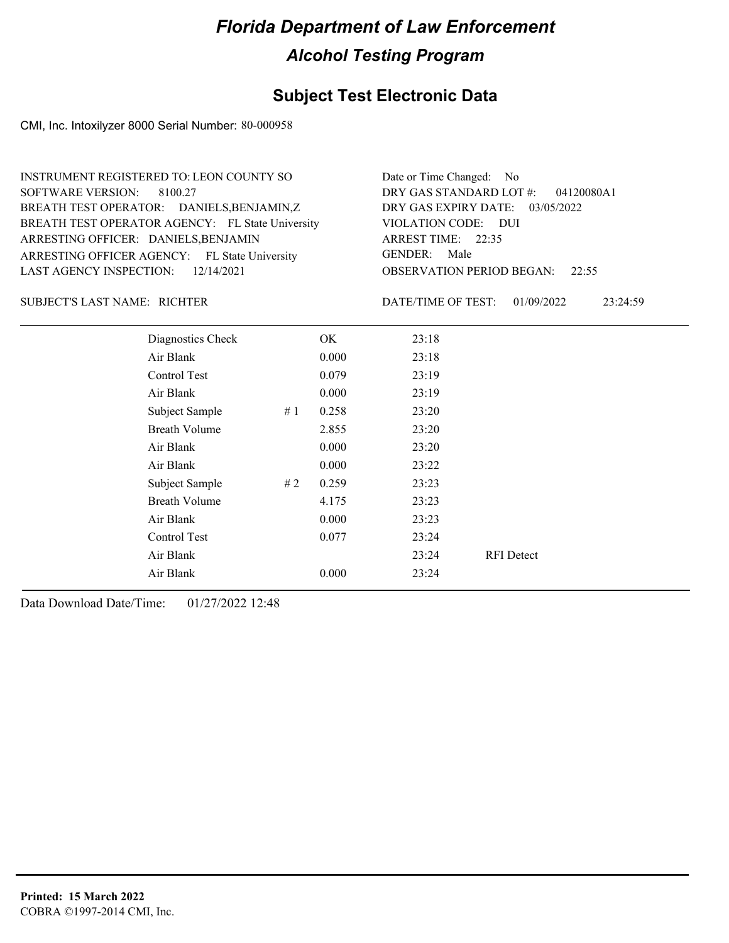### **Subject Test Electronic Data**

CMI, Inc. Intoxilyzer 8000 Serial Number: 80-000958

| INSTRUMENT REGISTERED TO: LEON COUNTY SO         | Date or Time Changed: No               |
|--------------------------------------------------|----------------------------------------|
| SOFTWARE VERSION: 8100.27                        | DRY GAS STANDARD LOT $#$ : 04120080A1  |
| BREATH TEST OPERATOR: DANIELS, BENJAMIN, Z       | DRY GAS EXPIRY DATE: 03/05/2022        |
| BREATH TEST OPERATOR AGENCY: FL State University | VIOLATION CODE: DUI                    |
| ARRESTING OFFICER: DANIELS, BENJAMIN             | ARREST TIME: 22:35                     |
| ARRESTING OFFICER AGENCY: FL State University    | GENDER: Male                           |
| LAST AGENCY INSPECTION: $12/14/2021$             | <b>OBSERVATION PERIOD BEGAN: 22:55</b> |

#### RICHTER SUBJECT'S LAST NAME: DATE/TIME OF TEST:

DATE/TIME OF TEST: 01/09/2022 23:24:59

| Diagnostics Check    |    | OK    | 23:18 |                   |
|----------------------|----|-------|-------|-------------------|
| Air Blank            |    | 0.000 | 23:18 |                   |
| Control Test         |    | 0.079 | 23:19 |                   |
| Air Blank            |    | 0.000 | 23:19 |                   |
| Subject Sample       | #1 | 0.258 | 23:20 |                   |
| <b>Breath Volume</b> |    | 2.855 | 23:20 |                   |
| Air Blank            |    | 0.000 | 23:20 |                   |
| Air Blank            |    | 0.000 | 23:22 |                   |
| Subject Sample       | #2 | 0.259 | 23:23 |                   |
| <b>Breath Volume</b> |    | 4.175 | 23:23 |                   |
| Air Blank            |    | 0.000 | 23:23 |                   |
| Control Test         |    | 0.077 | 23:24 |                   |
| Air Blank            |    |       | 23:24 | <b>RFI</b> Detect |
| Air Blank            |    | 0.000 | 23:24 |                   |
|                      |    |       |       |                   |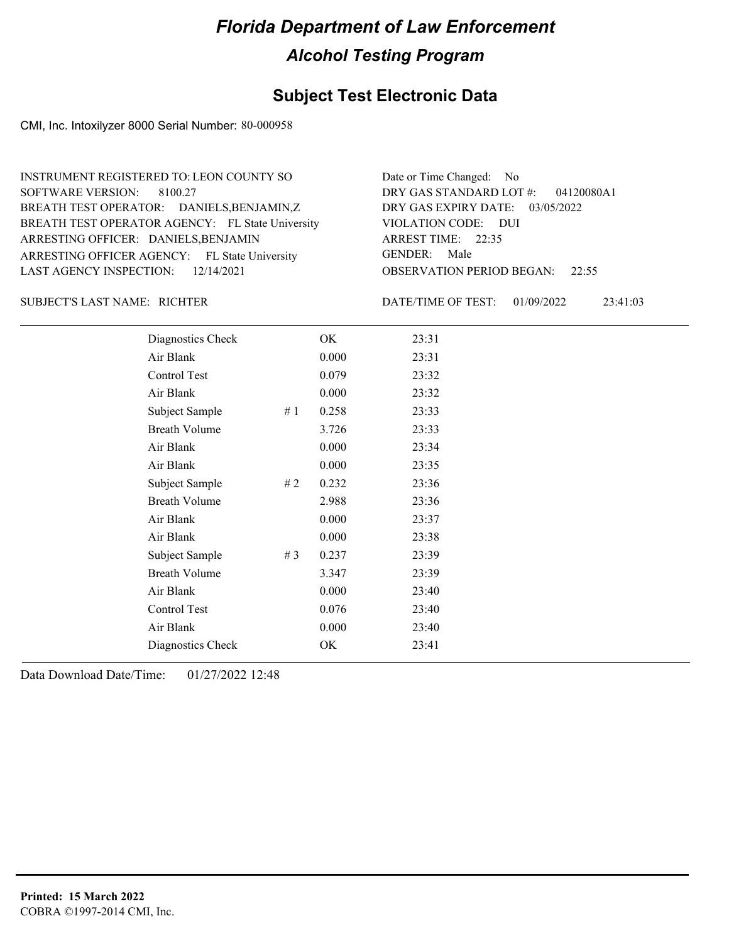#### **Subject Test Electronic Data**

CMI, Inc. Intoxilyzer 8000 Serial Number: 80-000958

ARRESTING OFFICER AGENCY: FL State University GENDER: BREATH TEST OPERATOR AGENCY: FL State University VIOLATION CODE: SOFTWARE VERSION: ARRESTING OFFICER: DANIELS, BENJAMIN DANIELS,BENJAMIN,Z BREATH TEST OPERATOR: LAST AGENCY INSPECTION: 12/14/2021 8100.27 INSTRUMENT REGISTERED TO: LEON COUNTY SO

OBSERVATION PERIOD BEGAN: 22:55 VIOLATION CODE: DUI 22:35 ARREST TIME: DRY GAS EXPIRY DATE: 03/05/2022 04120080A1 DRY GAS STANDARD LOT #: Date or Time Changed: No GENDER: Male

RICHTER SUBJECT'S LAST NAME: DATE/TIME OF TEST:

DATE/TIME OF TEST: 01/09/2022 23:41:03

| Diagnostics Check    |    | OK    | 23:31 |
|----------------------|----|-------|-------|
| Air Blank            |    | 0.000 | 23:31 |
| Control Test         |    | 0.079 | 23:32 |
| Air Blank            |    | 0.000 | 23:32 |
| Subject Sample       | #1 | 0.258 | 23:33 |
| <b>Breath Volume</b> |    | 3.726 | 23:33 |
| Air Blank            |    | 0.000 | 23:34 |
| Air Blank            |    | 0.000 | 23:35 |
| Subject Sample       | #2 | 0.232 | 23:36 |
| <b>Breath Volume</b> |    | 2.988 | 23:36 |
| Air Blank            |    | 0.000 | 23:37 |
| Air Blank            |    | 0.000 | 23:38 |
| Subject Sample       | #3 | 0.237 | 23:39 |
| <b>Breath Volume</b> |    | 3.347 | 23:39 |
| Air Blank            |    | 0.000 | 23:40 |
| Control Test         |    | 0.076 | 23:40 |
| Air Blank            |    | 0.000 | 23:40 |
| Diagnostics Check    |    | OK    | 23:41 |
|                      |    |       |       |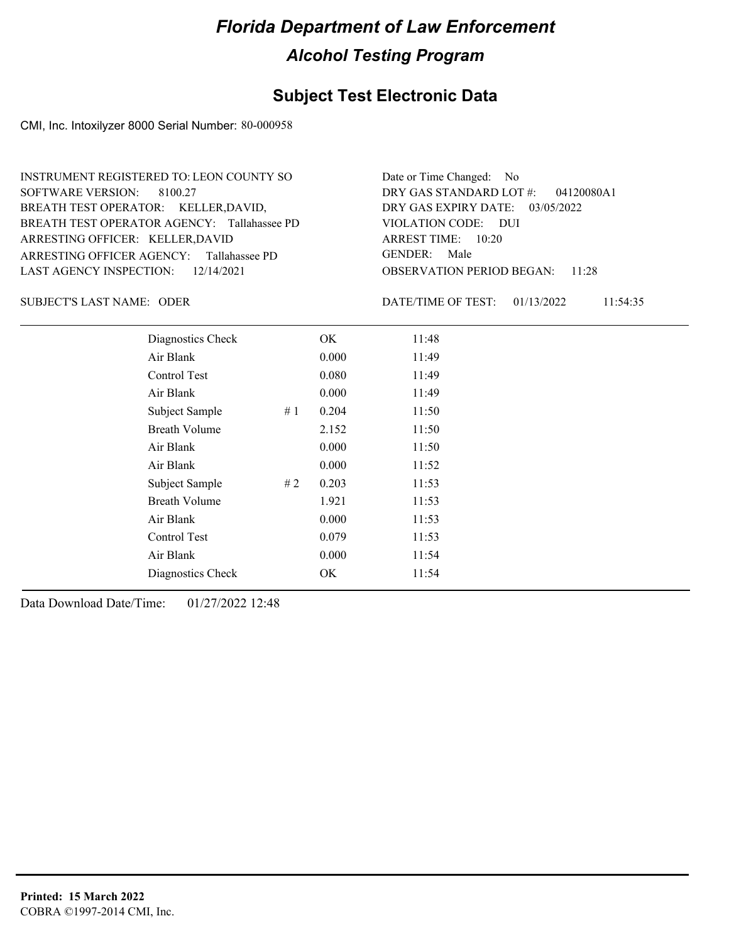#### **Subject Test Electronic Data**

CMI, Inc. Intoxilyzer 8000 Serial Number: 80-000958

ARRESTING OFFICER AGENCY: Tallahassee PD GENDER: BREATH TEST OPERATOR AGENCY: Tallahassee PD VIOLATION CODE: SOFTWARE VERSION: 8100.27 ARRESTING OFFICER: KELLER,DAVID BREATH TEST OPERATOR: KELLER,DAVID, LAST AGENCY INSPECTION: 12/14/2021 INSTRUMENT REGISTERED TO: LEON COUNTY SO

OBSERVATION PERIOD BEGAN: 11:28 VIOLATION CODE: DUI ARREST TIME: 10:20 DRY GAS EXPIRY DATE: 03/05/2022 04120080A1 DRY GAS STANDARD LOT #: Date or Time Changed: No GENDER: Male

SUBJECT'S LAST NAME: ODER DATE/TIME OF TEST:

DATE/TIME OF TEST: 01/13/2022 11:54:35

| Diagnostics Check    | OK    | 11:48 |
|----------------------|-------|-------|
| Air Blank            | 0.000 | 11:49 |
| Control Test         | 0.080 | 11:49 |
| Air Blank            | 0.000 | 11:49 |
| Subject Sample<br>#1 | 0.204 | 11:50 |
| <b>Breath Volume</b> | 2.152 | 11:50 |
| Air Blank            | 0.000 | 11:50 |
| Air Blank            | 0.000 | 11:52 |
| Subject Sample<br>#2 | 0.203 | 11:53 |
| <b>Breath Volume</b> | 1.921 | 11:53 |
| Air Blank            | 0.000 | 11:53 |
| Control Test         | 0.079 | 11:53 |
| Air Blank            | 0.000 | 11:54 |
| Diagnostics Check    | OK    | 11:54 |
|                      |       |       |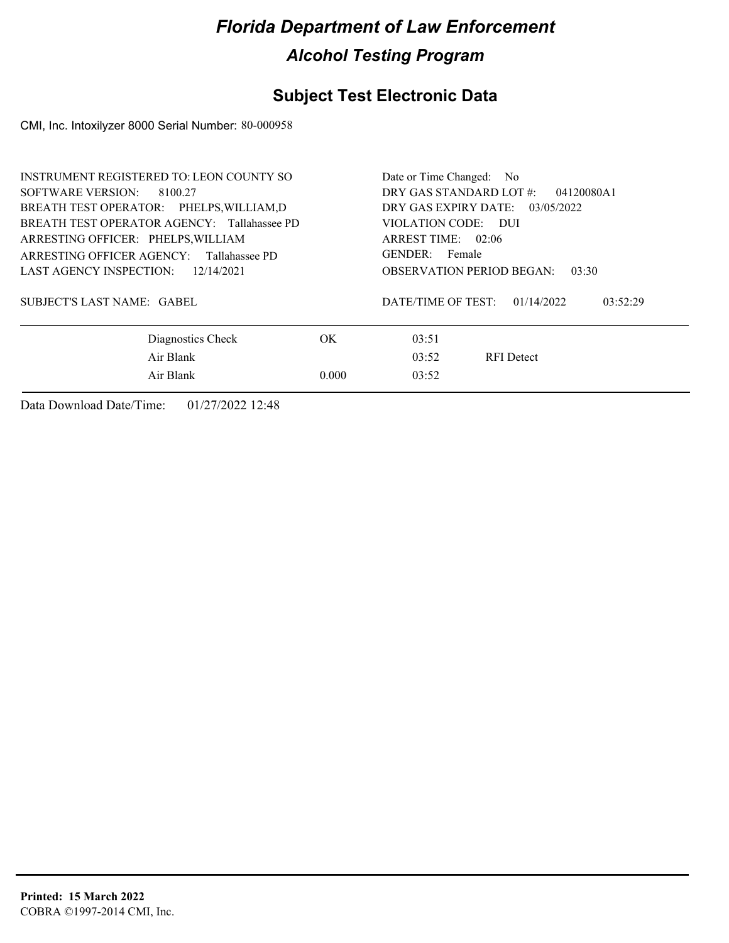### **Subject Test Electronic Data**

CMI, Inc. Intoxilyzer 8000 Serial Number: 80-000958

| <b>OBSERVATION PERIOD BEGAN:</b><br>03:30 |  |  |
|-------------------------------------------|--|--|
| 03:52:29                                  |  |  |
|                                           |  |  |
|                                           |  |  |
|                                           |  |  |
|                                           |  |  |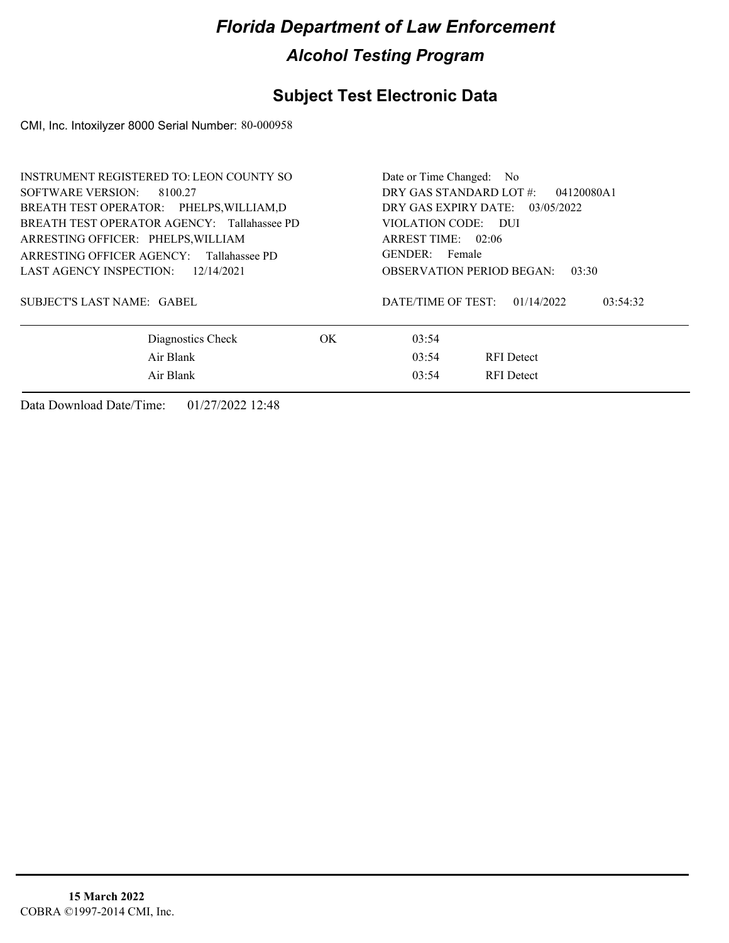### **Subject Test Electronic Data**

CMI, Inc. Intoxilyzer 8000 Serial Number: 80-000958

| <b>INSTRUMENT REGISTERED TO: LEON COUNTY SO</b><br>SOFTWARE VERSION: 8100.27<br>BREATH TEST OPERATOR: PHELPS, WILLIAM, D<br>BREATH TEST OPERATOR AGENCY: Tallahassee PD |     | Date or Time Changed: No<br>DRY GAS STANDARD LOT #:<br>04120080A1<br>DRY GAS EXPIRY DATE:<br>03/05/2022<br>VIOLATION CODE: DUI    |  |  |
|-------------------------------------------------------------------------------------------------------------------------------------------------------------------------|-----|-----------------------------------------------------------------------------------------------------------------------------------|--|--|
| ARRESTING OFFICER: PHELPS, WILLIAM<br>ARRESTING OFFICER AGENCY: Tallahassee PD<br>LAST AGENCY INSPECTION: 12/14/2021<br><b>SUBJECT'S LAST NAME: GABEL</b>               |     | ARREST TIME: 02:06<br>GENDER: Female<br><b>OBSERVATION PERIOD BEGAN:</b><br>03:30<br>01/14/2022<br>DATE/TIME OF TEST:<br>03:54:32 |  |  |
| Diagnostics Check<br>Air Blank<br>Air Blank                                                                                                                             | OK. | 03:54<br>03:54<br><b>RFI</b> Detect<br>03:54<br><b>RFI</b> Detect                                                                 |  |  |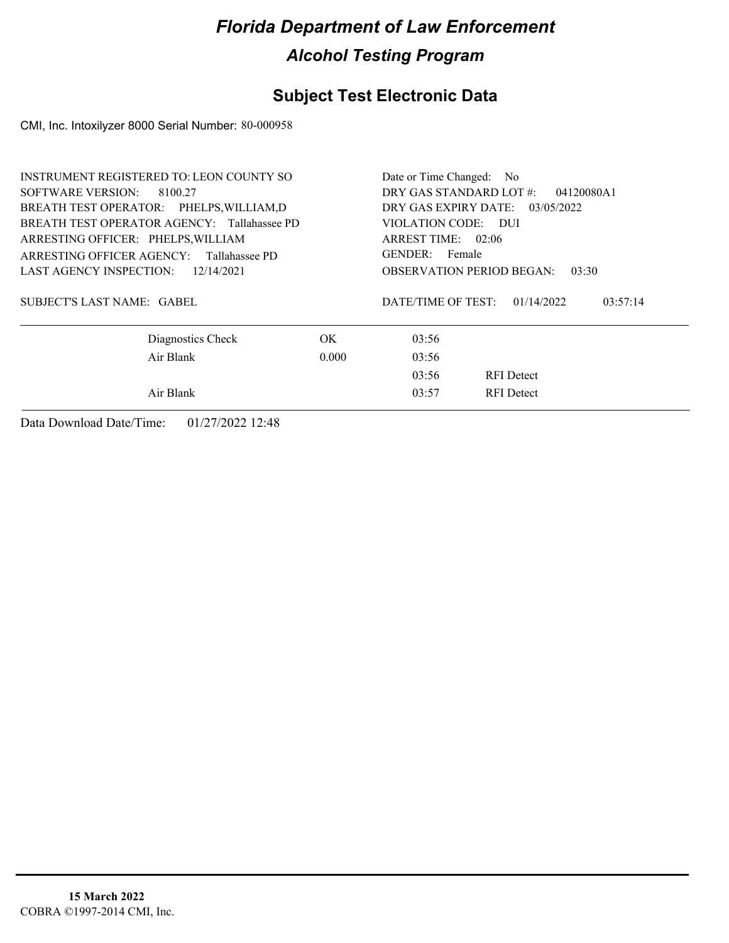### **Subject Test Electronic Data**

CMI, Inc. Intoxilyzer 8000 Serial Number: 80-000958

| INSTRUMENT REGISTERED TO: LEON COUNTY SO    | Date or Time Changed: No              |                                              |  |  |
|---------------------------------------------|---------------------------------------|----------------------------------------------|--|--|
| SOFTWARE VERSION: 8100.27                   | DRY GAS STANDARD LOT #:<br>04120080A1 |                                              |  |  |
| BREATH TEST OPERATOR: PHELPS, WILLIAM, D    |                                       | DRY GAS EXPIRY DATE: $03/05/2022$            |  |  |
| BREATH TEST OPERATOR AGENCY: Tallahassee PD |                                       | VIOLATION CODE: DUI                          |  |  |
| ARRESTING OFFICER: PHELPS, WILLIAM          |                                       | ARREST TIME: 02:06                           |  |  |
| ARRESTING OFFICER AGENCY: Tallahassee PD    |                                       | GENDER: Female                               |  |  |
| LAST AGENCY INSPECTION: $12/14/2021$        |                                       | <b>OBSERVATION PERIOD BEGAN:</b><br>03:30    |  |  |
| SUBJECT'S LAST NAME: GABEL                  |                                       | DATE/TIME OF TEST:<br>01/14/2022<br>03:57:14 |  |  |
| Diagnostics Check                           | OK.                                   | 03:56                                        |  |  |
| Air Blank                                   | 0.000                                 | 03:56                                        |  |  |
|                                             |                                       | 03:56<br><b>RFI</b> Detect                   |  |  |
| Air Blank                                   |                                       | <b>RFI</b> Detect<br>03:57                   |  |  |
|                                             |                                       |                                              |  |  |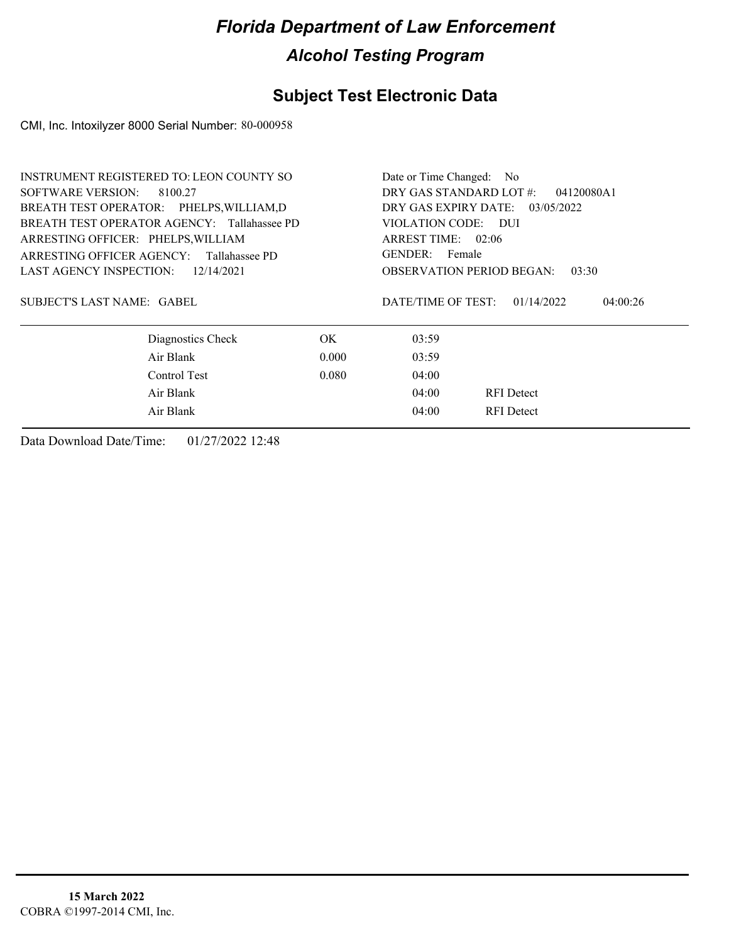### **Subject Test Electronic Data**

CMI, Inc. Intoxilyzer 8000 Serial Number: 80-000958

| <b>INSTRUMENT REGISTERED TO: LEON COUNTY SO</b> |                      | Date or Time Changed: No                     |  |  |
|-------------------------------------------------|----------------------|----------------------------------------------|--|--|
| SOFTWARE VERSION:<br>8100.27                    |                      | DRY GAS STANDARD LOT #:<br>04120080A1        |  |  |
| BREATH TEST OPERATOR: PHELPS, WILLIAM, D        |                      | DRY GAS EXPIRY DATE: 03/05/2022              |  |  |
| BREATH TEST OPERATOR AGENCY: Tallahassee PD     | VIOLATION CODE: DUI  |                                              |  |  |
| ARRESTING OFFICER: PHELPS, WILLIAM              | ARREST TIME: $02:06$ |                                              |  |  |
| ARRESTING OFFICER AGENCY: Tallahassee PD        |                      | GENDER: Female                               |  |  |
| LAST AGENCY INSPECTION: $12/14/2021$            |                      | <b>OBSERVATION PERIOD BEGAN:</b><br>03:30    |  |  |
| SUBJECT'S LAST NAME: GABEL                      |                      | DATE/TIME OF TEST:<br>01/14/2022<br>04:00:26 |  |  |
| Diagnostics Check                               | OK.                  | 03:59                                        |  |  |
| Air Blank                                       | 0.000                | 03:59                                        |  |  |
| Control Test                                    | 0.080                | 04:00                                        |  |  |
| Air Blank                                       |                      | 04:00<br><b>RFI</b> Detect                   |  |  |
| Air Blank                                       |                      | 04:00<br><b>RFI</b> Detect                   |  |  |
|                                                 |                      |                                              |  |  |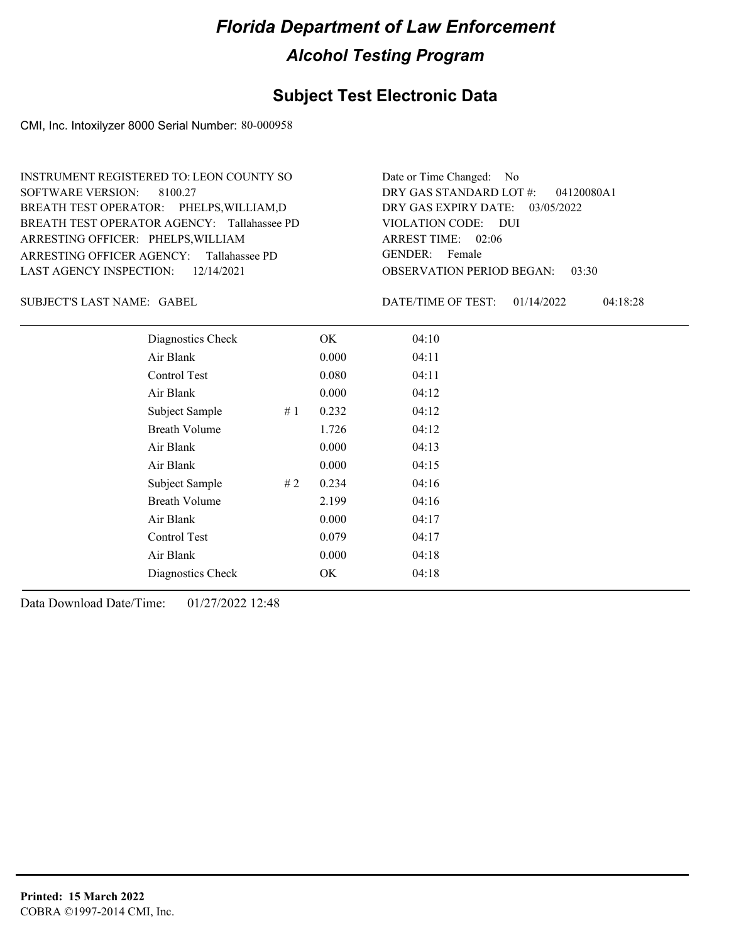#### **Subject Test Electronic Data**

CMI, Inc. Intoxilyzer 8000 Serial Number: 80-000958

ARRESTING OFFICER AGENCY: Tallahassee PD GENDER: BREATH TEST OPERATOR AGENCY: Tallahassee PD VIOLATION CODE: SOFTWARE VERSION: 8100.27 ARRESTING OFFICER: PHELPS, WILLIAM BREATH TEST OPERATOR: PHELPS,WILLIAM,D LAST AGENCY INSPECTION: 12/14/2021 INSTRUMENT REGISTERED TO: LEON COUNTY SO

OBSERVATION PERIOD BEGAN: 03:30 VIOLATION CODE: DUI ARREST TIME: 02:06 DRY GAS EXPIRY DATE: 03/05/2022 04120080A1 DRY GAS STANDARD LOT #: Date or Time Changed: No GENDER: Female

GABEL SUBJECT'S LAST NAME: DATE/TIME OF TEST:

DATE/TIME OF TEST: 01/14/2022 04:18:28

|                      | Diagnostics Check | OK    | 04:10 |  |
|----------------------|-------------------|-------|-------|--|
| Air Blank            |                   | 0.000 | 04:11 |  |
| Control Test         |                   | 0.080 | 04:11 |  |
| Air Blank            |                   | 0.000 | 04:12 |  |
| Subject Sample       | #1                | 0.232 | 04:12 |  |
| <b>Breath Volume</b> |                   | 1.726 | 04:12 |  |
| Air Blank            |                   | 0.000 | 04:13 |  |
| Air Blank            |                   | 0.000 | 04:15 |  |
| Subject Sample       | #2                | 0.234 | 04:16 |  |
| <b>Breath Volume</b> |                   | 2.199 | 04:16 |  |
| Air Blank            |                   | 0.000 | 04:17 |  |
| Control Test         |                   | 0.079 | 04:17 |  |
| Air Blank            |                   | 0.000 | 04:18 |  |
|                      | Diagnostics Check | OK    | 04:18 |  |
|                      |                   |       |       |  |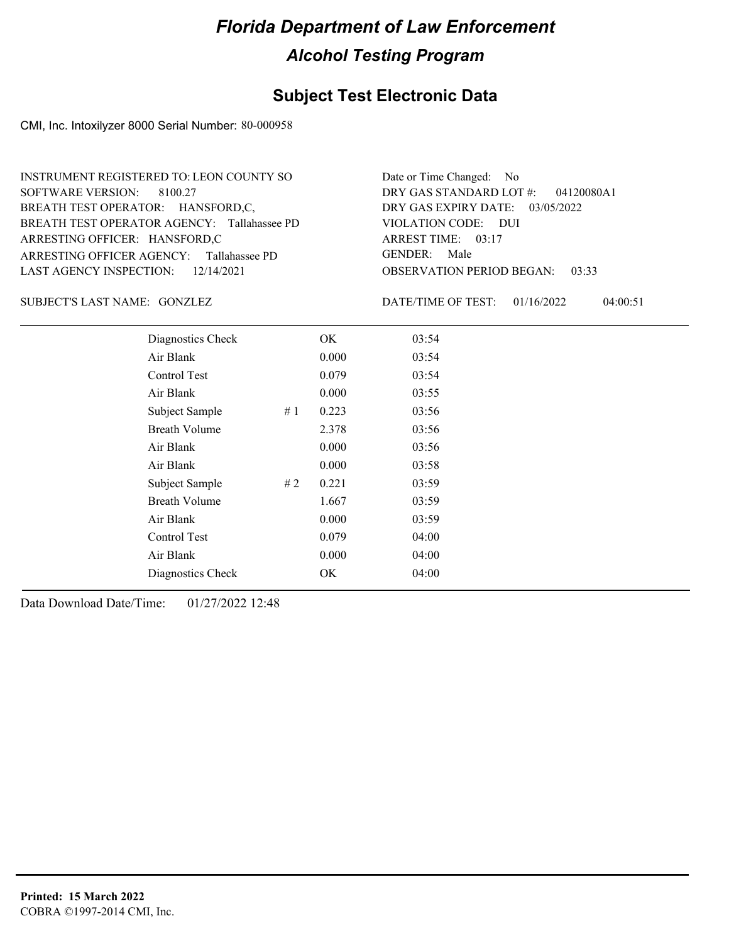#### **Subject Test Electronic Data**

CMI, Inc. Intoxilyzer 8000 Serial Number: 80-000958

ARRESTING OFFICER AGENCY: Tallahassee PD GENDER: BREATH TEST OPERATOR AGENCY: Tallahassee PD VIOLATION CODE: SOFTWARE VERSION: 8100.27 ARRESTING OFFICER: HANSFORD,C BREATH TEST OPERATOR: HANSFORD,C, LAST AGENCY INSPECTION: 12/14/2021 INSTRUMENT REGISTERED TO: LEON COUNTY SO

OBSERVATION PERIOD BEGAN: 03:33 VIOLATION CODE: DUI ARREST TIME: 03:17 DRY GAS EXPIRY DATE: 03/05/2022 04120080A1 DRY GAS STANDARD LOT #: Date or Time Changed: No GENDER: Male

GONZLEZ SUBJECT'S LAST NAME: DATE/TIME OF TEST:

DATE/TIME OF TEST: 01/16/2022 04:00:51

| Diagnostics Check    |    | OK    | 03:54 |
|----------------------|----|-------|-------|
| Air Blank            |    | 0.000 | 03:54 |
| Control Test         |    | 0.079 | 03:54 |
| Air Blank            |    | 0.000 | 03:55 |
| Subject Sample       | #1 | 0.223 | 03:56 |
| <b>Breath Volume</b> |    | 2.378 | 03:56 |
| Air Blank            |    | 0.000 | 03:56 |
| Air Blank            |    | 0.000 | 03:58 |
| Subject Sample       | #2 | 0.221 | 03:59 |
| <b>Breath Volume</b> |    | 1.667 | 03:59 |
| Air Blank            |    | 0.000 | 03:59 |
| Control Test         |    | 0.079 | 04:00 |
| Air Blank            |    | 0.000 | 04:00 |
| Diagnostics Check    |    | OK    | 04:00 |
|                      |    |       |       |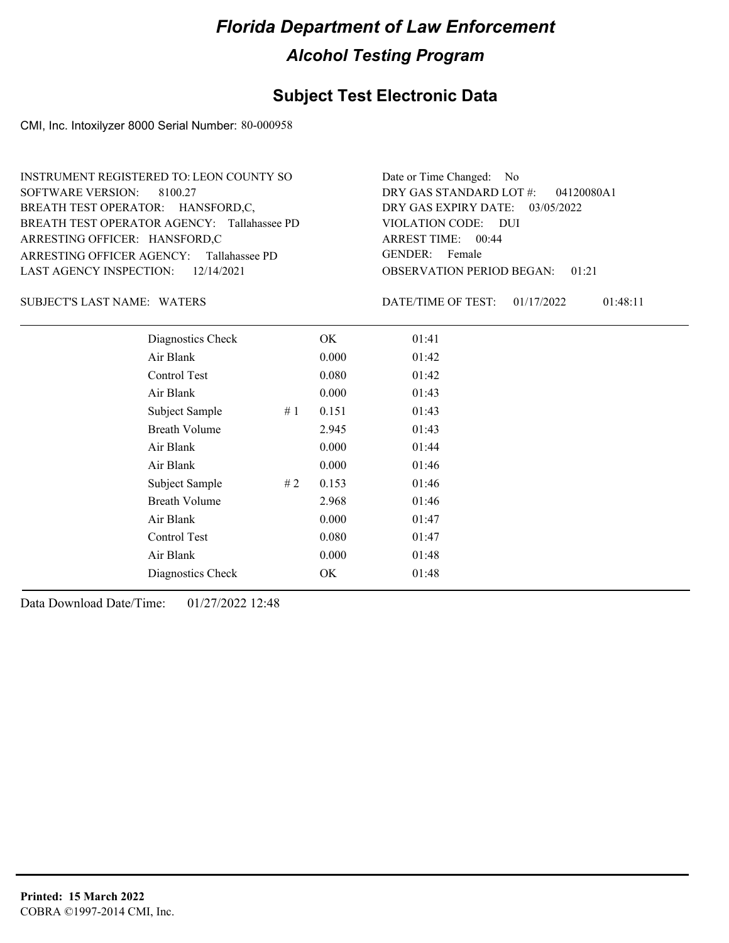### **Subject Test Electronic Data**

CMI, Inc. Intoxilyzer 8000 Serial Number: 80-000958

| INSTRUMENT REGISTERED TO: LEON COUNTY SO    | Date or Time Changed: No               |
|---------------------------------------------|----------------------------------------|
| SOFTWARE VERSION: 8100.27                   | DRY GAS STANDARD LOT $\#$ : 04120080A1 |
| BREATH TEST OPERATOR: HANSFORD,C,           | DRY GAS EXPIRY DATE: 03/05/2022        |
| BREATH TEST OPERATOR AGENCY: Tallahassee PD | VIOLATION CODE: DUI                    |
| ARRESTING OFFICER: HANSFORD,C               | ARREST TIME: 00:44                     |
| ARRESTING OFFICER AGENCY: Tallahassee PD    | GENDER: Female                         |
| LAST AGENCY INSPECTION: 12/14/2021          | <b>OBSERVATION PERIOD BEGAN: 01:21</b> |

#### SUBJECT'S LAST NAME: WATERS **Example 20 SOME** DATE/TIME OF TEST:

DATE/TIME OF TEST: 01/17/2022 01:48:11

| Diagnostics Check    |    | OK    | 01:41 |
|----------------------|----|-------|-------|
| Air Blank            |    | 0.000 | 01:42 |
| Control Test         |    | 0.080 | 01:42 |
| Air Blank            |    | 0.000 | 01:43 |
| Subject Sample       | #1 | 0.151 | 01:43 |
| <b>Breath Volume</b> |    | 2.945 | 01:43 |
| Air Blank            |    | 0.000 | 01:44 |
| Air Blank            |    | 0.000 | 01:46 |
| Subject Sample       | #2 | 0.153 | 01:46 |
| <b>Breath Volume</b> |    | 2.968 | 01:46 |
| Air Blank            |    | 0.000 | 01:47 |
| Control Test         |    | 0.080 | 01:47 |
| Air Blank            |    | 0.000 | 01:48 |
| Diagnostics Check    |    | OK    | 01:48 |
|                      |    |       |       |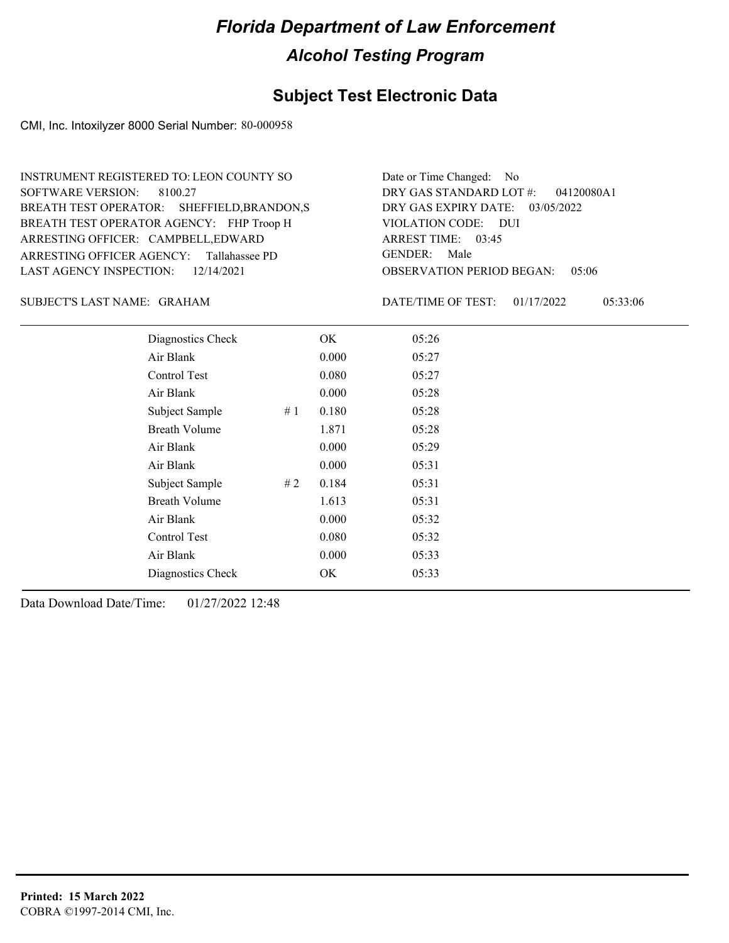#### **Subject Test Electronic Data**

CMI, Inc. Intoxilyzer 8000 Serial Number: 80-000958

ARRESTING OFFICER AGENCY: Tallahassee PD GENDER: BREATH TEST OPERATOR AGENCY: FHP Troop H VIOLATION CODE: SOFTWARE VERSION: ARRESTING OFFICER: CAMPBELL,EDWARD BREATH TEST OPERATOR: SHEFFIELD,BRANDON,S LAST AGENCY INSPECTION: 12/14/2021 8100.27 INSTRUMENT REGISTERED TO: LEON COUNTY SO

OBSERVATION PERIOD BEGAN: 05:06 VIOLATION CODE: DUI 03:45 ARREST TIME: DRY GAS EXPIRY DATE: 03/05/2022 04120080A1 DRY GAS STANDARD LOT #: Date or Time Changed: No GENDER: Male

GRAHAM SUBJECT'S LAST NAME: DATE/TIME OF TEST:

DATE/TIME OF TEST: 01/17/2022 05:33:06

| Diagnostics Check    |    | OK    | 05:26 |  |
|----------------------|----|-------|-------|--|
| Air Blank            |    | 0.000 | 05:27 |  |
| Control Test         |    | 0.080 | 05:27 |  |
| Air Blank            |    | 0.000 | 05:28 |  |
| Subject Sample       | #1 | 0.180 | 05:28 |  |
| <b>Breath Volume</b> |    | 1.871 | 05:28 |  |
| Air Blank            |    | 0.000 | 05:29 |  |
| Air Blank            |    | 0.000 | 05:31 |  |
| Subject Sample       | #2 | 0.184 | 05:31 |  |
| <b>Breath Volume</b> |    | 1.613 | 05:31 |  |
| Air Blank            |    | 0.000 | 05:32 |  |
| Control Test         |    | 0.080 | 05:32 |  |
| Air Blank            |    | 0.000 | 05:33 |  |
| Diagnostics Check    |    | OK    | 05:33 |  |
|                      |    |       |       |  |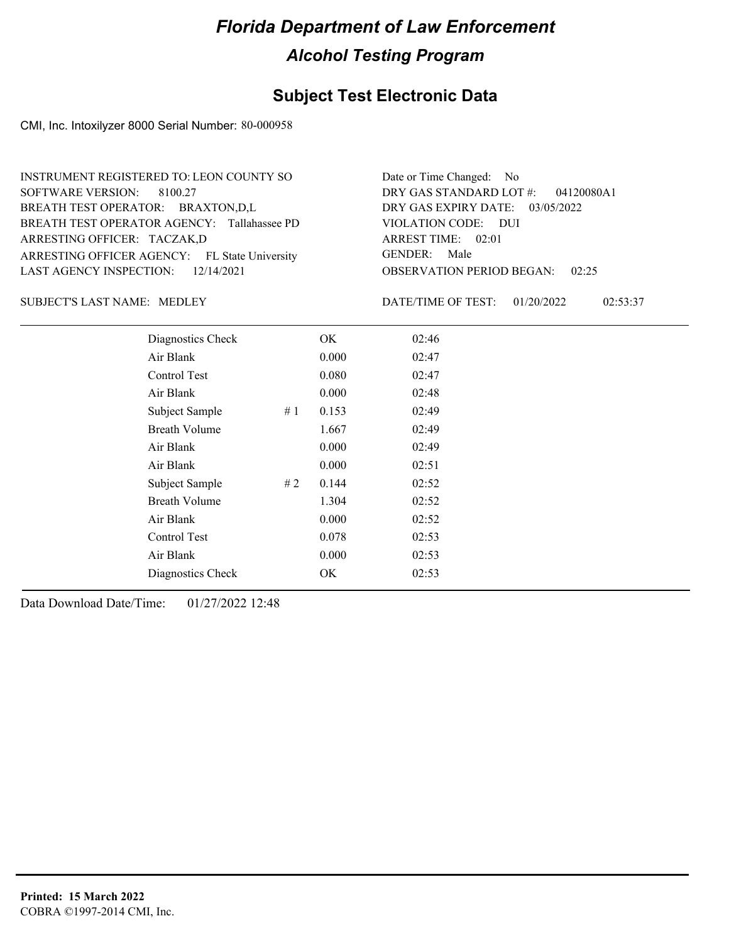#### **Subject Test Electronic Data**

CMI, Inc. Intoxilyzer 8000 Serial Number: 80-000958

| <b>INSTRUMENT REGISTERED TO: LEON COUNTY SO</b> | Date or Time Changed: No               |
|-------------------------------------------------|----------------------------------------|
| SOFTWARE VERSION: 8100.27                       | DRY GAS STANDARD LOT $\#$ : 04120080A1 |
| BREATH TEST OPERATOR: BRAXTON,D,L               | DRY GAS EXPIRY DATE: $03/05/2022$      |
| BREATH TEST OPERATOR AGENCY: Tallahassee PD     | VIOLATION CODE: DUI                    |
| ARRESTING OFFICER: TACZAK,D                     | ARREST TIME: 02:01                     |
| ARRESTING OFFICER AGENCY: FL State University   | GENDER: Male                           |
| LAST AGENCY INSPECTION: $12/14/2021$            | <b>OBSERVATION PERIOD BEGAN: 02:25</b> |

#### SUBJECT'S LAST NAME: MEDLEY DATE/TIME OF TEST:

DATE/TIME OF TEST: 01/20/2022 02:53:37

| Diagnostics Check    |    | OK    | 02:46 |  |
|----------------------|----|-------|-------|--|
| Air Blank            |    | 0.000 | 02:47 |  |
| Control Test         |    | 0.080 | 02:47 |  |
| Air Blank            |    | 0.000 | 02:48 |  |
| Subject Sample       | #1 | 0.153 | 02:49 |  |
| <b>Breath Volume</b> |    | 1.667 | 02:49 |  |
| Air Blank            |    | 0.000 | 02:49 |  |
| Air Blank            |    | 0.000 | 02:51 |  |
| Subject Sample       | #2 | 0.144 | 02:52 |  |
| <b>Breath Volume</b> |    | 1.304 | 02:52 |  |
| Air Blank            |    | 0.000 | 02:52 |  |
| Control Test         |    | 0.078 | 02:53 |  |
| Air Blank            |    | 0.000 | 02:53 |  |
| Diagnostics Check    |    | OK    | 02:53 |  |
|                      |    |       |       |  |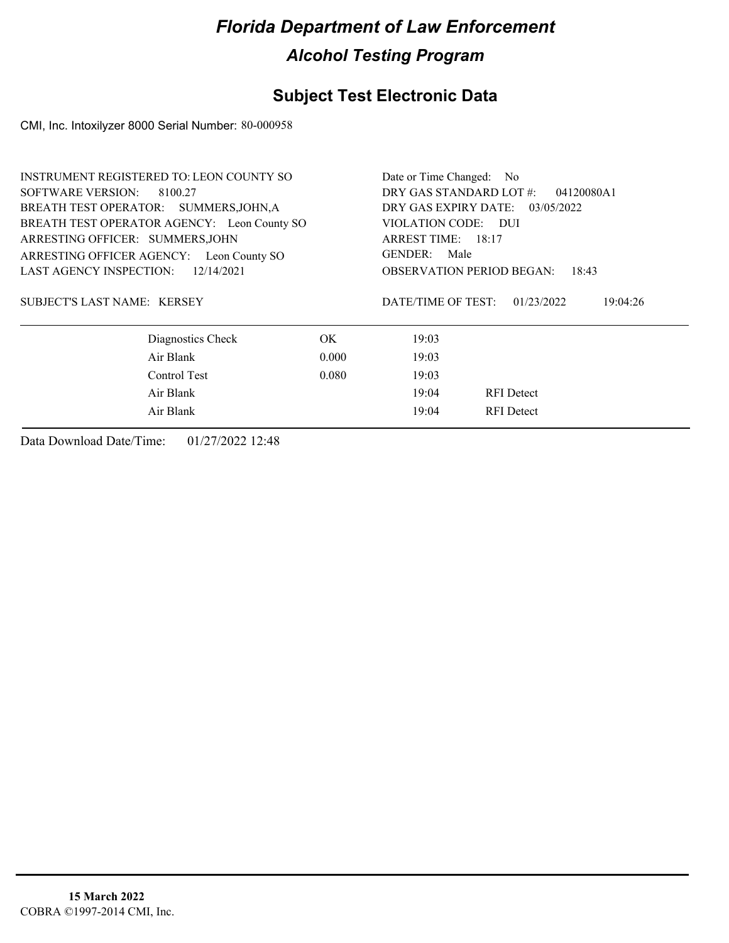### **Subject Test Electronic Data**

CMI, Inc. Intoxilyzer 8000 Serial Number: 80-000958

| <b>INSTRUMENT REGISTERED TO: LEON COUNTY SO</b> |                                 | Date or Time Changed: No         |            |  |
|-------------------------------------------------|---------------------------------|----------------------------------|------------|--|
| SOFTWARE VERSION:<br>8100.27                    |                                 | DRY GAS STANDARD LOT #:          | 04120080A1 |  |
| BREATH TEST OPERATOR: SUMMERS, JOHN, A          | DRY GAS EXPIRY DATE: 03/05/2022 |                                  |            |  |
| BREATH TEST OPERATOR AGENCY: Leon County SO     |                                 | VIOLATION CODE: DUI              |            |  |
| ARRESTING OFFICER: SUMMERS, JOHN                |                                 | ARREST TIME: 18:17               |            |  |
| ARRESTING OFFICER AGENCY: Leon County SO        |                                 | GENDER: Male                     |            |  |
| 12/14/2021<br><b>LAST AGENCY INSPECTION:</b>    |                                 | <b>OBSERVATION PERIOD BEGAN:</b> | 18:43      |  |
| SUBJECT'S LAST NAME: KERSEY                     |                                 | DATE/TIME OF TEST:<br>01/23/2022 | 19:04:26   |  |
| Diagnostics Check                               | OK.                             | 19:03                            |            |  |
| Air Blank                                       | 0.000                           | 19:03                            |            |  |
| Control Test                                    | 0.080                           | 19:03                            |            |  |
| Air Blank                                       |                                 | 19:04<br><b>RFI</b> Detect       |            |  |
| Air Blank                                       |                                 | <b>RFI</b> Detect<br>19:04       |            |  |
|                                                 |                                 |                                  |            |  |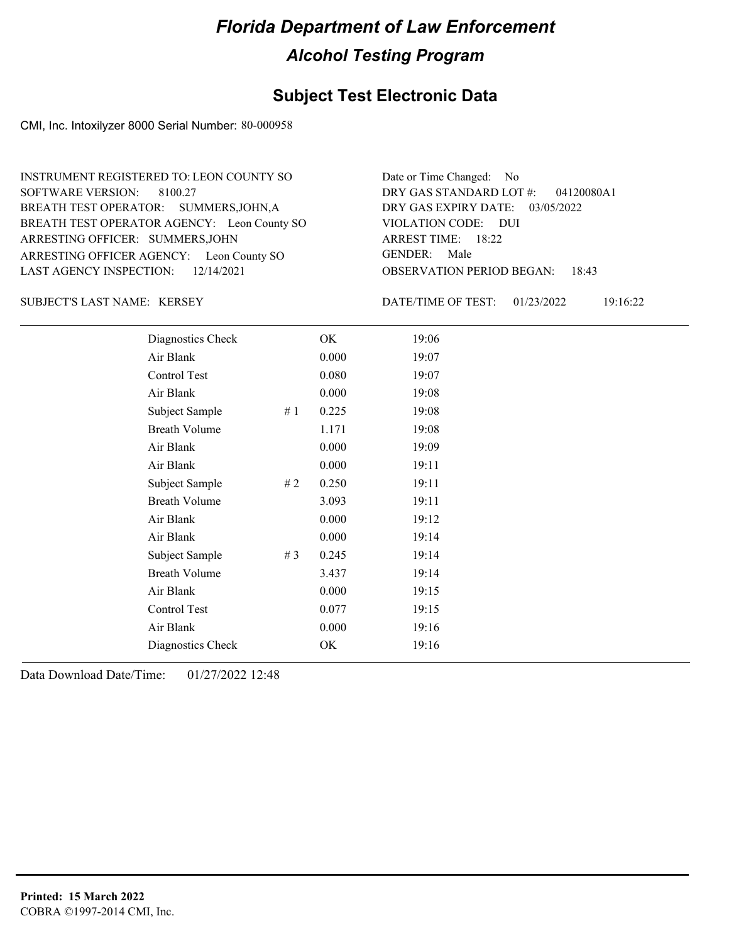#### **Subject Test Electronic Data**

CMI, Inc. Intoxilyzer 8000 Serial Number: 80-000958

ARRESTING OFFICER AGENCY: Leon County SO GENDER: BREATH TEST OPERATOR AGENCY: Leon County SO VIOLATION CODE: SOFTWARE VERSION: ARRESTING OFFICER: SUMMERS, JOHN BREATH TEST OPERATOR: SUMMERS, JOHN, A LAST AGENCY INSPECTION: 12/14/2021 8100.27 INSTRUMENT REGISTERED TO: LEON COUNTY SO

OBSERVATION PERIOD BEGAN: 18:43 VIOLATION CODE: DUI 18:22 ARREST TIME: DRY GAS EXPIRY DATE: 03/05/2022 04120080A1 DRY GAS STANDARD LOT #: Date or Time Changed: No GENDER: Male

SUBJECT'S LAST NAME: KERSEY DATE/TIME OF TEST:

DATE/TIME OF TEST: 01/23/2022 19:16:22

| Diagnostics Check    |       | OK    | 19:06 |
|----------------------|-------|-------|-------|
| Air Blank            |       | 0.000 | 19:07 |
| Control Test         |       | 0.080 | 19:07 |
| Air Blank            |       | 0.000 | 19:08 |
| Subject Sample       | #1    | 0.225 | 19:08 |
| <b>Breath Volume</b> |       | 1.171 | 19:08 |
| Air Blank            |       | 0.000 | 19:09 |
| Air Blank            |       | 0.000 | 19:11 |
| Subject Sample       | # 2   | 0.250 | 19:11 |
| <b>Breath Volume</b> |       | 3.093 | 19:11 |
| Air Blank            |       | 0.000 | 19:12 |
| Air Blank            |       | 0.000 | 19:14 |
| Subject Sample       | # $3$ | 0.245 | 19:14 |
| <b>Breath Volume</b> |       | 3.437 | 19:14 |
| Air Blank            |       | 0.000 | 19:15 |
| Control Test         |       | 0.077 | 19:15 |
| Air Blank            |       | 0.000 | 19:16 |
| Diagnostics Check    |       | OK    | 19:16 |
|                      |       |       |       |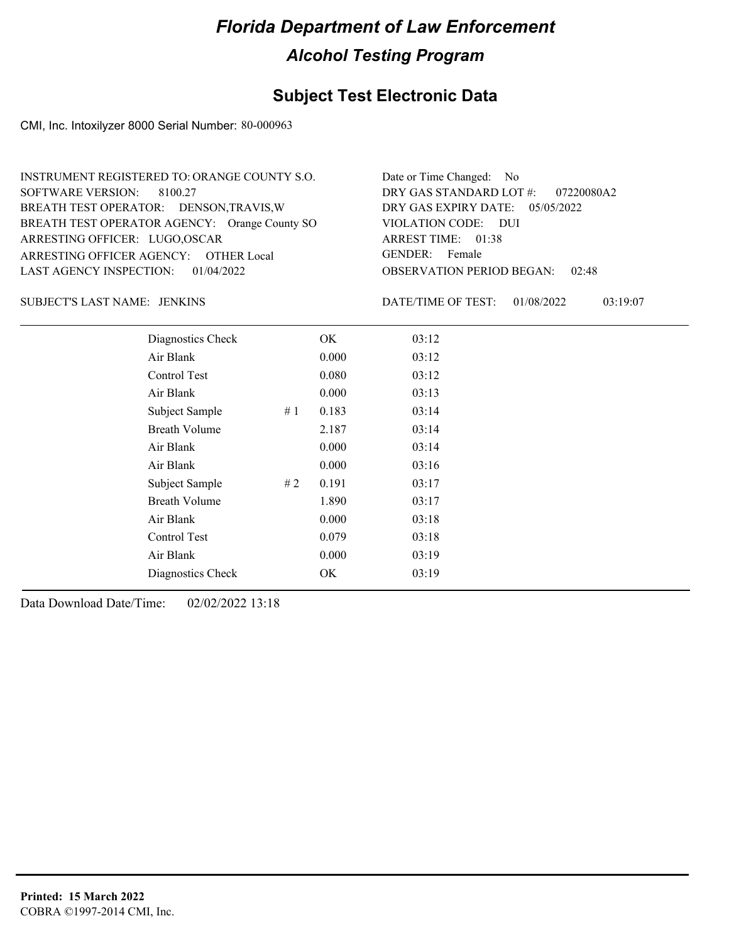### **Subject Test Electronic Data**

CMI, Inc. Intoxilyzer 8000 Serial Number: 80-000963

| INSTRUMENT REGISTERED TO: ORANGE COUNTY S.O.  | Date or Time Changed: No               |
|-----------------------------------------------|----------------------------------------|
| SOFTWARE VERSION: 8100.27                     | DRY GAS STANDARD LOT $\#$ : 07220080A2 |
| BREATH TEST OPERATOR: DENSON, TRAVIS, W       | DRY GAS EXPIRY DATE: $05/05/2022$      |
| BREATH TEST OPERATOR AGENCY: Orange County SO | VIOLATION CODE: DUI                    |
| ARRESTING OFFICER: LUGO, OSCAR                | ARREST TIME: 01:38                     |
| ARRESTING OFFICER AGENCY: OTHER Local         | GENDER: Female                         |
| LAST AGENCY INSPECTION: $01/04/2022$          | <b>OBSERVATION PERIOD BEGAN: 02:48</b> |

JENKINS SUBJECT'S LAST NAME: DATE/TIME OF TEST:

DATE/TIME OF TEST: 01/08/2022 03:19:07

| Diagnostics Check    | OK    | 03:12 |
|----------------------|-------|-------|
| Air Blank            | 0.000 | 03:12 |
| Control Test         | 0.080 | 03:12 |
| Air Blank            | 0.000 | 03:13 |
| Subject Sample<br>#1 | 0.183 | 03:14 |
| <b>Breath Volume</b> | 2.187 | 03:14 |
| Air Blank            | 0.000 | 03:14 |
| Air Blank            | 0.000 | 03:16 |
| Subject Sample<br>#2 | 0.191 | 03:17 |
| <b>Breath Volume</b> | 1.890 | 03:17 |
| Air Blank            | 0.000 | 03:18 |
| Control Test         | 0.079 | 03:18 |
| Air Blank            | 0.000 | 03:19 |
| Diagnostics Check    | OK    | 03:19 |
|                      |       |       |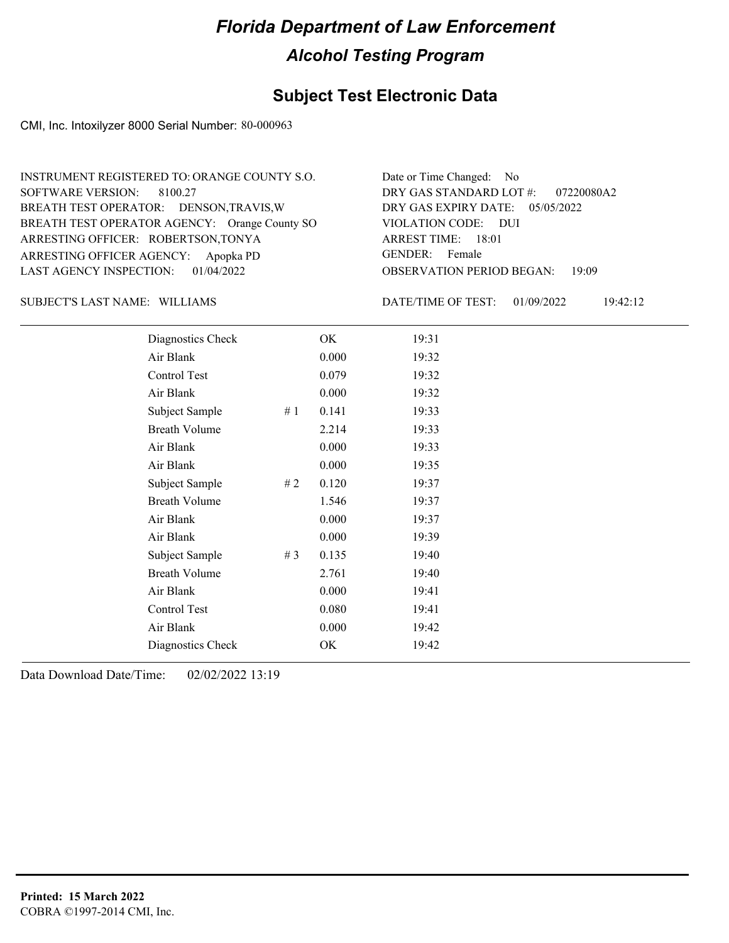#### **Subject Test Electronic Data**

CMI, Inc. Intoxilyzer 8000 Serial Number: 80-000963

ARRESTING OFFICER AGENCY: Apopka PD GENDER: BREATH TEST OPERATOR AGENCY: Orange County SO VIOLATION CODE: SOFTWARE VERSION: ARRESTING OFFICER: ROBERTSON,TONYA BREATH TEST OPERATOR: DENSON,TRAVIS,W LAST AGENCY INSPECTION: 01/04/2022 8100.27 INSTRUMENT REGISTERED TO: ORANGE COUNTY S.O.

OBSERVATION PERIOD BEGAN: 19:09 VIOLATION CODE: DUI 18:01 ARREST TIME: DRY GAS EXPIRY DATE: 05/05/2022 07220080A2 DRY GAS STANDARD LOT #: Date or Time Changed: No GENDER: Female

SUBJECT'S LAST NAME: WILLIAMS DATE/TIME OF TEST:

DATE/TIME OF TEST: 01/09/2022 19:42:12

| Diagnostics Check       | OK    | 19:31 |
|-------------------------|-------|-------|
| Air Blank               | 0.000 | 19:32 |
| Control Test            | 0.079 | 19:32 |
| Air Blank               | 0.000 | 19:32 |
| Subject Sample<br>#1    | 0.141 | 19:33 |
| <b>Breath Volume</b>    | 2.214 | 19:33 |
| Air Blank               | 0.000 | 19:33 |
| Air Blank               | 0.000 | 19:35 |
| Subject Sample<br>#2    | 0.120 | 19:37 |
| <b>Breath Volume</b>    | 1.546 | 19:37 |
| Air Blank               | 0.000 | 19:37 |
| Air Blank               | 0.000 | 19:39 |
| Subject Sample<br># $3$ | 0.135 | 19:40 |
| <b>Breath Volume</b>    | 2.761 | 19:40 |
| Air Blank               | 0.000 | 19:41 |
| Control Test            | 0.080 | 19:41 |
| Air Blank               | 0.000 | 19:42 |
| Diagnostics Check       | OK    | 19:42 |
|                         |       |       |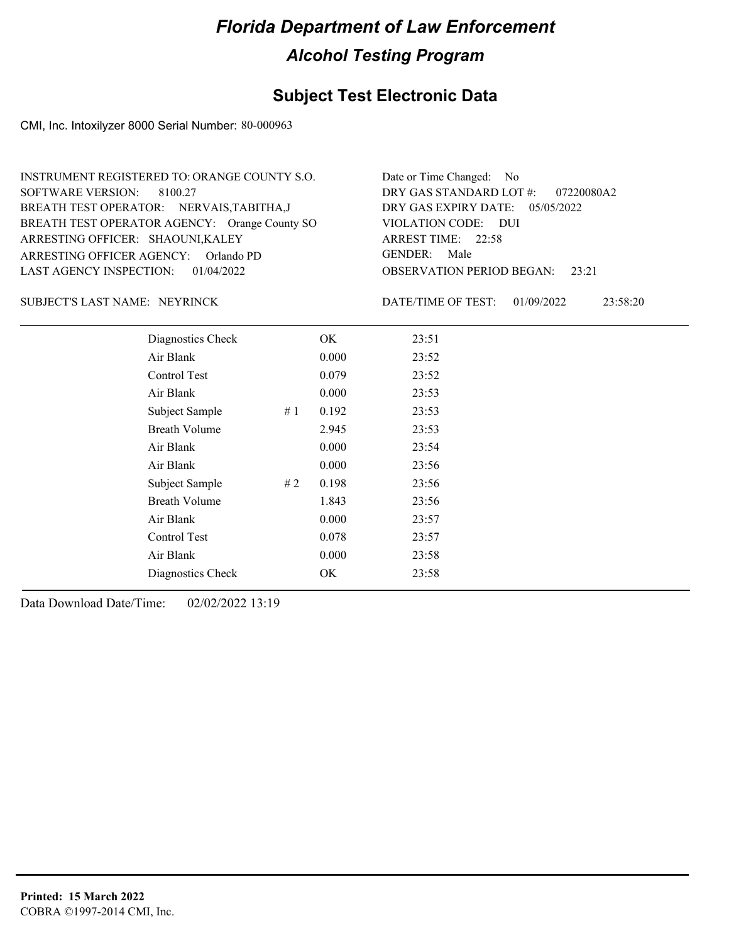### **Subject Test Electronic Data**

CMI, Inc. Intoxilyzer 8000 Serial Number: 80-000963

| INSTRUMENT REGISTERED TO: ORANGE COUNTY S.O.  | Date or Time Changed: No               |
|-----------------------------------------------|----------------------------------------|
| SOFTWARE VERSION: 8100.27                     | DRY GAS STANDARD LOT $\#$ : 07220080A2 |
| BREATH TEST OPERATOR: NERVAIS, TABITHA, J     | DRY GAS EXPIRY DATE: 05/05/2022        |
| BREATH TEST OPERATOR AGENCY: Orange County SO | VIOLATION CODE: DUI                    |
| ARRESTING OFFICER: SHAOUNI, KALEY             | ARREST TIME: 22:58                     |
| ARRESTING OFFICER AGENCY: Orlando PD          | GENDER: Male                           |
| LAST AGENCY INSPECTION: 01/04/2022            | <b>OBSERVATION PERIOD BEGAN:</b> 23:21 |

#### SUBJECT'S LAST NAME: NEYRINCK DATE/TIME OF TEST:

DATE/TIME OF TEST: 01/09/2022 23:58:20

| Diagnostics Check    |    | OK    | 23:51 |
|----------------------|----|-------|-------|
| Air Blank            |    | 0.000 | 23:52 |
| Control Test         |    | 0.079 | 23:52 |
| Air Blank            |    | 0.000 | 23:53 |
| Subject Sample       | #1 | 0.192 | 23:53 |
| <b>Breath Volume</b> |    | 2.945 | 23:53 |
| Air Blank            |    | 0.000 | 23:54 |
| Air Blank            |    | 0.000 | 23:56 |
| Subject Sample       | #2 | 0.198 | 23:56 |
| <b>Breath Volume</b> |    | 1.843 | 23:56 |
| Air Blank            |    | 0.000 | 23:57 |
| Control Test         |    | 0.078 | 23:57 |
| Air Blank            |    | 0.000 | 23:58 |
| Diagnostics Check    |    | OK    | 23:58 |
|                      |    |       |       |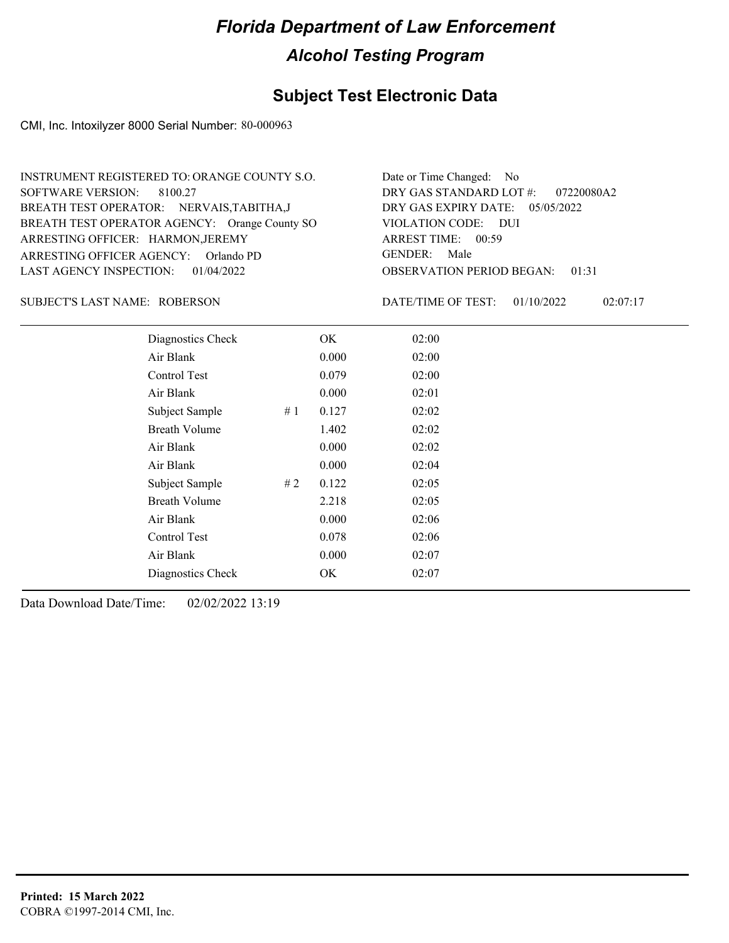### **Subject Test Electronic Data**

CMI, Inc. Intoxilyzer 8000 Serial Number: 80-000963

| INSTRUMENT REGISTERED TO: ORANGE COUNTY S.O.  | Date or Time Changed: No               |
|-----------------------------------------------|----------------------------------------|
| SOFTWARE VERSION: 8100.27                     | DRY GAS STANDARD LOT #: 07220080A2     |
| BREATH TEST OPERATOR: NERVAIS, TABITHA, J     | DRY GAS EXPIRY DATE: $05/05/2022$      |
| BREATH TEST OPERATOR AGENCY: Orange County SO | VIOLATION CODE: DUI                    |
| ARRESTING OFFICER: HARMON, JEREMY             | ARREST TIME: 00:59                     |
| ARRESTING OFFICER AGENCY: Orlando PD          | GENDER: Male                           |
| LAST AGENCY INSPECTION: 01/04/2022            | <b>OBSERVATION PERIOD BEGAN: 01:31</b> |

#### ROBERSON SUBJECT'S LAST NAME: DATE/TIME OF TEST:

DATE/TIME OF TEST: 01/10/2022 02:07:17

| Diagnostics Check    |    | OK    | 02:00 |
|----------------------|----|-------|-------|
| Air Blank            |    | 0.000 | 02:00 |
| Control Test         |    | 0.079 | 02:00 |
| Air Blank            |    | 0.000 | 02:01 |
| Subject Sample       | #1 | 0.127 | 02:02 |
| <b>Breath Volume</b> |    | 1.402 | 02:02 |
| Air Blank            |    | 0.000 | 02:02 |
| Air Blank            |    | 0.000 | 02:04 |
| Subject Sample       | #2 | 0.122 | 02:05 |
| <b>Breath Volume</b> |    | 2.218 | 02:05 |
| Air Blank            |    | 0.000 | 02:06 |
| Control Test         |    | 0.078 | 02:06 |
| Air Blank            |    | 0.000 | 02:07 |
| Diagnostics Check    |    | OK    | 02:07 |
|                      |    |       |       |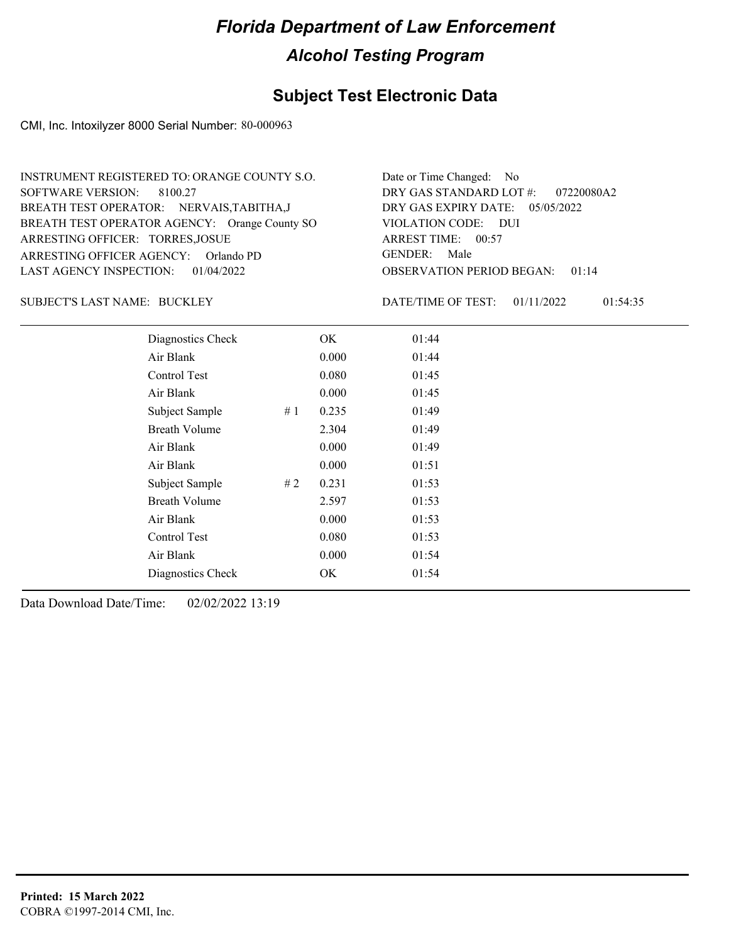### **Subject Test Electronic Data**

CMI, Inc. Intoxilyzer 8000 Serial Number: 80-000963

| INSTRUMENT REGISTERED TO: ORANGE COUNTY S.O.  | Date or Time Changed: No               |
|-----------------------------------------------|----------------------------------------|
| SOFTWARE VERSION: 8100.27                     | DRY GAS STANDARD LOT $\#$ : 07220080A2 |
| BREATH TEST OPERATOR: NERVAIS, TABITHA, J     | DRY GAS EXPIRY DATE: $05/05/2022$      |
| BREATH TEST OPERATOR AGENCY: Orange County SO | VIOLATION CODE: DUI                    |
| ARRESTING OFFICER: TORRES, JOSUE              | ARREST TIME: 00:57                     |
| ARRESTING OFFICER AGENCY: Orlando PD          | GENDER: Male                           |
| LAST AGENCY INSPECTION: $01/04/2022$          | <b>OBSERVATION PERIOD BEGAN: 01:14</b> |

#### BUCKLEY SUBJECT'S LAST NAME: DATE/TIME OF TEST:

DATE/TIME OF TEST: 01/11/2022 01:54:35

| Diagnostics Check    |    | OK    | 01:44 |
|----------------------|----|-------|-------|
| Air Blank            |    | 0.000 | 01:44 |
| Control Test         |    | 0.080 | 01:45 |
| Air Blank            |    | 0.000 | 01:45 |
| Subject Sample       | #1 | 0.235 | 01:49 |
| <b>Breath Volume</b> |    | 2.304 | 01:49 |
| Air Blank            |    | 0.000 | 01:49 |
| Air Blank            |    | 0.000 | 01:51 |
| Subject Sample       | #2 | 0.231 | 01:53 |
| <b>Breath Volume</b> |    | 2.597 | 01:53 |
| Air Blank            |    | 0.000 | 01:53 |
| Control Test         |    | 0.080 | 01:53 |
| Air Blank            |    | 0.000 | 01:54 |
| Diagnostics Check    |    | OK    | 01:54 |
|                      |    |       |       |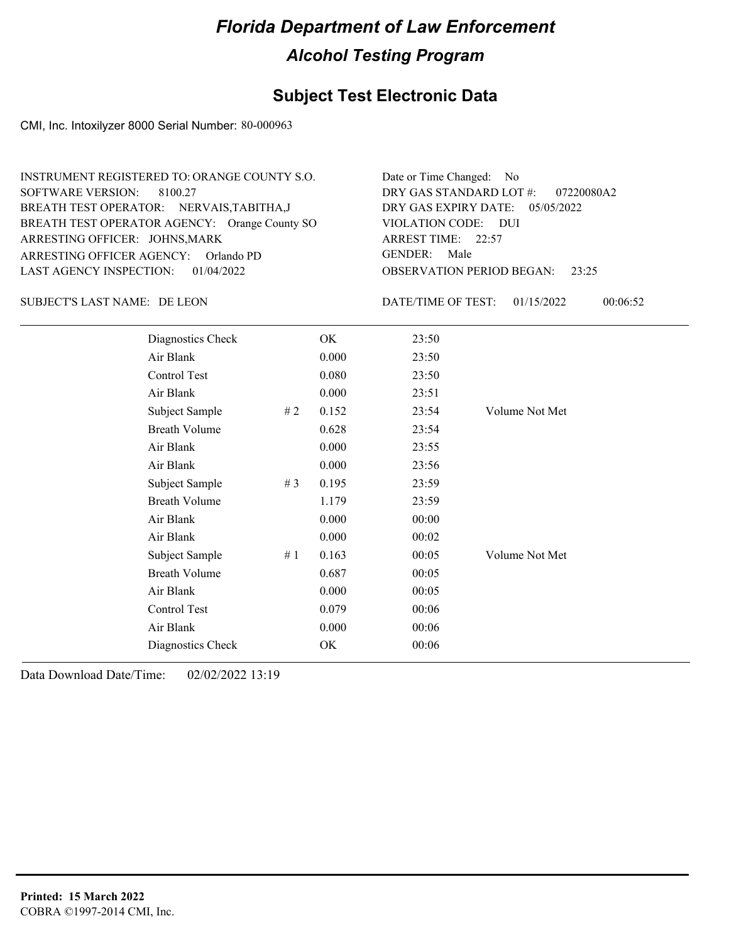### **Subject Test Electronic Data**

CMI, Inc. Intoxilyzer 8000 Serial Number: 80-000963

| INSTRUMENT REGISTERED TO: ORANGE COUNTY S.O.  | Date or Time Changed: No               |
|-----------------------------------------------|----------------------------------------|
| SOFTWARE VERSION: 8100.27                     | DRY GAS STANDARD LOT $\#$ : 07220080A2 |
| BREATH TEST OPERATOR: NERVAIS, TABITHA, J     | DRY GAS EXPIRY DATE: $05/05/2022$      |
| BREATH TEST OPERATOR AGENCY: Orange County SO | VIOLATION CODE: DUI                    |
| ARRESTING OFFICER: JOHNS, MARK                | ARREST TIME: 22:57                     |
| ARRESTING OFFICER AGENCY: Orlando PD          | GENDER: Male                           |
| LAST AGENCY INSPECTION: 01/04/2022            | <b>OBSERVATION PERIOD BEGAN: 23:25</b> |

SUBJECT'S LAST NAME: DE LEON DATE/TIME OF TEST:

DATE/TIME OF TEST: 01/15/2022 00:06:52

| Diagnostics Check    |    | OK    | 23:50 |                |
|----------------------|----|-------|-------|----------------|
| Air Blank            |    | 0.000 | 23:50 |                |
| Control Test         |    | 0.080 | 23:50 |                |
| Air Blank            |    | 0.000 | 23:51 |                |
| Subject Sample       | #2 | 0.152 | 23:54 | Volume Not Met |
| <b>Breath Volume</b> |    | 0.628 | 23:54 |                |
| Air Blank            |    | 0.000 | 23:55 |                |
| Air Blank            |    | 0.000 | 23:56 |                |
| Subject Sample       | #3 | 0.195 | 23:59 |                |
| <b>Breath Volume</b> |    | 1.179 | 23:59 |                |
| Air Blank            |    | 0.000 | 00:00 |                |
| Air Blank            |    | 0.000 | 00:02 |                |
| Subject Sample       | #1 | 0.163 | 00:05 | Volume Not Met |
| <b>Breath Volume</b> |    | 0.687 | 00:05 |                |
| Air Blank            |    | 0.000 | 00:05 |                |
| Control Test         |    | 0.079 | 00:06 |                |
| Air Blank            |    | 0.000 | 00:06 |                |
| Diagnostics Check    |    | OK    | 00:06 |                |
|                      |    |       |       |                |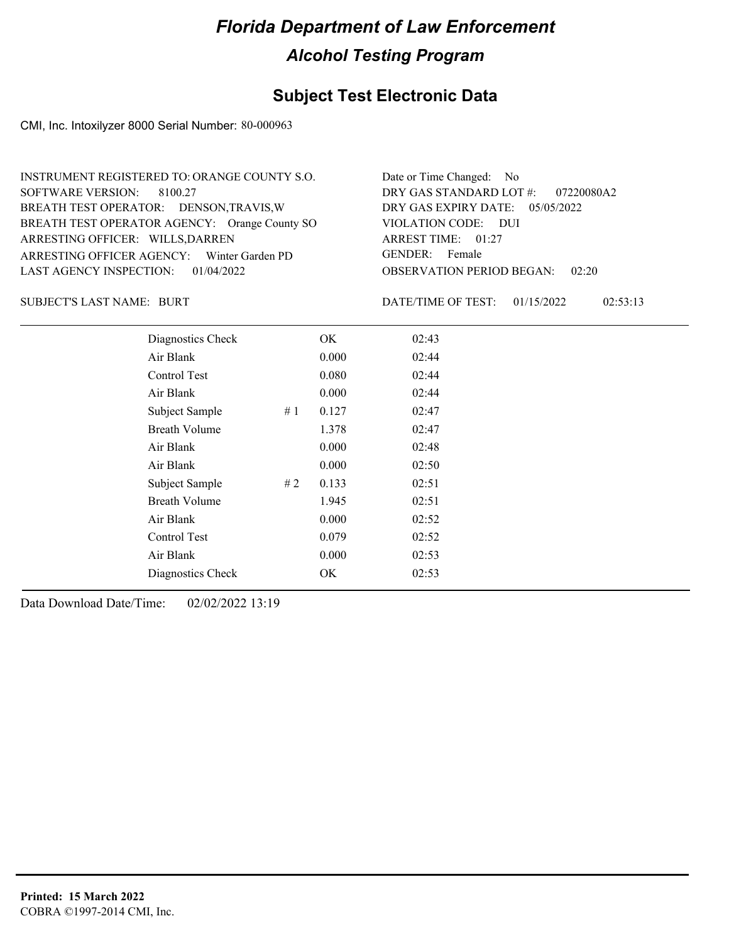### **Subject Test Electronic Data**

CMI, Inc. Intoxilyzer 8000 Serial Number: 80-000963

| INSTRUMENT REGISTERED TO: ORANGE COUNTY S.O.  | Date or Time Changed: No               |
|-----------------------------------------------|----------------------------------------|
| SOFTWARE VERSION: 8100.27                     | DRY GAS STANDARD LOT #: 07220080A2     |
| BREATH TEST OPERATOR: DENSON, TRAVIS, W       | DRY GAS EXPIRY DATE: $05/05/2022$      |
| BREATH TEST OPERATOR AGENCY: Orange County SO | VIOLATION CODE: DUI                    |
| ARRESTING OFFICER: WILLS, DARREN              | ARREST TIME: 01:27                     |
| ARRESTING OFFICER AGENCY: Winter Garden PD    | GENDER: Female                         |
| LAST AGENCY INSPECTION: 01/04/2022            | <b>OBSERVATION PERIOD BEGAN: 02:20</b> |

BURT SUBJECT'S LAST NAME: DATE/TIME OF TEST:

DATE/TIME OF TEST: 01/15/2022 02:53:13

| Diagnostics Check    |    | OK    | 02:43 |  |
|----------------------|----|-------|-------|--|
| Air Blank            |    | 0.000 | 02:44 |  |
| Control Test         |    | 0.080 | 02:44 |  |
| Air Blank            |    | 0.000 | 02:44 |  |
| Subject Sample       | #1 | 0.127 | 02:47 |  |
| <b>Breath Volume</b> |    | 1.378 | 02:47 |  |
| Air Blank            |    | 0.000 | 02:48 |  |
| Air Blank            |    | 0.000 | 02:50 |  |
| Subject Sample       | #2 | 0.133 | 02:51 |  |
| <b>Breath Volume</b> |    | 1.945 | 02:51 |  |
| Air Blank            |    | 0.000 | 02:52 |  |
| Control Test         |    | 0.079 | 02:52 |  |
| Air Blank            |    | 0.000 | 02:53 |  |
| Diagnostics Check    |    | OK    | 02:53 |  |
|                      |    |       |       |  |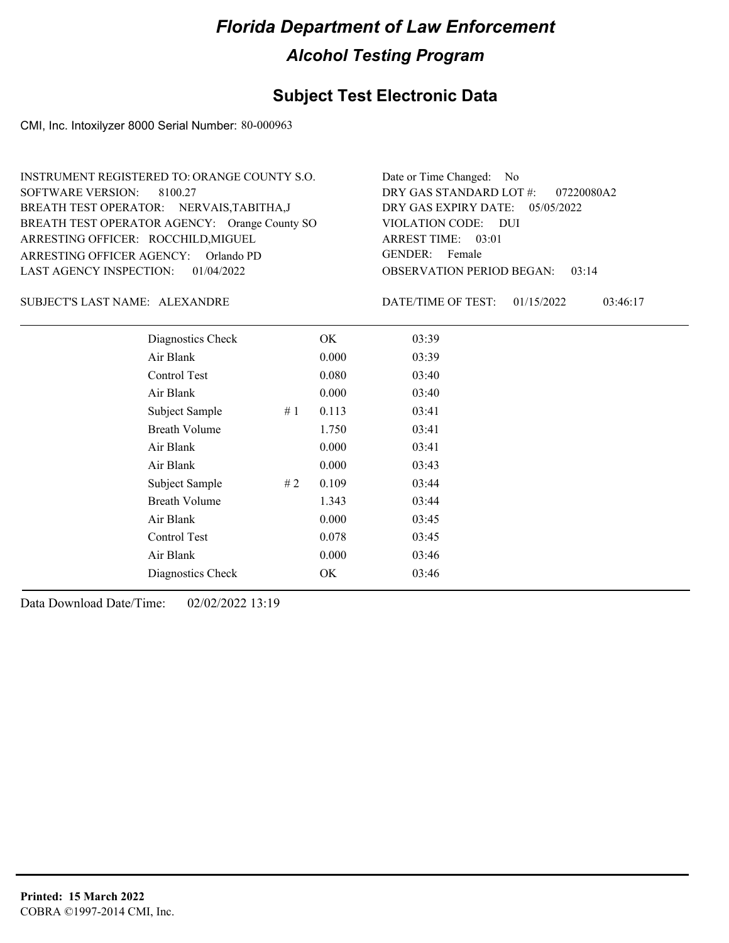### **Subject Test Electronic Data**

CMI, Inc. Intoxilyzer 8000 Serial Number: 80-000963

| INSTRUMENT REGISTERED TO: ORANGE COUNTY S.O.  | Date or Time Changed: No               |
|-----------------------------------------------|----------------------------------------|
| SOFTWARE VERSION: 8100.27                     | DRY GAS STANDARD LOT #: 07220080A2     |
| BREATH TEST OPERATOR: NERVAIS, TABITHA, J     | DRY GAS EXPIRY DATE: $05/05/2022$      |
| BREATH TEST OPERATOR AGENCY: Orange County SO | VIOLATION CODE: DUI                    |
| ARRESTING OFFICER: ROCCHILD, MIGUEL           | ARREST TIME: 03:01                     |
| ARRESTING OFFICER AGENCY: Orlando PD          | GENDER: Female                         |
| LAST AGENCY INSPECTION: 01/04/2022            | <b>OBSERVATION PERIOD BEGAN: 03:14</b> |

#### ALEXANDRE SUBJECT'S LAST NAME: DATE/TIME OF TEST:

DATE/TIME OF TEST: 01/15/2022 03:46:17

| Diagnostics Check    |    | OK    | 03:39 |  |
|----------------------|----|-------|-------|--|
| Air Blank            |    | 0.000 | 03:39 |  |
| Control Test         |    | 0.080 | 03:40 |  |
| Air Blank            |    | 0.000 | 03:40 |  |
| Subject Sample       | #1 | 0.113 | 03:41 |  |
| <b>Breath Volume</b> |    | 1.750 | 03:41 |  |
| Air Blank            |    | 0.000 | 03:41 |  |
| Air Blank            |    | 0.000 | 03:43 |  |
| Subject Sample       | #2 | 0.109 | 03:44 |  |
| <b>Breath Volume</b> |    | 1.343 | 03:44 |  |
| Air Blank            |    | 0.000 | 03:45 |  |
| Control Test         |    | 0.078 | 03:45 |  |
| Air Blank            |    | 0.000 | 03:46 |  |
| Diagnostics Check    |    | OK    | 03:46 |  |
|                      |    |       |       |  |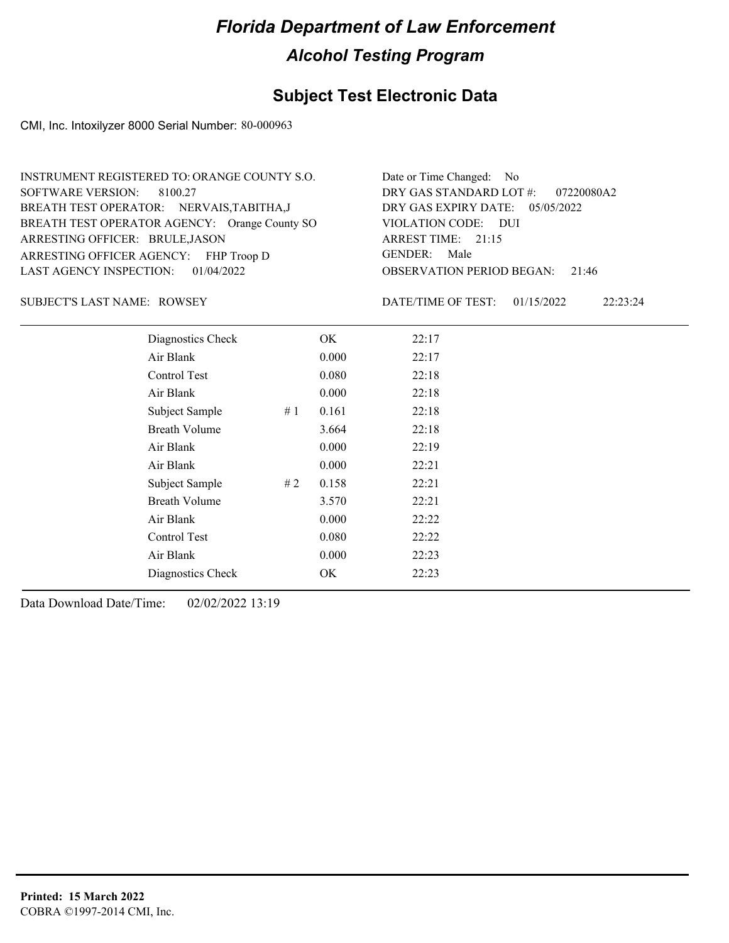### **Subject Test Electronic Data**

CMI, Inc. Intoxilyzer 8000 Serial Number: 80-000963

| INSTRUMENT REGISTERED TO: ORANGE COUNTY S.O.  | Date or Time Changed: No               |
|-----------------------------------------------|----------------------------------------|
| SOFTWARE VERSION: 8100.27                     | DRY GAS STANDARD LOT $\#$ : 07220080A2 |
| BREATH TEST OPERATOR: NERVAIS, TABITHA, J     | DRY GAS EXPIRY DATE: $05/05/2022$      |
| BREATH TEST OPERATOR AGENCY: Orange County SO | VIOLATION CODE: DUI                    |
| ARRESTING OFFICER: BRULE, JASON               | ARREST TIME: 21:15                     |
| ARRESTING OFFICER AGENCY: FHP Troop D         | GENDER: Male                           |
| LAST AGENCY INSPECTION: $01/04/2022$          | <b>OBSERVATION PERIOD BEGAN: 21:46</b> |

SUBJECT'S LAST NAME: ROWSEY **Example 20** DATE/TIME OF TEST:

DATE/TIME OF TEST: 01/15/2022 22:23:24

| Diagnostics Check    |    | OK    | 22:17 |  |  |
|----------------------|----|-------|-------|--|--|
| Air Blank            |    | 0.000 | 22:17 |  |  |
| Control Test         |    | 0.080 | 22:18 |  |  |
| Air Blank            |    | 0.000 | 22:18 |  |  |
| Subject Sample       | #1 | 0.161 | 22:18 |  |  |
| <b>Breath Volume</b> |    | 3.664 | 22:18 |  |  |
| Air Blank            |    | 0.000 | 22:19 |  |  |
| Air Blank            |    | 0.000 | 22:21 |  |  |
| Subject Sample       | #2 | 0.158 | 22:21 |  |  |
| <b>Breath Volume</b> |    | 3.570 | 22:21 |  |  |
| Air Blank            |    | 0.000 | 22:22 |  |  |
| Control Test         |    | 0.080 | 22:22 |  |  |
| Air Blank            |    | 0.000 | 22:23 |  |  |
| Diagnostics Check    |    | OK    | 22:23 |  |  |
|                      |    |       |       |  |  |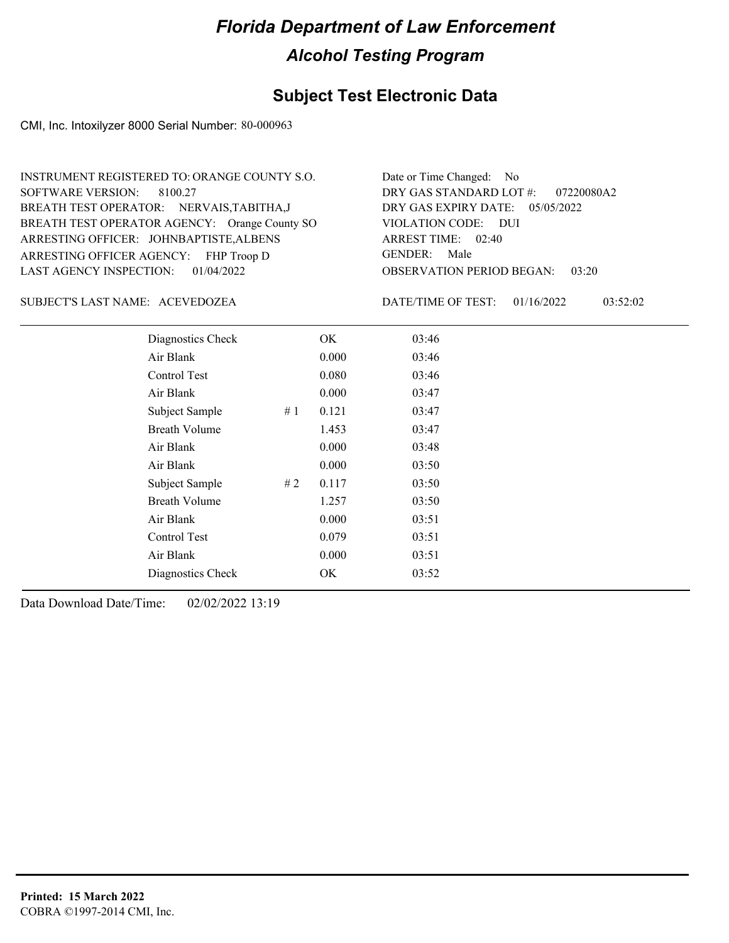### **Subject Test Electronic Data**

CMI, Inc. Intoxilyzer 8000 Serial Number: 80-000963

| INSTRUMENT REGISTERED TO: ORANGE COUNTY S.O.  | Date or Time Changed: No               |
|-----------------------------------------------|----------------------------------------|
| SOFTWARE VERSION: 8100.27                     | DRY GAS STANDARD LOT #: 07220080A2     |
| BREATH TEST OPERATOR: NERVAIS, TABITHA, J     | DRY GAS EXPIRY DATE: $05/05/2022$      |
| BREATH TEST OPERATOR AGENCY: Orange County SO | VIOLATION CODE: DUI                    |
| ARRESTING OFFICER: JOHNBAPTISTE, ALBENS       | ARREST TIME: 02:40                     |
| ARRESTING OFFICER AGENCY: FHP Troop D         | GENDER: Male                           |
| LAST AGENCY INSPECTION: 01/04/2022            | <b>OBSERVATION PERIOD BEGAN: 03:20</b> |

#### ACEVEDOZEA SUBJECT'S LAST NAME: DATE/TIME OF TEST:

DATE/TIME OF TEST: 01/16/2022 03:52:02

| Diagnostics Check    |    | OK    | 03:46 |
|----------------------|----|-------|-------|
| Air Blank            |    | 0.000 | 03:46 |
| Control Test         |    | 0.080 | 03:46 |
| Air Blank            |    | 0.000 | 03:47 |
| Subject Sample       | #1 | 0.121 | 03:47 |
| <b>Breath Volume</b> |    | 1.453 | 03:47 |
| Air Blank            |    | 0.000 | 03:48 |
| Air Blank            |    | 0.000 | 03:50 |
| Subject Sample       | #2 | 0.117 | 03:50 |
| <b>Breath Volume</b> |    | 1.257 | 03:50 |
| Air Blank            |    | 0.000 | 03:51 |
| Control Test         |    | 0.079 | 03:51 |
| Air Blank            |    | 0.000 | 03:51 |
| Diagnostics Check    |    | OK    | 03:52 |
|                      |    |       |       |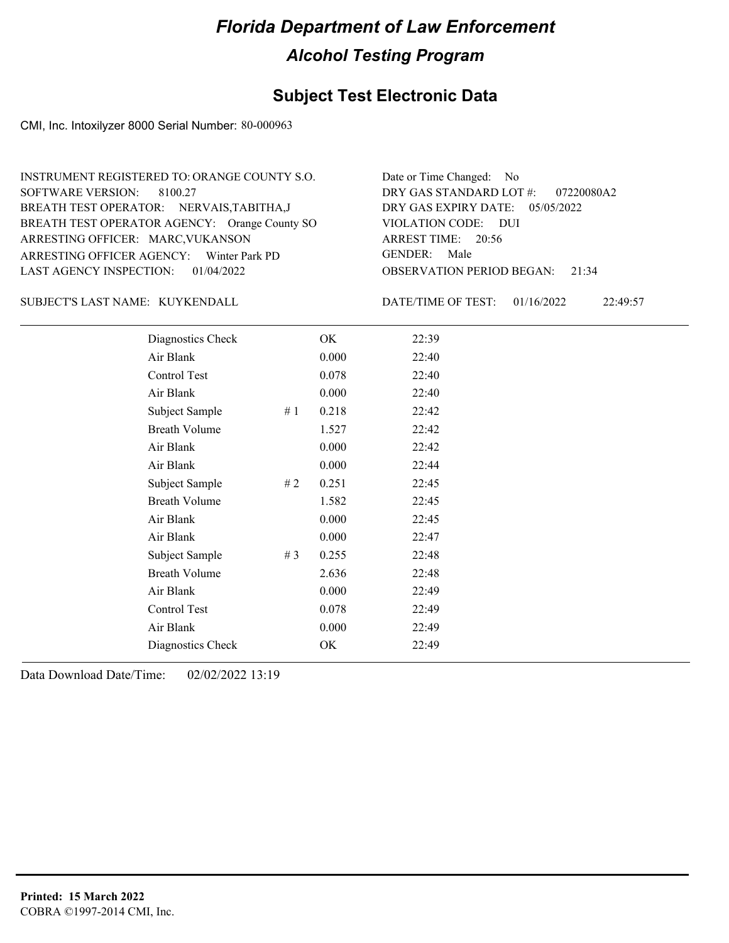### **Subject Test Electronic Data**

CMI, Inc. Intoxilyzer 8000 Serial Number: 80-000963

| INSTRUMENT REGISTERED TO: ORANGE COUNTY S.O.  | Date or Time Changed: No               |
|-----------------------------------------------|----------------------------------------|
| SOFTWARE VERSION: 8100.27                     | DRY GAS STANDARD LOT #: 07220080A2     |
| BREATH TEST OPERATOR: NERVAIS, TABITHA, J     | DRY GAS EXPIRY DATE: 05/05/2022        |
| BREATH TEST OPERATOR AGENCY: Orange County SO | VIOLATION CODE: DUI                    |
| ARRESTING OFFICER: MARC, VUKANSON             | ARREST TIME: 20:56                     |
| ARRESTING OFFICER AGENCY: Winter Park PD      | GENDER: Male                           |
| LAST AGENCY INSPECTION: 01/04/2022            | <b>OBSERVATION PERIOD BEGAN: 21:34</b> |

KUYKENDALL SUBJECT'S LAST NAME: DATE/TIME OF TEST:

DATE/TIME OF TEST: 01/16/2022 22:49:57

| Diagnostics Check    |    | OK    | 22:39 |
|----------------------|----|-------|-------|
| Air Blank            |    | 0.000 | 22:40 |
| Control Test         |    | 0.078 | 22:40 |
| Air Blank            |    | 0.000 | 22:40 |
| Subject Sample       | #1 | 0.218 | 22:42 |
| <b>Breath Volume</b> |    | 1.527 | 22:42 |
| Air Blank            |    | 0.000 | 22:42 |
| Air Blank            |    | 0.000 | 22:44 |
| Subject Sample       | #2 | 0.251 | 22:45 |
| <b>Breath Volume</b> |    | 1.582 | 22:45 |
| Air Blank            |    | 0.000 | 22:45 |
| Air Blank            |    | 0.000 | 22:47 |
| Subject Sample       | #3 | 0.255 | 22:48 |
| <b>Breath Volume</b> |    | 2.636 | 22:48 |
| Air Blank            |    | 0.000 | 22:49 |
| Control Test         |    | 0.078 | 22:49 |
| Air Blank            |    | 0.000 | 22:49 |
| Diagnostics Check    |    | OK    | 22:49 |
|                      |    |       |       |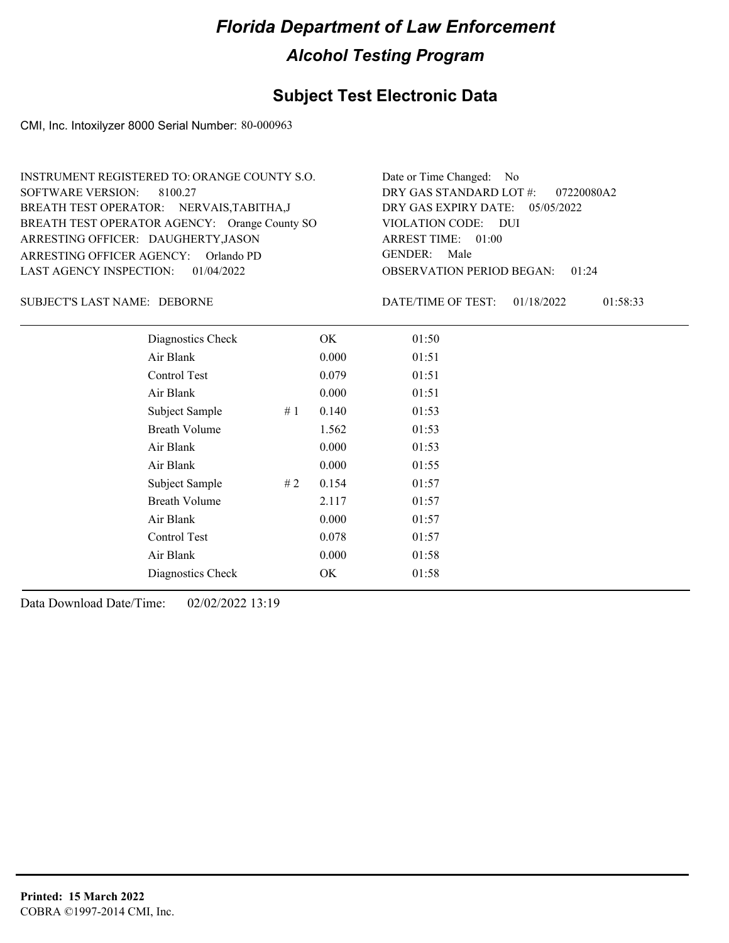#### **Subject Test Electronic Data**

CMI, Inc. Intoxilyzer 8000 Serial Number: 80-000963

OBSERVATION PERIOD BEGAN: 01:24 ARRESTING OFFICER AGENCY: GENDER: Orlando PD BREATH TEST OPERATOR AGENCY: Orange County SO VIOLATION CODE: SOFTWARE VERSION: VIOLATION CODE: DUI ARREST TIME: 01:00 ARRESTING OFFICER: DAUGHERTY, JASON DRY GAS EXPIRY DATE: 05/05/2022 07220080A2 BREATH TEST OPERATOR: NERVAIS,TABITHA,J LAST AGENCY INSPECTION: 01/04/2022 8100.27 INSTRUMENT REGISTERED TO: ORANGE COUNTY S.O. DRY GAS STANDARD LOT #: Date or Time Changed: No GENDER: Male

DEBORNE SUBJECT'S LAST NAME: DATE/TIME OF TEST:

DATE/TIME OF TEST: 01/18/2022 01:58:33

| Diagnostics Check    | OK    | 01:50 |
|----------------------|-------|-------|
| Air Blank            | 0.000 | 01:51 |
| Control Test         | 0.079 | 01:51 |
| Air Blank            | 0.000 | 01:51 |
| Subject Sample<br>#1 | 0.140 | 01:53 |
| <b>Breath Volume</b> | 1.562 | 01:53 |
| Air Blank            | 0.000 | 01:53 |
| Air Blank            | 0.000 | 01:55 |
| Subject Sample<br>#2 | 0.154 | 01:57 |
| <b>Breath Volume</b> | 2.117 | 01:57 |
| Air Blank            | 0.000 | 01:57 |
| <b>Control Test</b>  | 0.078 | 01:57 |
| Air Blank            | 0.000 | 01:58 |
| Diagnostics Check    | OK    | 01:58 |
|                      |       |       |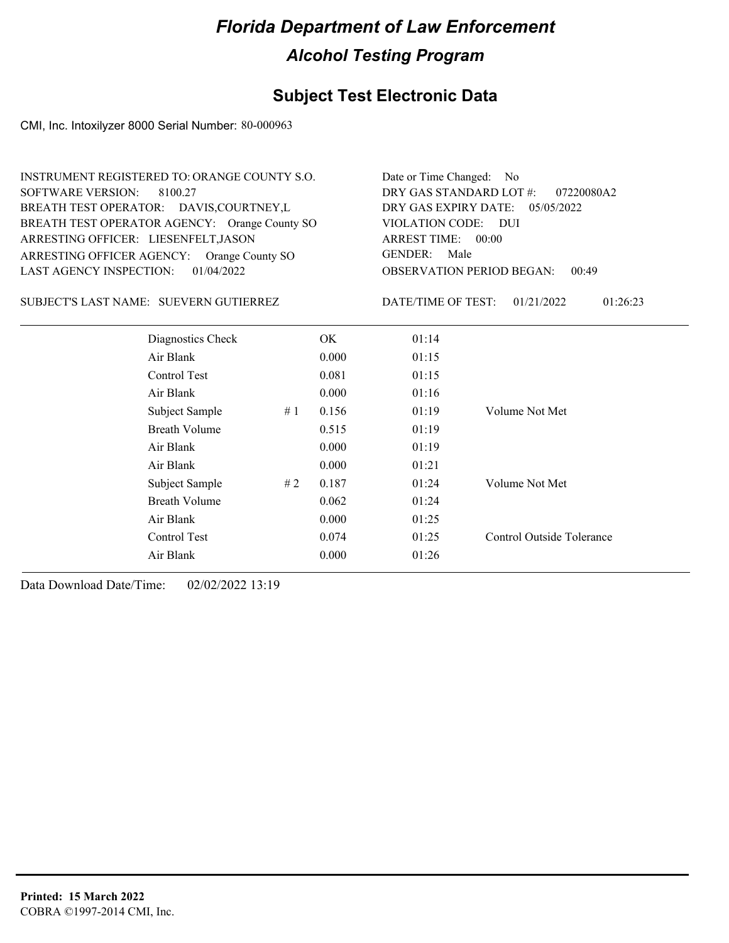### **Subject Test Electronic Data**

CMI, Inc. Intoxilyzer 8000 Serial Number: 80-000963

| <b>INSTRUMENT REGISTERED TO: ORANGE COUNTY S.O.</b><br><b>SOFTWARE VERSION:</b><br>8100.27<br>BREATH TEST OPERATOR: DAVIS, COURTNEY, L<br>BREATH TEST OPERATOR AGENCY: Orange County SO<br>ARRESTING OFFICER: LIESENFELT, JASON<br>ARRESTING OFFICER AGENCY: Orange County SO |                                        |    |       | Date or Time Changed: No<br>DRY GAS STANDARD LOT #:<br>DRY GAS EXPIRY DATE:<br>VIOLATION CODE:<br>ARREST TIME: 00:00<br><b>GENDER:</b><br>Male | 07220080A2<br>05/05/2022<br><b>DUI</b> |  |
|-------------------------------------------------------------------------------------------------------------------------------------------------------------------------------------------------------------------------------------------------------------------------------|----------------------------------------|----|-------|------------------------------------------------------------------------------------------------------------------------------------------------|----------------------------------------|--|
| <b>LAST AGENCY INSPECTION:</b>                                                                                                                                                                                                                                                | 01/04/2022                             |    |       | <b>OBSERVATION PERIOD BEGAN:</b><br>00:49                                                                                                      |                                        |  |
|                                                                                                                                                                                                                                                                               | SUBJECT'S LAST NAME: SUEVERN GUTIERREZ |    |       | DATE/TIME OF TEST:                                                                                                                             | 01/21/2022<br>01:26:23                 |  |
|                                                                                                                                                                                                                                                                               | Diagnostics Check                      |    | OK    | 01:14                                                                                                                                          |                                        |  |
|                                                                                                                                                                                                                                                                               | Air Blank                              |    | 0.000 | 01:15                                                                                                                                          |                                        |  |
|                                                                                                                                                                                                                                                                               | Control Test                           |    | 0.081 | 01:15                                                                                                                                          |                                        |  |
|                                                                                                                                                                                                                                                                               | Air Blank                              |    | 0.000 | 01:16                                                                                                                                          |                                        |  |
|                                                                                                                                                                                                                                                                               | Subject Sample                         | #1 | 0.156 | 01:19                                                                                                                                          | Volume Not Met                         |  |
|                                                                                                                                                                                                                                                                               | <b>Breath Volume</b>                   |    | 0.515 | 01:19                                                                                                                                          |                                        |  |
|                                                                                                                                                                                                                                                                               | Air Blank                              |    | 0.000 | 01:19                                                                                                                                          |                                        |  |
|                                                                                                                                                                                                                                                                               | Air Blank                              |    | 0.000 | 01:21                                                                                                                                          |                                        |  |
|                                                                                                                                                                                                                                                                               | Subject Sample                         | #2 | 0.187 | 01:24                                                                                                                                          | Volume Not Met                         |  |
|                                                                                                                                                                                                                                                                               | <b>Breath Volume</b>                   |    | 0.062 | 01:24                                                                                                                                          |                                        |  |
|                                                                                                                                                                                                                                                                               | Air Blank                              |    | 0.000 | 01:25                                                                                                                                          |                                        |  |
|                                                                                                                                                                                                                                                                               | Control Test                           |    | 0.074 | 01:25                                                                                                                                          | Control Outside Tolerance              |  |
|                                                                                                                                                                                                                                                                               | Air Blank                              |    | 0.000 | 01:26                                                                                                                                          |                                        |  |
|                                                                                                                                                                                                                                                                               |                                        |    |       |                                                                                                                                                |                                        |  |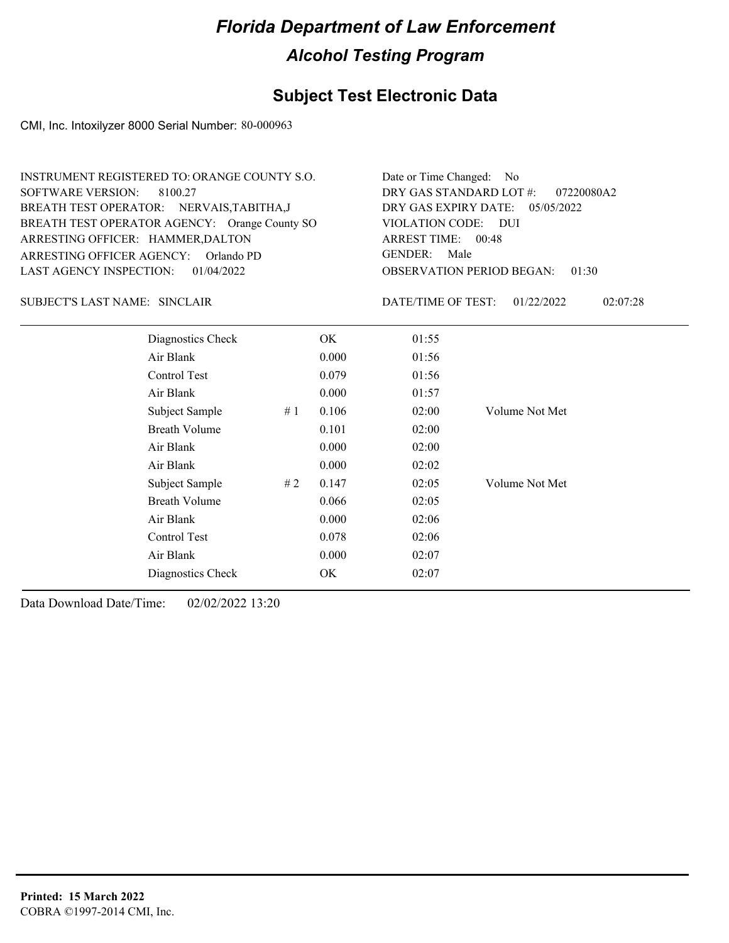### **Subject Test Electronic Data**

CMI, Inc. Intoxilyzer 8000 Serial Number: 80-000963

| INSTRUMENT REGISTERED TO: ORANGE COUNTY S.O.<br><b>SOFTWARE VERSION:</b><br>8100.27<br>BREATH TEST OPERATOR: NERVAIS, TABITHA, J<br>BREATH TEST OPERATOR AGENCY: Orange County SO<br>ARRESTING OFFICER: HAMMER, DALTON<br>ARRESTING OFFICER AGENCY: Orlando PD<br><b>LAST AGENCY INSPECTION:</b><br>01/04/2022 |                      |    | Date or Time Changed:<br>No.<br>DRY GAS STANDARD LOT #:<br>07220080A2<br>DRY GAS EXPIRY DATE:<br>05/05/2022<br>VIOLATION CODE:<br><b>DUI</b><br>ARREST TIME: 00:48<br><b>GENDER:</b><br>Male<br><b>OBSERVATION PERIOD BEGAN:</b><br>01:30 |                    |                |          |
|----------------------------------------------------------------------------------------------------------------------------------------------------------------------------------------------------------------------------------------------------------------------------------------------------------------|----------------------|----|-------------------------------------------------------------------------------------------------------------------------------------------------------------------------------------------------------------------------------------------|--------------------|----------------|----------|
| <b>SUBJECT'S LAST NAME: SINCLAIR</b>                                                                                                                                                                                                                                                                           |                      |    |                                                                                                                                                                                                                                           | DATE/TIME OF TEST: | 01/22/2022     | 02:07:28 |
|                                                                                                                                                                                                                                                                                                                | Diagnostics Check    |    | <b>OK</b>                                                                                                                                                                                                                                 | 01:55              |                |          |
|                                                                                                                                                                                                                                                                                                                | Air Blank            |    | 0.000                                                                                                                                                                                                                                     | 01:56              |                |          |
|                                                                                                                                                                                                                                                                                                                | Control Test         |    | 0.079                                                                                                                                                                                                                                     | 01:56              |                |          |
|                                                                                                                                                                                                                                                                                                                | Air Blank            |    | 0.000                                                                                                                                                                                                                                     | 01:57              |                |          |
|                                                                                                                                                                                                                                                                                                                | Subject Sample       | #1 | 0.106                                                                                                                                                                                                                                     | 02:00              | Volume Not Met |          |
|                                                                                                                                                                                                                                                                                                                | <b>Breath Volume</b> |    | 0.101                                                                                                                                                                                                                                     | 02:00              |                |          |
|                                                                                                                                                                                                                                                                                                                | Air Blank            |    | 0.000                                                                                                                                                                                                                                     | 02:00              |                |          |
|                                                                                                                                                                                                                                                                                                                | Air Blank            |    | 0.000                                                                                                                                                                                                                                     | 02:02              |                |          |
|                                                                                                                                                                                                                                                                                                                | Subject Sample       | #2 | 0.147                                                                                                                                                                                                                                     | 02:05              | Volume Not Met |          |
|                                                                                                                                                                                                                                                                                                                | <b>Breath Volume</b> |    | 0.066                                                                                                                                                                                                                                     | 02:05              |                |          |
|                                                                                                                                                                                                                                                                                                                | Air Blank            |    | 0.000                                                                                                                                                                                                                                     | 02:06              |                |          |
|                                                                                                                                                                                                                                                                                                                | Control Test         |    | 0.078                                                                                                                                                                                                                                     | 02:06              |                |          |
|                                                                                                                                                                                                                                                                                                                | Air Blank            |    | 0.000                                                                                                                                                                                                                                     | 02:07              |                |          |
|                                                                                                                                                                                                                                                                                                                | Diagnostics Check    |    | OK                                                                                                                                                                                                                                        | 02:07              |                |          |
|                                                                                                                                                                                                                                                                                                                |                      |    |                                                                                                                                                                                                                                           |                    |                |          |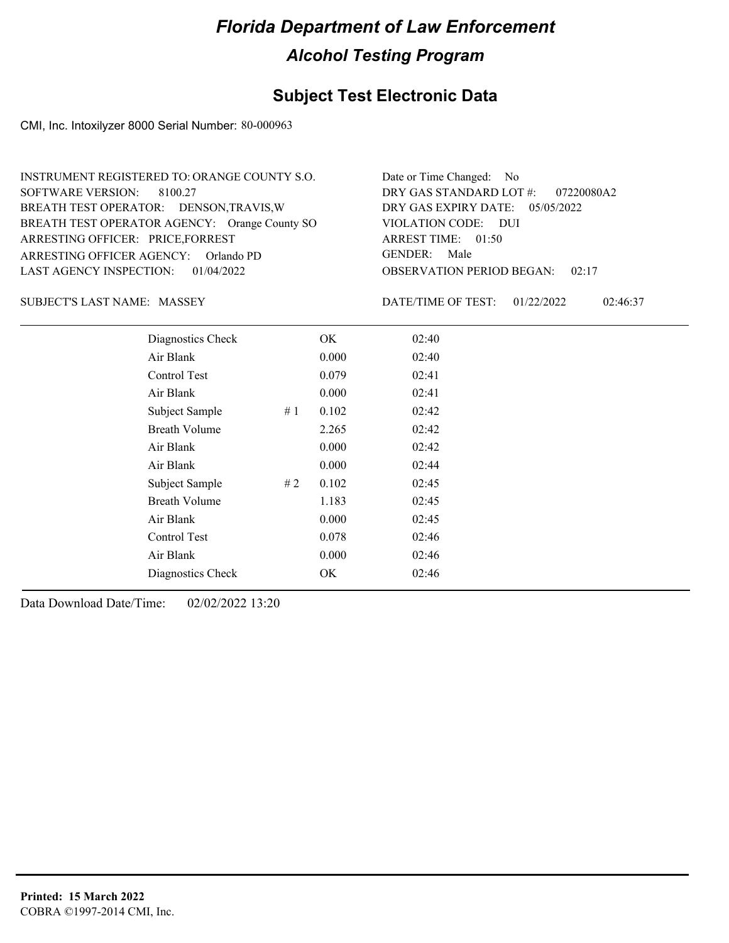### **Subject Test Electronic Data**

CMI, Inc. Intoxilyzer 8000 Serial Number: 80-000963

| INSTRUMENT REGISTERED TO: ORANGE COUNTY S.O.  | Date or Time Changed: No               |
|-----------------------------------------------|----------------------------------------|
| SOFTWARE VERSION: 8100.27                     | DRY GAS STANDARD LOT $\#$ : 07220080A2 |
| BREATH TEST OPERATOR: DENSON, TRAVIS, W       | DRY GAS EXPIRY DATE: $05/05/2022$      |
| BREATH TEST OPERATOR AGENCY: Orange County SO | VIOLATION CODE: DUI                    |
| ARRESTING OFFICER: PRICE, FORREST             | ARREST TIME: 01:50                     |
| ARRESTING OFFICER AGENCY: Orlando PD          | GENDER: Male                           |
| LAST AGENCY INSPECTION: $01/04/2022$          | <b>OBSERVATION PERIOD BEGAN: 02:17</b> |

SUBJECT'S LAST NAME: MASSEY DATE/TIME OF TEST:

DATE/TIME OF TEST: 01/22/2022 02:46:37

| Diagnostics Check    |    | OK    | 02:40 |
|----------------------|----|-------|-------|
| Air Blank            |    | 0.000 | 02:40 |
| Control Test         |    | 0.079 | 02:41 |
| Air Blank            |    | 0.000 | 02:41 |
| Subject Sample       | #1 | 0.102 | 02:42 |
| <b>Breath Volume</b> |    | 2.265 | 02:42 |
| Air Blank            |    | 0.000 | 02:42 |
| Air Blank            |    | 0.000 | 02:44 |
| Subject Sample       | #2 | 0.102 | 02:45 |
| <b>Breath Volume</b> |    | 1.183 | 02:45 |
| Air Blank            |    | 0.000 | 02:45 |
| Control Test         |    | 0.078 | 02:46 |
| Air Blank            |    | 0.000 | 02:46 |
| Diagnostics Check    |    | OK    | 02:46 |
|                      |    |       |       |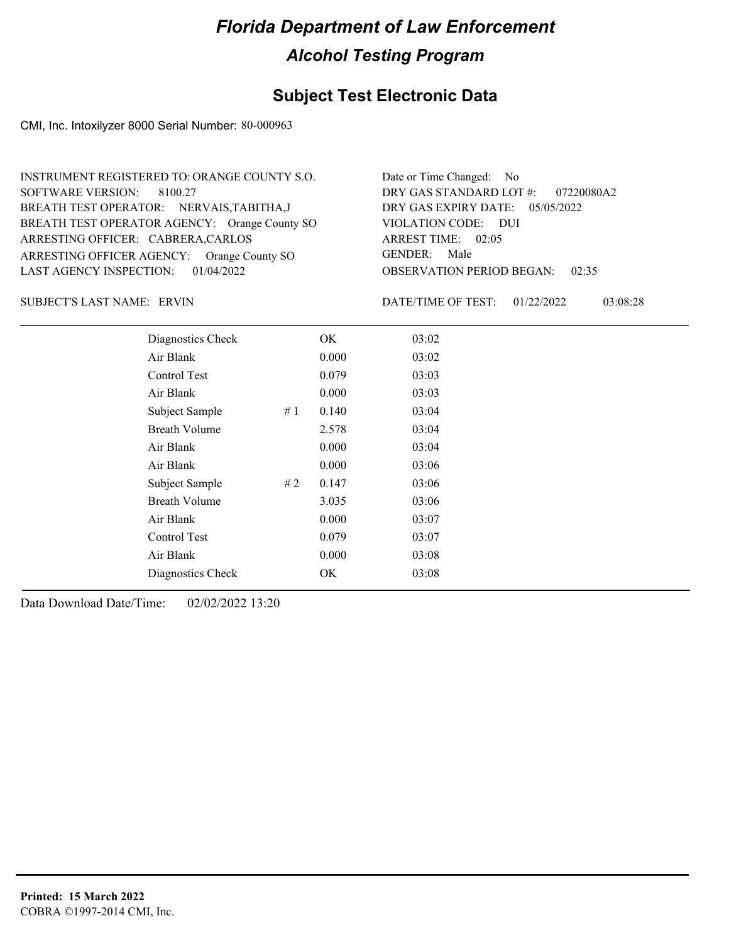### **Subject Test Electronic Data**

CMI, Inc. Intoxilyzer 8000 Serial Number: 80-000963

| INSTRUMENT REGISTERED TO: ORANGE COUNTY S.O.  | Date or Time Changed: No               |
|-----------------------------------------------|----------------------------------------|
| SOFTWARE VERSION: 8100.27                     | DRY GAS STANDARD LOT #: 07220080A2     |
| BREATH TEST OPERATOR: NERVAIS, TABITHA, J     | DRY GAS EXPIRY DATE: $05/05/2022$      |
| BREATH TEST OPERATOR AGENCY: Orange County SO | VIOLATION CODE: DUI                    |
| ARRESTING OFFICER: CABRERA, CARLOS            | ARREST TIME: 02:05                     |
| ARRESTING OFFICER AGENCY: Orange County SO    | GENDER: Male                           |
| LAST AGENCY INSPECTION: $01/04/2022$          | <b>OBSERVATION PERIOD BEGAN: 02:35</b> |

ERVIN SUBJECT'S LAST NAME: DATE/TIME OF TEST:

DATE/TIME OF TEST: 01/22/2022 03:08:28

| Diagnostics Check    |    | OK    | 03:02 |
|----------------------|----|-------|-------|
| Air Blank            |    | 0.000 | 03:02 |
| Control Test         |    | 0.079 | 03:03 |
| Air Blank            |    | 0.000 | 03:03 |
| Subject Sample       | #1 | 0.140 | 03:04 |
| <b>Breath Volume</b> |    | 2.578 | 03:04 |
| Air Blank            |    | 0.000 | 03:04 |
| Air Blank            |    | 0.000 | 03:06 |
| Subject Sample       | #2 | 0.147 | 03:06 |
| <b>Breath Volume</b> |    | 3.035 | 03:06 |
| Air Blank            |    | 0.000 | 03:07 |
| <b>Control Test</b>  |    | 0.079 | 03:07 |
| Air Blank            |    | 0.000 | 03:08 |
| Diagnostics Check    |    | OK    | 03:08 |
|                      |    |       |       |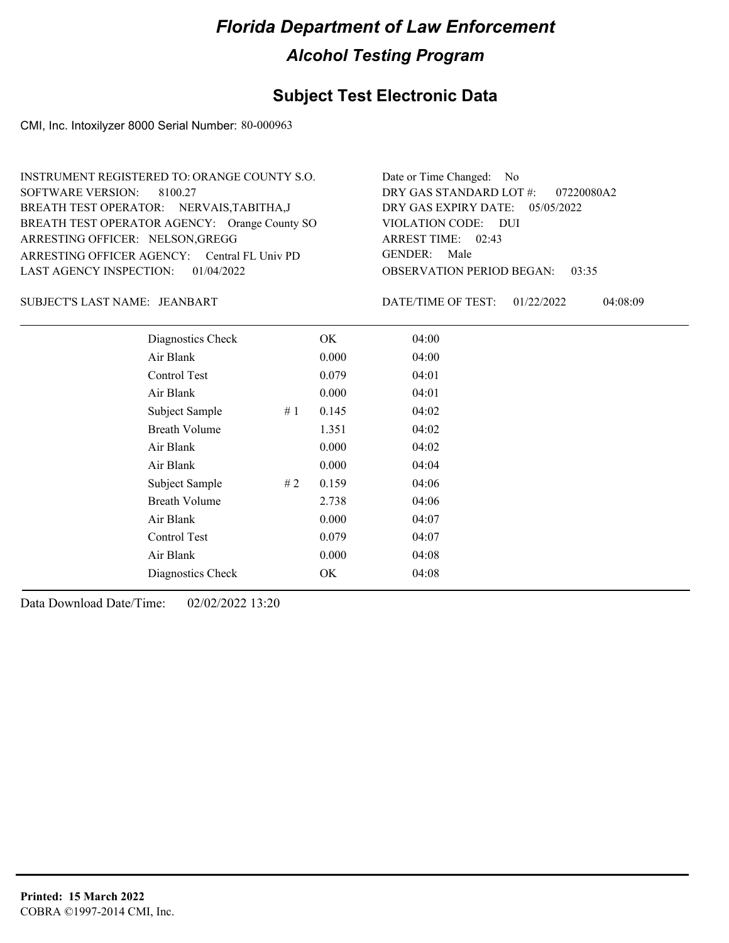### **Subject Test Electronic Data**

CMI, Inc. Intoxilyzer 8000 Serial Number: 80-000963

| INSTRUMENT REGISTERED TO: ORANGE COUNTY S.O.  | Date or Time Changed: No               |
|-----------------------------------------------|----------------------------------------|
| SOFTWARE VERSION: 8100.27                     | DRY GAS STANDARD LOT #: 07220080A2     |
| BREATH TEST OPERATOR: NERVAIS, TABITHA, J     | DRY GAS EXPIRY DATE: 05/05/2022        |
| BREATH TEST OPERATOR AGENCY: Orange County SO | VIOLATION CODE: DUI                    |
| ARRESTING OFFICER: NELSON, GREGG              | ARREST TIME: 02:43                     |
| ARRESTING OFFICER AGENCY: Central FL Univ PD  | GENDER: Male                           |
| LAST AGENCY INSPECTION: $01/04/2022$          | <b>OBSERVATION PERIOD BEGAN: 03:35</b> |

JEANBART SUBJECT'S LAST NAME: DATE/TIME OF TEST:

DATE/TIME OF TEST: 01/22/2022 04:08:09

| Diagnostics Check    |    | OK    | 04:00 |
|----------------------|----|-------|-------|
| Air Blank            |    | 0.000 | 04:00 |
| Control Test         |    | 0.079 | 04:01 |
| Air Blank            |    | 0.000 | 04:01 |
| Subject Sample       | #1 | 0.145 | 04:02 |
| <b>Breath Volume</b> |    | 1.351 | 04:02 |
| Air Blank            |    | 0.000 | 04:02 |
| Air Blank            |    | 0.000 | 04:04 |
| Subject Sample       | #2 | 0.159 | 04:06 |
| <b>Breath Volume</b> |    | 2.738 | 04:06 |
| Air Blank            |    | 0.000 | 04:07 |
| Control Test         |    | 0.079 | 04:07 |
| Air Blank            |    | 0.000 | 04:08 |
| Diagnostics Check    |    | OK    | 04:08 |
|                      |    |       |       |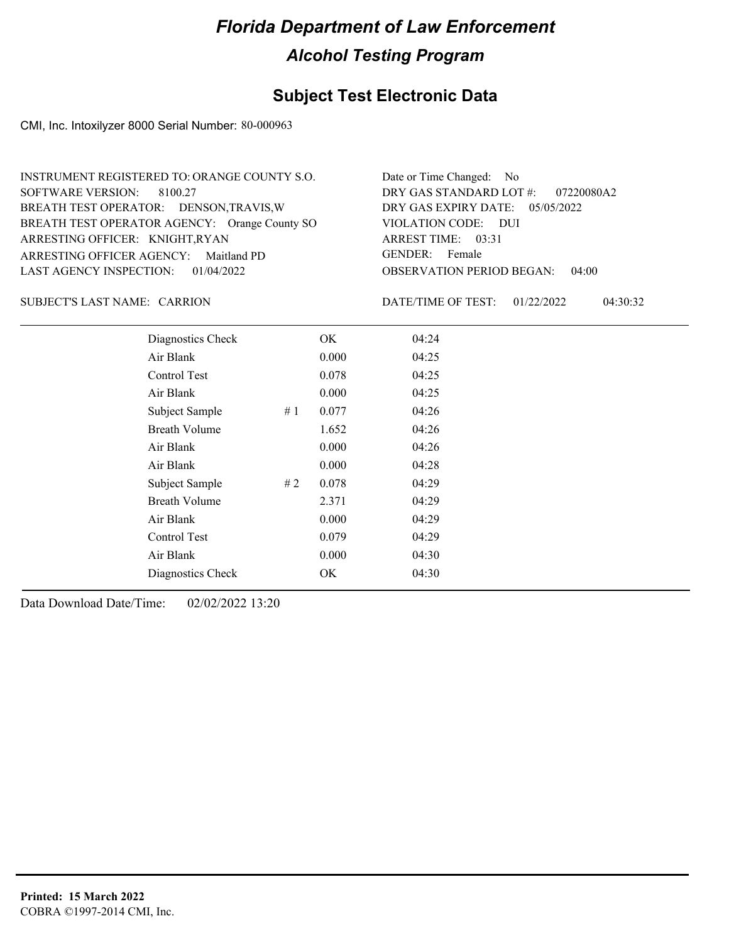### **Subject Test Electronic Data**

CMI, Inc. Intoxilyzer 8000 Serial Number: 80-000963

| INSTRUMENT REGISTERED TO: ORANGE COUNTY S.O.  | Date or Time Changed: No               |
|-----------------------------------------------|----------------------------------------|
| SOFTWARE VERSION: 8100.27                     | DRY GAS STANDARD LOT $\#$ : 07220080A2 |
| BREATH TEST OPERATOR: DENSON, TRAVIS, W       | DRY GAS EXPIRY DATE: $05/05/2022$      |
| BREATH TEST OPERATOR AGENCY: Orange County SO | VIOLATION CODE: DUI                    |
| ARRESTING OFFICER: KNIGHT, RYAN               | ARREST TIME: 03:31                     |
| ARRESTING OFFICER AGENCY: Maitland PD         | GENDER: Female                         |
| LAST AGENCY INSPECTION: $01/04/2022$          | <b>OBSERVATION PERIOD BEGAN: 04:00</b> |

SUBJECT'S LAST NAME: CARRION DATE/TIME OF TEST:

DATE/TIME OF TEST: 01/22/2022 04:30:32

| Diagnostics Check    |    | OK    | 04:24 |
|----------------------|----|-------|-------|
| Air Blank            |    | 0.000 | 04:25 |
| Control Test         |    | 0.078 | 04:25 |
| Air Blank            |    | 0.000 | 04:25 |
| Subject Sample       | #1 | 0.077 | 04:26 |
| <b>Breath Volume</b> |    | 1.652 | 04:26 |
| Air Blank            |    | 0.000 | 04:26 |
| Air Blank            |    | 0.000 | 04:28 |
| Subject Sample       | #2 | 0.078 | 04:29 |
| <b>Breath Volume</b> |    | 2.371 | 04:29 |
| Air Blank            |    | 0.000 | 04:29 |
| Control Test         |    | 0.079 | 04:29 |
| Air Blank            |    | 0.000 | 04:30 |
| Diagnostics Check    |    | OK    | 04:30 |
|                      |    |       |       |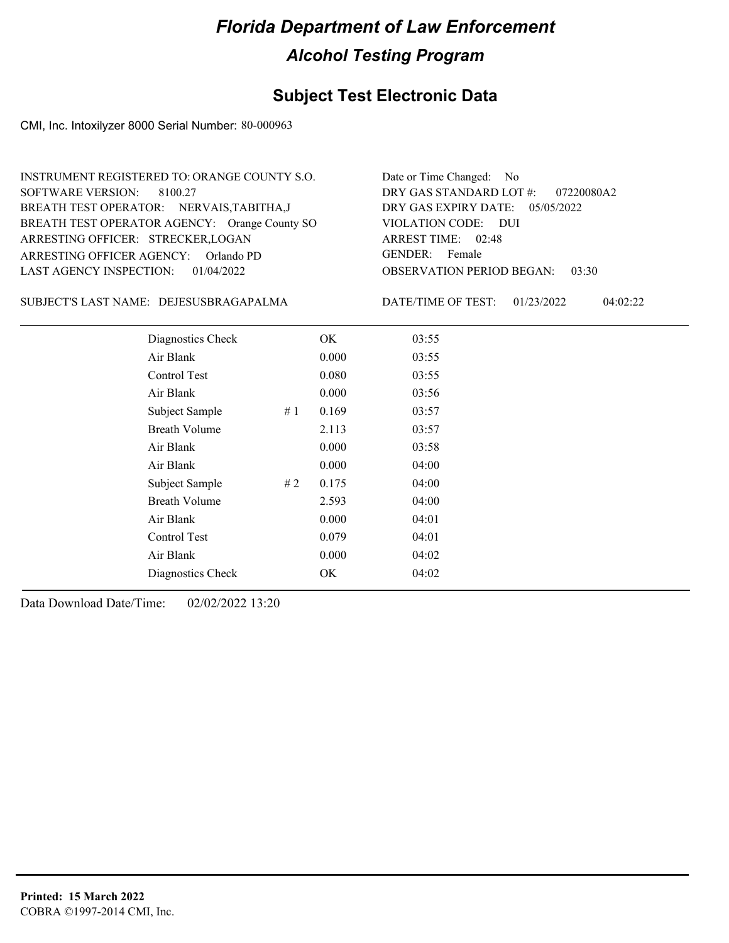### **Subject Test Electronic Data**

CMI, Inc. Intoxilyzer 8000 Serial Number: 80-000963

| INSTRUMENT REGISTERED TO: ORANGE COUNTY S.O.  | Date or Time Changed: No               |
|-----------------------------------------------|----------------------------------------|
| SOFTWARE VERSION: 8100.27                     | DRY GAS STANDARD LOT $#$ : 07220080A2  |
| BREATH TEST OPERATOR: NERVAIS, TABITHA, J     | DRY GAS EXPIRY DATE: $05/05/2022$      |
| BREATH TEST OPERATOR AGENCY: Orange County SO | VIOLATION CODE: DUI                    |
| ARRESTING OFFICER: STRECKER, LOGAN            | ARREST TIME: 02:48                     |
| ARRESTING OFFICER AGENCY: Orlando PD          | GENDER: Female                         |
| LAST AGENCY INSPECTION: 01/04/2022            | <b>OBSERVATION PERIOD BEGAN: 03:30</b> |

DEJESUSBRAGAPALMA SUBJECT'S LAST NAME: DATE/TIME OF TEST:

DATE/TIME OF TEST: 01/23/2022 04:02:22

| Diagnostics Check    |    | OK    | 03:55 |
|----------------------|----|-------|-------|
| Air Blank            |    | 0.000 | 03:55 |
| Control Test         |    | 0.080 | 03:55 |
| Air Blank            |    | 0.000 | 03:56 |
| Subject Sample       | #1 | 0.169 | 03:57 |
| <b>Breath Volume</b> |    | 2.113 | 03:57 |
| Air Blank            |    | 0.000 | 03:58 |
| Air Blank            |    | 0.000 | 04:00 |
| Subject Sample       | #2 | 0.175 | 04:00 |
| <b>Breath Volume</b> |    | 2.593 | 04:00 |
| Air Blank            |    | 0.000 | 04:01 |
| Control Test         |    | 0.079 | 04:01 |
| Air Blank            |    | 0.000 | 04:02 |
| Diagnostics Check    |    | OK    | 04:02 |
|                      |    |       |       |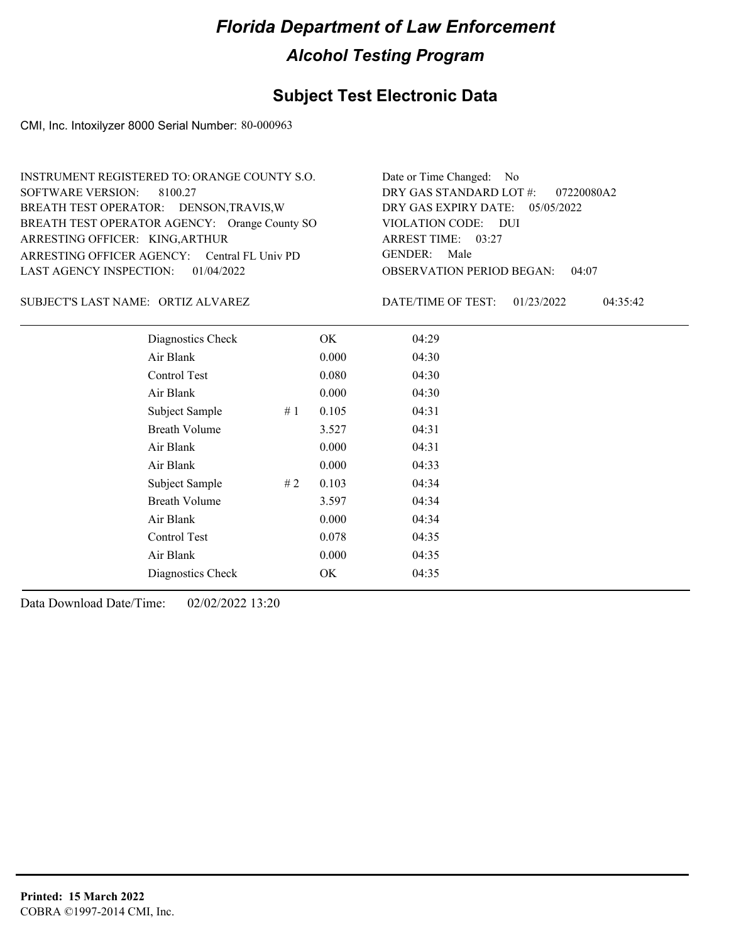### **Subject Test Electronic Data**

CMI, Inc. Intoxilyzer 8000 Serial Number: 80-000963

| INSTRUMENT REGISTERED TO: ORANGE COUNTY S.O.  | Date or Time Changed: No               |
|-----------------------------------------------|----------------------------------------|
| SOFTWARE VERSION: 8100.27                     | DRY GAS STANDARD LOT $\#$ : 07220080A2 |
| BREATH TEST OPERATOR: DENSON, TRAVIS, W       | DRY GAS EXPIRY DATE: $05/05/2022$      |
| BREATH TEST OPERATOR AGENCY: Orange County SO | VIOLATION CODE: DUI                    |
| ARRESTING OFFICER: KING, ARTHUR               | ARREST TIME: $03:27$                   |
| ARRESTING OFFICER AGENCY: Central FL Univ PD  | GENDER: Male                           |
| LAST AGENCY INSPECTION: 01/04/2022            | <b>OBSERVATION PERIOD BEGAN: 04:07</b> |

SUBJECT'S LAST NAME: ORTIZ ALVAREZ DATE/TIME OF TEST:

DATE/TIME OF TEST: 01/23/2022 04:35:42

| Diagnostics Check    |    | OK    | 04:29 |
|----------------------|----|-------|-------|
| Air Blank            |    | 0.000 | 04:30 |
| Control Test         |    | 0.080 | 04:30 |
| Air Blank            |    | 0.000 | 04:30 |
| Subject Sample       | #1 | 0.105 | 04:31 |
| <b>Breath Volume</b> |    | 3.527 | 04:31 |
| Air Blank            |    | 0.000 | 04:31 |
| Air Blank            |    | 0.000 | 04:33 |
| Subject Sample       | #2 | 0.103 | 04:34 |
| <b>Breath Volume</b> |    | 3.597 | 04:34 |
| Air Blank            |    | 0.000 | 04:34 |
| Control Test         |    | 0.078 | 04:35 |
| Air Blank            |    | 0.000 | 04:35 |
| Diagnostics Check    |    | OK    | 04:35 |
|                      |    |       |       |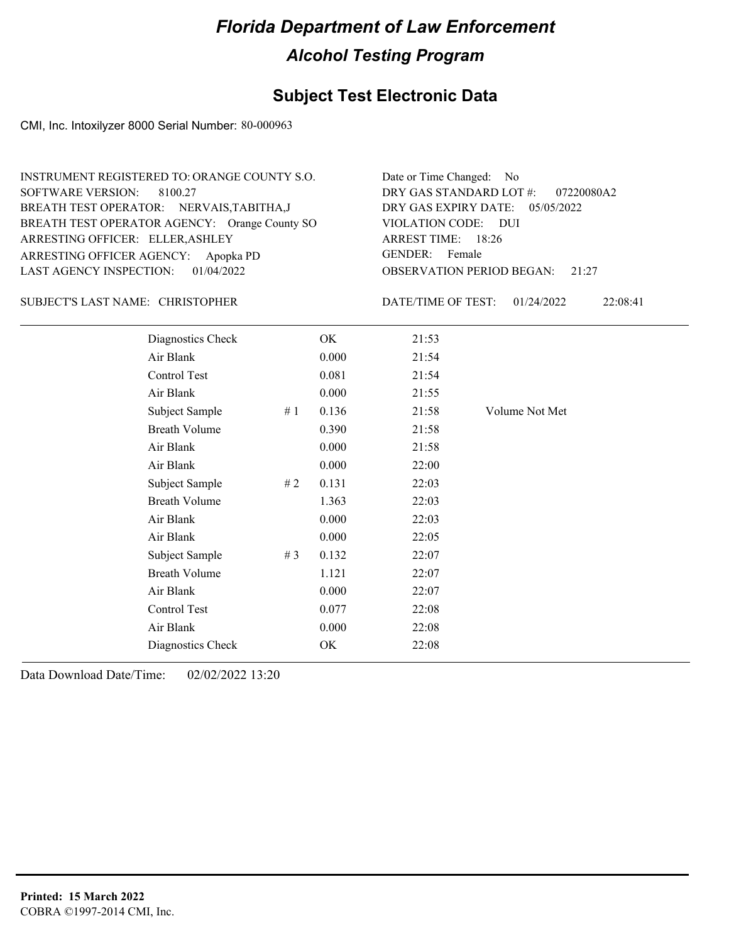### **Subject Test Electronic Data**

CMI, Inc. Intoxilyzer 8000 Serial Number: 80-000963

| INSTRUMENT REGISTERED TO: ORANGE COUNTY S.O.  | Date or Time Changed: No               |
|-----------------------------------------------|----------------------------------------|
| SOFTWARE VERSION: 8100.27                     | DRY GAS STANDARD LOT $\#$ : 07220080A2 |
| BREATH TEST OPERATOR: NERVAIS, TABITHA, J     | DRY GAS EXPIRY DATE: 05/05/2022        |
| BREATH TEST OPERATOR AGENCY: Orange County SO | VIOLATION CODE: DUI                    |
| ARRESTING OFFICER: ELLER, ASHLEY              | ARREST TIME: 18:26                     |
| ARRESTING OFFICER AGENCY: Apopka PD           | GENDER: Female                         |
| LAST AGENCY INSPECTION: 01/04/2022            | <b>OBSERVATION PERIOD BEGAN:</b> 21:27 |

#### CHRISTOPHER SUBJECT'S LAST NAME: DATE/TIME OF TEST:

DATE/TIME OF TEST: 01/24/2022 22:08:41

| Diagnostics Check    |    | OK    | 21:53 |                |
|----------------------|----|-------|-------|----------------|
| Air Blank            |    | 0.000 | 21:54 |                |
| Control Test         |    | 0.081 | 21:54 |                |
| Air Blank            |    | 0.000 | 21:55 |                |
| Subject Sample       | #1 | 0.136 | 21:58 | Volume Not Met |
| <b>Breath Volume</b> |    | 0.390 | 21:58 |                |
| Air Blank            |    | 0.000 | 21:58 |                |
| Air Blank            |    | 0.000 | 22:00 |                |
| Subject Sample       | #2 | 0.131 | 22:03 |                |
| <b>Breath Volume</b> |    | 1.363 | 22:03 |                |
| Air Blank            |    | 0.000 | 22:03 |                |
| Air Blank            |    | 0.000 | 22:05 |                |
| Subject Sample       | #3 | 0.132 | 22:07 |                |
| <b>Breath Volume</b> |    | 1.121 | 22:07 |                |
| Air Blank            |    | 0.000 | 22:07 |                |
| Control Test         |    | 0.077 | 22:08 |                |
| Air Blank            |    | 0.000 | 22:08 |                |
| Diagnostics Check    |    | OK    | 22:08 |                |
|                      |    |       |       |                |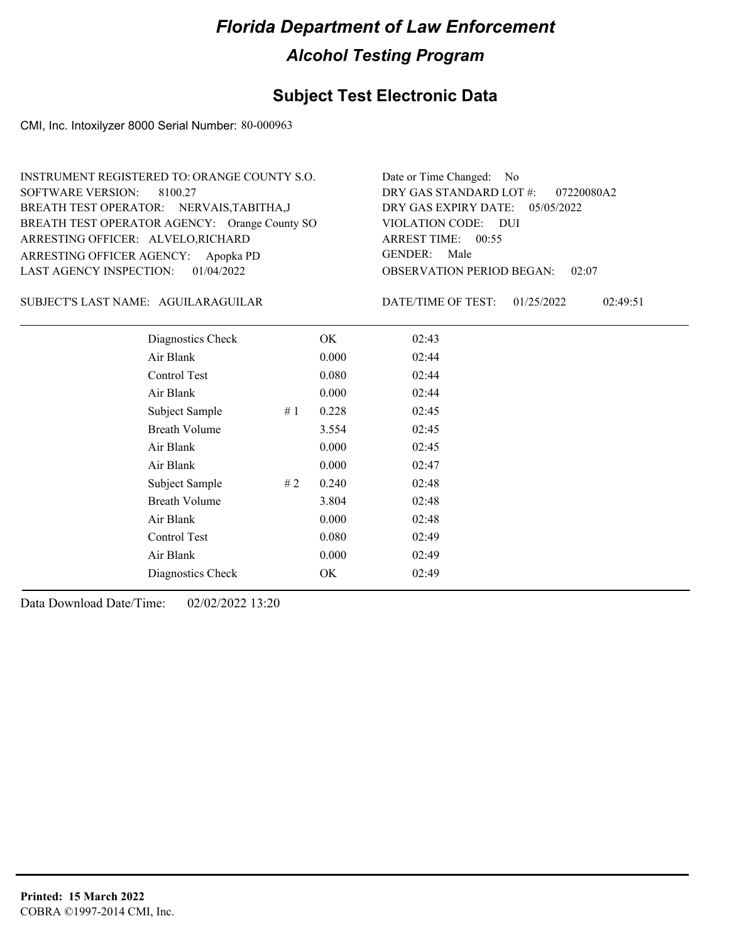### **Subject Test Electronic Data**

CMI, Inc. Intoxilyzer 8000 Serial Number: 80-000963

| INSTRUMENT REGISTERED TO: ORANGE COUNTY S.O.  | Date or Time Changed: No               |
|-----------------------------------------------|----------------------------------------|
| SOFTWARE VERSION: 8100.27                     | DRY GAS STANDARD LOT $\#$ : 07220080A2 |
| BREATH TEST OPERATOR: NERVAIS, TABITHA, J     | DRY GAS EXPIRY DATE: 05/05/2022        |
| BREATH TEST OPERATOR AGENCY: Orange County SO | VIOLATION CODE: DUI                    |
| ARRESTING OFFICER: ALVELO, RICHARD            | ARREST TIME: 00:55                     |
| ARRESTING OFFICER AGENCY: Apopka PD           | GENDER: Male                           |
| LAST AGENCY INSPECTION: $01/04/2022$          | <b>OBSERVATION PERIOD BEGAN: 02:07</b> |

#### AGUILARAGUILAR SUBJECT'S LAST NAME: DATE/TIME OF TEST:

DATE/TIME OF TEST: 01/25/2022 02:49:51

| Diagnostics Check    | OK    | 02:43 |
|----------------------|-------|-------|
| Air Blank            | 0.000 | 02:44 |
| Control Test         | 0.080 | 02:44 |
| Air Blank            | 0.000 | 02:44 |
| Subject Sample<br>#1 | 0.228 | 02:45 |
| <b>Breath Volume</b> | 3.554 | 02:45 |
| Air Blank            | 0.000 | 02:45 |
| Air Blank            | 0.000 | 02:47 |
| Subject Sample<br>#2 | 0.240 | 02:48 |
| <b>Breath Volume</b> | 3.804 | 02:48 |
| Air Blank            | 0.000 | 02:48 |
| Control Test         | 0.080 | 02:49 |
| Air Blank            | 0.000 | 02:49 |
| Diagnostics Check    | OK    | 02:49 |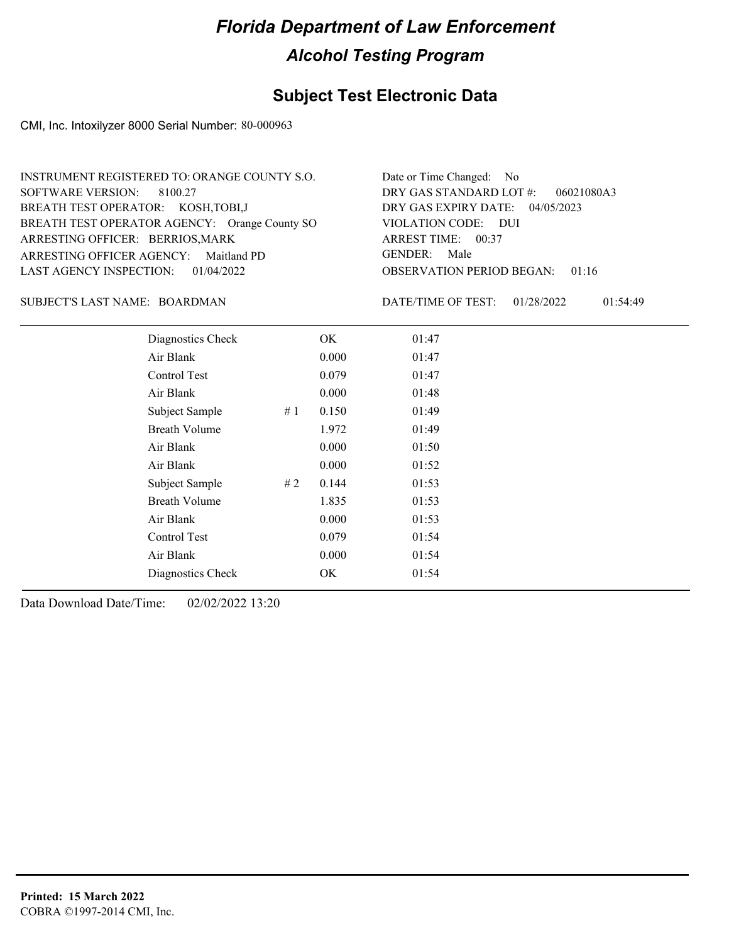### **Subject Test Electronic Data**

CMI, Inc. Intoxilyzer 8000 Serial Number: 80-000963

| INSTRUMENT REGISTERED TO: ORANGE COUNTY S.O.  | Date or Time Changed: No               |
|-----------------------------------------------|----------------------------------------|
| SOFTWARE VERSION: 8100.27                     | DRY GAS STANDARD LOT $\#$ : 06021080A3 |
| BREATH TEST OPERATOR: KOSH, TOBI, J           | DRY GAS EXPIRY DATE: 04/05/2023        |
| BREATH TEST OPERATOR AGENCY: Orange County SO | VIOLATION CODE: DUI                    |
| ARRESTING OFFICER: BERRIOS, MARK              | ARREST TIME: 00:37                     |
| ARRESTING OFFICER AGENCY: Maitland PD         | GENDER: Male                           |
| LAST AGENCY INSPECTION: 01/04/2022            | <b>OBSERVATION PERIOD BEGAN: 01:16</b> |

#### BOARDMAN SUBJECT'S LAST NAME: DATE/TIME OF TEST:

DATE/TIME OF TEST: 01/28/2022 01:54:49

|                      | Diagnostics Check    | OK    | 01:47 |
|----------------------|----------------------|-------|-------|
| Air Blank            |                      | 0.000 | 01:47 |
| Control Test         |                      | 0.079 | 01:47 |
| Air Blank            |                      | 0.000 | 01:48 |
|                      | Subject Sample<br>#1 | 0.150 | 01:49 |
| <b>Breath Volume</b> |                      | 1.972 | 01:49 |
| Air Blank            |                      | 0.000 | 01:50 |
| Air Blank            |                      | 0.000 | 01:52 |
|                      | Subject Sample<br>#2 | 0.144 | 01:53 |
| <b>Breath Volume</b> |                      | 1.835 | 01:53 |
| Air Blank            |                      | 0.000 | 01:53 |
| Control Test         |                      | 0.079 | 01:54 |
| Air Blank            |                      | 0.000 | 01:54 |
|                      | Diagnostics Check    | OK    | 01:54 |
|                      |                      |       |       |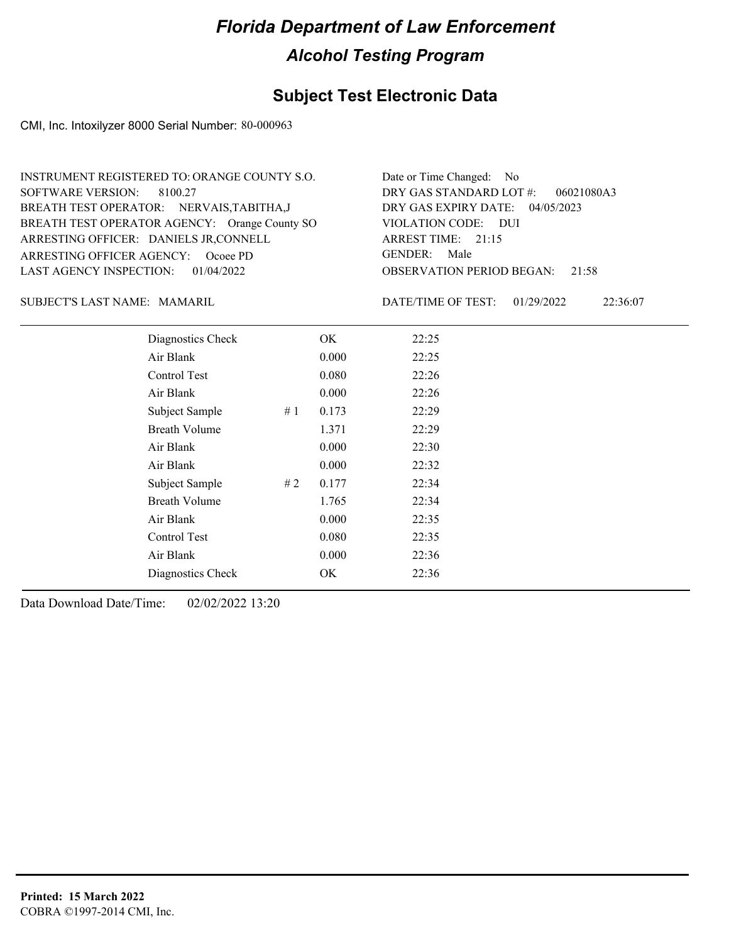### **Subject Test Electronic Data**

CMI, Inc. Intoxilyzer 8000 Serial Number: 80-000963

| INSTRUMENT REGISTERED TO: ORANGE COUNTY S.O.  | Date or Time Changed: No               |
|-----------------------------------------------|----------------------------------------|
| SOFTWARE VERSION: 8100.27                     | DRY GAS STANDARD LOT $\#$ : 06021080A3 |
| BREATH TEST OPERATOR: NERVAIS, TABITHA, J     | DRY GAS EXPIRY DATE: 04/05/2023        |
| BREATH TEST OPERATOR AGENCY: Orange County SO | VIOLATION CODE: DUI                    |
| ARRESTING OFFICER: DANIELS JR, CONNELL        | ARREST TIME: $21:15$                   |
| ARRESTING OFFICER AGENCY: Ocoee PD            | GENDER: Male                           |
| LAST AGENCY INSPECTION: $01/04/2022$          | <b>OBSERVATION PERIOD BEGAN:</b> 21:58 |

MAMARIL SUBJECT'S LAST NAME: DATE/TIME OF TEST:

DATE/TIME OF TEST: 01/29/2022 22:36:07

| Diagnostics Check    |    | OK    | 22:25 |
|----------------------|----|-------|-------|
| Air Blank            |    | 0.000 | 22:25 |
| Control Test         |    | 0.080 | 22:26 |
| Air Blank            |    | 0.000 | 22:26 |
| Subject Sample       | #1 | 0.173 | 22:29 |
| <b>Breath Volume</b> |    | 1.371 | 22:29 |
| Air Blank            |    | 0.000 | 22:30 |
| Air Blank            |    | 0.000 | 22:32 |
| Subject Sample       | #2 | 0.177 | 22:34 |
| <b>Breath Volume</b> |    | 1.765 | 22:34 |
| Air Blank            |    | 0.000 | 22:35 |
| Control Test         |    | 0.080 | 22:35 |
| Air Blank            |    | 0.000 | 22:36 |
| Diagnostics Check    |    | OK    | 22:36 |
|                      |    |       |       |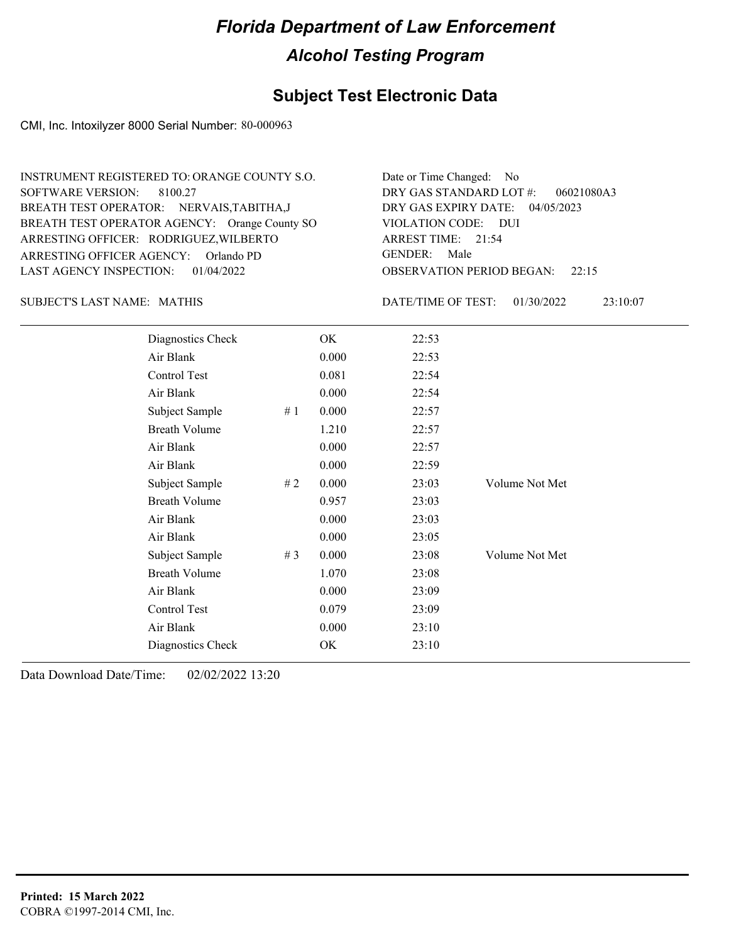### **Subject Test Electronic Data**

CMI, Inc. Intoxilyzer 8000 Serial Number: 80-000963

| INSTRUMENT REGISTERED TO: ORANGE COUNTY S.O.  | Date or Time Changed: No               |
|-----------------------------------------------|----------------------------------------|
| SOFTWARE VERSION: 8100.27                     | DRY GAS STANDARD LOT $\#$ : 06021080A3 |
| BREATH TEST OPERATOR: NERVAIS, TABITHA, J     | DRY GAS EXPIRY DATE: 04/05/2023        |
| BREATH TEST OPERATOR AGENCY: Orange County SO | VIOLATION CODE: DUI                    |
| ARRESTING OFFICER: RODRIGUEZ, WILBERTO        | ARREST TIME: 21:54                     |
| ARRESTING OFFICER AGENCY: Orlando PD          | GENDER: Male                           |
| LAST AGENCY INSPECTION: 01/04/2022            | <b>OBSERVATION PERIOD BEGAN:</b> 22:15 |

SUBJECT'S LAST NAME: MATHIS **Example 20 SUBJECT'S LAST NAME:** MATHIS

DATE/TIME OF TEST: 01/30/2022 23:10:07

| Diagnostics Check    |    | OK    | 22:53 |                |
|----------------------|----|-------|-------|----------------|
| Air Blank            |    | 0.000 | 22:53 |                |
| Control Test         |    | 0.081 | 22:54 |                |
| Air Blank            |    | 0.000 | 22:54 |                |
| Subject Sample       | #1 | 0.000 | 22:57 |                |
| <b>Breath Volume</b> |    | 1.210 | 22:57 |                |
| Air Blank            |    | 0.000 | 22:57 |                |
| Air Blank            |    | 0.000 | 22:59 |                |
| Subject Sample       | #2 | 0.000 | 23:03 | Volume Not Met |
| <b>Breath Volume</b> |    | 0.957 | 23:03 |                |
| Air Blank            |    | 0.000 | 23:03 |                |
| Air Blank            |    | 0.000 | 23:05 |                |
| Subject Sample       | #3 | 0.000 | 23:08 | Volume Not Met |
| <b>Breath Volume</b> |    | 1.070 | 23:08 |                |
| Air Blank            |    | 0.000 | 23:09 |                |
| Control Test         |    | 0.079 | 23:09 |                |
| Air Blank            |    | 0.000 | 23:10 |                |
| Diagnostics Check    |    | OK    | 23:10 |                |
|                      |    |       |       |                |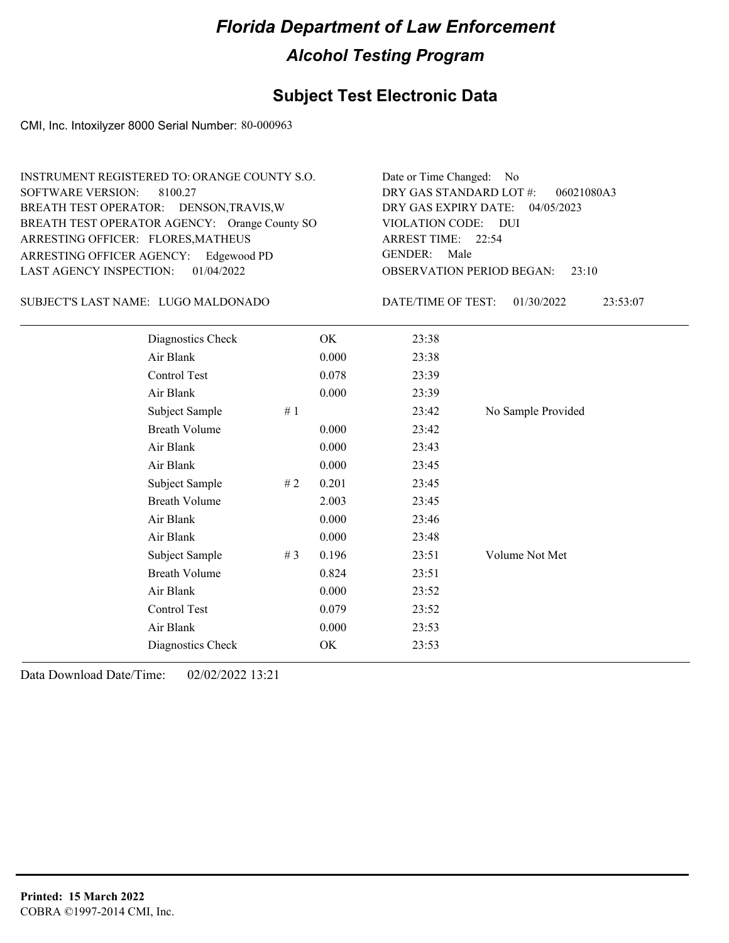### **Subject Test Electronic Data**

CMI, Inc. Intoxilyzer 8000 Serial Number: 80-000963

| INSTRUMENT REGISTERED TO: ORANGE COUNTY S.O.  | Date or Time Changed: No               |
|-----------------------------------------------|----------------------------------------|
| SOFTWARE VERSION: 8100.27                     | DRY GAS STANDARD LOT #: 06021080A3     |
| BREATH TEST OPERATOR: DENSON, TRAVIS, W       | DRY GAS EXPIRY DATE: 04/05/2023        |
| BREATH TEST OPERATOR AGENCY: Orange County SO | VIOLATION CODE: DUI                    |
| ARRESTING OFFICER: FLORES, MATHEUS            | ARREST TIME: 22:54                     |
| ARRESTING OFFICER AGENCY: Edgewood PD         | GENDER: Male                           |
| LAST AGENCY INSPECTION: 01/04/2022            | <b>OBSERVATION PERIOD BEGAN: 23:10</b> |

#### LUGO MALDONADO SUBJECT'S LAST NAME: DATE/TIME OF TEST:

DATE/TIME OF TEST: 01/30/2022 23:53:07

| Diagnostics Check    | OK    | 23:38 |                    |
|----------------------|-------|-------|--------------------|
| Air Blank            | 0.000 | 23:38 |                    |
| Control Test         | 0.078 | 23:39 |                    |
| Air Blank            | 0.000 | 23:39 |                    |
| Subject Sample<br>#1 |       | 23:42 | No Sample Provided |
| <b>Breath Volume</b> | 0.000 | 23:42 |                    |
| Air Blank            | 0.000 | 23:43 |                    |
| Air Blank            | 0.000 | 23:45 |                    |
| Subject Sample<br>#2 | 0.201 | 23:45 |                    |
| <b>Breath Volume</b> | 2.003 | 23:45 |                    |
| Air Blank            | 0.000 | 23:46 |                    |
| Air Blank            | 0.000 | 23:48 |                    |
| Subject Sample<br>#3 | 0.196 | 23:51 | Volume Not Met     |
| <b>Breath Volume</b> | 0.824 | 23:51 |                    |
| Air Blank            | 0.000 | 23:52 |                    |
| Control Test         | 0.079 | 23:52 |                    |
| Air Blank            | 0.000 | 23:53 |                    |
| Diagnostics Check    | OK    | 23:53 |                    |
|                      |       |       |                    |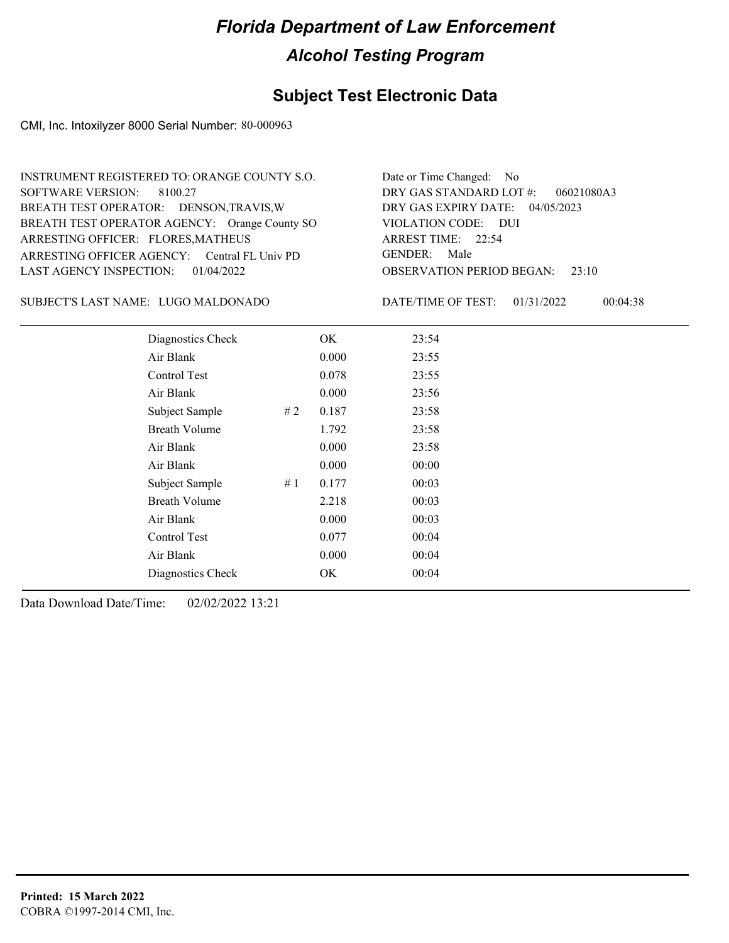### **Subject Test Electronic Data**

CMI, Inc. Intoxilyzer 8000 Serial Number: 80-000963

| INSTRUMENT REGISTERED TO: ORANGE COUNTY S.O.  | Date or Time Changed: No               |
|-----------------------------------------------|----------------------------------------|
| SOFTWARE VERSION: 8100.27                     | DRY GAS STANDARD LOT $\#$ : 06021080A3 |
| BREATH TEST OPERATOR: DENSON, TRAVIS, W       | DRY GAS EXPIRY DATE: 04/05/2023        |
| BREATH TEST OPERATOR AGENCY: Orange County SO | VIOLATION CODE: DUI                    |
| ARRESTING OFFICER: FLORES, MATHEUS            | ARREST TIME: 22:54                     |
| ARRESTING OFFICER AGENCY: Central FL Univ PD  | GENDER: Male                           |
| LAST AGENCY INSPECTION: $01/04/2022$          | <b>OBSERVATION PERIOD BEGAN:</b> 23:10 |

#### LUGO MALDONADO SUBJECT'S LAST NAME: DATE/TIME OF TEST:

DATE/TIME OF TEST: 01/31/2022 00:04:38

| Diagnostics Check    | OK    | 23:54 |
|----------------------|-------|-------|
| Air Blank            | 0.000 | 23:55 |
| Control Test         | 0.078 | 23:55 |
| Air Blank            | 0.000 | 23:56 |
| Subject Sample<br>#2 | 0.187 | 23:58 |
| <b>Breath Volume</b> | 1.792 | 23:58 |
| Air Blank            | 0.000 | 23:58 |
| Air Blank            | 0.000 | 00:00 |
| Subject Sample<br>#1 | 0.177 | 00:03 |
| <b>Breath Volume</b> | 2.218 | 00:03 |
| Air Blank            | 0.000 | 00:03 |
| Control Test         | 0.077 | 00:04 |
| Air Blank            | 0.000 | 00:04 |
| Diagnostics Check    | OK    | 00:04 |
|                      |       |       |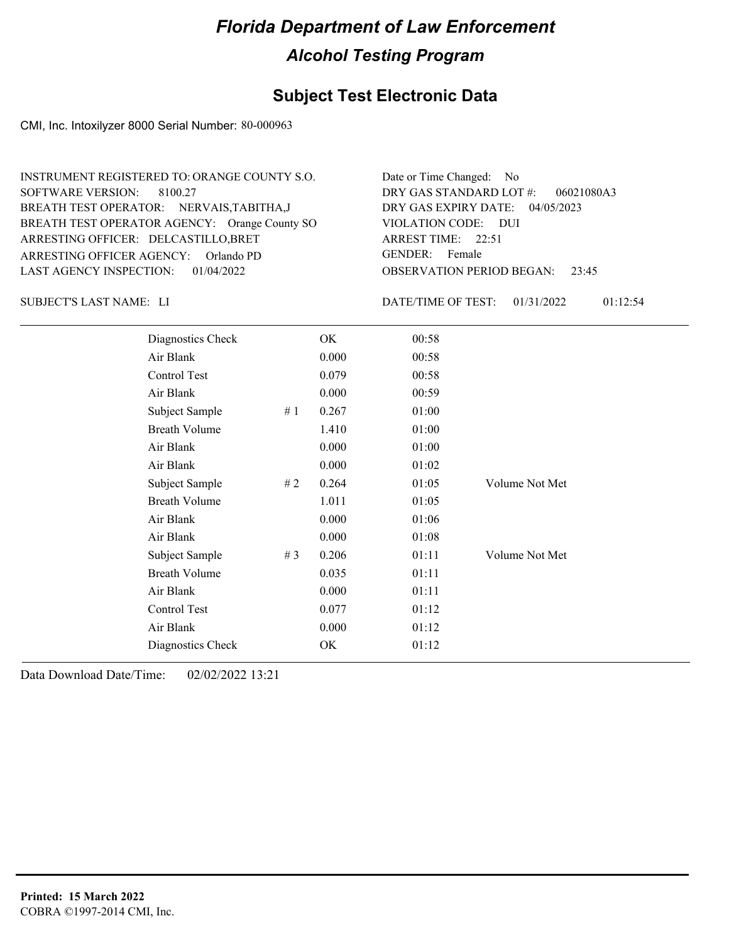### **Subject Test Electronic Data**

CMI, Inc. Intoxilyzer 8000 Serial Number: 80-000963

| INSTRUMENT REGISTERED TO: ORANGE COUNTY S.O.  | Date or Time Changed: No               |
|-----------------------------------------------|----------------------------------------|
| SOFTWARE VERSION: 8100.27                     | DRY GAS STANDARD LOT $\#$ : 06021080A3 |
| BREATH TEST OPERATOR: NERVAIS, TABITHA, J     | DRY GAS EXPIRY DATE: 04/05/2023        |
| BREATH TEST OPERATOR AGENCY: Orange County SO | VIOLATION CODE: DUI                    |
| ARRESTING OFFICER: DELCASTILLO, BRET          | ARREST TIME: 22:51                     |
| ARRESTING OFFICER AGENCY: Orlando PD          | GENDER: Female                         |
| LAST AGENCY INSPECTION: 01/04/2022            | <b>OBSERVATION PERIOD BEGAN: 23:45</b> |

SUBJECT'S LAST NAME: LI DATE/TIME OF TEST:

DATE/TIME OF TEST: 01/31/2022 01:12:54

| Diagnostics Check    |    | OK    | 00:58 |                |
|----------------------|----|-------|-------|----------------|
| Air Blank            |    | 0.000 | 00:58 |                |
| Control Test         |    | 0.079 | 00:58 |                |
| Air Blank            |    | 0.000 | 00:59 |                |
| Subject Sample       | #1 | 0.267 | 01:00 |                |
| <b>Breath Volume</b> |    | 1.410 | 01:00 |                |
| Air Blank            |    | 0.000 | 01:00 |                |
| Air Blank            |    | 0.000 | 01:02 |                |
| Subject Sample       | #2 | 0.264 | 01:05 | Volume Not Met |
| <b>Breath Volume</b> |    | 1.011 | 01:05 |                |
| Air Blank            |    | 0.000 | 01:06 |                |
| Air Blank            |    | 0.000 | 01:08 |                |
| Subject Sample       | #3 | 0.206 | 01:11 | Volume Not Met |
| <b>Breath Volume</b> |    | 0.035 | 01:11 |                |
| Air Blank            |    | 0.000 | 01:11 |                |
| Control Test         |    | 0.077 | 01:12 |                |
| Air Blank            |    | 0.000 | 01:12 |                |
| Diagnostics Check    |    | OK    | 01:12 |                |
|                      |    |       |       |                |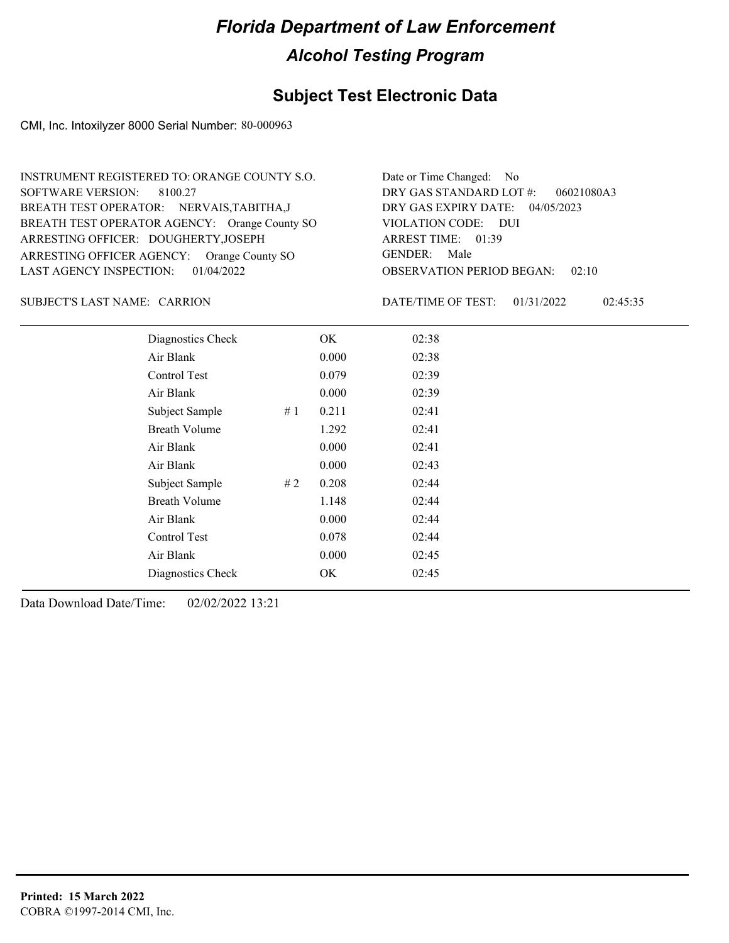### **Subject Test Electronic Data**

CMI, Inc. Intoxilyzer 8000 Serial Number: 80-000963

| INSTRUMENT REGISTERED TO: ORANGE COUNTY S.O.  | Date or Time Changed: No               |
|-----------------------------------------------|----------------------------------------|
| SOFTWARE VERSION: 8100.27                     | DRY GAS STANDARD LOT $\#$ : 06021080A3 |
| BREATH TEST OPERATOR: NERVAIS, TABITHA, J     | DRY GAS EXPIRY DATE: 04/05/2023        |
| BREATH TEST OPERATOR AGENCY: Orange County SO | VIOLATION CODE: DUI                    |
| ARRESTING OFFICER: DOUGHERTY, JOSEPH          | ARREST TIME: 01:39                     |
| ARRESTING OFFICER AGENCY: Orange County SO    | GENDER: Male                           |
| LAST AGENCY INSPECTION: 01/04/2022            | <b>OBSERVATION PERIOD BEGAN: 02:10</b> |

SUBJECT'S LAST NAME: CARRION DATE/TIME OF TEST:

DATE/TIME OF TEST: 01/31/2022 02:45:35

| Diagnostics Check    |    | OK    | 02:38 |
|----------------------|----|-------|-------|
| Air Blank            |    | 0.000 | 02:38 |
| Control Test         |    | 0.079 | 02:39 |
| Air Blank            |    | 0.000 | 02:39 |
| Subject Sample       | #1 | 0.211 | 02:41 |
| <b>Breath Volume</b> |    | 1.292 | 02:41 |
| Air Blank            |    | 0.000 | 02:41 |
| Air Blank            |    | 0.000 | 02:43 |
| Subject Sample       | #2 | 0.208 | 02:44 |
| <b>Breath Volume</b> |    | 1.148 | 02:44 |
| Air Blank            |    | 0.000 | 02:44 |
| Control Test         |    | 0.078 | 02:44 |
| Air Blank            |    | 0.000 | 02:45 |
| Diagnostics Check    |    | OK    | 02:45 |
|                      |    |       |       |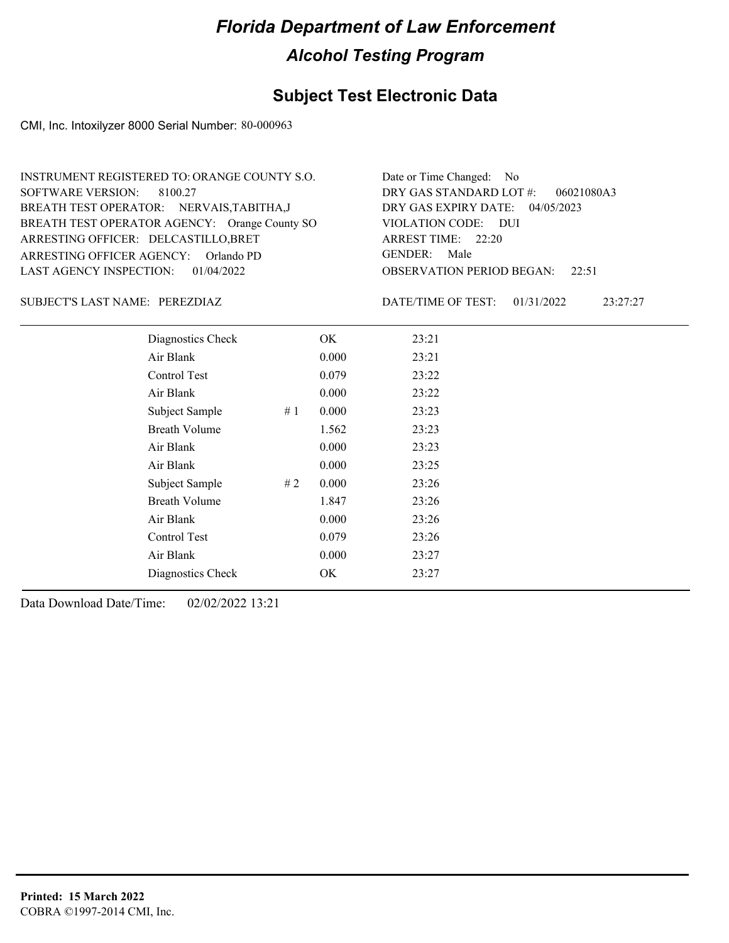### **Subject Test Electronic Data**

CMI, Inc. Intoxilyzer 8000 Serial Number: 80-000963

| INSTRUMENT REGISTERED TO: ORANGE COUNTY S.O.  | Date or Time Changed: No               |
|-----------------------------------------------|----------------------------------------|
| SOFTWARE VERSION: 8100.27                     | DRY GAS STANDARD LOT $\#$ : 06021080A3 |
| BREATH TEST OPERATOR: NERVAIS, TABITHA, J     | DRY GAS EXPIRY DATE: 04/05/2023        |
| BREATH TEST OPERATOR AGENCY: Orange County SO | VIOLATION CODE: DUI                    |
| ARRESTING OFFICER: DELCASTILLO, BRET          | ARREST TIME: 22:20                     |
| ARRESTING OFFICER AGENCY: Orlando PD          | GENDER: Male                           |
| LAST AGENCY INSPECTION: $01/04/2022$          | <b>OBSERVATION PERIOD BEGAN: 22:51</b> |

PEREZDIAZ SUBJECT'S LAST NAME: DATE/TIME OF TEST:

DATE/TIME OF TEST: 01/31/2022 23:27:27

| Diagnostics Check    | OK    | 23:21 |
|----------------------|-------|-------|
| Air Blank            | 0.000 | 23:21 |
| Control Test         | 0.079 | 23:22 |
| Air Blank            | 0.000 | 23:22 |
| Subject Sample<br>#1 | 0.000 | 23:23 |
| <b>Breath Volume</b> | 1.562 | 23:23 |
| Air Blank            | 0.000 | 23:23 |
| Air Blank            | 0.000 | 23:25 |
| Subject Sample<br>#2 | 0.000 | 23:26 |
| <b>Breath Volume</b> | 1.847 | 23:26 |
| Air Blank            | 0.000 | 23:26 |
| Control Test         | 0.079 | 23:26 |
| Air Blank            | 0.000 | 23:27 |
| Diagnostics Check    | OK    | 23:27 |
|                      |       |       |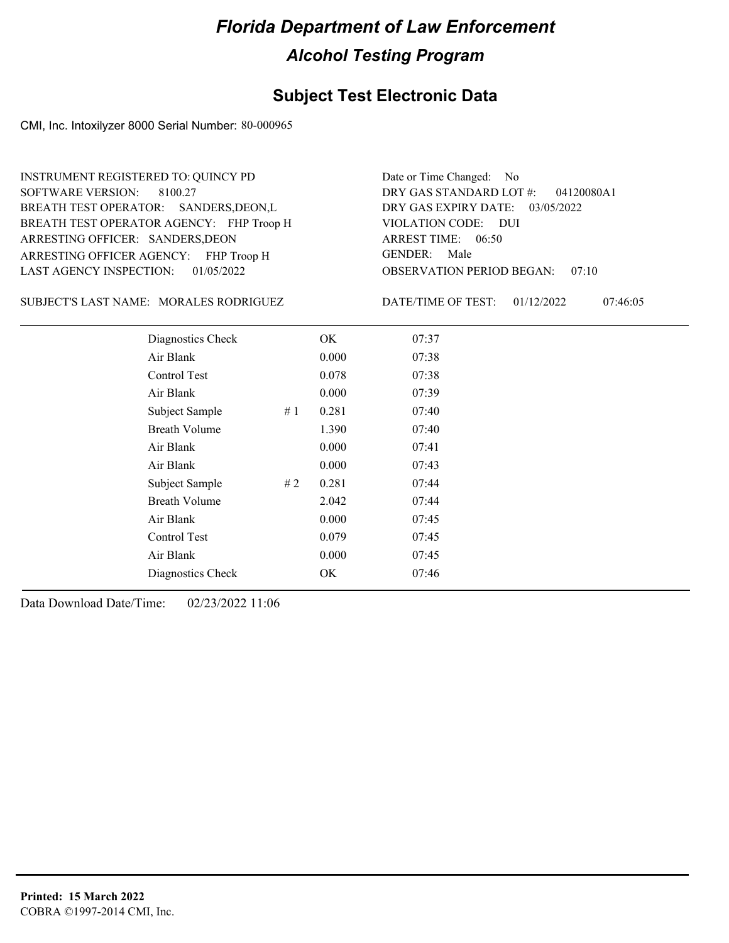### **Subject Test Electronic Data**

CMI, Inc. Intoxilyzer 8000 Serial Number: 80-000965

ARRESTING OFFICER AGENCY: FHP Troop H GENDER: BREATH TEST OPERATOR AGENCY: FHP Troop H VIOLATION CODE: SOFTWARE VERSION: ARRESTING OFFICER: SANDERS, DEON BREATH TEST OPERATOR: SANDERS,DEON,L LAST AGENCY INSPECTION: 01/05/2022 8100.27 INSTRUMENT REGISTERED TO: QUINCY PD

OBSERVATION PERIOD BEGAN: 07:10 VIOLATION CODE: DUI ARREST TIME: 06:50 DRY GAS EXPIRY DATE: 03/05/2022 04120080A1 DRY GAS STANDARD LOT #: Date or Time Changed: No GENDER: Male

SUBJECT'S LAST NAME: MORALES RODRIGUEZ DATE/TIME OF TEST:

DATE/TIME OF TEST: 01/12/2022 07:46:05

| Diagnostics Check    | OK    | 07:37 |
|----------------------|-------|-------|
| Air Blank            | 0.000 | 07:38 |
| Control Test         | 0.078 | 07:38 |
| Air Blank            | 0.000 | 07:39 |
| Subject Sample<br>#1 | 0.281 | 07:40 |
| <b>Breath Volume</b> | 1.390 | 07:40 |
| Air Blank            | 0.000 | 07:41 |
| Air Blank            | 0.000 | 07:43 |
| Subject Sample<br>#2 | 0.281 | 07:44 |
| <b>Breath Volume</b> | 2.042 | 07:44 |
| Air Blank            | 0.000 | 07:45 |
| Control Test         | 0.079 | 07:45 |
| Air Blank            | 0.000 | 07:45 |
| Diagnostics Check    | OK    | 07:46 |
|                      |       |       |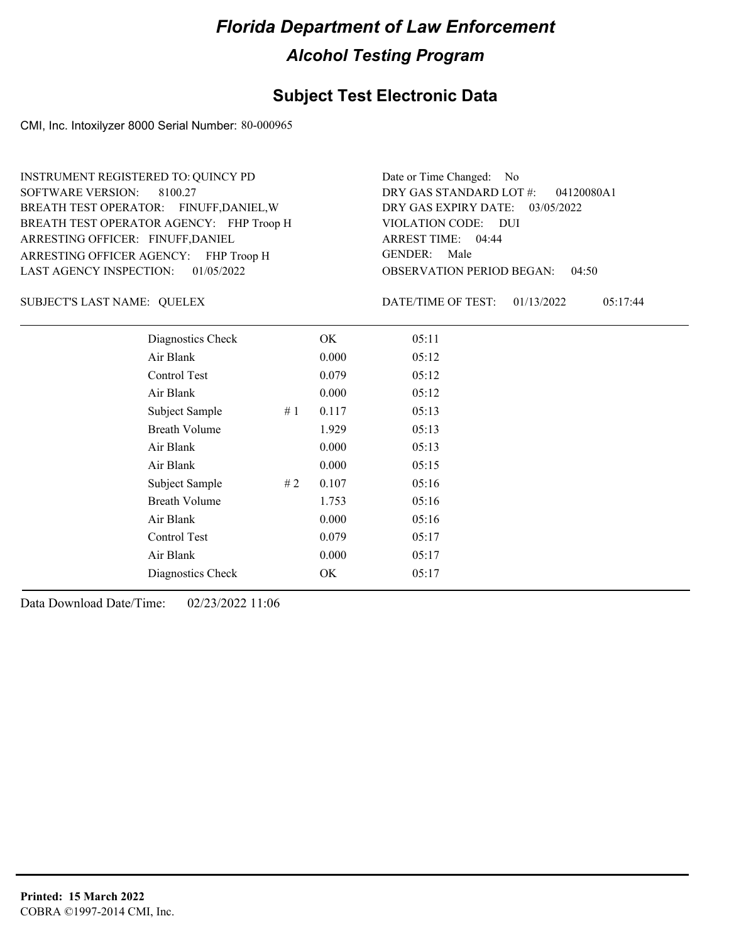### **Subject Test Electronic Data**

CMI, Inc. Intoxilyzer 8000 Serial Number: 80-000965

ARRESTING OFFICER AGENCY: FHP Troop H GENDER: BREATH TEST OPERATOR AGENCY: FHP Troop H VIOLATION CODE: SOFTWARE VERSION: ARRESTING OFFICER: FINUFF, DANIEL BREATH TEST OPERATOR: FINUFF,DANIEL,W LAST AGENCY INSPECTION: 01/05/2022 8100.27 INSTRUMENT REGISTERED TO: QUINCY PD

OBSERVATION PERIOD BEGAN: 04:50 VIOLATION CODE: DUI 04:44 ARREST TIME: DRY GAS EXPIRY DATE: 03/05/2022 04120080A1 DRY GAS STANDARD LOT #: Date or Time Changed: No GENDER: Male

SUBJECT'S LAST NAME: QUELEX DATE/TIME OF TEST:

DATE/TIME OF TEST: 01/13/2022 05:17:44

| Diagnostics Check    |    | OK    | 05:11 |
|----------------------|----|-------|-------|
| Air Blank            |    | 0.000 | 05:12 |
| Control Test         |    | 0.079 | 05:12 |
| Air Blank            |    | 0.000 | 05:12 |
| Subject Sample       | #1 | 0.117 | 05:13 |
| <b>Breath Volume</b> |    | 1.929 | 05:13 |
| Air Blank            |    | 0.000 | 05:13 |
| Air Blank            |    | 0.000 | 05:15 |
| Subject Sample       | #2 | 0.107 | 05:16 |
| <b>Breath Volume</b> |    | 1.753 | 05:16 |
| Air Blank            |    | 0.000 | 05:16 |
| Control Test         |    | 0.079 | 05:17 |
| Air Blank            |    | 0.000 | 05:17 |
| Diagnostics Check    |    | OK    | 05:17 |
|                      |    |       |       |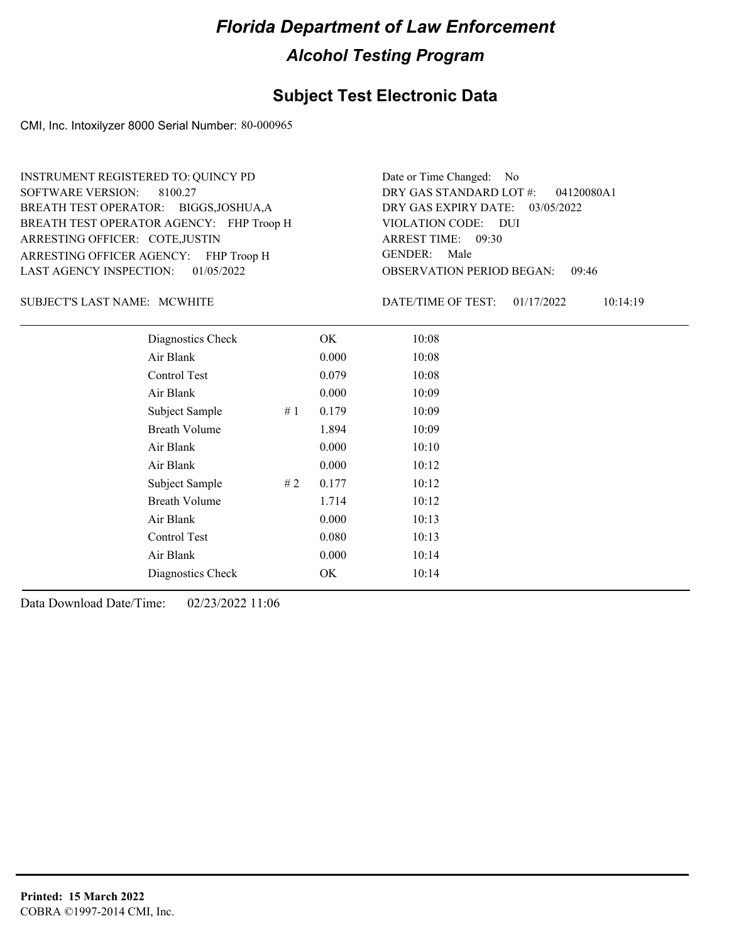### **Subject Test Electronic Data**

CMI, Inc. Intoxilyzer 8000 Serial Number: 80-000965

ARRESTING OFFICER AGENCY: FHP Troop H GENDER: BREATH TEST OPERATOR AGENCY: FHP Troop H VIOLATION CODE: SOFTWARE VERSION: ARRESTING OFFICER: COTE,JUSTIN BREATH TEST OPERATOR: BIGGS,JOSHUA,A LAST AGENCY INSPECTION: 01/05/2022 8100.27 INSTRUMENT REGISTERED TO: QUINCY PD

OBSERVATION PERIOD BEGAN: 09:46 VIOLATION CODE: DUI ARREST TIME: 09:30 DRY GAS EXPIRY DATE: 03/05/2022 04120080A1 DRY GAS STANDARD LOT #: Date or Time Changed: No GENDER: Male

SUBJECT'S LAST NAME: MCWHITE **Example 20 SOUGHT ASSESS** DATE/TIME OF TEST:

DATE/TIME OF TEST: 01/17/2022 10:14:19

| Diagnostics Check    |    | OK    | 10:08 |
|----------------------|----|-------|-------|
| Air Blank            |    | 0.000 | 10:08 |
| Control Test         |    | 0.079 | 10:08 |
| Air Blank            |    | 0.000 | 10:09 |
| Subject Sample       | #1 | 0.179 | 10:09 |
| <b>Breath Volume</b> |    | 1.894 | 10:09 |
| Air Blank            |    | 0.000 | 10:10 |
| Air Blank            |    | 0.000 | 10:12 |
| Subject Sample       | #2 | 0.177 | 10:12 |
| <b>Breath Volume</b> |    | 1.714 | 10:12 |
| Air Blank            |    | 0.000 | 10:13 |
| Control Test         |    | 0.080 | 10:13 |
| Air Blank            |    | 0.000 | 10:14 |
| Diagnostics Check    |    | OK    | 10:14 |
|                      |    |       |       |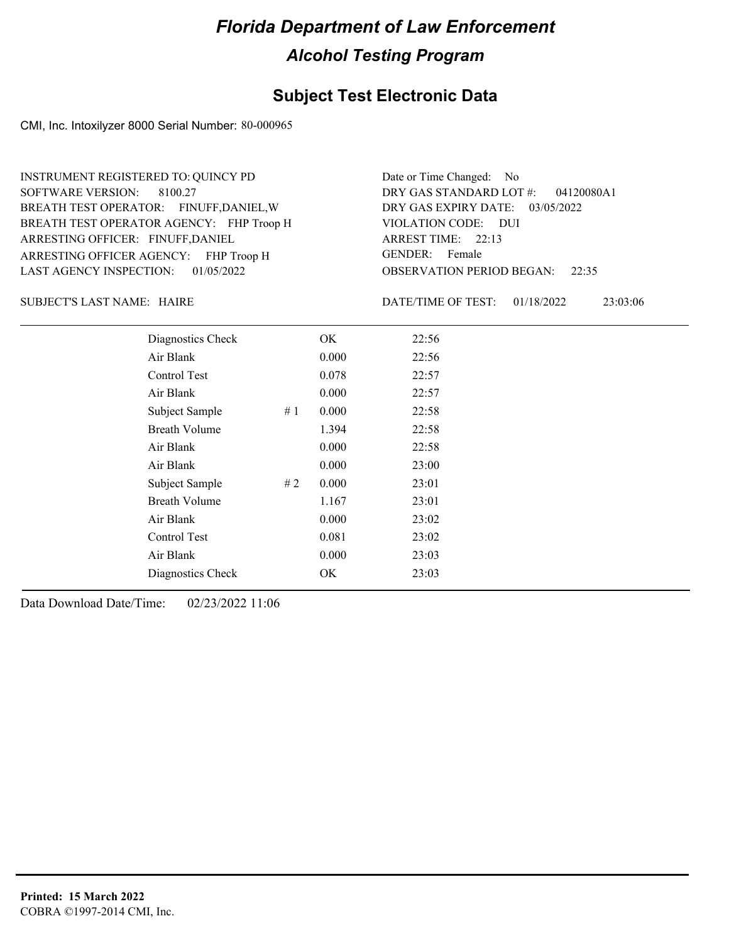### **Subject Test Electronic Data**

CMI, Inc. Intoxilyzer 8000 Serial Number: 80-000965

ARRESTING OFFICER AGENCY: FHP Troop H GENDER: BREATH TEST OPERATOR AGENCY: FHP Troop H VIOLATION CODE: SOFTWARE VERSION: ARRESTING OFFICER: FINUFF, DANIEL BREATH TEST OPERATOR: FINUFF,DANIEL,W LAST AGENCY INSPECTION: 01/05/2022 8100.27 INSTRUMENT REGISTERED TO: QUINCY PD

OBSERVATION PERIOD BEGAN: 22:35 VIOLATION CODE: DUI ARREST TIME: 22:13 DRY GAS EXPIRY DATE: 03/05/2022 04120080A1 DRY GAS STANDARD LOT #: Date or Time Changed: No GENDER: Female

SUBJECT'S LAST NAME: HAIRE **Example 20** SUBJECT'S LAST NAME: HAIRE

DATE/TIME OF TEST: 01/18/2022 23:03:06

| Diagnostics Check    |    | OK    | 22:56 |
|----------------------|----|-------|-------|
| Air Blank            |    | 0.000 | 22:56 |
| Control Test         |    | 0.078 | 22:57 |
| Air Blank            |    | 0.000 | 22:57 |
| Subject Sample       | #1 | 0.000 | 22:58 |
| <b>Breath Volume</b> |    | 1.394 | 22:58 |
| Air Blank            |    | 0.000 | 22:58 |
| Air Blank            |    | 0.000 | 23:00 |
| Subject Sample       | #2 | 0.000 | 23:01 |
| <b>Breath Volume</b> |    | 1.167 | 23:01 |
| Air Blank            |    | 0.000 | 23:02 |
| Control Test         |    | 0.081 | 23:02 |
| Air Blank            |    | 0.000 | 23:03 |
| Diagnostics Check    |    | OK    | 23:03 |
|                      |    |       |       |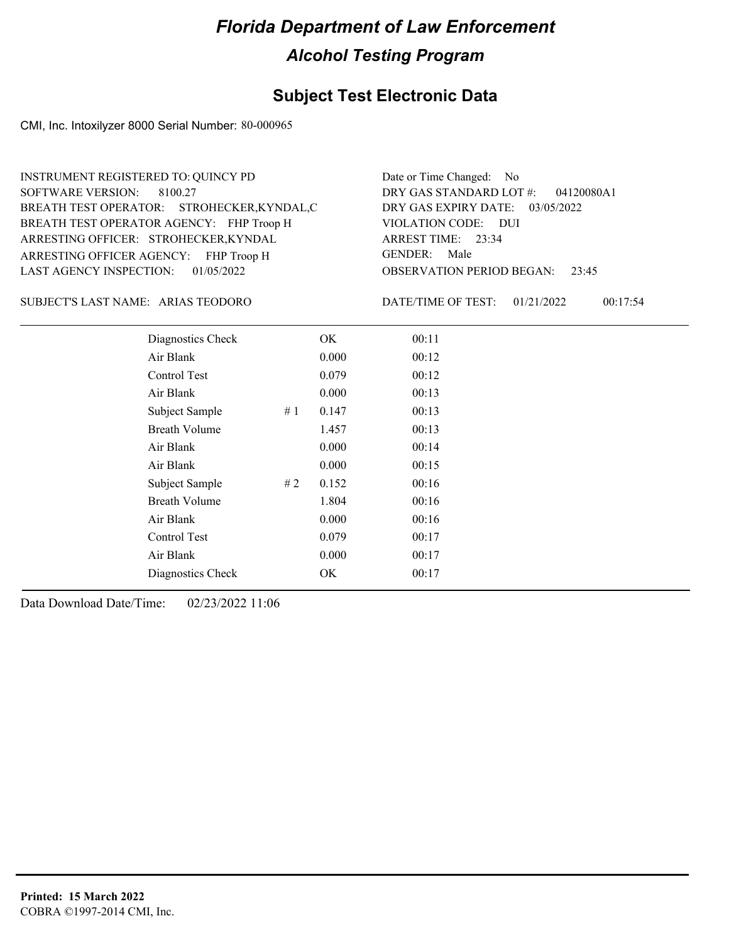### **Subject Test Electronic Data**

CMI, Inc. Intoxilyzer 8000 Serial Number: 80-000965

| INSTRUMENT REGISTERED TO: QUINCY PD         | Date or Time Changed: No                     |
|---------------------------------------------|----------------------------------------------|
| SOFTWARE VERSION: 8100.27                   | DRY GAS STANDARD LOT #: 04120080A1           |
| BREATH TEST OPERATOR: STROHECKER, KYNDAL, C | DRY GAS EXPIRY DATE: $03/05/2022$            |
| BREATH TEST OPERATOR AGENCY: FHP Troop H    | VIOLATION CODE: DUI                          |
| ARRESTING OFFICER: STROHECKER, KYNDAL       | ARREST TIME: 23:34                           |
| ARRESTING OFFICER AGENCY: FHP Troop H       | GENDER: Male                                 |
| LAST AGENCY INSPECTION: 01/05/2022          | <b>OBSERVATION PERIOD BEGAN:</b><br>23:45    |
| SUBJECT'S LAST NAME: ARIAS TEODORO          | DATE/TIME OF TEST:<br>00:17:54<br>01/21/2022 |
|                                             |                                              |

| Diagnostics Check<br>00:11<br>OK       |
|----------------------------------------|
| Air Blank<br>0.000<br>00:12            |
| Control Test<br>0.079<br>00:12         |
| Air Blank<br>0.000<br>00:13            |
| Subject Sample<br>0.147<br>#1<br>00:13 |
| <b>Breath Volume</b><br>1.457<br>00:13 |
| Air Blank<br>0.000<br>00:14            |
| Air Blank<br>0.000<br>00:15            |
| Subject Sample<br>0.152<br>00:16<br>#2 |
| <b>Breath Volume</b><br>1.804<br>00:16 |
| Air Blank<br>0.000<br>00:16            |
| Control Test<br>0.079<br>00:17         |
| Air Blank<br>0.000<br>00:17            |
| Diagnostics Check<br>00:17<br>OK       |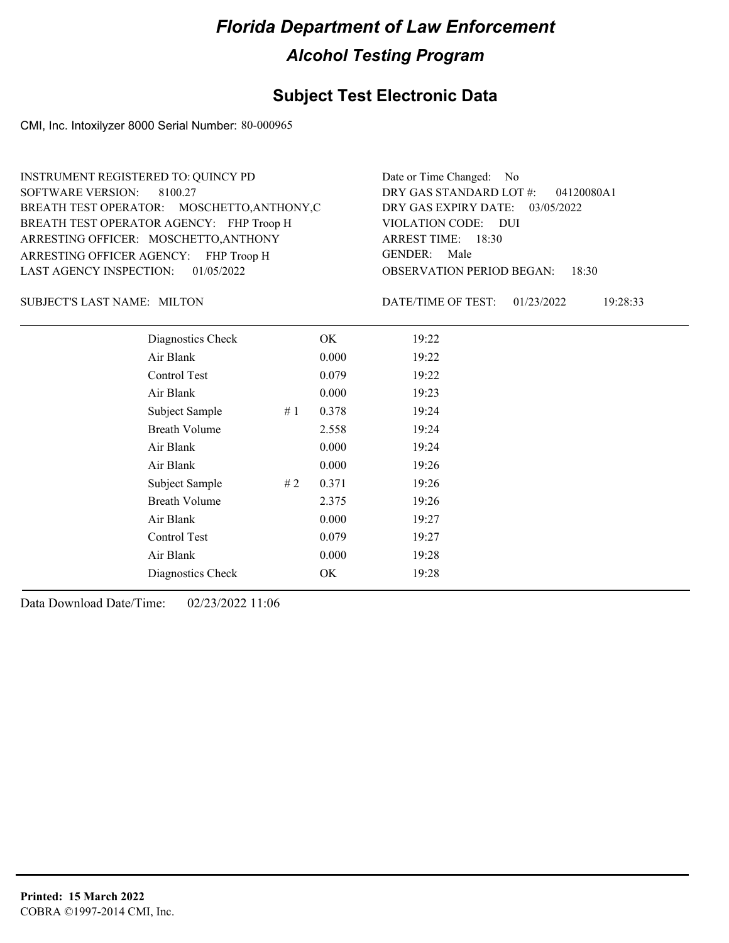### **Subject Test Electronic Data**

CMI, Inc. Intoxilyzer 8000 Serial Number: 80-000965

| Date or Time Changed: No               |
|----------------------------------------|
| DRY GAS STANDARD LOT #: 04120080A1     |
| DRY GAS EXPIRY DATE: 03/05/2022        |
| VIOLATION CODE: DUI                    |
| ARREST TIME: 18:30                     |
| GENDER: Male                           |
| <b>OBSERVATION PERIOD BEGAN: 18:30</b> |
|                                        |

SUBJECT'S LAST NAME: MILTON DATE/TIME OF TEST:

DATE/TIME OF TEST: 01/23/2022 19:28:33

| Diagnostics Check    |    | OK    | 19:22 |
|----------------------|----|-------|-------|
| Air Blank            |    | 0.000 | 19:22 |
| Control Test         |    | 0.079 | 19:22 |
| Air Blank            |    | 0.000 | 19:23 |
| Subject Sample       | #1 | 0.378 | 19:24 |
| <b>Breath Volume</b> |    | 2.558 | 19:24 |
| Air Blank            |    | 0.000 | 19:24 |
| Air Blank            |    | 0.000 | 19:26 |
| Subject Sample       | #2 | 0.371 | 19:26 |
| <b>Breath Volume</b> |    | 2.375 | 19:26 |
| Air Blank            |    | 0.000 | 19:27 |
| Control Test         |    | 0.079 | 19:27 |
| Air Blank            |    | 0.000 | 19:28 |
| Diagnostics Check    |    | OK    | 19:28 |
|                      |    |       |       |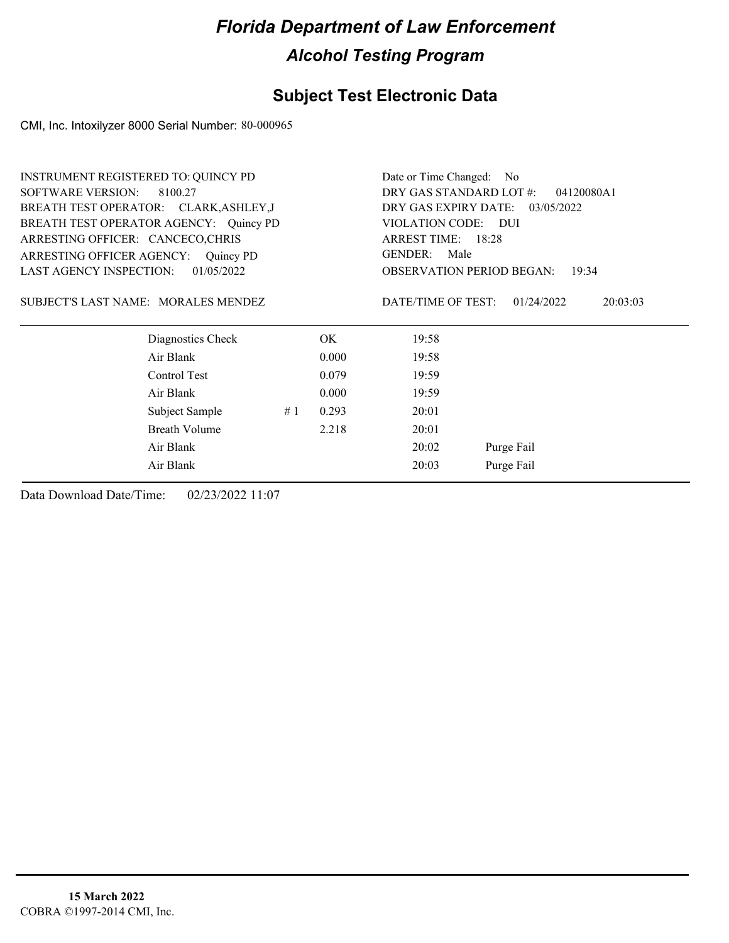### **Subject Test Electronic Data**

CMI, Inc. Intoxilyzer 8000 Serial Number: 80-000965

| INSTRUMENT REGISTERED TO: QUINCY PD          |    | Date or Time Changed: No              |                                  |                        |  |
|----------------------------------------------|----|---------------------------------------|----------------------------------|------------------------|--|
| <b>SOFTWARE VERSION:</b><br>8100.27          |    | DRY GAS STANDARD LOT #:<br>04120080A1 |                                  |                        |  |
| BREATH TEST OPERATOR: CLARK, ASHLEY, J       |    |                                       | DRY GAS EXPIRY DATE: 03/05/2022  |                        |  |
| BREATH TEST OPERATOR AGENCY: Quincy PD       |    |                                       | VIOLATION CODE: DUI              |                        |  |
| ARRESTING OFFICER: CANCECO,CHRIS             |    |                                       | ARREST TIME: 18:28               |                        |  |
| ARRESTING OFFICER AGENCY: Quincy PD          |    |                                       | <b>GENDER:</b><br>Male           |                        |  |
| <b>LAST AGENCY INSPECTION:</b><br>01/05/2022 |    |                                       | <b>OBSERVATION PERIOD BEGAN:</b> | 19:34                  |  |
| SUBJECT'S LAST NAME: MORALES MENDEZ          |    |                                       | DATE/TIME OF TEST:               | 01/24/2022<br>20:03:03 |  |
| Diagnostics Check                            |    | OK.                                   | 19:58                            |                        |  |
| Air Blank                                    |    | 0.000                                 | 19:58                            |                        |  |
| Control Test                                 |    | 0.079                                 | 19:59                            |                        |  |
| Air Blank                                    |    | 0.000                                 | 19:59                            |                        |  |
| Subject Sample                               | #1 | 20:01                                 |                                  |                        |  |
| <b>Breath Volume</b>                         |    | 20:01                                 |                                  |                        |  |
| Air Blank                                    |    | Purge Fail<br>20:02                   |                                  |                        |  |
| Air Blank                                    |    | 20:03<br>Purge Fail                   |                                  |                        |  |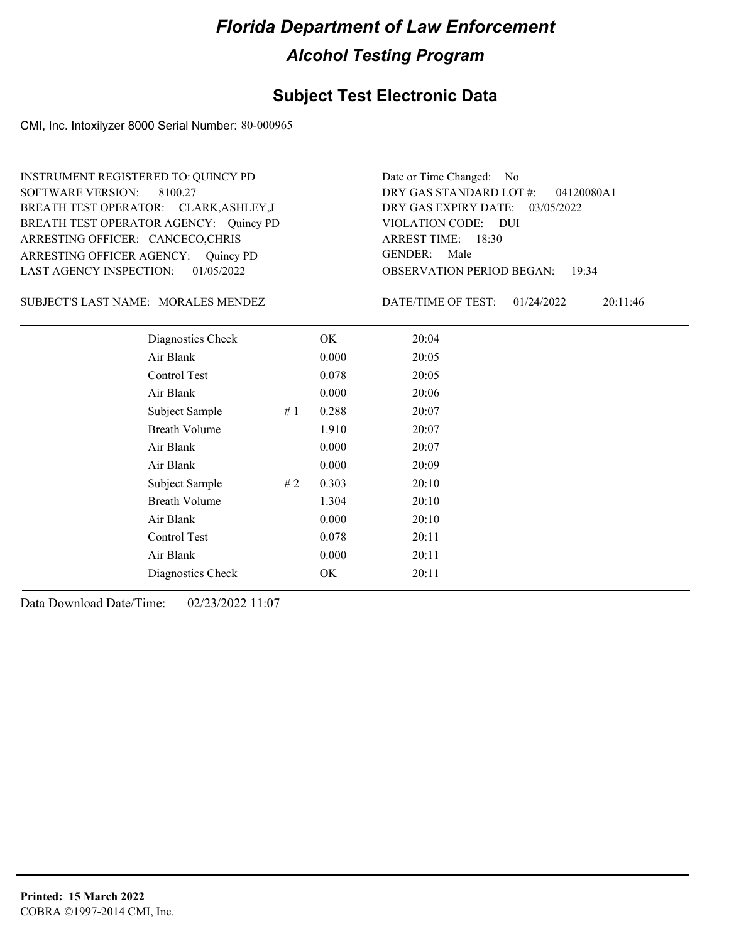### **Subject Test Electronic Data**

CMI, Inc. Intoxilyzer 8000 Serial Number: 80-000965

ARRESTING OFFICER AGENCY: Quincy PD GENDER: BREATH TEST OPERATOR AGENCY: Quincy PD VIOLATION CODE: SOFTWARE VERSION: ARRESTING OFFICER: CANCECO,CHRIS BREATH TEST OPERATOR: CLARK,ASHLEY,J LAST AGENCY INSPECTION: 01/05/2022 8100.27 INSTRUMENT REGISTERED TO: QUINCY PD

OBSERVATION PERIOD BEGAN: 19:34 VIOLATION CODE: DUI ARREST TIME: 18:30 DRY GAS EXPIRY DATE: 03/05/2022 04120080A1 DRY GAS STANDARD LOT #: Date or Time Changed: No GENDER: Male

SUBJECT'S LAST NAME: MORALES MENDEZ DATE/TIME OF TEST:

DATE/TIME OF TEST: 01/24/2022 20:11:46

| Diagnostics Check    |    | OK    | 20:04 |
|----------------------|----|-------|-------|
| Air Blank            |    | 0.000 | 20:05 |
| Control Test         |    | 0.078 | 20:05 |
| Air Blank            |    | 0.000 | 20:06 |
| Subject Sample       | #1 | 0.288 | 20:07 |
| <b>Breath Volume</b> |    | 1.910 | 20:07 |
| Air Blank            |    | 0.000 | 20:07 |
| Air Blank            |    | 0.000 | 20:09 |
| Subject Sample       | #2 | 0.303 | 20:10 |
| <b>Breath Volume</b> |    | 1.304 | 20:10 |
| Air Blank            |    | 0.000 | 20:10 |
| Control Test         |    | 0.078 | 20:11 |
| Air Blank            |    | 0.000 | 20:11 |
| Diagnostics Check    |    | OK    | 20:11 |
|                      |    |       |       |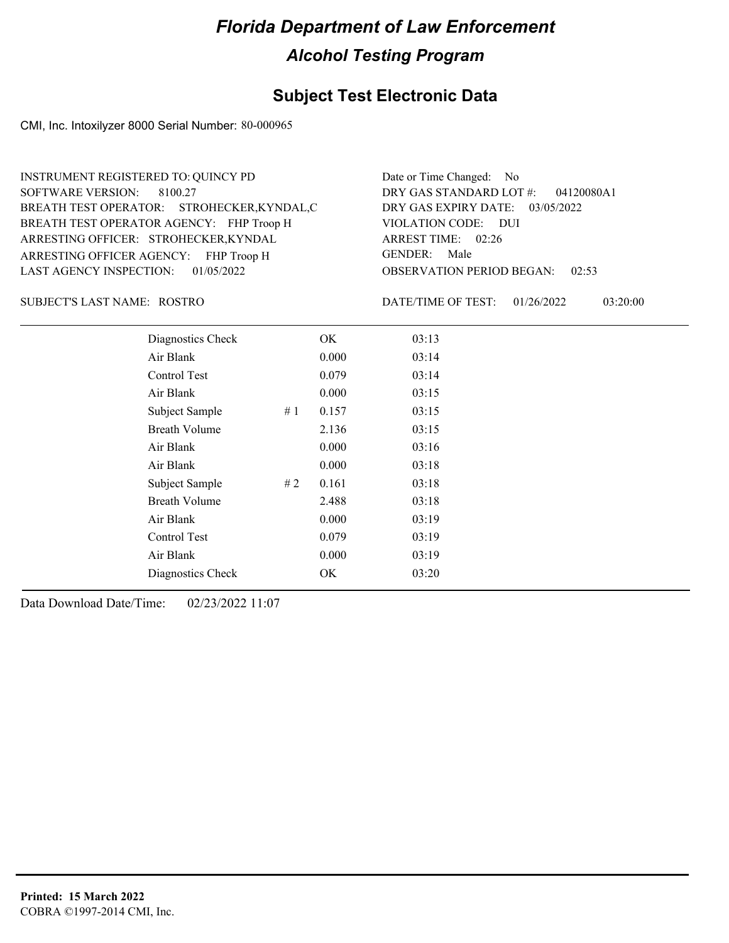### **Subject Test Electronic Data**

CMI, Inc. Intoxilyzer 8000 Serial Number: 80-000965

| INSTRUMENT REGISTERED TO: QUINCY PD                                           | Date or Time Changed: No                                              |
|-------------------------------------------------------------------------------|-----------------------------------------------------------------------|
| SOFTWARE VERSION: 8100.27<br>BREATH TEST OPERATOR: STROHECKER, KYNDAL, C      | DRY GAS STANDARD LOT #: 04120080A1<br>DRY GAS EXPIRY DATE: 03/05/2022 |
| BREATH TEST OPERATOR AGENCY: FHP Troop H                                      | VIOLATION CODE: DUI                                                   |
| ARRESTING OFFICER: STROHECKER, KYNDAL                                         | ARREST TIME: 02:26<br>GENDER: Male                                    |
| ARRESTING OFFICER AGENCY: FHP Troop H<br>LAST AGENCY INSPECTION: $01/05/2022$ | <b>OBSERVATION PERIOD BEGAN: 02:53</b>                                |

ROSTRO SUBJECT'S LAST NAME: DATE/TIME OF TEST:

DATE/TIME OF TEST: 01/26/2022 03:20:00

| Diagnostics Check    |    | OK    | 03:13 |
|----------------------|----|-------|-------|
| Air Blank            |    | 0.000 | 03:14 |
| Control Test         |    | 0.079 | 03:14 |
| Air Blank            |    | 0.000 | 03:15 |
| Subject Sample       | #1 | 0.157 | 03:15 |
| <b>Breath Volume</b> |    | 2.136 | 03:15 |
| Air Blank            |    | 0.000 | 03:16 |
| Air Blank            |    | 0.000 | 03:18 |
| Subject Sample       | #2 | 0.161 | 03:18 |
| <b>Breath Volume</b> |    | 2.488 | 03:18 |
| Air Blank            |    | 0.000 | 03:19 |
| Control Test         |    | 0.079 | 03:19 |
| Air Blank            |    | 0.000 | 03:19 |
| Diagnostics Check    |    | OK    | 03:20 |
|                      |    |       |       |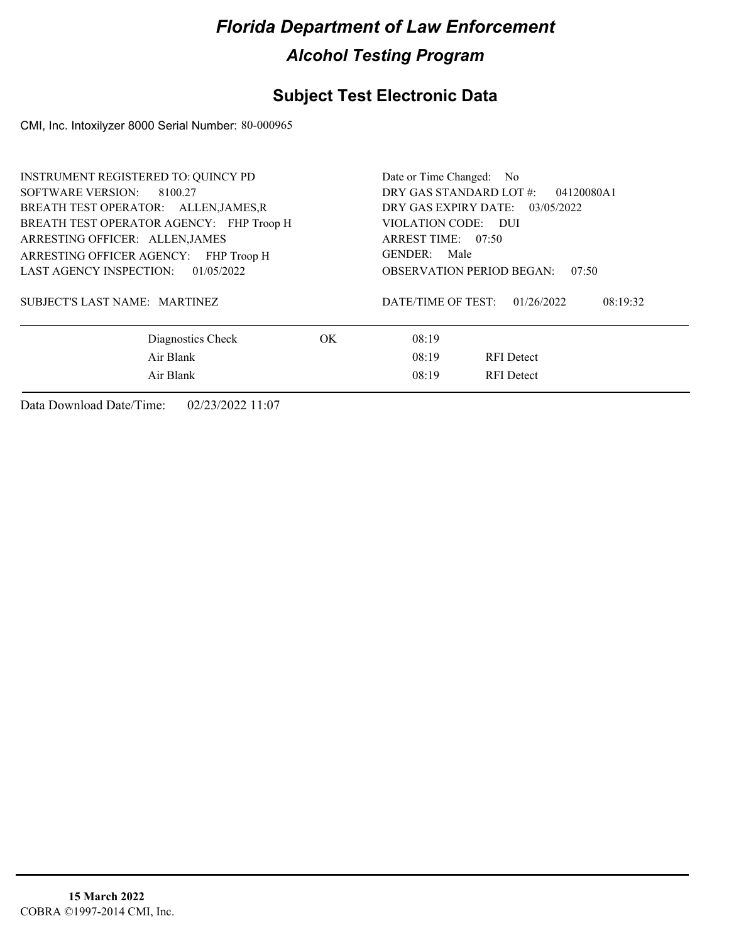### **Subject Test Electronic Data**

CMI, Inc. Intoxilyzer 8000 Serial Number: 80-000965

| INSTRUMENT REGISTERED TO: QUINCY PD<br>SOFTWARE VERSION: 8100.27<br>BREATH TEST OPERATOR: ALLENJAMES.R<br>BREATH TEST OPERATOR AGENCY: FHP Troop H<br>ARRESTING OFFICER: ALLEN, JAMES<br>ARRESTING OFFICER AGENCY: FHP Troop H<br>LAST AGENCY INSPECTION: 01/05/2022 |     | Date or Time Changed: No<br>DRY GAS STANDARD LOT #:<br>04120080A1<br>DRY GAS EXPIRY DATE: 03/05/2022<br>VIOLATION CODE: DUI<br>ARREST TIME: 07:50<br>GENDER: Male<br><b>OBSERVATION PERIOD BEGAN:</b><br>07:50 |
|----------------------------------------------------------------------------------------------------------------------------------------------------------------------------------------------------------------------------------------------------------------------|-----|----------------------------------------------------------------------------------------------------------------------------------------------------------------------------------------------------------------|
| SUBJECT'S LAST NAME: MARTINEZ                                                                                                                                                                                                                                        |     | DATE/TIME OF TEST:<br>01/26/2022<br>08:19:32                                                                                                                                                                   |
| Diagnostics Check<br>Air Blank<br>Air Blank                                                                                                                                                                                                                          | OK. | 08:19<br>08:19<br><b>RFI</b> Detect<br>08:19<br><b>RFI</b> Detect                                                                                                                                              |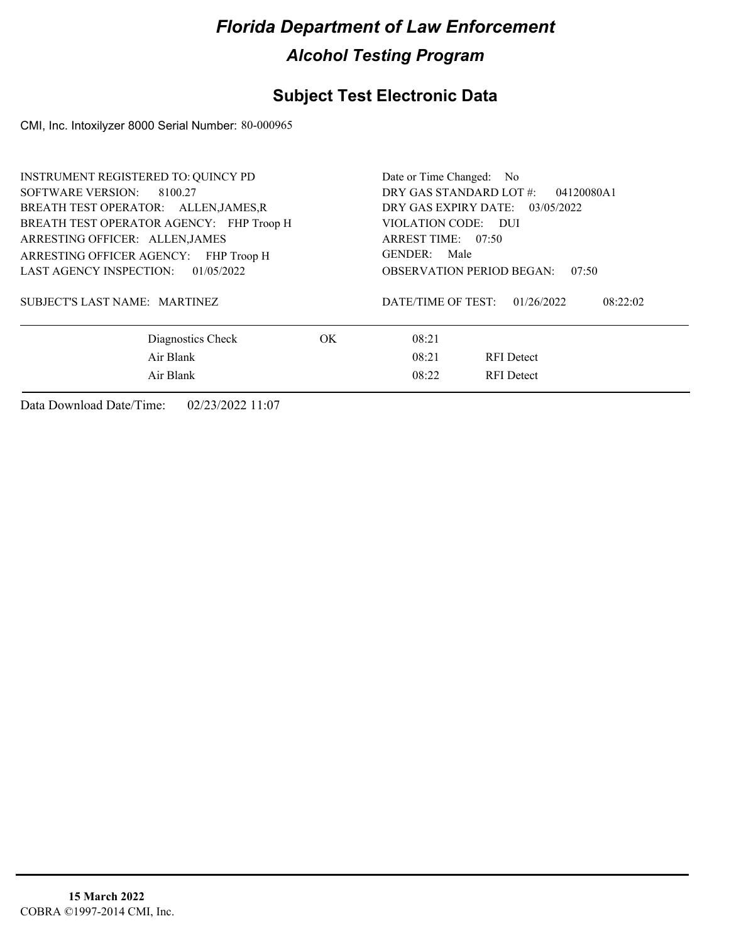### **Subject Test Electronic Data**

CMI, Inc. Intoxilyzer 8000 Serial Number: 80-000965

| <b>INSTRUMENT REGISTERED TO: QUINCY PD</b><br>SOFTWARE VERSION: 8100.27<br>BREATH TEST OPERATOR: ALLEN, JAMES, R<br>BREATH TEST OPERATOR AGENCY: FHP Troop H<br>ARRESTING OFFICER: ALLEN, JAMES<br>ARRESTING OFFICER AGENCY: FHP Troop H<br>LAST AGENCY INSPECTION: 01/05/2022 |     | Date or Time Changed: No<br>DRY GAS STANDARD LOT #:<br>04120080A1<br>DRY GAS EXPIRY DATE: 03/05/2022<br>VIOLATION CODE: DUI<br>ARREST TIME: 07:50<br>GENDER: Male<br><b>OBSERVATION PERIOD BEGAN:</b><br>07:50 |
|--------------------------------------------------------------------------------------------------------------------------------------------------------------------------------------------------------------------------------------------------------------------------------|-----|----------------------------------------------------------------------------------------------------------------------------------------------------------------------------------------------------------------|
| SUBJECT'S LAST NAME: MARTINEZ                                                                                                                                                                                                                                                  |     | DATE/TIME OF TEST:<br>01/26/2022<br>08:22:02                                                                                                                                                                   |
| Diagnostics Check<br>Air Blank                                                                                                                                                                                                                                                 | OK. | 08:21<br>08:21<br><b>RFI</b> Detect                                                                                                                                                                            |
| Air Blank                                                                                                                                                                                                                                                                      |     | 08:22<br><b>RFI</b> Detect                                                                                                                                                                                     |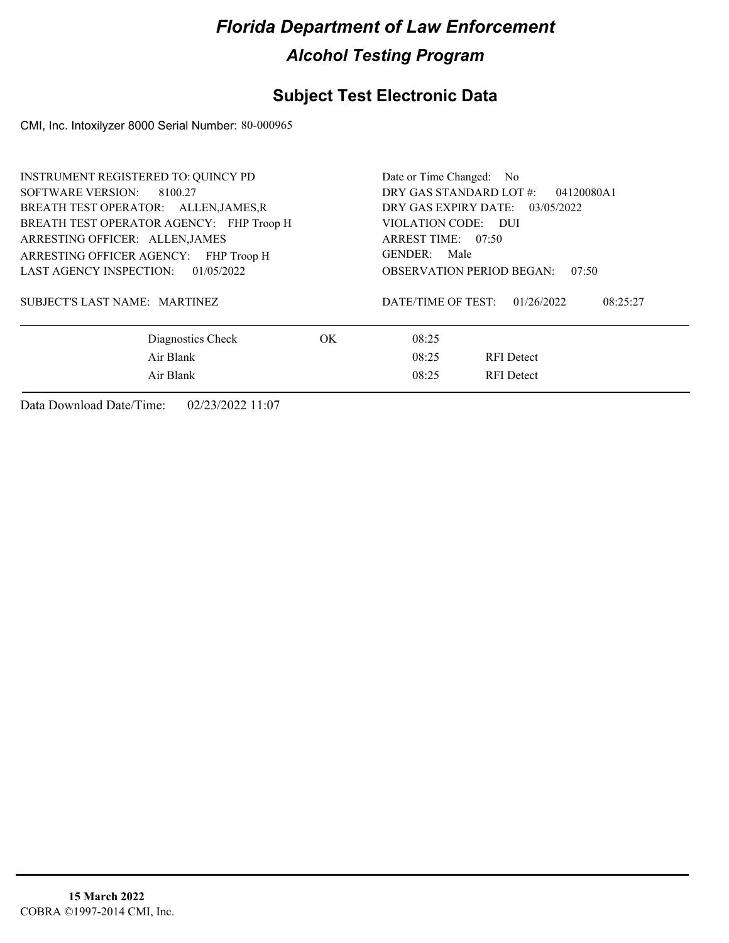### **Subject Test Electronic Data**

CMI, Inc. Intoxilyzer 8000 Serial Number: 80-000965

| INSTRUMENT REGISTERED TO: QUINCY PD<br>SOFTWARE VERSION:<br>8100.27                                                                                                                                 |     | Date or Time Changed: No<br>DRY GAS STANDARD LOT #:<br>04120080A1                                                                         |
|-----------------------------------------------------------------------------------------------------------------------------------------------------------------------------------------------------|-----|-------------------------------------------------------------------------------------------------------------------------------------------|
| BREATH TEST OPERATOR: ALLEN, JAMES, R<br>BREATH TEST OPERATOR AGENCY: FHP Troop H<br>ARRESTING OFFICER: ALLEN, JAMES<br>ARRESTING OFFICER AGENCY: FHP Troop H<br>LAST AGENCY INSPECTION: 01/05/2022 |     | DRY GAS EXPIRY DATE: 03/05/2022<br>VIOLATION CODE: DUI<br>ARREST TIME: 07:50<br>GENDER: Male<br><b>OBSERVATION PERIOD BEGAN:</b><br>07:50 |
| SUBJECT'S LAST NAME: MARTINEZ                                                                                                                                                                       |     | DATE/TIME OF TEST:<br>01/26/2022<br>08:25:27                                                                                              |
| Diagnostics Check                                                                                                                                                                                   | OK. | 08:25                                                                                                                                     |
| Air Blank                                                                                                                                                                                           |     | 08:25<br><b>RFI</b> Detect                                                                                                                |
| Air Blank                                                                                                                                                                                           |     | 08:25<br><b>RFI</b> Detect                                                                                                                |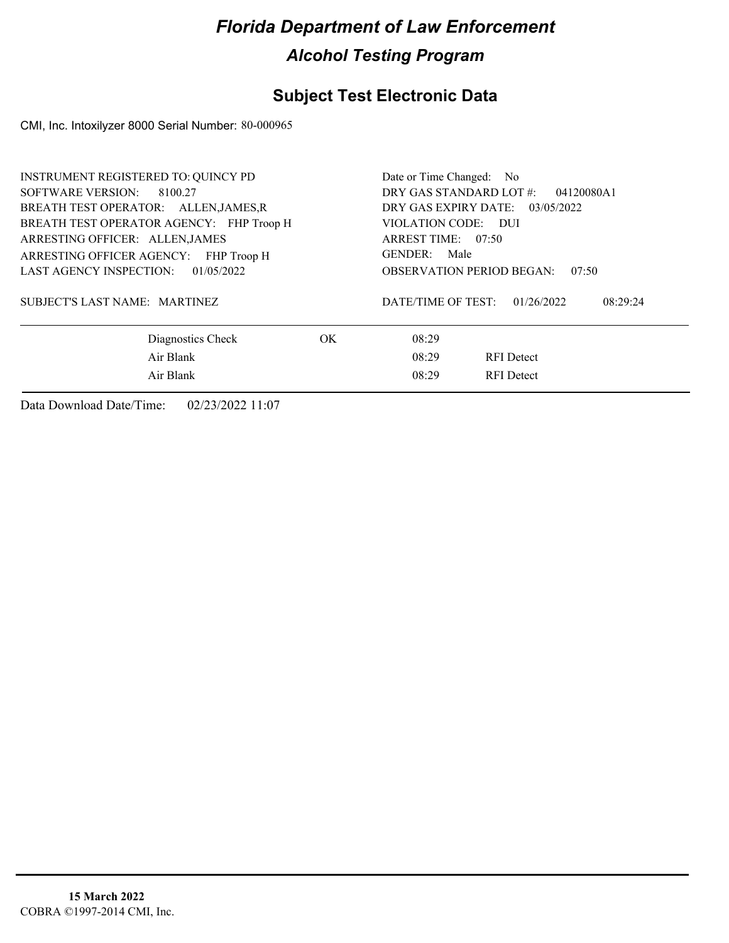### **Subject Test Electronic Data**

CMI, Inc. Intoxilyzer 8000 Serial Number: 80-000965

| INSTRUMENT REGISTERED TO: QUINCY PD<br>SOFTWARE VERSION:<br>8100.27<br>BREATH TEST OPERATOR: ALLEN, JAMES, R                                               |     | Date or Time Changed: No<br>DRY GAS STANDARD LOT #:<br>04120080A1<br>DRY GAS EXPIRY DATE: 03/05/2022   |
|------------------------------------------------------------------------------------------------------------------------------------------------------------|-----|--------------------------------------------------------------------------------------------------------|
| BREATH TEST OPERATOR AGENCY: FHP Troop H<br>ARRESTING OFFICER: ALLEN, JAMES<br>ARRESTING OFFICER AGENCY: FHP Troop H<br>LAST AGENCY INSPECTION: 01/05/2022 |     | VIOLATION CODE: DUI<br>ARREST TIME: 07:50<br>GENDER: Male<br><b>OBSERVATION PERIOD BEGAN:</b><br>07:50 |
| SUBJECT'S LAST NAME: MARTINEZ                                                                                                                              |     | DATE/TIME OF TEST:<br>01/26/2022<br>08:29:24                                                           |
| Diagnostics Check                                                                                                                                          | OK. | 08:29                                                                                                  |
| Air Blank                                                                                                                                                  |     | 08:29<br><b>RFI</b> Detect                                                                             |
| Air Blank                                                                                                                                                  |     | 08:29<br><b>RFI</b> Detect                                                                             |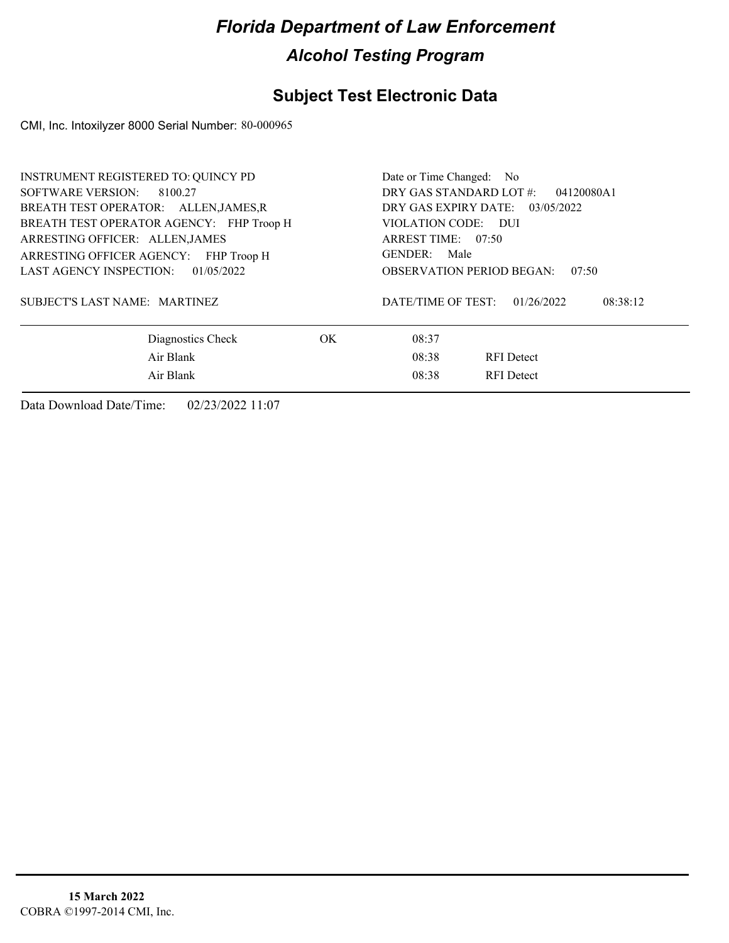### **Subject Test Electronic Data**

CMI, Inc. Intoxilyzer 8000 Serial Number: 80-000965

| <b>INSTRUMENT REGISTERED TO: QUINCY PD</b><br>SOFTWARE VERSION: 8100.27<br>BREATH TEST OPERATOR: ALLEN, JAMES, R<br>BREATH TEST OPERATOR AGENCY: FHP Troop H<br>ARRESTING OFFICER: ALLEN, JAMES<br>ARRESTING OFFICER AGENCY: FHP Troop H<br>LAST AGENCY INSPECTION: 01/05/2022 |     | Date or Time Changed: No<br>DRY GAS STANDARD LOT #:<br>04120080A1<br>DRY GAS EXPIRY DATE: 03/05/2022<br>VIOLATION CODE: DUI<br>ARREST TIME: 07:50<br>GENDER: Male<br><b>OBSERVATION PERIOD BEGAN:</b><br>07:50 |
|--------------------------------------------------------------------------------------------------------------------------------------------------------------------------------------------------------------------------------------------------------------------------------|-----|----------------------------------------------------------------------------------------------------------------------------------------------------------------------------------------------------------------|
| SUBJECT'S LAST NAME: MARTINEZ                                                                                                                                                                                                                                                  |     | DATE/TIME OF TEST:<br>01/26/2022<br>08:38:12                                                                                                                                                                   |
| Diagnostics Check                                                                                                                                                                                                                                                              | OK. | 08:37                                                                                                                                                                                                          |
| Air Blank<br>Air Blank                                                                                                                                                                                                                                                         |     | 08:38<br><b>RFI</b> Detect<br>08:38<br><b>RFI</b> Detect                                                                                                                                                       |
|                                                                                                                                                                                                                                                                                |     |                                                                                                                                                                                                                |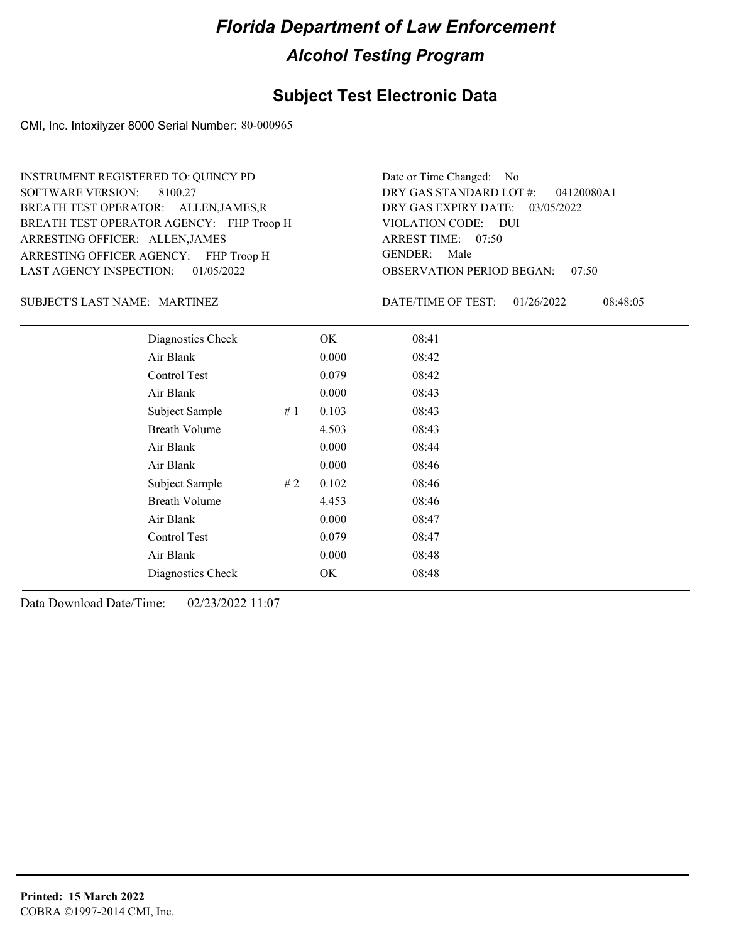### **Subject Test Electronic Data**

CMI, Inc. Intoxilyzer 8000 Serial Number: 80-000965

ARRESTING OFFICER AGENCY: FHP Troop H GENDER: BREATH TEST OPERATOR AGENCY: FHP Troop H VIOLATION CODE: SOFTWARE VERSION: ARRESTING OFFICER: ALLEN,JAMES BREATH TEST OPERATOR: ALLEN,JAMES,R LAST AGENCY INSPECTION: 01/05/2022 8100.27 INSTRUMENT REGISTERED TO: QUINCY PD

OBSERVATION PERIOD BEGAN: 07:50 VIOLATION CODE: DUI ARREST TIME: 07:50 DRY GAS EXPIRY DATE: 03/05/2022 04120080A1 DRY GAS STANDARD LOT #: Date or Time Changed: No GENDER: Male

MARTINEZ SUBJECT'S LAST NAME: DATE/TIME OF TEST:

DATE/TIME OF TEST: 01/26/2022 08:48:05

| Diagnostics Check    |    | OK    | 08:41 |  |
|----------------------|----|-------|-------|--|
| Air Blank            |    | 0.000 | 08:42 |  |
| Control Test         |    | 0.079 | 08:42 |  |
| Air Blank            |    | 0.000 | 08:43 |  |
| Subject Sample       | #1 | 0.103 | 08:43 |  |
| <b>Breath Volume</b> |    | 4.503 | 08:43 |  |
| Air Blank            |    | 0.000 | 08:44 |  |
| Air Blank            |    | 0.000 | 08:46 |  |
| Subject Sample       | #2 | 0.102 | 08:46 |  |
| <b>Breath Volume</b> |    | 4.453 | 08:46 |  |
| Air Blank            |    | 0.000 | 08:47 |  |
| Control Test         |    | 0.079 | 08:47 |  |
| Air Blank            |    | 0.000 | 08:48 |  |
| Diagnostics Check    |    | OK    | 08:48 |  |
|                      |    |       |       |  |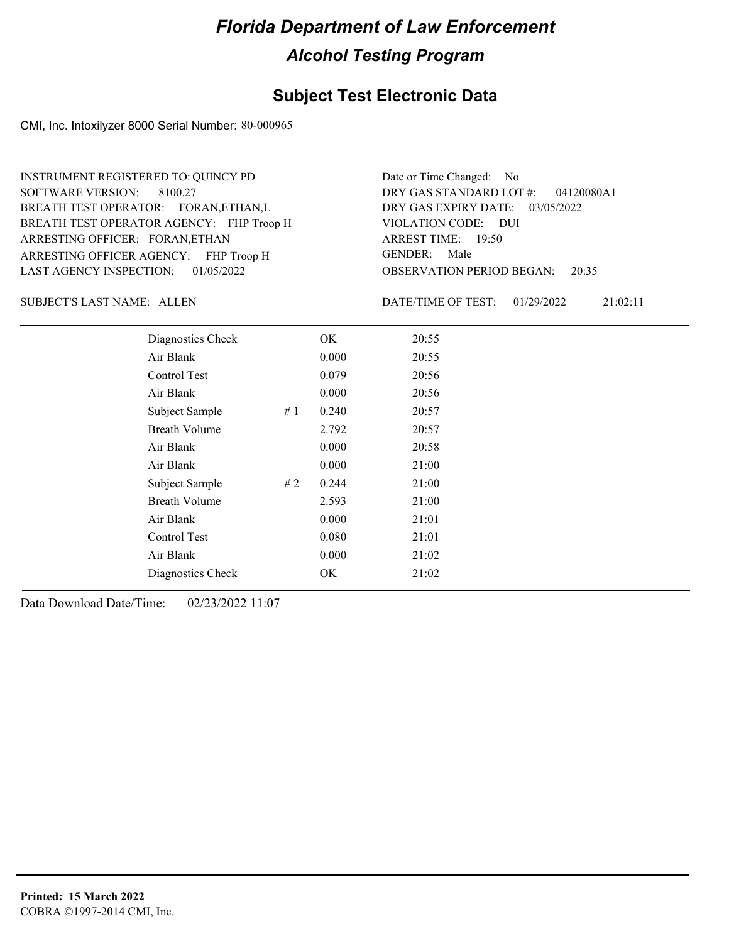### **Subject Test Electronic Data**

CMI, Inc. Intoxilyzer 8000 Serial Number: 80-000965

ARRESTING OFFICER AGENCY: FHP Troop H GENDER: BREATH TEST OPERATOR AGENCY: FHP Troop H VIOLATION CODE: SOFTWARE VERSION: ARRESTING OFFICER: FORAN,ETHAN BREATH TEST OPERATOR: FORAN,ETHAN,L LAST AGENCY INSPECTION: 01/05/2022 8100.27 INSTRUMENT REGISTERED TO: QUINCY PD

OBSERVATION PERIOD BEGAN: 20:35 VIOLATION CODE: DUI ARREST TIME: 19:50 DRY GAS EXPIRY DATE: 03/05/2022 04120080A1 DRY GAS STANDARD LOT #: Date or Time Changed: No GENDER: Male

SUBJECT'S LAST NAME: ALLEN DATE/TIME OF TEST:

DATE/TIME OF TEST: 01/29/2022 21:02:11

| Diagnostics Check    |    | OK    | 20:55 |
|----------------------|----|-------|-------|
| Air Blank            |    | 0.000 | 20:55 |
| Control Test         |    | 0.079 | 20:56 |
| Air Blank            |    | 0.000 | 20:56 |
| Subject Sample       | #1 | 0.240 | 20:57 |
| <b>Breath Volume</b> |    | 2.792 | 20:57 |
| Air Blank            |    | 0.000 | 20:58 |
| Air Blank            |    | 0.000 | 21:00 |
| Subject Sample       | #2 | 0.244 | 21:00 |
| <b>Breath Volume</b> |    | 2.593 | 21:00 |
| Air Blank            |    | 0.000 | 21:01 |
| Control Test         |    | 0.080 | 21:01 |
| Air Blank            |    | 0.000 | 21:02 |
| Diagnostics Check    |    | OK    | 21:02 |
|                      |    |       |       |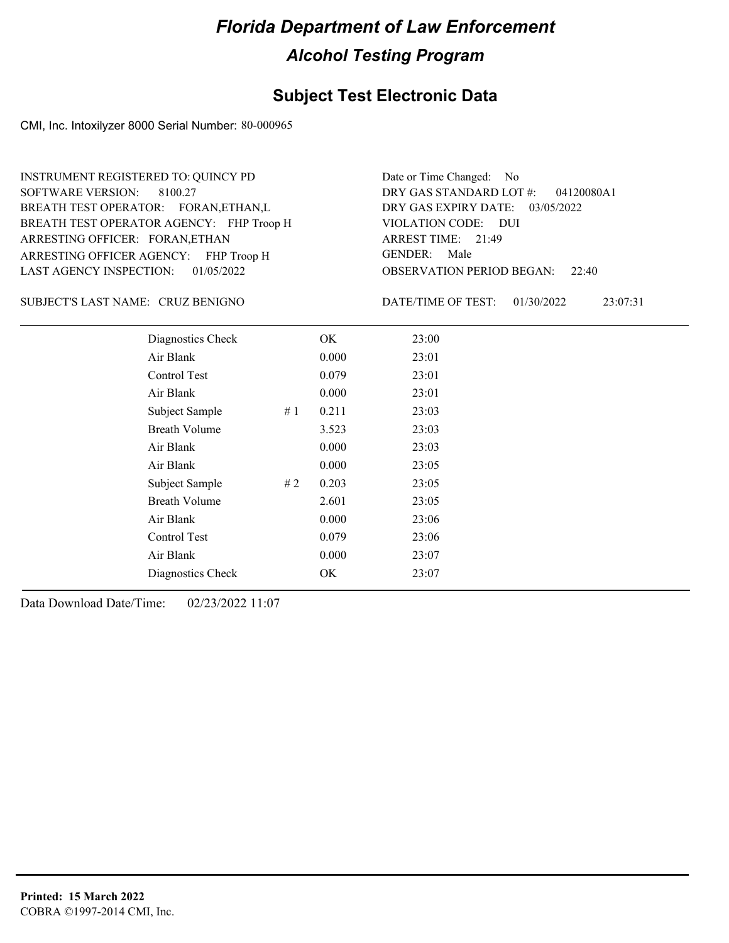### **Subject Test Electronic Data**

CMI, Inc. Intoxilyzer 8000 Serial Number: 80-000965

ARRESTING OFFICER AGENCY: FHP Troop H GENDER: BREATH TEST OPERATOR AGENCY: FHP Troop H VIOLATION CODE: SOFTWARE VERSION: ARRESTING OFFICER: FORAN,ETHAN BREATH TEST OPERATOR: FORAN,ETHAN,L LAST AGENCY INSPECTION: 01/05/2022 8100.27 INSTRUMENT REGISTERED TO: QUINCY PD

OBSERVATION PERIOD BEGAN: 22:40 VIOLATION CODE: DUI 21:49 ARREST TIME: DRY GAS EXPIRY DATE: 03/05/2022 04120080A1 DRY GAS STANDARD LOT #: Date or Time Changed: No GENDER: Male

CRUZ BENIGNO SUBJECT'S LAST NAME: DATE/TIME OF TEST:

DATE/TIME OF TEST: 01/30/2022 23:07:31

| Diagnostics Check    |    | OK    | 23:00 |
|----------------------|----|-------|-------|
| Air Blank            |    | 0.000 | 23:01 |
| Control Test         |    | 0.079 | 23:01 |
| Air Blank            |    | 0.000 | 23:01 |
| Subject Sample       | #1 | 0.211 | 23:03 |
| <b>Breath Volume</b> |    | 3.523 | 23:03 |
| Air Blank            |    | 0.000 | 23:03 |
| Air Blank            |    | 0.000 | 23:05 |
| Subject Sample       | #2 | 0.203 | 23:05 |
| <b>Breath Volume</b> |    | 2.601 | 23:05 |
| Air Blank            |    | 0.000 | 23:06 |
| Control Test         |    | 0.079 | 23:06 |
| Air Blank            |    | 0.000 | 23:07 |
| Diagnostics Check    |    | OK    | 23:07 |
|                      |    |       |       |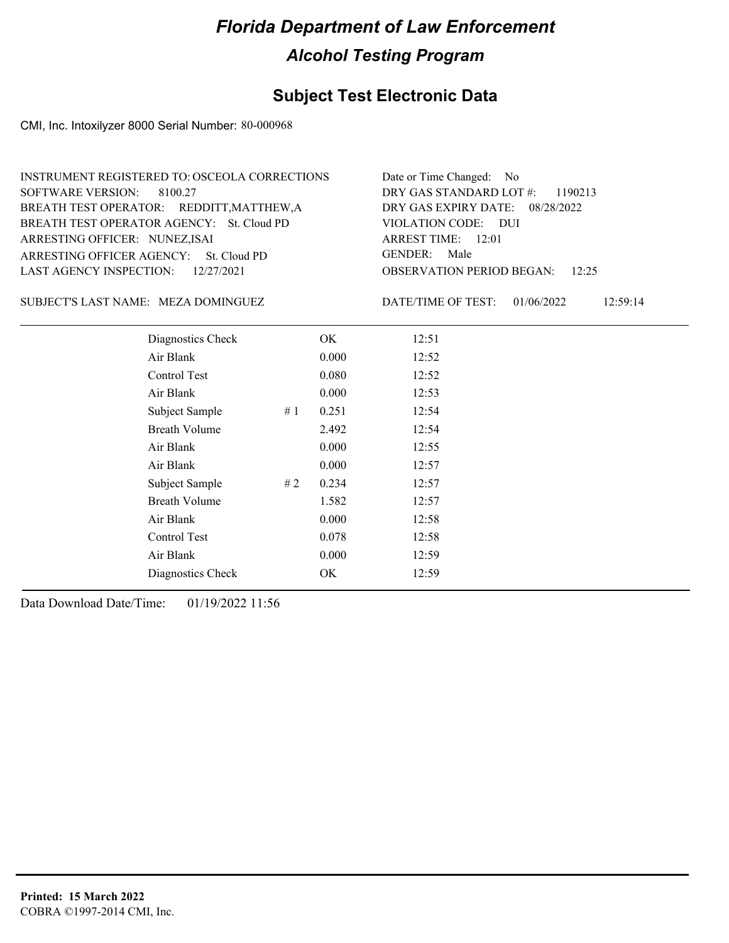### **Subject Test Electronic Data**

CMI, Inc. Intoxilyzer 8000 Serial Number: 80-000968

| INSTRUMENT REGISTERED TO: OSCEOLA CORRECTIONS | Date or Time Changed: No               |
|-----------------------------------------------|----------------------------------------|
| SOFTWARE VERSION: 8100.27                     | DRY GAS STANDARD LOT $\#$ : 1190213    |
| BREATH TEST OPERATOR: REDDITT, MATTHEW, A     | DRY GAS EXPIRY DATE: 08/28/2022        |
| BREATH TEST OPERATOR AGENCY: St. Cloud PD     | VIOLATION CODE: DUI                    |
| ARRESTING OFFICER: NUNEZ, ISAI                | ARREST TIME: $12:01$                   |
| ARRESTING OFFICER AGENCY: St. Cloud PD        | GENDER: Male                           |
| LAST AGENCY INSPECTION: $12/27/2021$          | <b>OBSERVATION PERIOD BEGAN:</b> 12:25 |

SUBJECT'S LAST NAME: MEZA DOMINGUEZ DATE/TIME OF TEST:

DATE/TIME OF TEST: 01/06/2022 12:59:14

| Diagnostics Check    |    | OK    | 12:51 |
|----------------------|----|-------|-------|
| Air Blank            |    | 0.000 | 12:52 |
| Control Test         |    | 0.080 | 12:52 |
| Air Blank            |    | 0.000 | 12:53 |
| Subject Sample<br>#1 |    | 0.251 | 12:54 |
| <b>Breath Volume</b> |    | 2.492 | 12:54 |
| Air Blank            |    | 0.000 | 12:55 |
| Air Blank            |    | 0.000 | 12:57 |
| Subject Sample       | #2 | 0.234 | 12:57 |
| <b>Breath Volume</b> |    | 1.582 | 12:57 |
| Air Blank            |    | 0.000 | 12:58 |
| Control Test         |    | 0.078 | 12:58 |
| Air Blank            |    | 0.000 | 12:59 |
| Diagnostics Check    |    | OK    | 12:59 |
|                      |    |       |       |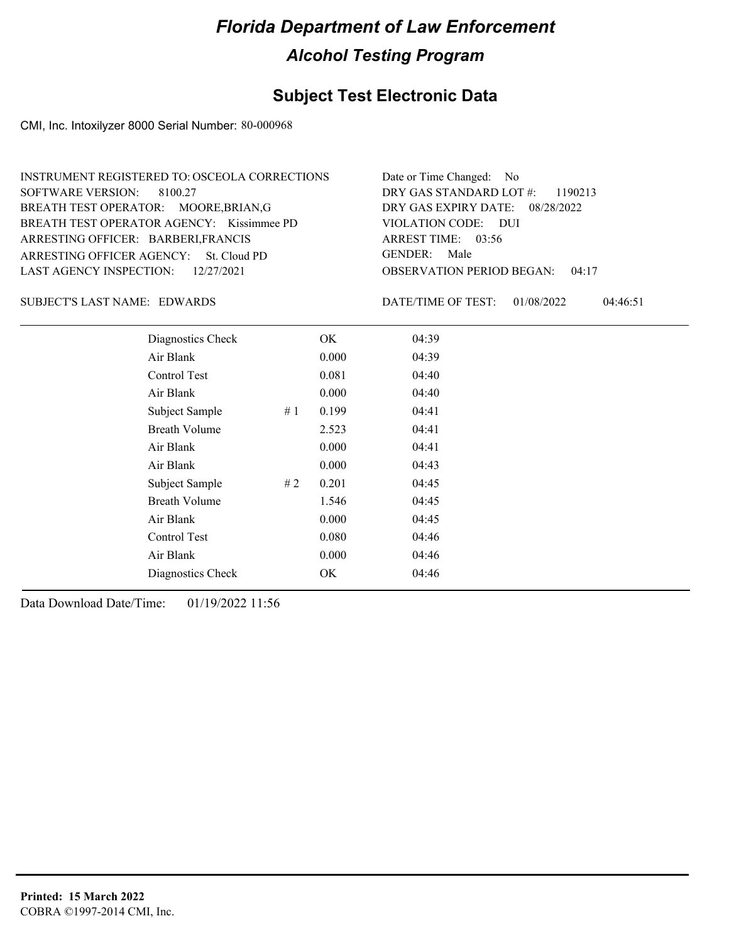### **Subject Test Electronic Data**

CMI, Inc. Intoxilyzer 8000 Serial Number: 80-000968

| INSTRUMENT REGISTERED TO: OSCEOLA CORRECTIONS | Date or Time Changed: No               |
|-----------------------------------------------|----------------------------------------|
| SOFTWARE VERSION: 8100.27                     | DRY GAS STANDARD LOT $\#$ : 1190213    |
| BREATH TEST OPERATOR: MOORE, BRIAN, G         | DRY GAS EXPIRY DATE: $08/28/2022$      |
| BREATH TEST OPERATOR AGENCY: Kissimmee PD     | VIOLATION CODE: DUI                    |
| ARRESTING OFFICER: BARBERI, FRANCIS           | ARREST TIME: $03:56$                   |
| ARRESTING OFFICER AGENCY: St. Cloud PD        | GENDER: Male                           |
| LAST AGENCY INSPECTION: 12/27/2021            | <b>OBSERVATION PERIOD BEGAN: 04:17</b> |

#### SUBJECT'S LAST NAME: EDWARDS DATE/TIME OF TEST:

DATE/TIME OF TEST: 01/08/2022 04:46:51

| Diagnostics Check    |    | OK    | 04:39 |  |
|----------------------|----|-------|-------|--|
| Air Blank            |    | 0.000 | 04:39 |  |
| Control Test         |    | 0.081 | 04:40 |  |
| Air Blank            |    | 0.000 | 04:40 |  |
| Subject Sample       | #1 | 0.199 | 04:41 |  |
| <b>Breath Volume</b> |    | 2.523 | 04:41 |  |
| Air Blank            |    | 0.000 | 04:41 |  |
| Air Blank            |    | 0.000 | 04:43 |  |
| Subject Sample       | #2 | 0.201 | 04:45 |  |
| <b>Breath Volume</b> |    | 1.546 | 04:45 |  |
| Air Blank            |    | 0.000 | 04:45 |  |
| Control Test         |    | 0.080 | 04:46 |  |
| Air Blank            |    | 0.000 | 04:46 |  |
| Diagnostics Check    |    | OK    | 04:46 |  |
|                      |    |       |       |  |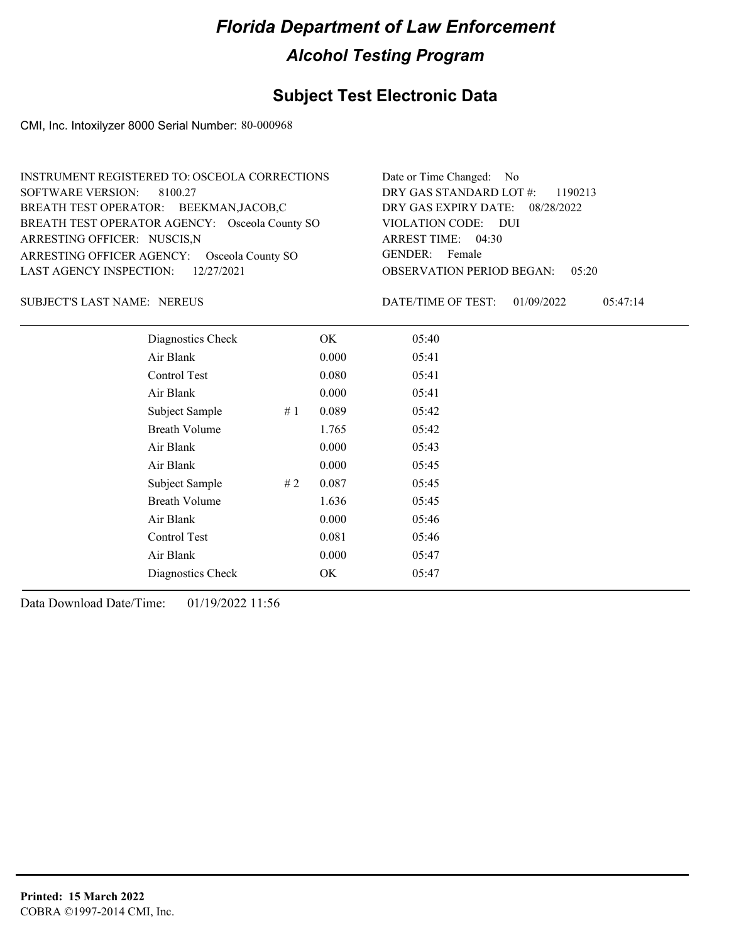### **Subject Test Electronic Data**

CMI, Inc. Intoxilyzer 8000 Serial Number: 80-000968

| INSTRUMENT REGISTERED TO: OSCEOLA CORRECTIONS  | Date or Time Changed: No               |
|------------------------------------------------|----------------------------------------|
| SOFTWARE VERSION: 8100.27                      | DRY GAS STANDARD LOT #: 1190213        |
| BREATH TEST OPERATOR: BEEKMAN,JACOB,C          | DRY GAS EXPIRY DATE: 08/28/2022        |
| BREATH TEST OPERATOR AGENCY: Osceola County SO | VIOLATION CODE: DUI                    |
| ARRESTING OFFICER: NUSCIS, N                   | ARREST TIME: 04:30                     |
| ARRESTING OFFICER AGENCY: Osceola County SO    | GENDER: Female                         |
| LAST AGENCY INSPECTION: $12/27/2021$           | <b>OBSERVATION PERIOD BEGAN: 05:20</b> |

#### SUBJECT'S LAST NAME: NEREUS **Example 20** DATE/TIME OF TEST:

DATE/TIME OF TEST: 01/09/2022 05:47:14

| Diagnostics Check    |     | OK    | 05:40 |
|----------------------|-----|-------|-------|
| Air Blank            |     | 0.000 | 05:41 |
| Control Test         |     | 0.080 | 05:41 |
| Air Blank            |     | 0.000 | 05:41 |
| Subject Sample       | #1  | 0.089 | 05:42 |
| <b>Breath Volume</b> |     | 1.765 | 05:42 |
| Air Blank            |     | 0.000 | 05:43 |
| Air Blank            |     | 0.000 | 05:45 |
| Subject Sample       | # 2 | 0.087 | 05:45 |
| <b>Breath Volume</b> |     | 1.636 | 05:45 |
| Air Blank            |     | 0.000 | 05:46 |
| Control Test         |     | 0.081 | 05:46 |
| Air Blank            |     | 0.000 | 05:47 |
| Diagnostics Check    |     | OK    | 05:47 |
|                      |     |       |       |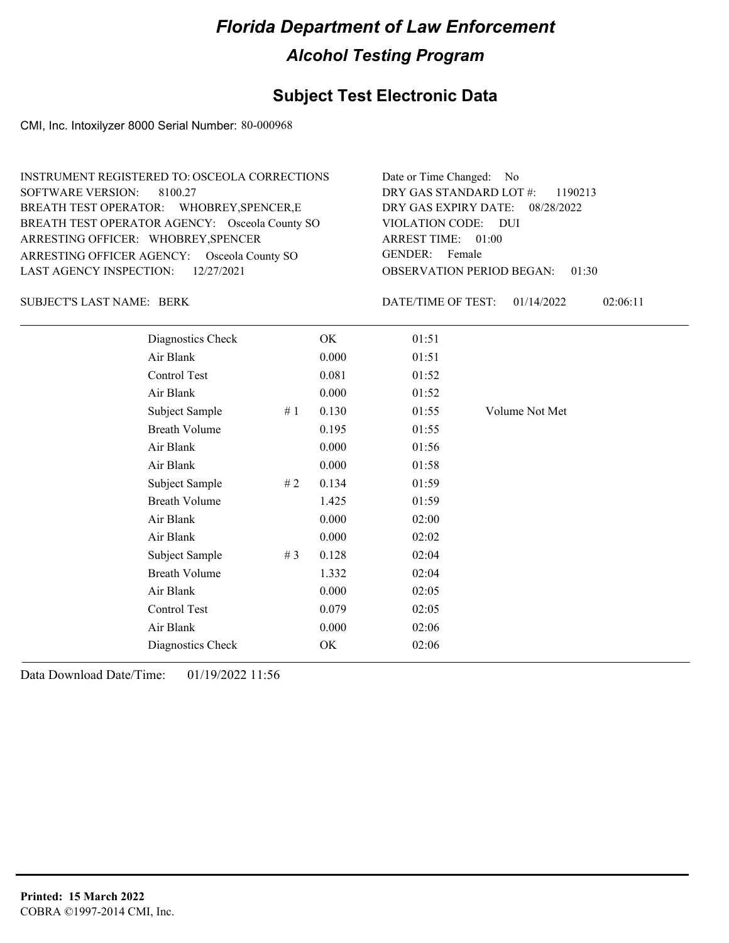### **Subject Test Electronic Data**

CMI, Inc. Intoxilyzer 8000 Serial Number: 80-000968

| INSTRUMENT REGISTERED TO: OSCEOLA CORRECTIONS  | Date or Time Changed: No               |
|------------------------------------------------|----------------------------------------|
| SOFTWARE VERSION: 8100.27                      | DRY GAS STANDARD LOT $\#$ : 1190213    |
| BREATH TEST OPERATOR: WHOBREY, SPENCER, E      | DRY GAS EXPIRY DATE: 08/28/2022        |
| BREATH TEST OPERATOR AGENCY: Osceola County SO | VIOLATION CODE: DUI                    |
| ARRESTING OFFICER: WHOBREY, SPENCER            | ARREST TIME: 01:00                     |
| ARRESTING OFFICER AGENCY: Osceola County SO    | GENDER: Female                         |
| LAST AGENCY INSPECTION: $12/27/2021$           | <b>OBSERVATION PERIOD BEGAN: 01:30</b> |

SUBJECT'S LAST NAME: BERK DATE/TIME OF TEST:

DATE/TIME OF TEST: 01/14/2022 02:06:11

| Diagnostics Check    |       | OK    | 01:51 |                |
|----------------------|-------|-------|-------|----------------|
| Air Blank            |       | 0.000 | 01:51 |                |
| Control Test         |       | 0.081 | 01:52 |                |
| Air Blank            |       | 0.000 | 01:52 |                |
| Subject Sample       | #1    | 0.130 | 01:55 | Volume Not Met |
| <b>Breath Volume</b> |       | 0.195 | 01:55 |                |
| Air Blank            |       | 0.000 | 01:56 |                |
| Air Blank            |       | 0.000 | 01:58 |                |
| Subject Sample       | #2    | 0.134 | 01:59 |                |
| <b>Breath Volume</b> |       | 1.425 | 01:59 |                |
| Air Blank            |       | 0.000 | 02:00 |                |
| Air Blank            |       | 0.000 | 02:02 |                |
| Subject Sample       | # $3$ | 0.128 | 02:04 |                |
| <b>Breath Volume</b> |       | 1.332 | 02:04 |                |
| Air Blank            |       | 0.000 | 02:05 |                |
| Control Test         |       | 0.079 | 02:05 |                |
| Air Blank            |       | 0.000 | 02:06 |                |
| Diagnostics Check    |       | OK    | 02:06 |                |
|                      |       |       |       |                |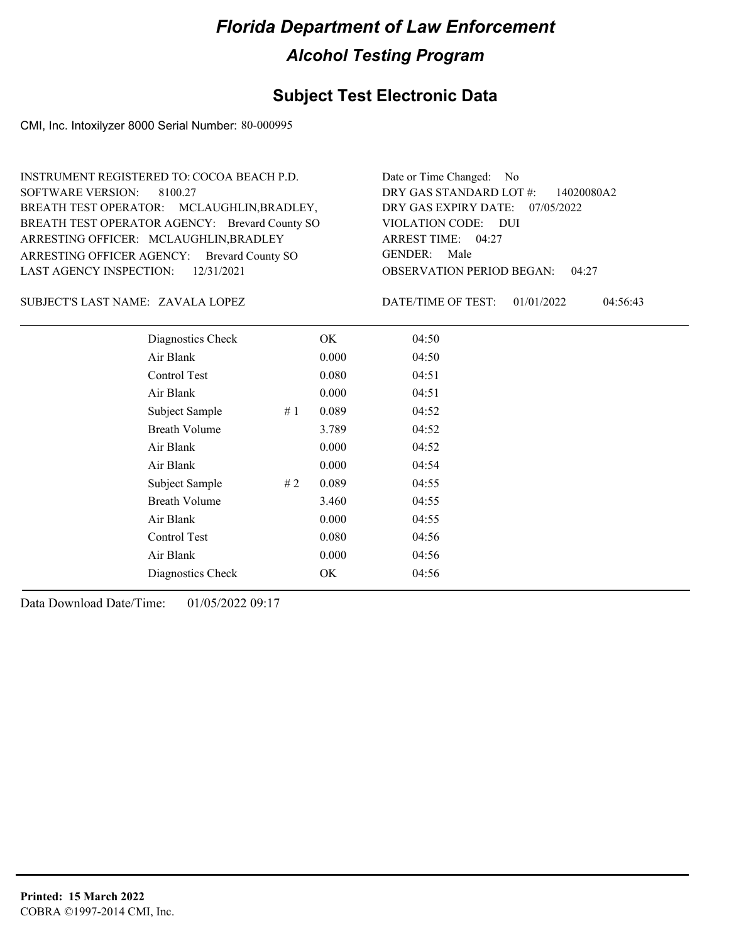### **Subject Test Electronic Data**

CMI, Inc. Intoxilyzer 8000 Serial Number: 80-000995

ARRESTING OFFICER AGENCY: Brevard County SO GENDER: BREATH TEST OPERATOR AGENCY: Brevard County SO VIOLATION CODE: SOFTWARE VERSION: ARRESTING OFFICER: MCLAUGHLIN, BRADLEY BREATH TEST OPERATOR: MCLAUGHLIN,BRADLEY, LAST AGENCY INSPECTION: 12/31/2021 8100.27 INSTRUMENT REGISTERED TO: COCOA BEACH P.D.

OBSERVATION PERIOD BEGAN: 04:27 VIOLATION CODE: DUI ARREST TIME: 04:27 DRY GAS EXPIRY DATE: 07/05/2022 DRY GAS STANDARD LOT #: 14020080A2 Date or Time Changed: No GENDER: Male

ZAVALA LOPEZ SUBJECT'S LAST NAME: DATE/TIME OF TEST:

DATE/TIME OF TEST: 01/01/2022 04:56:43

| Diagnostics Check    |    | OK    | 04:50 |  |
|----------------------|----|-------|-------|--|
| Air Blank            |    | 0.000 | 04:50 |  |
| Control Test         |    | 0.080 | 04:51 |  |
| Air Blank            |    | 0.000 | 04:51 |  |
| Subject Sample       | #1 | 0.089 | 04:52 |  |
| <b>Breath Volume</b> |    | 3.789 | 04:52 |  |
| Air Blank            |    | 0.000 | 04:52 |  |
| Air Blank            |    | 0.000 | 04:54 |  |
| Subject Sample       | #2 | 0.089 | 04:55 |  |
| <b>Breath Volume</b> |    | 3.460 | 04:55 |  |
| Air Blank            |    | 0.000 | 04:55 |  |
| Control Test         |    | 0.080 | 04:56 |  |
| Air Blank            |    | 0.000 | 04:56 |  |
| Diagnostics Check    |    | OK    | 04:56 |  |
|                      |    |       |       |  |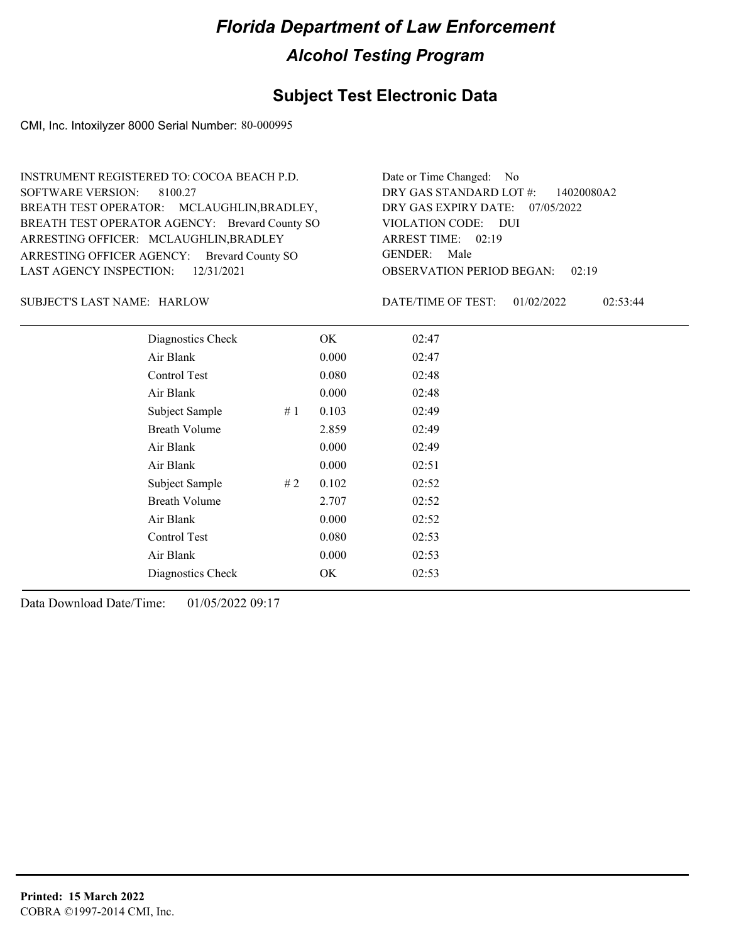### **Subject Test Electronic Data**

CMI, Inc. Intoxilyzer 8000 Serial Number: 80-000995

OBSERVATION PERIOD BEGAN: 02:19 ARRESTING OFFICER AGENCY: Brevard County SO GENDER: BREATH TEST OPERATOR AGENCY: Brevard County SO VIOLATION CODE: SOFTWARE VERSION: VIOLATION CODE: DUI ARREST TIME: 02:19 ARRESTING OFFICER: MCLAUGHLIN, BRADLEY DRY GAS EXPIRY DATE: 07/05/2022 DRY GAS STANDARD LOT #: 14020080A2 BREATH TEST OPERATOR: MCLAUGHLIN,BRADLEY, LAST AGENCY INSPECTION: 12/31/2021 8100.27 INSTRUMENT REGISTERED TO: COCOA BEACH P.D. Date or Time Changed: No GENDER: Male

SUBJECT'S LAST NAME: HARLOW DATE/TIME OF TEST:

DATE/TIME OF TEST: 01/02/2022 02:53:44

| Diagnostics Check    |    | OK    | 02:47 |  |
|----------------------|----|-------|-------|--|
| Air Blank            |    | 0.000 | 02:47 |  |
| Control Test         |    | 0.080 | 02:48 |  |
| Air Blank            |    | 0.000 | 02:48 |  |
| Subject Sample       | #1 | 0.103 | 02:49 |  |
| <b>Breath Volume</b> |    | 2.859 | 02:49 |  |
| Air Blank            |    | 0.000 | 02:49 |  |
| Air Blank            |    | 0.000 | 02:51 |  |
| Subject Sample       | #2 | 0.102 | 02:52 |  |
| <b>Breath Volume</b> |    | 2.707 | 02:52 |  |
| Air Blank            |    | 0.000 | 02:52 |  |
| Control Test         |    | 0.080 | 02:53 |  |
| Air Blank            |    | 0.000 | 02:53 |  |
| Diagnostics Check    |    | OK    | 02:53 |  |
|                      |    |       |       |  |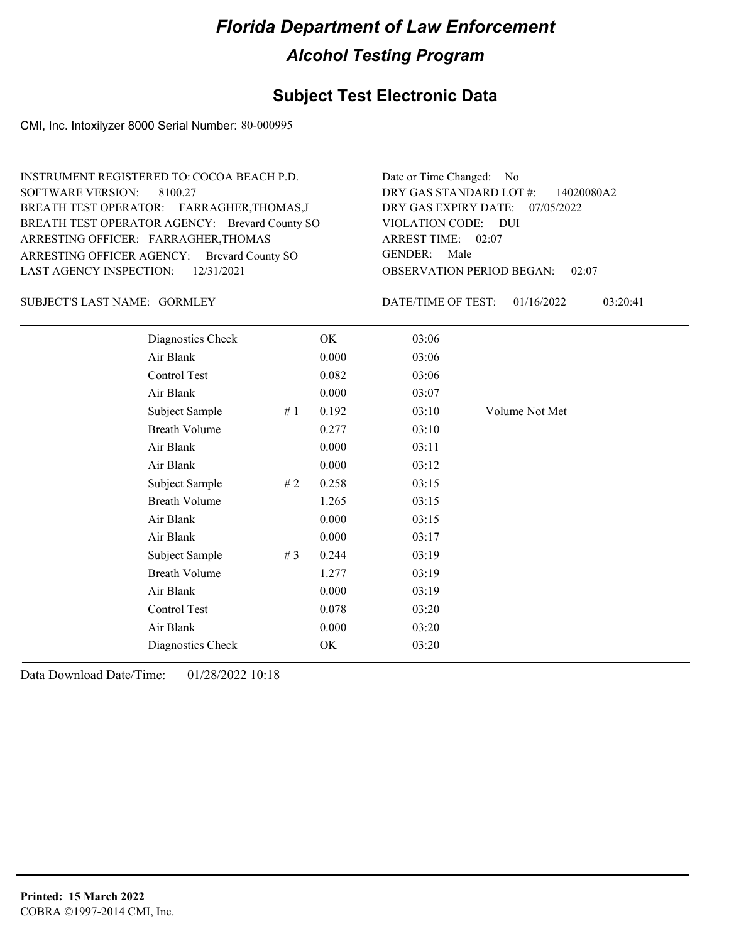### **Subject Test Electronic Data**

CMI, Inc. Intoxilyzer 8000 Serial Number: 80-000995

ARRESTING OFFICER AGENCY: Brevard County SO GENDER: BREATH TEST OPERATOR AGENCY: Brevard County SO VIOLATION CODE: SOFTWARE VERSION: ARRESTING OFFICER: FARRAGHER,THOMAS BREATH TEST OPERATOR: FARRAGHER,THOMAS,J LAST AGENCY INSPECTION: 12/31/2021 8100.27 INSTRUMENT REGISTERED TO: COCOA BEACH P.D.

OBSERVATION PERIOD BEGAN: 02:07 VIOLATION CODE: DUI ARREST TIME: 02:07 DRY GAS EXPIRY DATE: 07/05/2022 DRY GAS STANDARD LOT #: 14020080A2 Date or Time Changed: No GENDER: Male

SUBJECT'S LAST NAME: GORMLEY **Example 20 SOMETA** DATE/TIME OF TEST:

DATE/TIME OF TEST: 01/16/2022 03:20:41

| Diagnostics Check    |    | OK    | 03:06 |                |
|----------------------|----|-------|-------|----------------|
| Air Blank            |    | 0.000 | 03:06 |                |
| Control Test         |    | 0.082 | 03:06 |                |
| Air Blank            |    | 0.000 | 03:07 |                |
| Subject Sample       | #1 | 0.192 | 03:10 | Volume Not Met |
| <b>Breath Volume</b> |    | 0.277 | 03:10 |                |
| Air Blank            |    | 0.000 | 03:11 |                |
| Air Blank            |    | 0.000 | 03:12 |                |
| Subject Sample       | #2 | 0.258 | 03:15 |                |
| <b>Breath Volume</b> |    | 1.265 | 03:15 |                |
| Air Blank            |    | 0.000 | 03:15 |                |
| Air Blank            |    | 0.000 | 03:17 |                |
| Subject Sample       | #3 | 0.244 | 03:19 |                |
| <b>Breath Volume</b> |    | 1.277 | 03:19 |                |
| Air Blank            |    | 0.000 | 03:19 |                |
| Control Test         |    | 0.078 | 03:20 |                |
| Air Blank            |    | 0.000 | 03:20 |                |
| Diagnostics Check    |    | OK    | 03:20 |                |
|                      |    |       |       |                |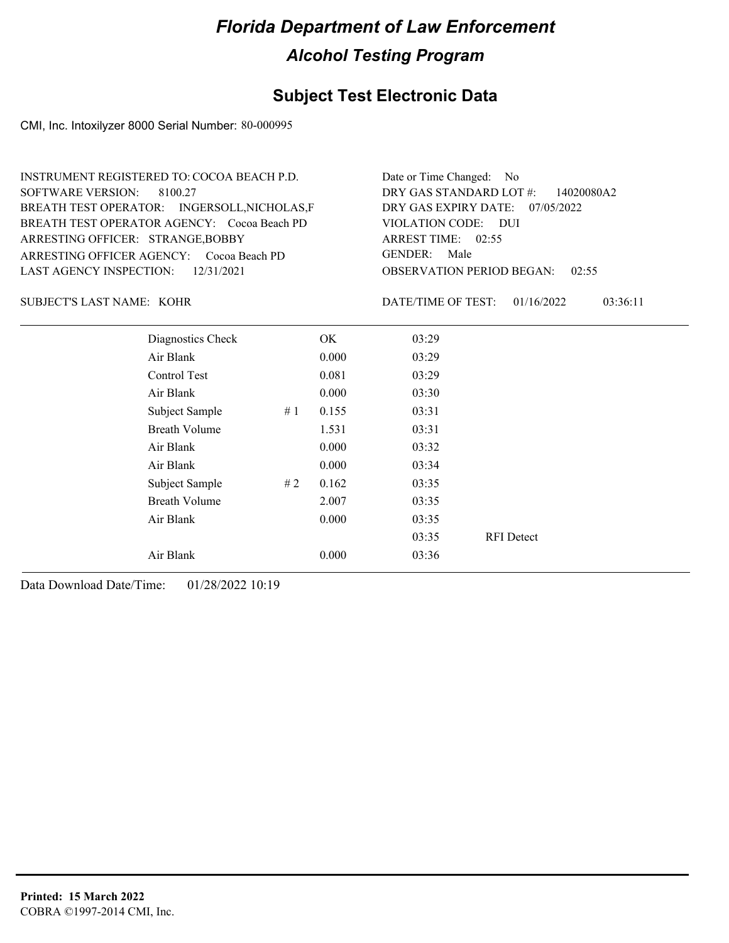### **Subject Test Electronic Data**

CMI, Inc. Intoxilyzer 8000 Serial Number: 80-000995

| INSTRUMENT REGISTERED TO: COCOA BEACH P.D.   | Date or Time Changed: No               |
|----------------------------------------------|----------------------------------------|
| SOFTWARE VERSION: 8100.27                    | DRY GAS STANDARD LOT $\#$ : 14020080A2 |
| BREATH TEST OPERATOR: INGERSOLL, NICHOLAS, F | DRY GAS EXPIRY DATE: 07/05/2022        |
| BREATH TEST OPERATOR AGENCY: Cocoa Beach PD  | VIOLATION CODE: DUI                    |
| ARRESTING OFFICER: STRANGE, BOBBY            | ARREST TIME: 02:55                     |
| ARRESTING OFFICER AGENCY: Cocoa Beach PD     | GENDER: Male                           |
| LAST AGENCY INSPECTION: $12/31/2021$         | <b>OBSERVATION PERIOD BEGAN: 02:55</b> |

#### KOHR SUBJECT'S LAST NAME: DATE/TIME OF TEST:

DATE/TIME OF TEST: 01/16/2022 03:36:11

| Diagnostics Check    |    | OK    | 03:29 |                   |
|----------------------|----|-------|-------|-------------------|
| Air Blank            |    | 0.000 | 03:29 |                   |
| Control Test         |    | 0.081 | 03:29 |                   |
| Air Blank            |    | 0.000 | 03:30 |                   |
| Subject Sample       | #1 | 0.155 | 03:31 |                   |
| <b>Breath Volume</b> |    | 1.531 | 03:31 |                   |
| Air Blank            |    | 0.000 | 03:32 |                   |
| Air Blank            |    | 0.000 | 03:34 |                   |
| Subject Sample       | #2 | 0.162 | 03:35 |                   |
| <b>Breath Volume</b> |    | 2.007 | 03:35 |                   |
| Air Blank            |    | 0.000 | 03:35 |                   |
|                      |    |       | 03:35 | <b>RFI</b> Detect |
| Air Blank            |    | 0.000 | 03:36 |                   |
|                      |    |       |       |                   |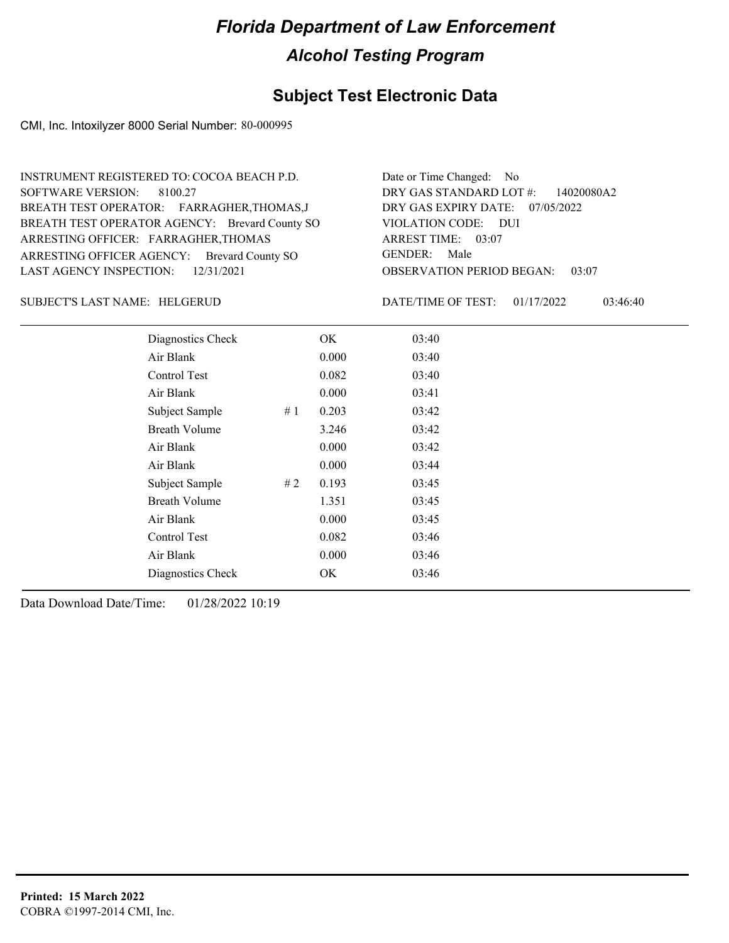### **Subject Test Electronic Data**

CMI, Inc. Intoxilyzer 8000 Serial Number: 80-000995

ARRESTING OFFICER AGENCY: Brevard County SO GENDER: BREATH TEST OPERATOR AGENCY: Brevard County SO VIOLATION CODE: SOFTWARE VERSION: ARRESTING OFFICER: FARRAGHER,THOMAS BREATH TEST OPERATOR: FARRAGHER,THOMAS,J LAST AGENCY INSPECTION: 12/31/2021 8100.27 INSTRUMENT REGISTERED TO: COCOA BEACH P.D.

OBSERVATION PERIOD BEGAN: 03:07 VIOLATION CODE: DUI ARREST TIME: 03:07 DRY GAS EXPIRY DATE: 07/05/2022 DRY GAS STANDARD LOT #: 14020080A2 Date or Time Changed: No GENDER: Male

HELGERUD SUBJECT'S LAST NAME: DATE/TIME OF TEST:

DATE/TIME OF TEST: 01/17/2022 03:46:40

| Diagnostics Check    |    | OK    | 03:40 |
|----------------------|----|-------|-------|
| Air Blank            |    | 0.000 | 03:40 |
| Control Test         |    | 0.082 | 03:40 |
| Air Blank            |    | 0.000 | 03:41 |
| Subject Sample       | #1 | 0.203 | 03:42 |
| <b>Breath Volume</b> |    | 3.246 | 03:42 |
| Air Blank            |    | 0.000 | 03:42 |
| Air Blank            |    | 0.000 | 03:44 |
| Subject Sample       | #2 | 0.193 | 03:45 |
| <b>Breath Volume</b> |    | 1.351 | 03:45 |
| Air Blank            |    | 0.000 | 03:45 |
| Control Test         |    | 0.082 | 03:46 |
| Air Blank            |    | 0.000 | 03:46 |
| Diagnostics Check    |    | OK    | 03:46 |
|                      |    |       |       |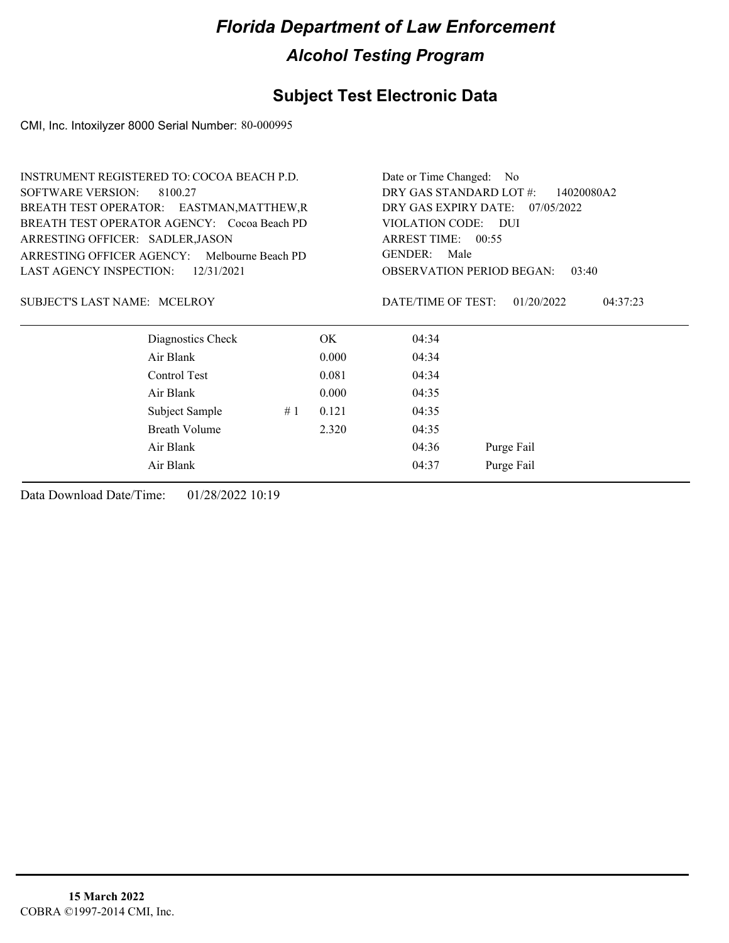### **Subject Test Electronic Data**

CMI, Inc. Intoxilyzer 8000 Serial Number: 80-000995

| <b>INSTRUMENT REGISTERED TO: COCOA BEACH P.D.</b> |                                              |                                 |       | Date or Time Changed: No                                            |                        |  |
|---------------------------------------------------|----------------------------------------------|---------------------------------|-------|---------------------------------------------------------------------|------------------------|--|
| <b>SOFTWARE VERSION:</b><br>8100.27               |                                              |                                 |       | DRY GAS STANDARD LOT #:<br>14020080A2                               |                        |  |
|                                                   | BREATH TEST OPERATOR: EASTMAN, MATTHEW, R    | DRY GAS EXPIRY DATE: 07/05/2022 |       |                                                                     |                        |  |
|                                                   | BREATH TEST OPERATOR AGENCY: Cocoa Beach PD  |                                 |       | VIOLATION CODE: DUI<br>ARREST TIME: 00:55<br><b>GENDER:</b><br>Male |                        |  |
| ARRESTING OFFICER: SADLER, JASON                  |                                              |                                 |       |                                                                     |                        |  |
|                                                   | ARRESTING OFFICER AGENCY: Melbourne Beach PD |                                 |       |                                                                     |                        |  |
| <b>LAST AGENCY INSPECTION:</b>                    | 12/31/2021                                   |                                 |       | <b>OBSERVATION PERIOD BEGAN:</b><br>03:40                           |                        |  |
| SUBJECT'S LAST NAME: MCELROY                      |                                              |                                 |       | DATE/TIME OF TEST:                                                  | 01/20/2022<br>04:37:23 |  |
|                                                   | Diagnostics Check                            |                                 | OK.   | 04:34                                                               |                        |  |
|                                                   | Air Blank                                    |                                 | 0.000 | 04:34                                                               |                        |  |
|                                                   | Control Test                                 |                                 | 0.081 | 04:34                                                               |                        |  |
|                                                   | Air Blank                                    |                                 | 0.000 | 04:35                                                               |                        |  |
|                                                   | Subject Sample                               | #1                              | 0.121 | 04:35                                                               |                        |  |
|                                                   | <b>Breath Volume</b>                         |                                 | 2.320 | 04:35                                                               |                        |  |
|                                                   | Air Blank                                    |                                 |       | 04:36                                                               | Purge Fail             |  |
|                                                   | Air Blank                                    |                                 |       | 04:37                                                               | Purge Fail             |  |
|                                                   |                                              |                                 |       |                                                                     |                        |  |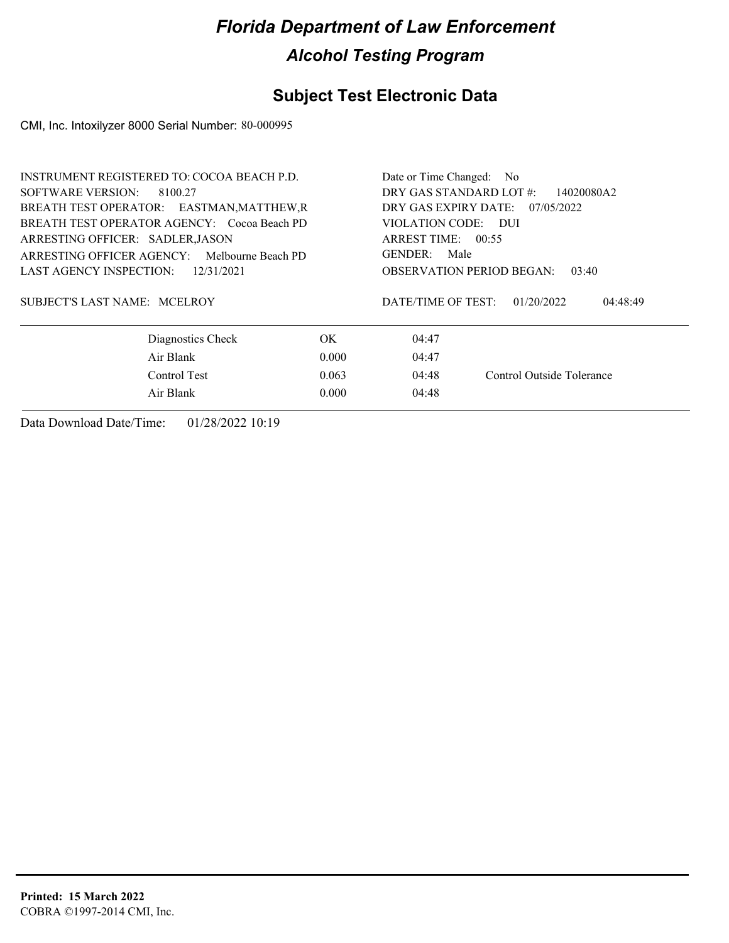### **Subject Test Electronic Data**

CMI, Inc. Intoxilyzer 8000 Serial Number: 80-000995

| <b>INSTRUMENT REGISTERED TO: COCOA BEACH P.D.</b> | Date or Time Changed: No                     |  |  |
|---------------------------------------------------|----------------------------------------------|--|--|
| SOFTWARE VERSION:<br>8100.27                      | DRY GAS STANDARD LOT #:<br>14020080A2        |  |  |
| BREATH TEST OPERATOR: EASTMAN, MATTHEW, R         | DRY GAS EXPIRY DATE:<br>07/05/2022           |  |  |
| BREATH TEST OPERATOR AGENCY: Cocoa Beach PD       | VIOLATION CODE: DUI                          |  |  |
| ARRESTING OFFICER: SADLER, JASON                  | ARREST TIME: $00:55$                         |  |  |
| ARRESTING OFFICER AGENCY: Melbourne Beach PD      | <b>GENDER:</b><br>Male                       |  |  |
| LAST AGENCY INSPECTION:<br>12/31/2021             | <b>OBSERVATION PERIOD BEGAN:</b><br>03:40    |  |  |
| SUBJECT'S LAST NAME: MCELROY                      | DATE/TIME OF TEST:<br>01/20/2022<br>04:48:49 |  |  |
| Diagnostics Check<br>OK.                          | 04:47                                        |  |  |
| Air Blank<br>0.000                                | 04:47                                        |  |  |
| Control Test<br>0.063                             | Control Outside Tolerance<br>04:48           |  |  |
| Air Blank<br>0.000                                | 04:48                                        |  |  |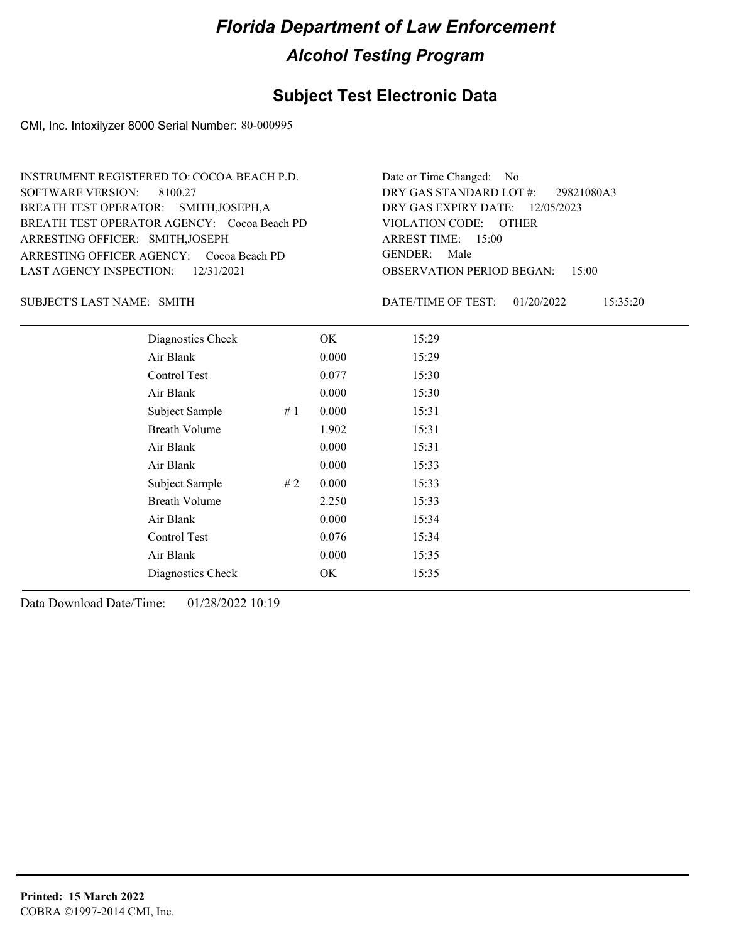### **Subject Test Electronic Data**

CMI, Inc. Intoxilyzer 8000 Serial Number: 80-000995

| INSTRUMENT REGISTERED TO: COCOA BEACH P.D.  | Date or Time Changed: No               |
|---------------------------------------------|----------------------------------------|
| SOFTWARE VERSION: 8100.27                   | DRY GAS STANDARD LOT #: 29821080A3     |
| BREATH TEST OPERATOR: SMITH, JOSEPH, A      | DRY GAS EXPIRY DATE: $12/05/2023$      |
| BREATH TEST OPERATOR AGENCY: Cocoa Beach PD | VIOLATION CODE: OTHER                  |
| ARRESTING OFFICER: SMITH, JOSEPH            | ARREST TIME: $15:00$                   |
| ARRESTING OFFICER AGENCY: Cocoa Beach PD    | GENDER: Male                           |
| LAST AGENCY INSPECTION: 12/31/2021          | <b>OBSERVATION PERIOD BEGAN: 15:00</b> |

SUBJECT'S LAST NAME: SMITH **Example 2018** DATE/TIME OF TEST:

DATE/TIME OF TEST: 01/20/2022 15:35:20

| Diagnostics Check    |    | OK    | 15:29 |
|----------------------|----|-------|-------|
| Air Blank            |    | 0.000 | 15:29 |
| Control Test         |    | 0.077 | 15:30 |
| Air Blank            |    | 0.000 | 15:30 |
| Subject Sample       | #1 | 0.000 | 15:31 |
| <b>Breath Volume</b> |    | 1.902 | 15:31 |
| Air Blank            |    | 0.000 | 15:31 |
| Air Blank            |    | 0.000 | 15:33 |
| Subject Sample       | #2 | 0.000 | 15:33 |
| <b>Breath Volume</b> |    | 2.250 | 15:33 |
| Air Blank            |    | 0.000 | 15:34 |
| Control Test         |    | 0.076 | 15:34 |
| Air Blank            |    | 0.000 | 15:35 |
| Diagnostics Check    |    | OK    | 15:35 |
|                      |    |       |       |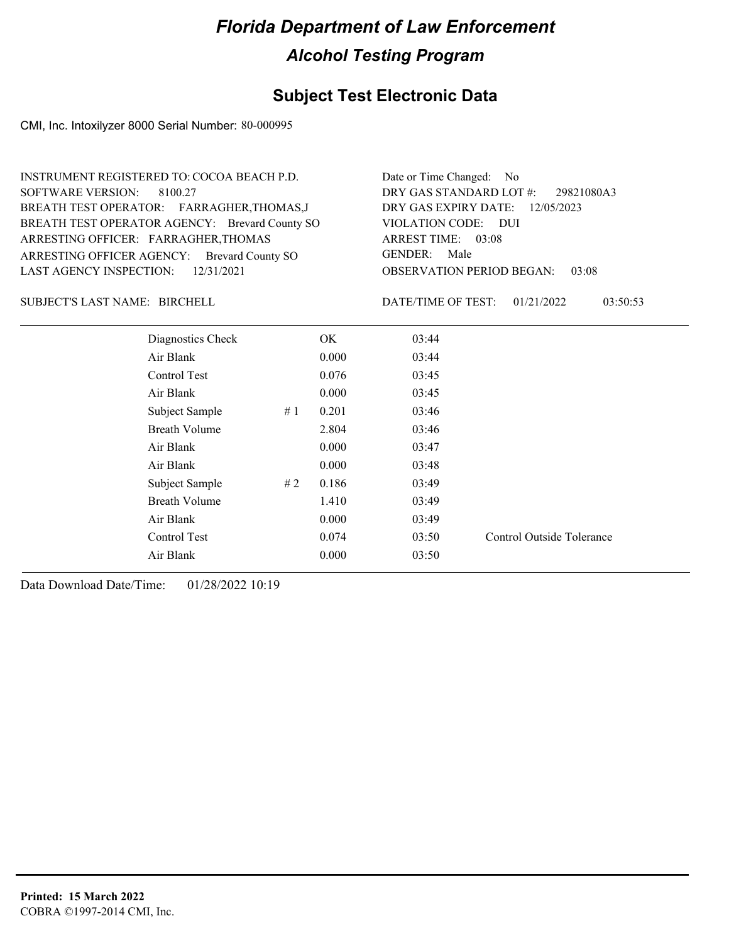### **Subject Test Electronic Data**

CMI, Inc. Intoxilyzer 8000 Serial Number: 80-000995

| INSTRUMENT REGISTERED TO: COCOA BEACH P.D.     | Date or Time Changed: No               |
|------------------------------------------------|----------------------------------------|
| SOFTWARE VERSION: 8100.27                      | DRY GAS STANDARD LOT #: 29821080A3     |
| BREATH TEST OPERATOR: FARRAGHER, THOMAS, J     | DRY GAS EXPIRY DATE: 12/05/2023        |
| BREATH TEST OPERATOR AGENCY: Brevard County SO | VIOLATION CODE: DUI                    |
| ARRESTING OFFICER: FARRAGHER, THOMAS           | ARREST TIME: 03:08                     |
| ARRESTING OFFICER AGENCY: Brevard County SO    | GENDER: Male                           |
| LAST AGENCY INSPECTION: 12/31/2021             | <b>OBSERVATION PERIOD BEGAN: 03:08</b> |
|                                                |                                        |

SUBJECT'S LAST NAME: BIRCHELL DATE/TIME OF TEST:

DATE/TIME OF TEST: 01/21/2022 03:50:53

| Diagnostics Check    |    | OK.   | 03:44 |                           |
|----------------------|----|-------|-------|---------------------------|
| Air Blank            |    | 0.000 | 03:44 |                           |
| Control Test         |    | 0.076 | 03:45 |                           |
| Air Blank            |    | 0.000 | 03:45 |                           |
| Subject Sample       | #1 | 0.201 | 03:46 |                           |
| <b>Breath Volume</b> |    | 2.804 | 03:46 |                           |
| Air Blank            |    | 0.000 | 03:47 |                           |
| Air Blank            |    | 0.000 | 03:48 |                           |
| Subject Sample       | #2 | 0.186 | 03:49 |                           |
| <b>Breath Volume</b> |    | 1.410 | 03:49 |                           |
| Air Blank            |    | 0.000 | 03:49 |                           |
| Control Test         |    | 0.074 | 03:50 | Control Outside Tolerance |
| Air Blank            |    | 0.000 | 03:50 |                           |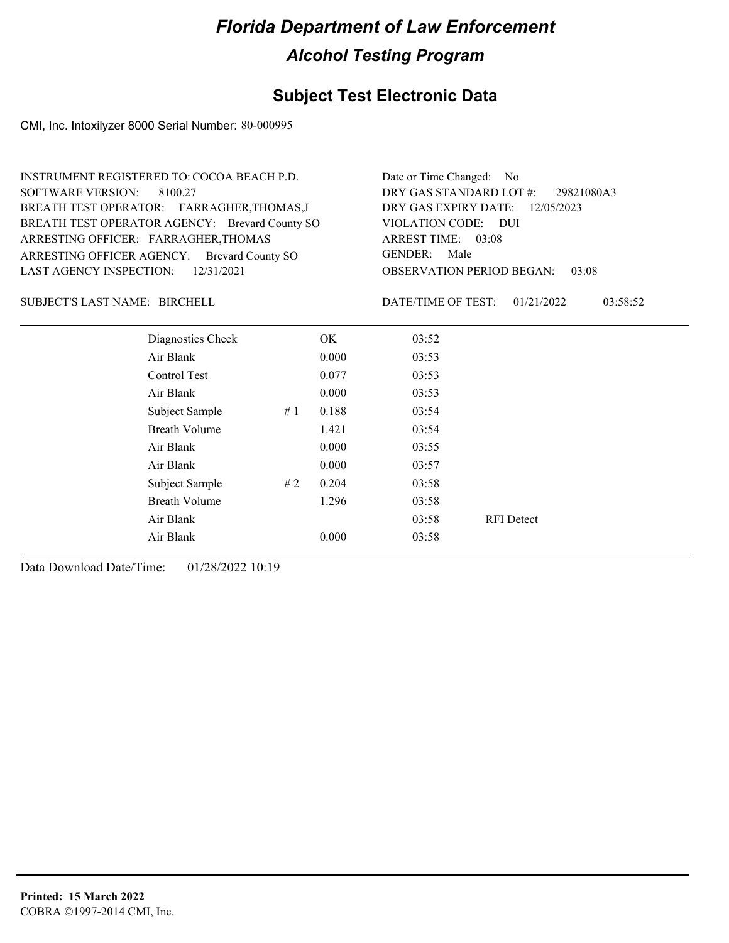### **Subject Test Electronic Data**

CMI, Inc. Intoxilyzer 8000 Serial Number: 80-000995

| <b>INSTRUMENT REGISTERED TO: COCOA BEACH P.D.</b><br><b>SOFTWARE VERSION:</b><br>8100.27<br>BREATH TEST OPERATOR: FARRAGHER, THOMAS, J<br>BREATH TEST OPERATOR AGENCY: Brevard County SO<br>ARRESTING OFFICER: FARRAGHER, THOMAS<br>ARRESTING OFFICER AGENCY:<br><b>Brevard County SO</b><br><b>LAST AGENCY INSPECTION:</b><br>12/31/2021 |                   |    | Date or Time Changed: No<br>DRY GAS STANDARD LOT #:<br>29821080A3<br>DRY GAS EXPIRY DATE:<br>12/05/2023<br>VIOLATION CODE:<br>- DUI<br>ARREST TIME: 03:08<br><b>GENDER:</b><br>Male<br><b>OBSERVATION PERIOD BEGAN:</b><br>03:08 |                    |            |          |
|-------------------------------------------------------------------------------------------------------------------------------------------------------------------------------------------------------------------------------------------------------------------------------------------------------------------------------------------|-------------------|----|----------------------------------------------------------------------------------------------------------------------------------------------------------------------------------------------------------------------------------|--------------------|------------|----------|
| SUBJECT'S LAST NAME: BIRCHELL                                                                                                                                                                                                                                                                                                             |                   |    |                                                                                                                                                                                                                                  | DATE/TIME OF TEST: | 01/21/2022 | 03:58:52 |
|                                                                                                                                                                                                                                                                                                                                           | Diagnostics Check |    | OK.                                                                                                                                                                                                                              | 03:52              |            |          |
|                                                                                                                                                                                                                                                                                                                                           | Air Blank         |    | 0.000                                                                                                                                                                                                                            | 03:53              |            |          |
|                                                                                                                                                                                                                                                                                                                                           | Control Test      |    | 0.077                                                                                                                                                                                                                            | 03:53              |            |          |
|                                                                                                                                                                                                                                                                                                                                           | Air Blank         |    | 0.000                                                                                                                                                                                                                            | 03:53              |            |          |
|                                                                                                                                                                                                                                                                                                                                           | Subject Sample    | #1 | 0.188                                                                                                                                                                                                                            | 03:54              |            |          |
|                                                                                                                                                                                                                                                                                                                                           | Breath Volume     |    | 1.421                                                                                                                                                                                                                            | 03:54              |            |          |
|                                                                                                                                                                                                                                                                                                                                           | Air Blank         |    | 0.000                                                                                                                                                                                                                            | 03:55              |            |          |

Air Blank 03:58 RFI Detect

Air Blank 0.000 03:57 Subject Sample # 2 0.204 03:58 Breath Volume 1.296 03:58

Air Blank 0.000 03:58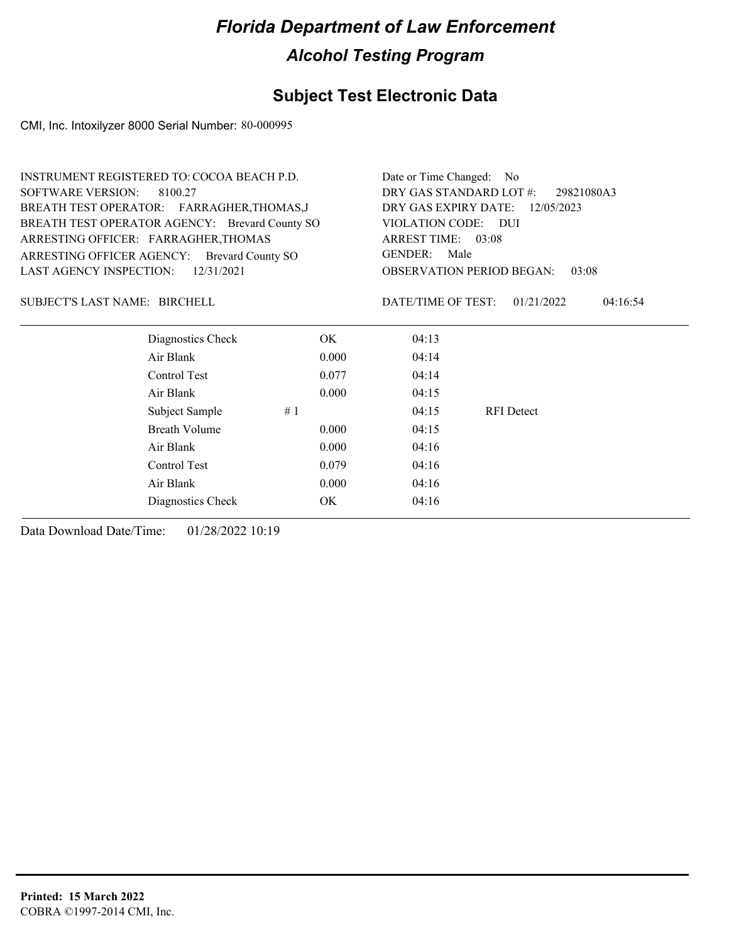### **Subject Test Electronic Data**

CMI, Inc. Intoxilyzer 8000 Serial Number: 80-000995

| <b>INSTRUMENT REGISTERED TO: COCOA BEACH P.D.</b> | Date or Time Changed: No              |                        |                                           |          |  |
|---------------------------------------------------|---------------------------------------|------------------------|-------------------------------------------|----------|--|
| <b>SOFTWARE VERSION:</b><br>8100.27               | DRY GAS STANDARD LOT #:<br>29821080A3 |                        |                                           |          |  |
| BREATH TEST OPERATOR: FARRAGHER, THOMAS, J        | DRY GAS EXPIRY DATE:<br>12/05/2023    |                        |                                           |          |  |
| BREATH TEST OPERATOR AGENCY: Brevard County SO    |                                       | VIOLATION CODE: DUI    |                                           |          |  |
| ARRESTING OFFICER: FARRAGHER, THOMAS              |                                       | ARREST TIME: 03:08     |                                           |          |  |
| ARRESTING OFFICER AGENCY: Brevard County SO       |                                       | <b>GENDER:</b><br>Male |                                           |          |  |
| <b>LAST AGENCY INSPECTION:</b><br>12/31/2021      |                                       |                        | <b>OBSERVATION PERIOD BEGAN:</b><br>03:08 |          |  |
| SUBJECT'S LAST NAME: BIRCHELL                     |                                       | DATE/TIME OF TEST:     | 01/21/2022                                | 04:16:54 |  |
| Diagnostics Check                                 | OK.                                   | 04:13                  |                                           |          |  |
| Air Blank                                         | 0.000                                 | 04:14                  |                                           |          |  |
| Control Test                                      | 0.077                                 | 04:14                  |                                           |          |  |
| Air Blank                                         | 0.000                                 | 04:15                  |                                           |          |  |
| Subject Sample                                    | #1                                    | 04:15                  | RFI Detect                                |          |  |
| Breath Volume                                     | 0.000                                 | 04:15                  |                                           |          |  |
| Air Blank                                         | 0.000                                 | 04:16                  |                                           |          |  |
| Control Test                                      | 0.079                                 | 04:16                  |                                           |          |  |
| Air Blank                                         | 0.000                                 | 04:16                  |                                           |          |  |
| Diagnostics Check                                 | OK                                    | 04:16                  |                                           |          |  |